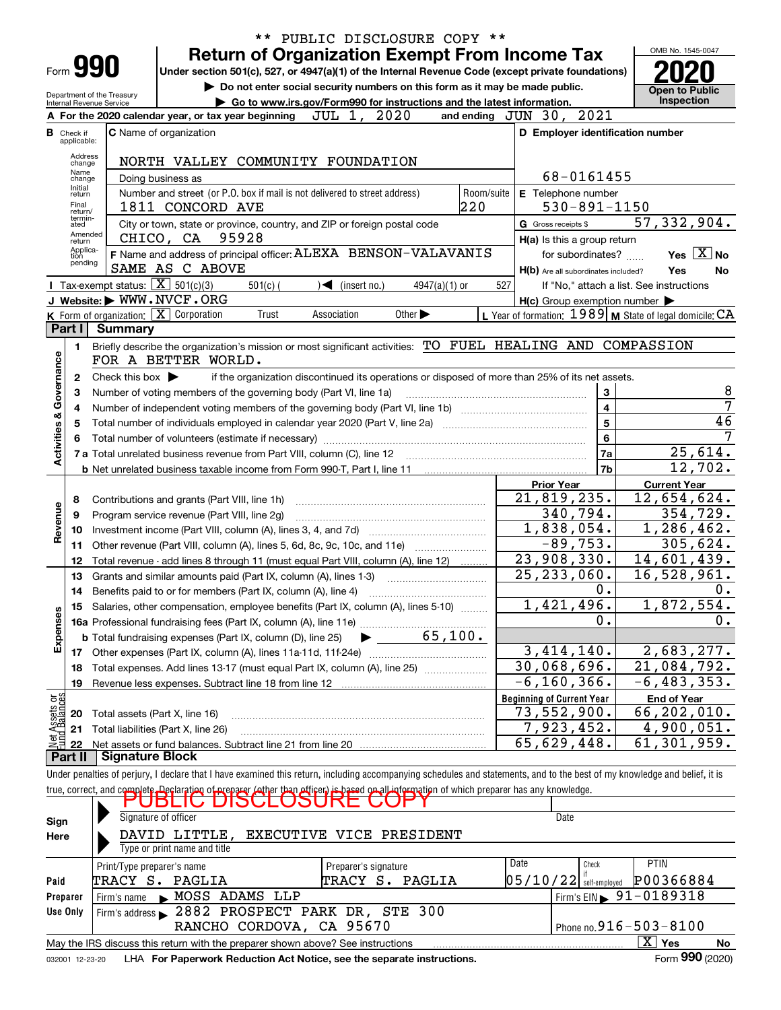|                                |                   |                                                        |                                                                                                                                                                            | ** PUBLIC DISCLOSURE COPY **                                                                    |                             |                       |                                                     |                                                             |
|--------------------------------|-------------------|--------------------------------------------------------|----------------------------------------------------------------------------------------------------------------------------------------------------------------------------|-------------------------------------------------------------------------------------------------|-----------------------------|-----------------------|-----------------------------------------------------|-------------------------------------------------------------|
|                                |                   |                                                        |                                                                                                                                                                            | <b>Return of Organization Exempt From Income Tax</b>                                            |                             |                       |                                                     | OMB No. 1545-0047                                           |
|                                |                   | Form 990                                               | Under section 501(c), 527, or 4947(a)(1) of the Internal Revenue Code (except private foundations)                                                                         |                                                                                                 |                             |                       |                                                     |                                                             |
|                                |                   |                                                        |                                                                                                                                                                            | Do not enter social security numbers on this form as it may be made public.                     |                             | <b>Open to Public</b> |                                                     |                                                             |
|                                |                   | Department of the Treasury<br>Internal Revenue Service |                                                                                                                                                                            | Go to www.irs.gov/Form990 for instructions and the latest information.                          |                             |                       |                                                     | Inspection                                                  |
|                                |                   |                                                        | A For the 2020 calendar year, or tax year beginning                                                                                                                        | JUL 1, 2020                                                                                     |                             |                       | and ending JUN 30, 2021                             |                                                             |
| в                              | Check if          |                                                        | <b>C</b> Name of organization                                                                                                                                              |                                                                                                 |                             |                       | D Employer identification number                    |                                                             |
|                                | applicable:       |                                                        |                                                                                                                                                                            |                                                                                                 |                             |                       |                                                     |                                                             |
|                                | Address<br>change |                                                        | NORTH VALLEY COMMUNITY FOUNDATION                                                                                                                                          |                                                                                                 |                             |                       |                                                     |                                                             |
|                                | Name<br>change    |                                                        | Doing business as                                                                                                                                                          |                                                                                                 |                             |                       | 68-0161455                                          |                                                             |
|                                | Initial<br>return |                                                        | Number and street (or P.O. box if mail is not delivered to street address)                                                                                                 |                                                                                                 |                             | Room/suite            | E Telephone number                                  |                                                             |
|                                | Final<br>return/  |                                                        | 1811 CONCORD AVE                                                                                                                                                           |                                                                                                 |                             | 220                   | $530 - 891 - 1150$                                  |                                                             |
|                                | termin-<br>ated   |                                                        | City or town, state or province, country, and ZIP or foreign postal code                                                                                                   |                                                                                                 |                             |                       | G Gross receipts \$                                 | 57, 332, 904.                                               |
|                                | Amended<br>return |                                                        | CHICO, CA 95928                                                                                                                                                            |                                                                                                 |                             |                       | H(a) Is this a group return                         |                                                             |
|                                | Applica-<br>tion  |                                                        | F Name and address of principal officer: ALEXA BENSON-VALAVANIS                                                                                                            |                                                                                                 |                             |                       | for subordinates?                                   | Yes $X$ No                                                  |
|                                | pending           |                                                        | SAME AS C ABOVE                                                                                                                                                            |                                                                                                 |                             |                       | H(b) Are all subordinates included?                 | Yes<br>No                                                   |
|                                |                   | Tax-exempt status: $\boxed{\mathbf{X}}$ 501(c)(3)      | $501(c)$ (                                                                                                                                                                 | $\sqrt{\frac{1}{1}}$ (insert no.)                                                               | $4947(a)(1)$ or             | 527                   |                                                     | If "No," attach a list. See instructions                    |
|                                |                   |                                                        | J Website: WWW.NVCF.ORG                                                                                                                                                    |                                                                                                 |                             |                       | $H(c)$ Group exemption number $\blacktriangleright$ |                                                             |
|                                |                   |                                                        | K Form of organization: X Corporation<br>Trust                                                                                                                             | Association                                                                                     | Other $\blacktriangleright$ |                       |                                                     | L Year of formation: $1989$ M State of legal domicile: $CA$ |
|                                | Part I            | <b>Summary</b>                                         |                                                                                                                                                                            |                                                                                                 |                             |                       |                                                     |                                                             |
|                                | 1.                |                                                        | Briefly describe the organization's mission or most significant activities: TO FUEL HEALING AND COMPASSION                                                                 |                                                                                                 |                             |                       |                                                     |                                                             |
| Activities & Governance        |                   |                                                        | FOR A BETTER WORLD.                                                                                                                                                        |                                                                                                 |                             |                       |                                                     |                                                             |
|                                | 2                 | Check this box $\blacktriangleright$                   |                                                                                                                                                                            | if the organization discontinued its operations or disposed of more than 25% of its net assets. |                             |                       |                                                     |                                                             |
|                                | з                 |                                                        | Number of voting members of the governing body (Part VI, line 1a)                                                                                                          |                                                                                                 |                             |                       | 3                                                   | 8                                                           |
|                                | 4                 |                                                        |                                                                                                                                                                            |                                                                                                 |                             |                       | $\overline{\mathbf{4}}$                             | 7                                                           |
|                                | 5                 |                                                        |                                                                                                                                                                            |                                                                                                 |                             |                       | $\overline{5}$                                      | 46                                                          |
|                                |                   |                                                        | 7                                                                                                                                                                          |                                                                                                 |                             |                       |                                                     |                                                             |
|                                |                   |                                                        |                                                                                                                                                                            |                                                                                                 |                             |                       | 7a                                                  | 25,614.                                                     |
|                                |                   |                                                        |                                                                                                                                                                            |                                                                                                 |                             |                       | 7 <sub>b</sub>                                      | 12,702.                                                     |
|                                |                   |                                                        |                                                                                                                                                                            |                                                                                                 |                             |                       | <b>Prior Year</b>                                   | <b>Current Year</b>                                         |
|                                | 8                 |                                                        | Contributions and grants (Part VIII, line 1h)                                                                                                                              |                                                                                                 |                             |                       | 21,819,235.                                         | 12,654,624.                                                 |
| Revenue                        | 9                 |                                                        | Program service revenue (Part VIII, line 2g)                                                                                                                               |                                                                                                 |                             |                       | 340,794.                                            | 354,729.                                                    |
|                                | 10                |                                                        |                                                                                                                                                                            |                                                                                                 |                             |                       | <u>1,838,054.</u>                                   | 1,286,462.                                                  |
|                                | 11                |                                                        | Other revenue (Part VIII, column (A), lines 5, 6d, 8c, 9c, 10c, and 11e)                                                                                                   |                                                                                                 |                             |                       | $-89,753.$                                          | $\overline{305}$ , 624.                                     |
|                                | 12                |                                                        | Total revenue - add lines 8 through 11 (must equal Part VIII, column (A), line 12)                                                                                         |                                                                                                 |                             |                       | 23,908,330.                                         | 14,601,439.                                                 |
|                                | 13                |                                                        | Grants and similar amounts paid (Part IX, column (A), lines 1-3)                                                                                                           |                                                                                                 |                             |                       | $\overline{25,233,060}$ .                           | 16,528,961.                                                 |
|                                | 14                |                                                        | Benefits paid to or for members (Part IX, column (A), line 4)                                                                                                              |                                                                                                 |                             |                       | 0.                                                  | 0.                                                          |
|                                |                   |                                                        | Salaries, other compensation, employee benefits (Part IX, column (A), lines 5-10)                                                                                          |                                                                                                 |                             |                       | 1,421,496.                                          | 1,872,554.                                                  |
| Expenses                       |                   |                                                        |                                                                                                                                                                            |                                                                                                 |                             |                       | 0.                                                  | 0.                                                          |
|                                |                   |                                                        | <b>b</b> Total fundraising expenses (Part IX, column (D), line 25)                                                                                                         |                                                                                                 | 65,100.                     |                       |                                                     |                                                             |
|                                |                   |                                                        | 17 Other expenses (Part IX, column (A), lines 11a-11d, 11f-24e)                                                                                                            |                                                                                                 |                             |                       | 3,414,140.                                          | 2,683,277.                                                  |
|                                | 18                |                                                        | Total expenses. Add lines 13-17 (must equal Part IX, column (A), line 25)                                                                                                  |                                                                                                 |                             |                       | 30,068,696.                                         | 21,084,792.                                                 |
|                                | 19                |                                                        |                                                                                                                                                                            |                                                                                                 |                             |                       | $-6, 160, 366$ .                                    | $-6, 483, 353.$                                             |
| Net Assets or<br>Eund Balances |                   |                                                        |                                                                                                                                                                            |                                                                                                 |                             |                       | <b>Beginning of Current Year</b>                    | <b>End of Year</b>                                          |
|                                | 20                |                                                        | Total assets (Part X, line 16)                                                                                                                                             |                                                                                                 |                             |                       | <u>73,552,900.</u>                                  | 66,202,010.                                                 |
|                                | 21                |                                                        | Total liabilities (Part X, line 26)                                                                                                                                        |                                                                                                 |                             |                       | 7,923,452.                                          | 4,900,051.                                                  |
|                                | 22                |                                                        |                                                                                                                                                                            |                                                                                                 |                             |                       | $\overline{65}$ , 629, 448.                         | 61, 301, 959.                                               |
|                                | Part II           | Signature Block                                        |                                                                                                                                                                            |                                                                                                 |                             |                       |                                                     |                                                             |
|                                |                   |                                                        | Under penalties of perjury, I declare that I have examined this return, including accompanying schedules and statements, and to the best of my knowledge and belief, it is |                                                                                                 |                             |                       |                                                     |                                                             |
|                                |                   |                                                        | true, correct, and complete Declaration of preparer (other than officer) is based on all information of which preparer has any knowledge.                                  |                                                                                                 |                             |                       |                                                     |                                                             |
|                                |                   |                                                        | וטסוש                                                                                                                                                                      | שטי                                                                                             |                             |                       |                                                     |                                                             |
| Sign                           |                   |                                                        | Signature of officer                                                                                                                                                       |                                                                                                 |                             |                       | Date                                                |                                                             |
| Here                           |                   |                                                        | DAVID LITTLE,                                                                                                                                                              | EXECUTIVE VICE PRESIDENT                                                                        |                             |                       |                                                     |                                                             |
|                                |                   |                                                        | Type or print name and title                                                                                                                                               |                                                                                                 |                             |                       |                                                     |                                                             |
|                                |                   | Print/Type preparer's name                             |                                                                                                                                                                            | Preparer's signature                                                                            |                             |                       | Date<br>Check                                       | PTIN                                                        |
| Paid                           |                   |                                                        | TRACY S. PAGLIA                                                                                                                                                            |                                                                                                 | TRACY S. PAGLIA             |                       | $05/10/22$ self-employed                            | P00366884                                                   |
| Preparer                       |                   | Firm's name                                            | MOSS ADAMS LLP                                                                                                                                                             |                                                                                                 |                             |                       |                                                     | Firm's EIN $\triangleright$ 91-0189318                      |
| Use Only                       |                   |                                                        | Firm's address 2882 PROSPECT PARK DR, STE 300                                                                                                                              |                                                                                                 |                             |                       |                                                     |                                                             |
|                                |                   |                                                        |                                                                                                                                                                            | RANCHO CORDOVA, CA 95670                                                                        |                             |                       |                                                     | Phone no. $916 - 503 - 8100$                                |

| May the IRS discuss this return with the preparer shown above? See instructions           | $\overline{\mathbf{v}}$<br>Yes | <b>No</b> |
|-------------------------------------------------------------------------------------------|--------------------------------|-----------|
| LHA For Paperwork Reduction Act Notice, see the separate instructions.<br>032001 12-23-20 | Form 990 (2020)                |           |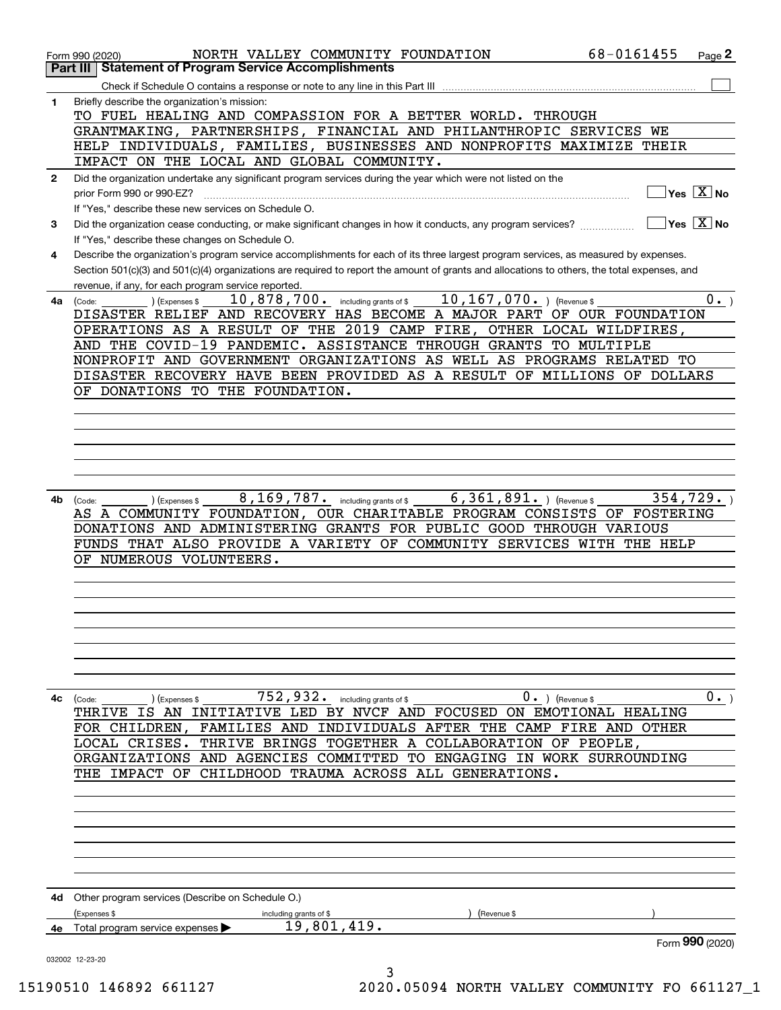|              | NORTH VALLEY COMMUNITY FOUNDATION<br>Form 990 (2020)                                                                                                                                    | 68-0161455<br>Page 2                |
|--------------|-----------------------------------------------------------------------------------------------------------------------------------------------------------------------------------------|-------------------------------------|
|              | Part III   Statement of Program Service Accomplishments                                                                                                                                 |                                     |
|              |                                                                                                                                                                                         |                                     |
| 1            | Briefly describe the organization's mission:                                                                                                                                            |                                     |
|              | TO FUEL HEALING AND COMPASSION FOR A BETTER WORLD. THROUGH                                                                                                                              |                                     |
|              | GRANTMAKING, PARTNERSHIPS, FINANCIAL AND PHILANTHROPIC SERVICES WE                                                                                                                      |                                     |
|              | HELP INDIVIDUALS, FAMILIES, BUSINESSES AND NONPROFITS MAXIMIZE THEIR                                                                                                                    |                                     |
|              | IMPACT ON THE LOCAL AND GLOBAL COMMUNITY.                                                                                                                                               |                                     |
| $\mathbf{2}$ | Did the organization undertake any significant program services during the year which were not listed on the                                                                            |                                     |
|              | prior Form 990 or 990-EZ?                                                                                                                                                               | $\exists$ Yes $\boxed{\text{X}}$ No |
|              | If "Yes." describe these new services on Schedule O.                                                                                                                                    | $\sqrt{}$ Yes $\sqrt{X}$ No         |
| 3            | Did the organization cease conducting, or make significant changes in how it conducts, any program services?                                                                            |                                     |
| 4            | If "Yes," describe these changes on Schedule O.<br>Describe the organization's program service accomplishments for each of its three largest program services, as measured by expenses. |                                     |
|              | Section 501(c)(3) and 501(c)(4) organizations are required to report the amount of grants and allocations to others, the total expenses, and                                            |                                     |
|              | revenue, if any, for each program service reported.                                                                                                                                     |                                     |
|              | 10,878,700. including grants of \$10,167,070. ) (Revenue \$<br>(Expenses \$<br>4a (Code:                                                                                                | $0 \cdot$ )                         |
|              | DISASTER RELIEF AND RECOVERY HAS BECOME A MAJOR PART OF OUR FOUNDATION                                                                                                                  |                                     |
|              | OPERATIONS AS A RESULT OF THE 2019 CAMP FIRE, OTHER LOCAL WILDFIRES,                                                                                                                    |                                     |
|              | AND THE COVID-19 PANDEMIC. ASSISTANCE THROUGH GRANTS TO MULTIPLE                                                                                                                        |                                     |
|              | NONPROFIT AND GOVERNMENT ORGANIZATIONS AS WELL AS PROGRAMS RELATED TO                                                                                                                   |                                     |
|              | DISASTER RECOVERY HAVE BEEN PROVIDED AS A RESULT OF MILLIONS OF DOLLARS                                                                                                                 |                                     |
|              | OF DONATIONS TO THE FOUNDATION.                                                                                                                                                         |                                     |
|              |                                                                                                                                                                                         |                                     |
|              |                                                                                                                                                                                         |                                     |
|              |                                                                                                                                                                                         |                                     |
|              |                                                                                                                                                                                         |                                     |
|              |                                                                                                                                                                                         |                                     |
|              |                                                                                                                                                                                         |                                     |
| 4b           | 8, 169, 787. including grants of \$ 6, 361, 891. ) (Revenue \$<br>) (Expenses \$<br>(Code:                                                                                              | 354, 729.                           |
|              | AS A COMMUNITY FOUNDATION, OUR CHARITABLE PROGRAM CONSISTS OF FOSTERING                                                                                                                 |                                     |
|              | DONATIONS AND ADMINISTERING GRANTS FOR PUBLIC GOOD THROUGH VARIOUS<br>FUNDS THAT ALSO PROVIDE A VARIETY OF COMMUNITY SERVICES WITH THE HELP                                             |                                     |
|              | OF NUMEROUS VOLUNTEERS.                                                                                                                                                                 |                                     |
|              |                                                                                                                                                                                         |                                     |
|              |                                                                                                                                                                                         |                                     |
|              |                                                                                                                                                                                         |                                     |
|              |                                                                                                                                                                                         |                                     |
|              |                                                                                                                                                                                         |                                     |
|              |                                                                                                                                                                                         |                                     |
|              |                                                                                                                                                                                         |                                     |
|              |                                                                                                                                                                                         |                                     |
| 4c           | $752, 932$ . including grants of \$<br>$0 \cdot$ ) (Revenue \$<br>(Expenses \$<br>(Code:                                                                                                | $0 \cdot$ )                         |
|              | IS AN INITIATIVE LED BY NVCF AND FOCUSED ON EMOTIONAL HEALING<br>THRIVE                                                                                                                 |                                     |
|              | FOR CHILDREN, FAMILIES AND INDIVIDUALS AFTER THE CAMP FIRE AND OTHER                                                                                                                    |                                     |
|              | THRIVE BRINGS TOGETHER A COLLABORATION OF PEOPLE,<br>LOCAL CRISES.                                                                                                                      |                                     |
|              | ORGANIZATIONS AND AGENCIES COMMITTED TO ENGAGING IN WORK SURROUNDING                                                                                                                    |                                     |
|              | CHILDHOOD TRAUMA ACROSS ALL GENERATIONS.<br>IMPACT OF<br>THE                                                                                                                            |                                     |
|              |                                                                                                                                                                                         |                                     |
|              |                                                                                                                                                                                         |                                     |
|              |                                                                                                                                                                                         |                                     |
|              |                                                                                                                                                                                         |                                     |
|              |                                                                                                                                                                                         |                                     |
|              |                                                                                                                                                                                         |                                     |
|              |                                                                                                                                                                                         |                                     |
|              | 4d Other program services (Describe on Schedule O.)                                                                                                                                     |                                     |
|              | (Expenses \$<br>(Revenue \$<br>including grants of \$<br>19,801,419.                                                                                                                    |                                     |
| 4е           | Total program service expenses                                                                                                                                                          | Form 990 (2020)                     |
|              |                                                                                                                                                                                         |                                     |
|              | 032002 12-23-20<br>3                                                                                                                                                                    |                                     |
|              |                                                                                                                                                                                         |                                     |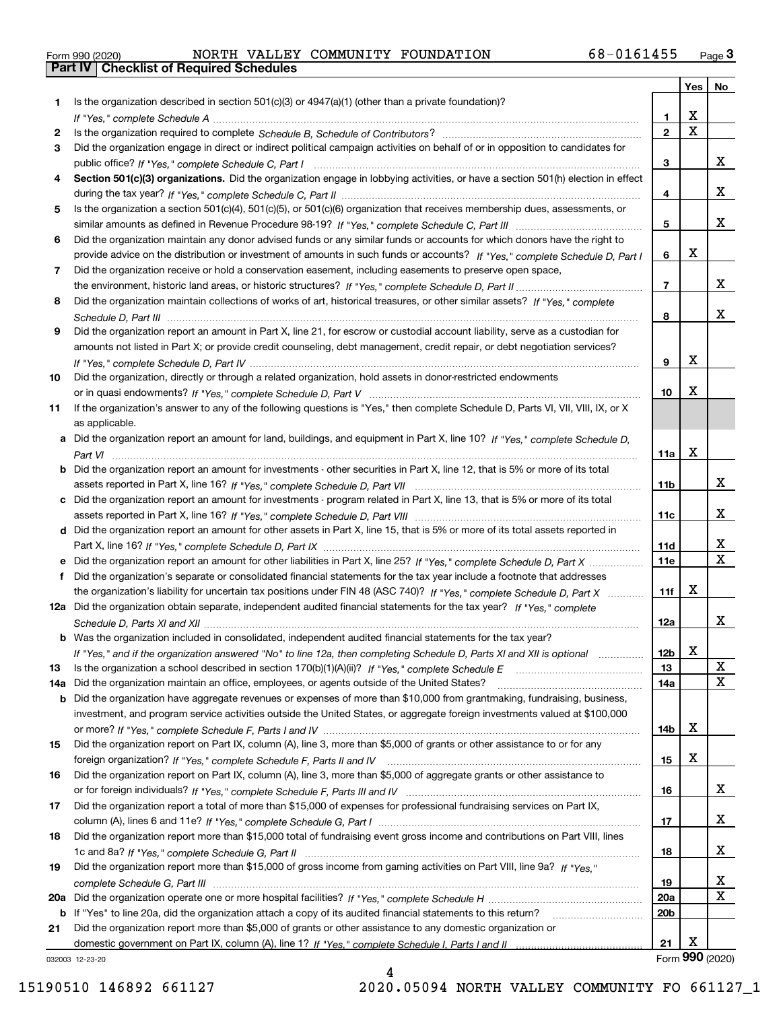|  | Form 990 (2020) |
|--|-----------------|

Form 990 (2020) NORTH VALLEY COMMUNITY FOUNDATION 68-0161455 <sub>Page</sub> 3<br>**Part IV | Checklist of Required Schedules** 

|         |                                                                                                                                                                                                                                                           |                        | Yes                     | No                           |
|---------|-----------------------------------------------------------------------------------------------------------------------------------------------------------------------------------------------------------------------------------------------------------|------------------------|-------------------------|------------------------------|
| 1       | Is the organization described in section $501(c)(3)$ or $4947(a)(1)$ (other than a private foundation)?                                                                                                                                                   |                        |                         |                              |
|         |                                                                                                                                                                                                                                                           | 1.                     | X                       |                              |
| 2       |                                                                                                                                                                                                                                                           | $\overline{2}$         | $\overline{\mathbf{x}}$ |                              |
| 3       | Did the organization engage in direct or indirect political campaign activities on behalf of or in opposition to candidates for                                                                                                                           |                        |                         |                              |
|         |                                                                                                                                                                                                                                                           | 3                      |                         | х                            |
| 4       | Section 501(c)(3) organizations. Did the organization engage in lobbying activities, or have a section 501(h) election in effect                                                                                                                          |                        |                         |                              |
|         |                                                                                                                                                                                                                                                           | 4                      |                         | х                            |
| 5       | Is the organization a section 501(c)(4), 501(c)(5), or 501(c)(6) organization that receives membership dues, assessments, or                                                                                                                              |                        |                         | х                            |
|         |                                                                                                                                                                                                                                                           | 5                      |                         |                              |
| 6       | Did the organization maintain any donor advised funds or any similar funds or accounts for which donors have the right to<br>provide advice on the distribution or investment of amounts in such funds or accounts? If "Yes," complete Schedule D, Part I | 6                      | X                       |                              |
| 7       | Did the organization receive or hold a conservation easement, including easements to preserve open space,                                                                                                                                                 |                        |                         |                              |
|         |                                                                                                                                                                                                                                                           | $\overline{7}$         |                         | х                            |
| 8       | Did the organization maintain collections of works of art, historical treasures, or other similar assets? If "Yes," complete                                                                                                                              |                        |                         |                              |
|         |                                                                                                                                                                                                                                                           | 8                      |                         | х                            |
| 9       | Did the organization report an amount in Part X, line 21, for escrow or custodial account liability, serve as a custodian for                                                                                                                             |                        |                         |                              |
|         | amounts not listed in Part X; or provide credit counseling, debt management, credit repair, or debt negotiation services?                                                                                                                                 |                        |                         |                              |
|         |                                                                                                                                                                                                                                                           | 9                      | X                       |                              |
| 10      | Did the organization, directly or through a related organization, hold assets in donor-restricted endowments                                                                                                                                              |                        |                         |                              |
|         |                                                                                                                                                                                                                                                           | 10                     | X                       |                              |
| 11      | If the organization's answer to any of the following questions is "Yes," then complete Schedule D, Parts VI, VIII, VIII, IX, or X                                                                                                                         |                        |                         |                              |
|         | as applicable.                                                                                                                                                                                                                                            |                        |                         |                              |
|         | a Did the organization report an amount for land, buildings, and equipment in Part X, line 10? If "Yes," complete Schedule D,                                                                                                                             |                        |                         |                              |
|         |                                                                                                                                                                                                                                                           | 11a                    | X                       |                              |
|         | Did the organization report an amount for investments - other securities in Part X, line 12, that is 5% or more of its total                                                                                                                              |                        |                         |                              |
|         |                                                                                                                                                                                                                                                           | 11 <sub>b</sub>        |                         | х                            |
|         | Did the organization report an amount for investments - program related in Part X, line 13, that is 5% or more of its total                                                                                                                               |                        |                         |                              |
|         |                                                                                                                                                                                                                                                           | 11c                    |                         | x                            |
|         | d Did the organization report an amount for other assets in Part X, line 15, that is 5% or more of its total assets reported in                                                                                                                           |                        |                         |                              |
|         |                                                                                                                                                                                                                                                           | 11d                    |                         | x<br>$\overline{\mathbf{x}}$ |
|         | Did the organization report an amount for other liabilities in Part X, line 25? If "Yes," complete Schedule D, Part X                                                                                                                                     | 11e                    |                         |                              |
|         | Did the organization's separate or consolidated financial statements for the tax year include a footnote that addresses                                                                                                                                   |                        | X                       |                              |
|         | the organization's liability for uncertain tax positions under FIN 48 (ASC 740)? If "Yes," complete Schedule D, Part X<br>12a Did the organization obtain separate, independent audited financial statements for the tax year? If "Yes," complete         | 11f                    |                         |                              |
|         |                                                                                                                                                                                                                                                           | 12a                    |                         | х                            |
|         | <b>b</b> Was the organization included in consolidated, independent audited financial statements for the tax year?                                                                                                                                        |                        |                         |                              |
|         | If "Yes," and if the organization answered "No" to line 12a, then completing Schedule D, Parts XI and XII is optional                                                                                                                                     | 12b                    | X                       |                              |
| 13      |                                                                                                                                                                                                                                                           | 13                     |                         | X                            |
| 14a     | Did the organization maintain an office, employees, or agents outside of the United States?                                                                                                                                                               | 14a                    |                         | X                            |
| b       | Did the organization have aggregate revenues or expenses of more than \$10,000 from grantmaking, fundraising, business,                                                                                                                                   |                        |                         |                              |
|         | investment, and program service activities outside the United States, or aggregate foreign investments valued at \$100,000                                                                                                                                |                        |                         |                              |
|         |                                                                                                                                                                                                                                                           | 14b                    | х                       |                              |
| 15      | Did the organization report on Part IX, column (A), line 3, more than \$5,000 of grants or other assistance to or for any                                                                                                                                 |                        |                         |                              |
|         |                                                                                                                                                                                                                                                           | 15                     | х                       |                              |
| 16      | Did the organization report on Part IX, column (A), line 3, more than \$5,000 of aggregate grants or other assistance to                                                                                                                                  |                        |                         |                              |
|         |                                                                                                                                                                                                                                                           | 16                     |                         | x                            |
| 17      | Did the organization report a total of more than \$15,000 of expenses for professional fundraising services on Part IX,                                                                                                                                   |                        |                         |                              |
|         |                                                                                                                                                                                                                                                           | 17                     |                         | x                            |
| 18      | Did the organization report more than \$15,000 total of fundraising event gross income and contributions on Part VIII, lines                                                                                                                              |                        |                         |                              |
|         |                                                                                                                                                                                                                                                           | 18                     |                         | x                            |
| 19      | Did the organization report more than \$15,000 of gross income from gaming activities on Part VIII, line 9a? If "Yes."                                                                                                                                    |                        |                         |                              |
|         |                                                                                                                                                                                                                                                           | 19                     |                         | x<br>$\mathbf X$             |
| 20a     |                                                                                                                                                                                                                                                           | 20a<br>20 <sub>b</sub> |                         |                              |
| b<br>21 | If "Yes" to line 20a, did the organization attach a copy of its audited financial statements to this return?<br>Did the organization report more than \$5,000 of grants or other assistance to any domestic organization or                               |                        |                         |                              |
|         |                                                                                                                                                                                                                                                           | 21                     | х                       |                              |
|         | 032003 12-23-20                                                                                                                                                                                                                                           |                        |                         | Form 990 (2020)              |

032003 12-23-20

4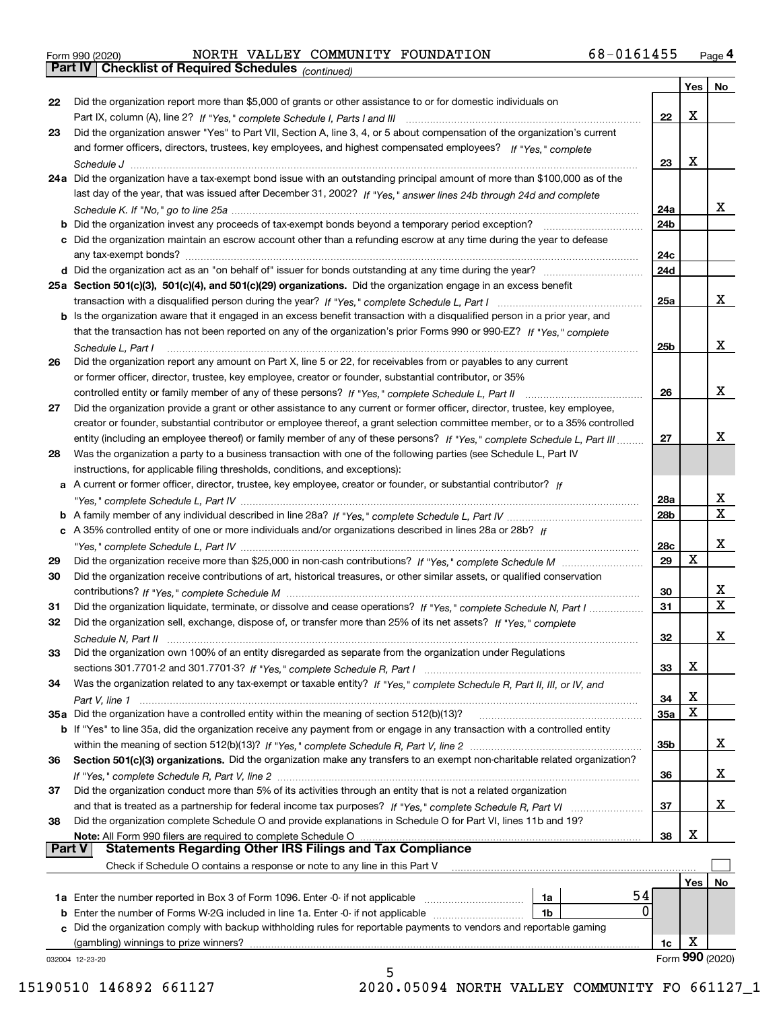|  | Form 990 (2020) |
|--|-----------------|
|  |                 |

*(continued)*

|               |                                                                                                                              |                 | Yes | ∣ No            |
|---------------|------------------------------------------------------------------------------------------------------------------------------|-----------------|-----|-----------------|
| 22            | Did the organization report more than \$5,000 of grants or other assistance to or for domestic individuals on                |                 |     |                 |
|               |                                                                                                                              | 22              | X   |                 |
| 23            | Did the organization answer "Yes" to Part VII, Section A, line 3, 4, or 5 about compensation of the organization's current   |                 |     |                 |
|               | and former officers, directors, trustees, key employees, and highest compensated employees? If "Yes," complete               |                 |     |                 |
|               | Schedule J                                                                                                                   | 23              | х   |                 |
|               | 24a Did the organization have a tax-exempt bond issue with an outstanding principal amount of more than \$100,000 as of the  |                 |     |                 |
|               | last day of the year, that was issued after December 31, 2002? If "Yes," answer lines 24b through 24d and complete           |                 |     |                 |
|               |                                                                                                                              | 24a             |     | x               |
|               | <b>b</b> Did the organization invest any proceeds of tax-exempt bonds beyond a temporary period exception?                   | 24b             |     |                 |
|               | c Did the organization maintain an escrow account other than a refunding escrow at any time during the year to defease       |                 |     |                 |
|               |                                                                                                                              | 24c             |     |                 |
|               |                                                                                                                              | 24d             |     |                 |
|               | 25a Section 501(c)(3), 501(c)(4), and 501(c)(29) organizations. Did the organization engage in an excess benefit             |                 |     |                 |
|               |                                                                                                                              | 25a             |     | x               |
|               | b Is the organization aware that it engaged in an excess benefit transaction with a disqualified person in a prior year, and |                 |     |                 |
|               | that the transaction has not been reported on any of the organization's prior Forms 990 or 990-EZ? If "Yes," complete        |                 |     |                 |
|               | Schedule L. Part I                                                                                                           | 25b             |     | x               |
| 26            | Did the organization report any amount on Part X, line 5 or 22, for receivables from or payables to any current              |                 |     |                 |
|               | or former officer, director, trustee, key employee, creator or founder, substantial contributor, or 35%                      |                 |     |                 |
|               |                                                                                                                              | 26              |     | x               |
| 27            | Did the organization provide a grant or other assistance to any current or former officer, director, trustee, key employee,  |                 |     |                 |
|               | creator or founder, substantial contributor or employee thereof, a grant selection committee member, or to a 35% controlled  |                 |     |                 |
|               | entity (including an employee thereof) or family member of any of these persons? If "Yes," complete Schedule L, Part III     | 27              |     | х               |
| 28            | Was the organization a party to a business transaction with one of the following parties (see Schedule L, Part IV            |                 |     |                 |
|               | instructions, for applicable filing thresholds, conditions, and exceptions):                                                 |                 |     |                 |
|               | a A current or former officer, director, trustee, key employee, creator or founder, or substantial contributor? If           |                 |     |                 |
|               |                                                                                                                              | 28a             |     | x               |
|               |                                                                                                                              | 28 <sub>b</sub> |     | $\mathbf X$     |
|               | c A 35% controlled entity of one or more individuals and/or organizations described in lines 28a or 28b? If                  |                 |     |                 |
|               |                                                                                                                              | 28c             |     | х               |
| 29            |                                                                                                                              | 29              | X   |                 |
| 30            | Did the organization receive contributions of art, historical treasures, or other similar assets, or qualified conservation  |                 |     |                 |
|               |                                                                                                                              | 30              |     | x               |
| 31            | Did the organization liquidate, terminate, or dissolve and cease operations? If "Yes," complete Schedule N, Part I           | 31              |     | $\mathbf x$     |
| 32            | Did the organization sell, exchange, dispose of, or transfer more than 25% of its net assets? If "Yes," complete             |                 |     |                 |
|               |                                                                                                                              | 32              |     | х               |
| 33            | Did the organization own 100% of an entity disregarded as separate from the organization under Regulations                   |                 |     |                 |
|               |                                                                                                                              | 33              | Χ   |                 |
| 34            | Was the organization related to any tax-exempt or taxable entity? If "Yes," complete Schedule R, Part II, III, or IV, and    |                 |     |                 |
|               |                                                                                                                              | 34              | х   |                 |
|               | 35a Did the organization have a controlled entity within the meaning of section 512(b)(13)?                                  | 35a             | X   |                 |
|               | b If "Yes" to line 35a, did the organization receive any payment from or engage in any transaction with a controlled entity  |                 |     |                 |
|               |                                                                                                                              | 35b             |     | X.              |
| 36            | Section 501(c)(3) organizations. Did the organization make any transfers to an exempt non-charitable related organization?   |                 |     |                 |
|               |                                                                                                                              | 36              |     | x               |
| 37            | Did the organization conduct more than 5% of its activities through an entity that is not a related organization             |                 |     |                 |
|               |                                                                                                                              | 37              |     | x               |
| 38            | Did the organization complete Schedule O and provide explanations in Schedule O for Part VI, lines 11b and 19?               |                 |     |                 |
|               | Note: All Form 990 filers are required to complete Schedule O                                                                | 38              | X   |                 |
| <b>Part V</b> | <b>Statements Regarding Other IRS Filings and Tax Compliance</b>                                                             |                 |     |                 |
|               | Check if Schedule O contains a response or note to any line in this Part V                                                   |                 |     |                 |
|               |                                                                                                                              |                 | Yes | No              |
|               | 54<br><b>1a</b> Enter the number reported in Box 3 of Form 1096. Enter -0- if not applicable <i>manumumumum</i><br>1a        |                 |     |                 |
|               | $\Omega$<br><b>b</b> Enter the number of Forms W-2G included in line 1a. Enter -0- if not applicable<br>1b                   |                 |     |                 |
|               | c Did the organization comply with backup withholding rules for reportable payments to vendors and reportable gaming         |                 |     |                 |
|               | (gambling) winnings to prize winners?                                                                                        | 1c              | х   |                 |
|               | 032004 12-23-20                                                                                                              |                 |     | Form 990 (2020) |
|               | 5                                                                                                                            |                 |     |                 |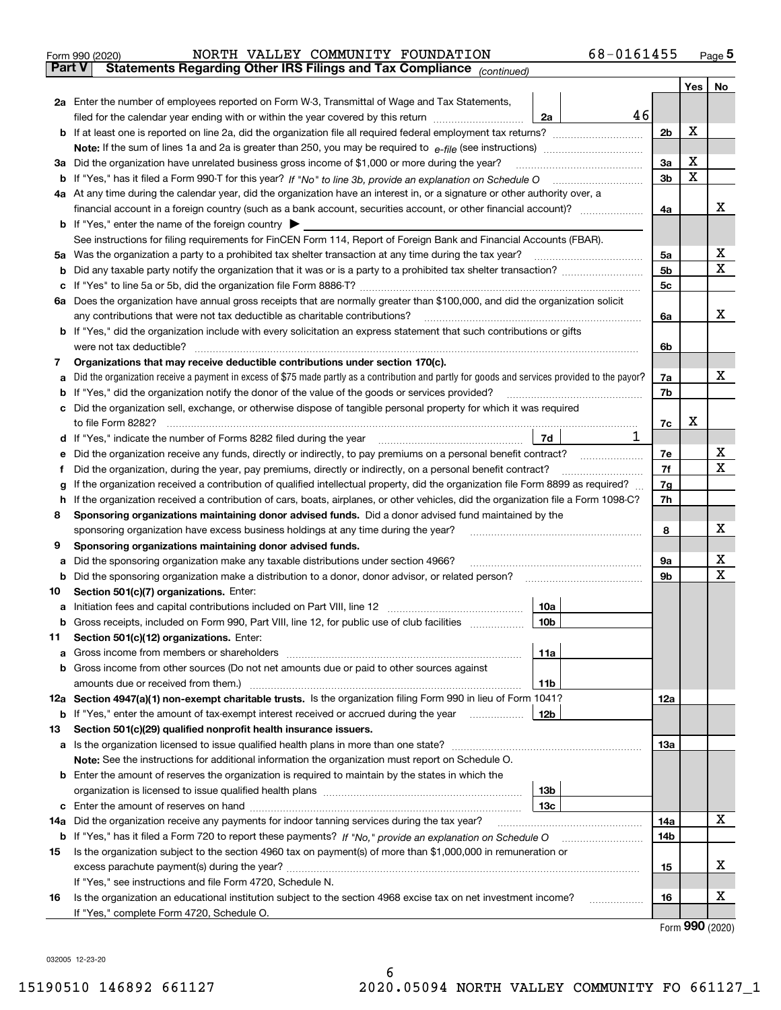| Form 990 (2020) |  |  | NORTH VALLEY COMMUNITY FOUNDATION                                                              | 68-0161455 | Page $5$ |
|-----------------|--|--|------------------------------------------------------------------------------------------------|------------|----------|
|                 |  |  | <b>Part V</b> Statements Regarding Other IRS Filings and Tax Compliance <sub>(continued)</sub> |            |          |

| Part V | Statements Regarding Other IRS Fillings and Tax Compilance $_{(continued)}$                                                                                  |    |                |     |    |  |  |  |  |  |
|--------|--------------------------------------------------------------------------------------------------------------------------------------------------------------|----|----------------|-----|----|--|--|--|--|--|
|        |                                                                                                                                                              |    |                | Yes | No |  |  |  |  |  |
|        | 2a Enter the number of employees reported on Form W-3, Transmittal of Wage and Tax Statements,                                                               |    |                |     |    |  |  |  |  |  |
|        | filed for the calendar year ending with or within the year covered by this return<br>2a                                                                      | 46 |                |     |    |  |  |  |  |  |
|        |                                                                                                                                                              |    | 2 <sub>b</sub> | X   |    |  |  |  |  |  |
|        |                                                                                                                                                              |    | За             | X   |    |  |  |  |  |  |
|        | 3a Did the organization have unrelated business gross income of \$1,000 or more during the year?                                                             |    |                |     |    |  |  |  |  |  |
|        | b If "Yes," has it filed a Form 990-T for this year? If "No" to line 3b, provide an explanation on Schedule O                                                |    | 3b             | X   |    |  |  |  |  |  |
|        | 4a At any time during the calendar year, did the organization have an interest in, or a signature or other authority over, a                                 |    |                |     |    |  |  |  |  |  |
|        |                                                                                                                                                              |    | 4a             |     | х  |  |  |  |  |  |
|        | <b>b</b> If "Yes," enter the name of the foreign country                                                                                                     |    |                |     |    |  |  |  |  |  |
|        | See instructions for filing requirements for FinCEN Form 114, Report of Foreign Bank and Financial Accounts (FBAR).                                          |    |                |     | х  |  |  |  |  |  |
|        | 5a Was the organization a party to a prohibited tax shelter transaction at any time during the tax year?                                                     |    | 5a             |     | Χ  |  |  |  |  |  |
|        |                                                                                                                                                              |    | 5b             |     |    |  |  |  |  |  |
|        |                                                                                                                                                              |    | 5c             |     |    |  |  |  |  |  |
|        | 6a Does the organization have annual gross receipts that are normally greater than \$100,000, and did the organization solicit                               |    |                |     | x  |  |  |  |  |  |
|        | any contributions that were not tax deductible as charitable contributions?                                                                                  |    | 6a             |     |    |  |  |  |  |  |
|        | <b>b</b> If "Yes," did the organization include with every solicitation an express statement that such contributions or gifts<br>were not tax deductible?    |    | 6b             |     |    |  |  |  |  |  |
|        | Organizations that may receive deductible contributions under section 170(c).                                                                                |    |                |     |    |  |  |  |  |  |
| 7      | Did the organization receive a payment in excess of \$75 made partly as a contribution and partly for goods and services provided to the payor?              |    | 7a             |     | х  |  |  |  |  |  |
| а<br>b | If "Yes," did the organization notify the donor of the value of the goods or services provided?                                                              |    | 7b             |     |    |  |  |  |  |  |
|        | c Did the organization sell, exchange, or otherwise dispose of tangible personal property for which it was required                                          |    |                |     |    |  |  |  |  |  |
|        | to file Form 8282?                                                                                                                                           |    | 7c             | х   |    |  |  |  |  |  |
|        | 7d<br>d If "Yes," indicate the number of Forms 8282 filed during the year                                                                                    | 1  |                |     |    |  |  |  |  |  |
| е      | Did the organization receive any funds, directly or indirectly, to pay premiums on a personal benefit contract?                                              |    | 7е             |     | х  |  |  |  |  |  |
| f      | Did the organization, during the year, pay premiums, directly or indirectly, on a personal benefit contract?                                                 |    |                |     |    |  |  |  |  |  |
| g      | If the organization received a contribution of qualified intellectual property, did the organization file Form 8899 as required?                             |    |                |     |    |  |  |  |  |  |
|        | If the organization received a contribution of cars, boats, airplanes, or other vehicles, did the organization file a Form 1098-C?<br>h                      |    |                |     |    |  |  |  |  |  |
| 8      | Sponsoring organizations maintaining donor advised funds. Did a donor advised fund maintained by the                                                         |    |                |     |    |  |  |  |  |  |
|        | sponsoring organization have excess business holdings at any time during the year?                                                                           |    |                |     |    |  |  |  |  |  |
| 9      | Sponsoring organizations maintaining donor advised funds.                                                                                                    |    |                |     |    |  |  |  |  |  |
| а      | Did the sponsoring organization make any taxable distributions under section 4966?                                                                           |    | 9а             |     | х  |  |  |  |  |  |
|        | <b>b</b> Did the sponsoring organization make a distribution to a donor, donor advisor, or related person?                                                   |    | 9b             |     | х  |  |  |  |  |  |
| 10     | Section 501(c)(7) organizations. Enter:                                                                                                                      |    |                |     |    |  |  |  |  |  |
| а      | Initiation fees and capital contributions included on Part VIII, line 12<br>10a                                                                              |    |                |     |    |  |  |  |  |  |
|        | b Gross receipts, included on Form 990, Part VIII, line 12, for public use of club facilities<br>10 <sub>b</sub>                                             |    |                |     |    |  |  |  |  |  |
| 11.    | Section 501(c)(12) organizations. Enter:                                                                                                                     |    |                |     |    |  |  |  |  |  |
|        | 11a                                                                                                                                                          |    |                |     |    |  |  |  |  |  |
|        | <b>b</b> Gross income from other sources (Do not net amounts due or paid to other sources against                                                            |    |                |     |    |  |  |  |  |  |
|        | 11b                                                                                                                                                          |    |                |     |    |  |  |  |  |  |
|        | 12a Section 4947(a)(1) non-exempt charitable trusts. Is the organization filing Form 990 in lieu of Form 1041?                                               |    | 12a            |     |    |  |  |  |  |  |
|        | 12b<br><b>b</b> If "Yes," enter the amount of tax-exempt interest received or accrued during the year                                                        |    |                |     |    |  |  |  |  |  |
| 13     | Section 501(c)(29) qualified nonprofit health insurance issuers.                                                                                             |    |                |     |    |  |  |  |  |  |
|        | a Is the organization licensed to issue qualified health plans in more than one state?                                                                       |    | 13a            |     |    |  |  |  |  |  |
|        | Note: See the instructions for additional information the organization must report on Schedule O.                                                            |    |                |     |    |  |  |  |  |  |
|        | <b>b</b> Enter the amount of reserves the organization is required to maintain by the states in which the                                                    |    |                |     |    |  |  |  |  |  |
|        | 13 <sub>b</sub>                                                                                                                                              |    |                |     |    |  |  |  |  |  |
|        | 13с                                                                                                                                                          |    |                |     |    |  |  |  |  |  |
|        | 14a Did the organization receive any payments for indoor tanning services during the tax year?                                                               |    | 14a            |     | x  |  |  |  |  |  |
|        | <b>b</b> If "Yes," has it filed a Form 720 to report these payments? If "No," provide an explanation on Schedule O                                           |    | 14b            |     |    |  |  |  |  |  |
| 15     | Is the organization subject to the section 4960 tax on payment(s) of more than \$1,000,000 in remuneration or                                                |    |                |     | х  |  |  |  |  |  |
|        |                                                                                                                                                              |    | 15             |     |    |  |  |  |  |  |
|        | If "Yes," see instructions and file Form 4720, Schedule N.                                                                                                   |    |                |     | х  |  |  |  |  |  |
| 16     | Is the organization an educational institution subject to the section 4968 excise tax on net investment income?<br>If "Yes," complete Form 4720, Schedule O. |    | 16             |     |    |  |  |  |  |  |
|        |                                                                                                                                                              |    |                |     |    |  |  |  |  |  |

Form (2020) **990**

032005 12-23-20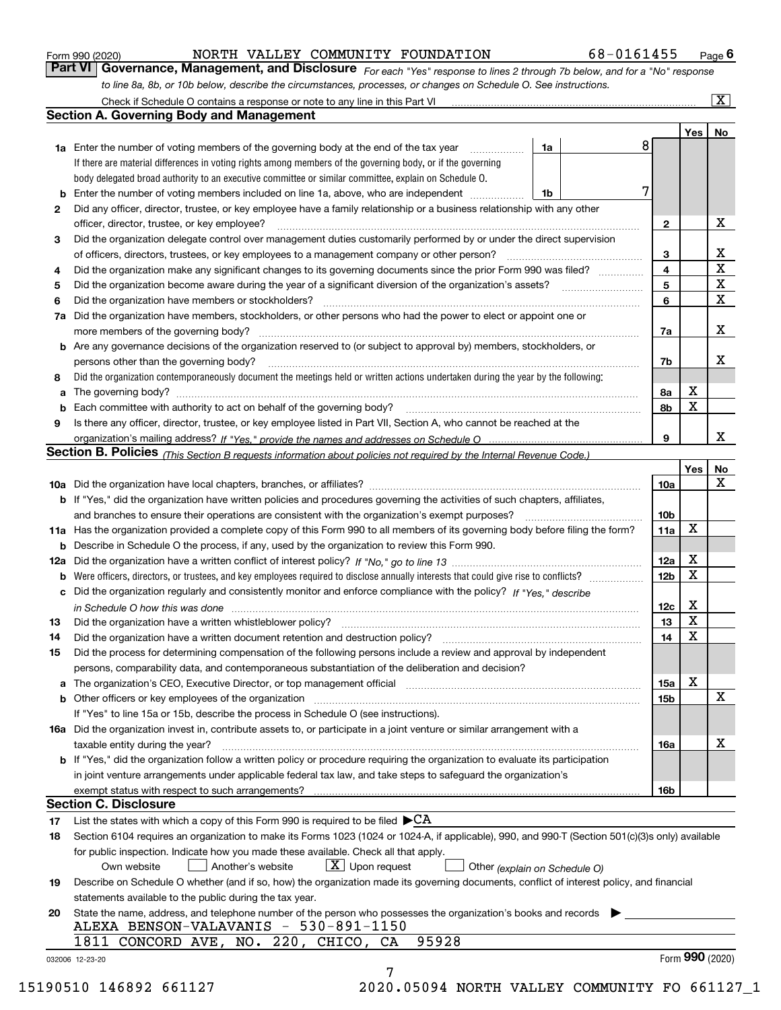|  | Form 990 (2020) |
|--|-----------------|
|  |                 |

NORTH VALLEY COMMUNITY FOUNDATION 68-0161455

*For each "Yes" response to lines 2 through 7b below, and for a "No" response to line 8a, 8b, or 10b below, describe the circumstances, processes, or changes on Schedule O. See instructions.* Form 990 (2020) **1990 (2020) 1998 MORTH VALLEY COMMUNITY FOUNDATION** 68-0161455 Page 6<br>**Part VI Governance, Management, and Disclosure** For each "Yes" response to lines 2 through 7b below, and for a "No" response

|    |                                                                                                                                                                               |    |   |                 | Yes   No        |             |
|----|-------------------------------------------------------------------------------------------------------------------------------------------------------------------------------|----|---|-----------------|-----------------|-------------|
|    | <b>1a</b> Enter the number of voting members of the governing body at the end of the tax year <i>manumum</i>                                                                  | 1a | 8 |                 |                 |             |
|    | If there are material differences in voting rights among members of the governing body, or if the governing                                                                   |    |   |                 |                 |             |
|    | body delegated broad authority to an executive committee or similar committee, explain on Schedule O.                                                                         |    |   |                 |                 |             |
|    | <b>b</b> Enter the number of voting members included on line 1a, above, who are independent <i>manumum</i>                                                                    | 1b | 7 |                 |                 |             |
| 2  | Did any officer, director, trustee, or key employee have a family relationship or a business relationship with any other                                                      |    |   |                 |                 |             |
|    | officer, director, trustee, or key employee?                                                                                                                                  |    |   | $\mathbf{2}$    |                 | X           |
| 3  | Did the organization delegate control over management duties customarily performed by or under the direct supervision                                                         |    |   |                 |                 |             |
|    |                                                                                                                                                                               |    |   | 3               |                 | X           |
| 4  | Did the organization make any significant changes to its governing documents since the prior Form 990 was filed?                                                              |    |   | $\overline{4}$  |                 | $\mathbf X$ |
| 5  |                                                                                                                                                                               |    |   | 5               |                 | $\mathbf X$ |
| 6  |                                                                                                                                                                               |    |   | 6               |                 | $\mathbf X$ |
| 7a | Did the organization have members, stockholders, or other persons who had the power to elect or appoint one or                                                                |    |   |                 |                 |             |
|    |                                                                                                                                                                               |    |   | 7a              |                 | x           |
|    | <b>b</b> Are any governance decisions of the organization reserved to (or subject to approval by) members, stockholders, or                                                   |    |   |                 |                 |             |
|    | persons other than the governing body?                                                                                                                                        |    |   | 7b              |                 | х           |
|    |                                                                                                                                                                               |    |   |                 |                 |             |
| 8  | Did the organization contemporaneously document the meetings held or written actions undertaken during the year by the following:                                             |    |   |                 | X               |             |
| a  |                                                                                                                                                                               |    |   | 8a              | X               |             |
| 9  |                                                                                                                                                                               |    |   | 8b              |                 |             |
|    | Is there any officer, director, trustee, or key employee listed in Part VII, Section A, who cannot be reached at the                                                          |    |   | 9               |                 | x           |
|    |                                                                                                                                                                               |    |   |                 |                 |             |
|    | Section B. Policies (This Section B requests information about policies not required by the Internal Revenue Code.)                                                           |    |   |                 |                 |             |
|    |                                                                                                                                                                               |    |   |                 | Yes             | No<br>X     |
|    |                                                                                                                                                                               |    |   | 10a             |                 |             |
|    | <b>b</b> If "Yes," did the organization have written policies and procedures governing the activities of such chapters, affiliates,                                           |    |   |                 |                 |             |
|    |                                                                                                                                                                               |    |   | 10 <sub>b</sub> | X               |             |
|    | 11a Has the organization provided a complete copy of this Form 990 to all members of its governing body before filing the form?                                               |    |   | 11a             |                 |             |
|    | <b>b</b> Describe in Schedule O the process, if any, used by the organization to review this Form 990.                                                                        |    |   |                 | X               |             |
|    |                                                                                                                                                                               |    |   | 12a             | X               |             |
| b  |                                                                                                                                                                               |    |   | 12 <sub>b</sub> |                 |             |
|    | c Did the organization regularly and consistently monitor and enforce compliance with the policy? If "Yes." describe                                                          |    |   |                 |                 |             |
|    | in Schedule O how this was done manufactured and continuum control of the Schedule O how this was done manufactured and continuum control of the Schedule O how this was done |    |   | 12c             | X<br>X          |             |
| 13 |                                                                                                                                                                               |    |   | 13              | X               |             |
| 14 | Did the organization have a written document retention and destruction policy? manufactured and the organization have a written document retention and destruction policy?    |    |   | 14              |                 |             |
| 15 | Did the process for determining compensation of the following persons include a review and approval by independent                                                            |    |   |                 |                 |             |
|    | persons, comparability data, and contemporaneous substantiation of the deliberation and decision?                                                                             |    |   |                 |                 |             |
|    |                                                                                                                                                                               |    |   | 15a             | X               |             |
|    |                                                                                                                                                                               |    |   | 15 <sub>b</sub> |                 | X           |
|    | If "Yes" to line 15a or 15b, describe the process in Schedule O (see instructions).                                                                                           |    |   |                 |                 |             |
|    | 16a Did the organization invest in, contribute assets to, or participate in a joint venture or similar arrangement with a                                                     |    |   |                 |                 |             |
|    | taxable entity during the year?                                                                                                                                               |    |   | 16a             |                 | х           |
|    | b If "Yes," did the organization follow a written policy or procedure requiring the organization to evaluate its participation                                                |    |   |                 |                 |             |
|    | in joint venture arrangements under applicable federal tax law, and take steps to safeguard the organization's                                                                |    |   |                 |                 |             |
|    | exempt status with respect to such arrangements?                                                                                                                              |    |   | <b>16b</b>      |                 |             |
|    | <b>Section C. Disclosure</b>                                                                                                                                                  |    |   |                 |                 |             |
| 17 | List the states with which a copy of this Form 990 is required to be filed $\blacktriangleright$ CA                                                                           |    |   |                 |                 |             |
| 18 | Section 6104 requires an organization to make its Forms 1023 (1024 or 1024-A, if applicable), 990, and 990-T (Section 501(c)(3)s only) available                              |    |   |                 |                 |             |
|    | for public inspection. Indicate how you made these available. Check all that apply.                                                                                           |    |   |                 |                 |             |
|    | $\lfloor x \rfloor$ Upon request<br>Another's website<br>Own website<br>Other (explain on Schedule O)                                                                         |    |   |                 |                 |             |
| 19 | Describe on Schedule O whether (and if so, how) the organization made its governing documents, conflict of interest policy, and financial                                     |    |   |                 |                 |             |
|    | statements available to the public during the tax year.                                                                                                                       |    |   |                 |                 |             |
| 20 | State the name, address, and telephone number of the person who possesses the organization's books and records                                                                |    |   |                 |                 |             |
|    | ALEXA BENSON-VALAVANIS - 530-891-1150                                                                                                                                         |    |   |                 |                 |             |
|    | 1811 CONCORD AVE, NO. 220, CHICO, CA<br>95928                                                                                                                                 |    |   |                 |                 |             |
|    | 032006 12-23-20                                                                                                                                                               |    |   |                 | Form 990 (2020) |             |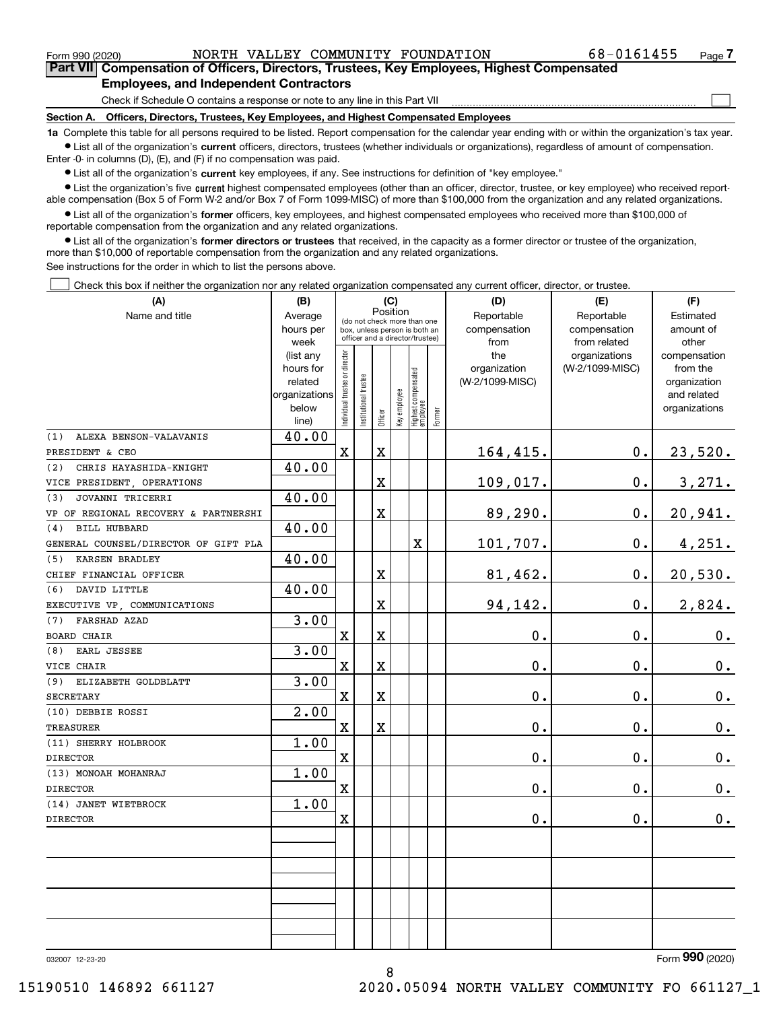$\mathcal{L}^{\text{max}}$ 

**7Part VII Compensation of Officers, Directors, Trustees, Key Employees, Highest Compensated Employees, and Independent Contractors**

Check if Schedule O contains a response or note to any line in this Part VII

**Section A. Officers, Directors, Trustees, Key Employees, and Highest Compensated Employees**

**1a**  Complete this table for all persons required to be listed. Report compensation for the calendar year ending with or within the organization's tax year. **•** List all of the organization's current officers, directors, trustees (whether individuals or organizations), regardless of amount of compensation.

Enter -0- in columns (D), (E), and (F) if no compensation was paid.

 $\bullet$  List all of the organization's  $\,$ current key employees, if any. See instructions for definition of "key employee."

**•** List the organization's five current highest compensated employees (other than an officer, director, trustee, or key employee) who received reportable compensation (Box 5 of Form W-2 and/or Box 7 of Form 1099-MISC) of more than \$100,000 from the organization and any related organizations.

**•** List all of the organization's former officers, key employees, and highest compensated employees who received more than \$100,000 of reportable compensation from the organization and any related organizations.

**former directors or trustees**  ¥ List all of the organization's that received, in the capacity as a former director or trustee of the organization, more than \$10,000 of reportable compensation from the organization and any related organizations.

See instructions for the order in which to list the persons above.

**(A)**

Check this box if neither the organization nor any related organization compensated any current officer, director, or trustee.  $\mathcal{L}^{\text{max}}$ 

| (A)                                  | (B)                  | (C)                                     |                                                                  |             |              |                                  |        | (D)                             | (E)             | (F)                         |  |  |  |  |
|--------------------------------------|----------------------|-----------------------------------------|------------------------------------------------------------------|-------------|--------------|----------------------------------|--------|---------------------------------|-----------------|-----------------------------|--|--|--|--|
| Name and title                       | Average              | Position<br>(do not check more than one |                                                                  |             |              |                                  |        | Reportable                      | Reportable      | Estimated                   |  |  |  |  |
|                                      | hours per            |                                         | box, unless person is both an<br>officer and a director/trustee) |             |              |                                  |        | compensation                    | compensation    | amount of                   |  |  |  |  |
|                                      | week                 |                                         |                                                                  |             |              |                                  |        | from                            | from related    | other                       |  |  |  |  |
|                                      | (list any            |                                         |                                                                  |             |              |                                  |        | the                             | organizations   | compensation                |  |  |  |  |
|                                      | hours for<br>related |                                         |                                                                  |             |              |                                  |        | organization<br>(W-2/1099-MISC) | (W-2/1099-MISC) | from the                    |  |  |  |  |
|                                      | organizations        |                                         |                                                                  |             |              |                                  |        |                                 |                 | organization<br>and related |  |  |  |  |
|                                      | below                |                                         |                                                                  |             |              |                                  |        |                                 |                 | organizations               |  |  |  |  |
|                                      | line)                | Individual trustee or director          | nstitutional trustee                                             | Officer     | Key employee | Highest compensated<br> employee | Former |                                 |                 |                             |  |  |  |  |
| ALEXA BENSON-VALAVANIS<br>(1)        | 40.00                |                                         |                                                                  |             |              |                                  |        |                                 |                 |                             |  |  |  |  |
| PRESIDENT & CEO                      |                      | $\mathbf X$                             |                                                                  | $\mathbf X$ |              |                                  |        | 164,415.                        | $0$ .           | 23,520.                     |  |  |  |  |
| CHRIS HAYASHIDA-KNIGHT<br>(2)        | 40.00                |                                         |                                                                  |             |              |                                  |        |                                 |                 |                             |  |  |  |  |
| VICE PRESIDENT, OPERATIONS           |                      |                                         |                                                                  | X           |              |                                  |        | 109,017.                        | 0.              | 3,271.                      |  |  |  |  |
| JOVANNI TRICERRI<br>(3)              | 40.00                |                                         |                                                                  |             |              |                                  |        |                                 |                 |                             |  |  |  |  |
| VP OF REGIONAL RECOVERY & PARTNERSHI |                      |                                         |                                                                  | X           |              |                                  |        | 89,290.                         | 0.              | 20,941.                     |  |  |  |  |
| <b>BILL HUBBARD</b><br>(4)           | 40.00                |                                         |                                                                  |             |              |                                  |        |                                 |                 |                             |  |  |  |  |
| GENERAL COUNSEL/DIRECTOR OF GIFT PLA |                      |                                         |                                                                  |             |              | X                                |        | 101,707.                        | 0.              | 4,251.                      |  |  |  |  |
| KARSEN BRADLEY<br>(5)                | 40.00                |                                         |                                                                  |             |              |                                  |        |                                 |                 |                             |  |  |  |  |
| CHIEF FINANCIAL OFFICER              |                      |                                         |                                                                  | X           |              |                                  |        | 81,462.                         | 0.              | 20,530.                     |  |  |  |  |
| DAVID LITTLE<br>(6)                  | 40.00                |                                         |                                                                  |             |              |                                  |        |                                 |                 |                             |  |  |  |  |
| EXECUTIVE VP, COMMUNICATIONS         |                      |                                         |                                                                  | X           |              |                                  |        | 94,142.                         | 0.              | 2,824.                      |  |  |  |  |
| <b>FARSHAD AZAD</b><br>(7)           | 3.00                 |                                         |                                                                  |             |              |                                  |        |                                 |                 |                             |  |  |  |  |
| <b>BOARD CHAIR</b>                   |                      | $\mathbf X$                             |                                                                  | X           |              |                                  |        | 0.                              | 0.              | 0.                          |  |  |  |  |
| EARL JESSEE<br>(8)                   | 3.00                 |                                         |                                                                  |             |              |                                  |        |                                 |                 |                             |  |  |  |  |
| VICE CHAIR                           |                      | $\mathbf X$                             |                                                                  | X           |              |                                  |        | 0.                              | 0.              | $0_{.}$                     |  |  |  |  |
| (9)<br>ELIZABETH GOLDBLATT           | 3.00                 |                                         |                                                                  |             |              |                                  |        |                                 |                 |                             |  |  |  |  |
| <b>SECRETARY</b>                     |                      | $\mathbf X$                             |                                                                  | X           |              |                                  |        | 0.                              | 0.              | 0.                          |  |  |  |  |
| (10) DEBBIE ROSSI                    | 2.00                 |                                         |                                                                  |             |              |                                  |        |                                 |                 |                             |  |  |  |  |
| TREASURER                            |                      | X                                       |                                                                  | X           |              |                                  |        | 0.                              | 0.              | 0.                          |  |  |  |  |
| (11) SHERRY HOLBROOK                 | 1.00                 |                                         |                                                                  |             |              |                                  |        |                                 |                 |                             |  |  |  |  |
| <b>DIRECTOR</b>                      |                      | $\mathbf X$                             |                                                                  |             |              |                                  |        | 0.                              | 0.              | $\mathbf 0$ .               |  |  |  |  |
| (13) MONOAH MOHANRAJ                 | 1.00                 |                                         |                                                                  |             |              |                                  |        |                                 |                 |                             |  |  |  |  |
| <b>DIRECTOR</b>                      |                      | X                                       |                                                                  |             |              |                                  |        | 0.                              | 0.              | 0.                          |  |  |  |  |
| (14) JANET WIETBROCK                 | 1.00                 |                                         |                                                                  |             |              |                                  |        |                                 |                 |                             |  |  |  |  |
| <b>DIRECTOR</b>                      |                      | $\mathbf X$                             |                                                                  |             |              |                                  |        | 0.                              | 0.              | 0.                          |  |  |  |  |
|                                      |                      |                                         |                                                                  |             |              |                                  |        |                                 |                 |                             |  |  |  |  |
|                                      |                      |                                         |                                                                  |             |              |                                  |        |                                 |                 |                             |  |  |  |  |
|                                      |                      |                                         |                                                                  |             |              |                                  |        |                                 |                 |                             |  |  |  |  |
|                                      |                      |                                         |                                                                  |             |              |                                  |        |                                 |                 |                             |  |  |  |  |
|                                      |                      |                                         |                                                                  |             |              |                                  |        |                                 |                 |                             |  |  |  |  |
|                                      |                      |                                         |                                                                  |             |              |                                  |        |                                 |                 |                             |  |  |  |  |
|                                      |                      |                                         |                                                                  |             |              |                                  |        |                                 |                 |                             |  |  |  |  |
|                                      |                      |                                         |                                                                  |             |              |                                  |        |                                 |                 |                             |  |  |  |  |

8

032007 12-23-20

Form (2020) **990**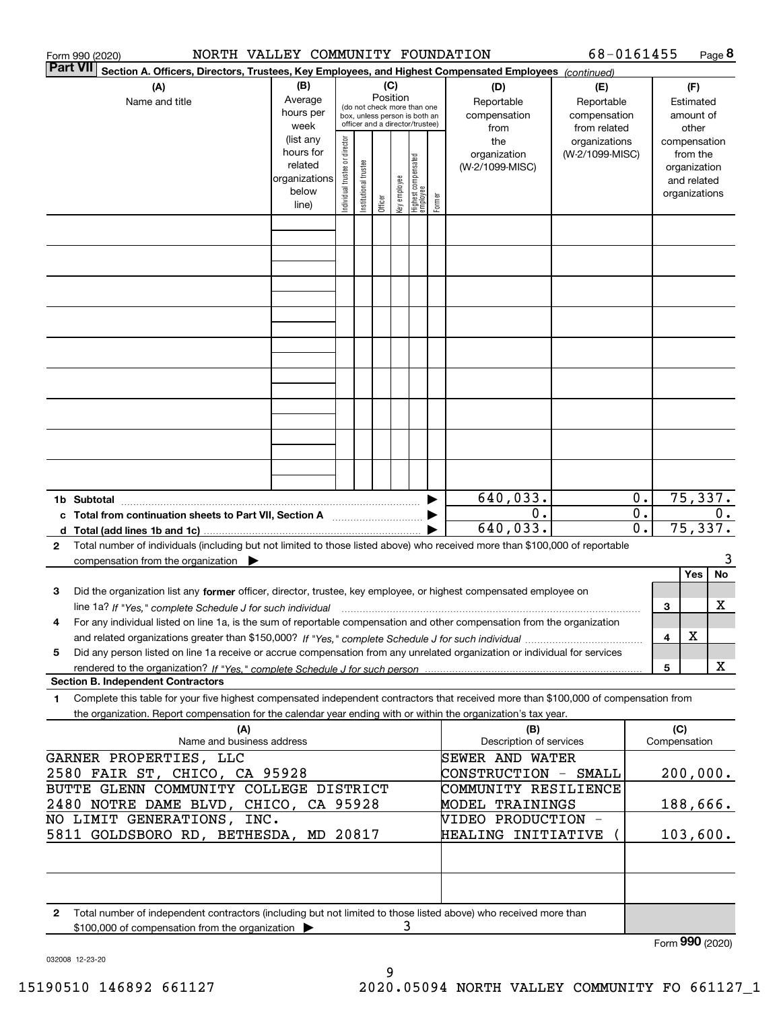| <b>Part VII</b><br>Section A. Officers, Directors, Trustees, Key Employees, and Highest Compensated Employees (continued)<br>(B)<br>(C)<br>(A)<br>(D)<br>(F)<br>(E)<br>Position<br>Average<br>Reportable<br>Name and title<br>Reportable<br>Estimated<br>(do not check more than one<br>hours per<br>compensation<br>compensation<br>amount of<br>box, unless person is both an<br>officer and a director/trustee)<br>week<br>from<br>from related<br>other<br>(list any<br>Individual trustee or director<br>the<br>organizations<br>compensation<br>hours for<br>(W-2/1099-MISC)<br>organization<br>from the<br>Highest compensated<br>employee<br>Institutional trustee<br>related<br>(W-2/1099-MISC)<br>organization<br>key employee<br>organizations<br>and related<br>below<br>organizations<br>Former<br>Officer<br>line)<br>75,337.<br>640,033.<br>0.<br>1b Subtotal<br>$\overline{0}$ .<br>0.<br>0.<br>c Total from continuation sheets to Part VII, Section A manufactor continuum<br>$\overline{\mathfrak{o}}$ .<br>75,337.<br>640,033.<br>Total number of individuals (including but not limited to those listed above) who received more than \$100,000 of reportable<br>2<br>compensation from the organization<br>Yes<br>Did the organization list any former officer, director, trustee, key employee, or highest compensated employee on<br>з<br>х<br>3<br>line 1a? If "Yes," complete Schedule J for such individual manufactured contained and the Yes," complete Schedule J for such individual<br>For any individual listed on line 1a, is the sum of reportable compensation and other compensation from the organization<br>4<br>X<br>4<br>Did any person listed on line 1a receive or accrue compensation from any unrelated organization or individual for services<br>5<br>X<br>5<br><b>Section B. Independent Contractors</b><br>Complete this table for your five highest compensated independent contractors that received more than \$100,000 of compensation from<br>1<br>the organization. Report compensation for the calendar year ending with or within the organization's tax year.<br>(A)<br>(C)<br>(B)<br>Name and business address<br>Description of services<br>Compensation<br>GARNER PROPERTIES, LLC<br>SEWER AND WATER<br>200,000.<br>2580 FAIR ST, CHICO, CA 95928<br>CONSTRUCTION - SMALL<br>BUTTE GLENN COMMUNITY COLLEGE DISTRICT<br>COMMUNITY RESILIENCE<br>188,666.<br>2480 NOTRE DAME BLVD, CHICO, CA 95928<br>MODEL TRAININGS<br>NO LIMIT GENERATIONS, INC.<br>VIDEO PRODUCTION -<br>5811 GOLDSBORO RD, BETHESDA, MD 20817<br>103,600.<br><b>HEALING INITIATIVE</b> | 68-0161455<br>NORTH VALLEY COMMUNITY FOUNDATION<br>Form 990 (2020) |  |  |  |  |  |  |  |  |  |  | Page 8 |  |    |
|------------------------------------------------------------------------------------------------------------------------------------------------------------------------------------------------------------------------------------------------------------------------------------------------------------------------------------------------------------------------------------------------------------------------------------------------------------------------------------------------------------------------------------------------------------------------------------------------------------------------------------------------------------------------------------------------------------------------------------------------------------------------------------------------------------------------------------------------------------------------------------------------------------------------------------------------------------------------------------------------------------------------------------------------------------------------------------------------------------------------------------------------------------------------------------------------------------------------------------------------------------------------------------------------------------------------------------------------------------------------------------------------------------------------------------------------------------------------------------------------------------------------------------------------------------------------------------------------------------------------------------------------------------------------------------------------------------------------------------------------------------------------------------------------------------------------------------------------------------------------------------------------------------------------------------------------------------------------------------------------------------------------------------------------------------------------------------------------------------------------------------------------------------------------------------------------------------------------------------------------------------------------------------------------------------------------------------------------------------------------------------------------------------------------------------------------------------------------------------------------------------------------------------------------------------------------------------------------------------------------|--------------------------------------------------------------------|--|--|--|--|--|--|--|--|--|--|--------|--|----|
|                                                                                                                                                                                                                                                                                                                                                                                                                                                                                                                                                                                                                                                                                                                                                                                                                                                                                                                                                                                                                                                                                                                                                                                                                                                                                                                                                                                                                                                                                                                                                                                                                                                                                                                                                                                                                                                                                                                                                                                                                                                                                                                                                                                                                                                                                                                                                                                                                                                                                                                                                                                                                        |                                                                    |  |  |  |  |  |  |  |  |  |  |        |  |    |
|                                                                                                                                                                                                                                                                                                                                                                                                                                                                                                                                                                                                                                                                                                                                                                                                                                                                                                                                                                                                                                                                                                                                                                                                                                                                                                                                                                                                                                                                                                                                                                                                                                                                                                                                                                                                                                                                                                                                                                                                                                                                                                                                                                                                                                                                                                                                                                                                                                                                                                                                                                                                                        |                                                                    |  |  |  |  |  |  |  |  |  |  |        |  |    |
|                                                                                                                                                                                                                                                                                                                                                                                                                                                                                                                                                                                                                                                                                                                                                                                                                                                                                                                                                                                                                                                                                                                                                                                                                                                                                                                                                                                                                                                                                                                                                                                                                                                                                                                                                                                                                                                                                                                                                                                                                                                                                                                                                                                                                                                                                                                                                                                                                                                                                                                                                                                                                        |                                                                    |  |  |  |  |  |  |  |  |  |  |        |  |    |
|                                                                                                                                                                                                                                                                                                                                                                                                                                                                                                                                                                                                                                                                                                                                                                                                                                                                                                                                                                                                                                                                                                                                                                                                                                                                                                                                                                                                                                                                                                                                                                                                                                                                                                                                                                                                                                                                                                                                                                                                                                                                                                                                                                                                                                                                                                                                                                                                                                                                                                                                                                                                                        |                                                                    |  |  |  |  |  |  |  |  |  |  |        |  |    |
|                                                                                                                                                                                                                                                                                                                                                                                                                                                                                                                                                                                                                                                                                                                                                                                                                                                                                                                                                                                                                                                                                                                                                                                                                                                                                                                                                                                                                                                                                                                                                                                                                                                                                                                                                                                                                                                                                                                                                                                                                                                                                                                                                                                                                                                                                                                                                                                                                                                                                                                                                                                                                        |                                                                    |  |  |  |  |  |  |  |  |  |  |        |  |    |
|                                                                                                                                                                                                                                                                                                                                                                                                                                                                                                                                                                                                                                                                                                                                                                                                                                                                                                                                                                                                                                                                                                                                                                                                                                                                                                                                                                                                                                                                                                                                                                                                                                                                                                                                                                                                                                                                                                                                                                                                                                                                                                                                                                                                                                                                                                                                                                                                                                                                                                                                                                                                                        |                                                                    |  |  |  |  |  |  |  |  |  |  |        |  |    |
|                                                                                                                                                                                                                                                                                                                                                                                                                                                                                                                                                                                                                                                                                                                                                                                                                                                                                                                                                                                                                                                                                                                                                                                                                                                                                                                                                                                                                                                                                                                                                                                                                                                                                                                                                                                                                                                                                                                                                                                                                                                                                                                                                                                                                                                                                                                                                                                                                                                                                                                                                                                                                        |                                                                    |  |  |  |  |  |  |  |  |  |  |        |  |    |
|                                                                                                                                                                                                                                                                                                                                                                                                                                                                                                                                                                                                                                                                                                                                                                                                                                                                                                                                                                                                                                                                                                                                                                                                                                                                                                                                                                                                                                                                                                                                                                                                                                                                                                                                                                                                                                                                                                                                                                                                                                                                                                                                                                                                                                                                                                                                                                                                                                                                                                                                                                                                                        |                                                                    |  |  |  |  |  |  |  |  |  |  |        |  |    |
|                                                                                                                                                                                                                                                                                                                                                                                                                                                                                                                                                                                                                                                                                                                                                                                                                                                                                                                                                                                                                                                                                                                                                                                                                                                                                                                                                                                                                                                                                                                                                                                                                                                                                                                                                                                                                                                                                                                                                                                                                                                                                                                                                                                                                                                                                                                                                                                                                                                                                                                                                                                                                        |                                                                    |  |  |  |  |  |  |  |  |  |  |        |  |    |
|                                                                                                                                                                                                                                                                                                                                                                                                                                                                                                                                                                                                                                                                                                                                                                                                                                                                                                                                                                                                                                                                                                                                                                                                                                                                                                                                                                                                                                                                                                                                                                                                                                                                                                                                                                                                                                                                                                                                                                                                                                                                                                                                                                                                                                                                                                                                                                                                                                                                                                                                                                                                                        |                                                                    |  |  |  |  |  |  |  |  |  |  |        |  |    |
|                                                                                                                                                                                                                                                                                                                                                                                                                                                                                                                                                                                                                                                                                                                                                                                                                                                                                                                                                                                                                                                                                                                                                                                                                                                                                                                                                                                                                                                                                                                                                                                                                                                                                                                                                                                                                                                                                                                                                                                                                                                                                                                                                                                                                                                                                                                                                                                                                                                                                                                                                                                                                        |                                                                    |  |  |  |  |  |  |  |  |  |  |        |  |    |
|                                                                                                                                                                                                                                                                                                                                                                                                                                                                                                                                                                                                                                                                                                                                                                                                                                                                                                                                                                                                                                                                                                                                                                                                                                                                                                                                                                                                                                                                                                                                                                                                                                                                                                                                                                                                                                                                                                                                                                                                                                                                                                                                                                                                                                                                                                                                                                                                                                                                                                                                                                                                                        |                                                                    |  |  |  |  |  |  |  |  |  |  |        |  |    |
|                                                                                                                                                                                                                                                                                                                                                                                                                                                                                                                                                                                                                                                                                                                                                                                                                                                                                                                                                                                                                                                                                                                                                                                                                                                                                                                                                                                                                                                                                                                                                                                                                                                                                                                                                                                                                                                                                                                                                                                                                                                                                                                                                                                                                                                                                                                                                                                                                                                                                                                                                                                                                        |                                                                    |  |  |  |  |  |  |  |  |  |  |        |  |    |
|                                                                                                                                                                                                                                                                                                                                                                                                                                                                                                                                                                                                                                                                                                                                                                                                                                                                                                                                                                                                                                                                                                                                                                                                                                                                                                                                                                                                                                                                                                                                                                                                                                                                                                                                                                                                                                                                                                                                                                                                                                                                                                                                                                                                                                                                                                                                                                                                                                                                                                                                                                                                                        |                                                                    |  |  |  |  |  |  |  |  |  |  |        |  |    |
|                                                                                                                                                                                                                                                                                                                                                                                                                                                                                                                                                                                                                                                                                                                                                                                                                                                                                                                                                                                                                                                                                                                                                                                                                                                                                                                                                                                                                                                                                                                                                                                                                                                                                                                                                                                                                                                                                                                                                                                                                                                                                                                                                                                                                                                                                                                                                                                                                                                                                                                                                                                                                        |                                                                    |  |  |  |  |  |  |  |  |  |  |        |  |    |
|                                                                                                                                                                                                                                                                                                                                                                                                                                                                                                                                                                                                                                                                                                                                                                                                                                                                                                                                                                                                                                                                                                                                                                                                                                                                                                                                                                                                                                                                                                                                                                                                                                                                                                                                                                                                                                                                                                                                                                                                                                                                                                                                                                                                                                                                                                                                                                                                                                                                                                                                                                                                                        |                                                                    |  |  |  |  |  |  |  |  |  |  |        |  |    |
|                                                                                                                                                                                                                                                                                                                                                                                                                                                                                                                                                                                                                                                                                                                                                                                                                                                                                                                                                                                                                                                                                                                                                                                                                                                                                                                                                                                                                                                                                                                                                                                                                                                                                                                                                                                                                                                                                                                                                                                                                                                                                                                                                                                                                                                                                                                                                                                                                                                                                                                                                                                                                        |                                                                    |  |  |  |  |  |  |  |  |  |  |        |  |    |
|                                                                                                                                                                                                                                                                                                                                                                                                                                                                                                                                                                                                                                                                                                                                                                                                                                                                                                                                                                                                                                                                                                                                                                                                                                                                                                                                                                                                                                                                                                                                                                                                                                                                                                                                                                                                                                                                                                                                                                                                                                                                                                                                                                                                                                                                                                                                                                                                                                                                                                                                                                                                                        |                                                                    |  |  |  |  |  |  |  |  |  |  |        |  |    |
|                                                                                                                                                                                                                                                                                                                                                                                                                                                                                                                                                                                                                                                                                                                                                                                                                                                                                                                                                                                                                                                                                                                                                                                                                                                                                                                                                                                                                                                                                                                                                                                                                                                                                                                                                                                                                                                                                                                                                                                                                                                                                                                                                                                                                                                                                                                                                                                                                                                                                                                                                                                                                        |                                                                    |  |  |  |  |  |  |  |  |  |  |        |  |    |
|                                                                                                                                                                                                                                                                                                                                                                                                                                                                                                                                                                                                                                                                                                                                                                                                                                                                                                                                                                                                                                                                                                                                                                                                                                                                                                                                                                                                                                                                                                                                                                                                                                                                                                                                                                                                                                                                                                                                                                                                                                                                                                                                                                                                                                                                                                                                                                                                                                                                                                                                                                                                                        |                                                                    |  |  |  |  |  |  |  |  |  |  |        |  |    |
|                                                                                                                                                                                                                                                                                                                                                                                                                                                                                                                                                                                                                                                                                                                                                                                                                                                                                                                                                                                                                                                                                                                                                                                                                                                                                                                                                                                                                                                                                                                                                                                                                                                                                                                                                                                                                                                                                                                                                                                                                                                                                                                                                                                                                                                                                                                                                                                                                                                                                                                                                                                                                        |                                                                    |  |  |  |  |  |  |  |  |  |  |        |  |    |
|                                                                                                                                                                                                                                                                                                                                                                                                                                                                                                                                                                                                                                                                                                                                                                                                                                                                                                                                                                                                                                                                                                                                                                                                                                                                                                                                                                                                                                                                                                                                                                                                                                                                                                                                                                                                                                                                                                                                                                                                                                                                                                                                                                                                                                                                                                                                                                                                                                                                                                                                                                                                                        |                                                                    |  |  |  |  |  |  |  |  |  |  |        |  |    |
|                                                                                                                                                                                                                                                                                                                                                                                                                                                                                                                                                                                                                                                                                                                                                                                                                                                                                                                                                                                                                                                                                                                                                                                                                                                                                                                                                                                                                                                                                                                                                                                                                                                                                                                                                                                                                                                                                                                                                                                                                                                                                                                                                                                                                                                                                                                                                                                                                                                                                                                                                                                                                        |                                                                    |  |  |  |  |  |  |  |  |  |  |        |  |    |
|                                                                                                                                                                                                                                                                                                                                                                                                                                                                                                                                                                                                                                                                                                                                                                                                                                                                                                                                                                                                                                                                                                                                                                                                                                                                                                                                                                                                                                                                                                                                                                                                                                                                                                                                                                                                                                                                                                                                                                                                                                                                                                                                                                                                                                                                                                                                                                                                                                                                                                                                                                                                                        |                                                                    |  |  |  |  |  |  |  |  |  |  |        |  |    |
|                                                                                                                                                                                                                                                                                                                                                                                                                                                                                                                                                                                                                                                                                                                                                                                                                                                                                                                                                                                                                                                                                                                                                                                                                                                                                                                                                                                                                                                                                                                                                                                                                                                                                                                                                                                                                                                                                                                                                                                                                                                                                                                                                                                                                                                                                                                                                                                                                                                                                                                                                                                                                        |                                                                    |  |  |  |  |  |  |  |  |  |  |        |  |    |
|                                                                                                                                                                                                                                                                                                                                                                                                                                                                                                                                                                                                                                                                                                                                                                                                                                                                                                                                                                                                                                                                                                                                                                                                                                                                                                                                                                                                                                                                                                                                                                                                                                                                                                                                                                                                                                                                                                                                                                                                                                                                                                                                                                                                                                                                                                                                                                                                                                                                                                                                                                                                                        |                                                                    |  |  |  |  |  |  |  |  |  |  |        |  |    |
|                                                                                                                                                                                                                                                                                                                                                                                                                                                                                                                                                                                                                                                                                                                                                                                                                                                                                                                                                                                                                                                                                                                                                                                                                                                                                                                                                                                                                                                                                                                                                                                                                                                                                                                                                                                                                                                                                                                                                                                                                                                                                                                                                                                                                                                                                                                                                                                                                                                                                                                                                                                                                        |                                                                    |  |  |  |  |  |  |  |  |  |  |        |  |    |
|                                                                                                                                                                                                                                                                                                                                                                                                                                                                                                                                                                                                                                                                                                                                                                                                                                                                                                                                                                                                                                                                                                                                                                                                                                                                                                                                                                                                                                                                                                                                                                                                                                                                                                                                                                                                                                                                                                                                                                                                                                                                                                                                                                                                                                                                                                                                                                                                                                                                                                                                                                                                                        |                                                                    |  |  |  |  |  |  |  |  |  |  |        |  |    |
|                                                                                                                                                                                                                                                                                                                                                                                                                                                                                                                                                                                                                                                                                                                                                                                                                                                                                                                                                                                                                                                                                                                                                                                                                                                                                                                                                                                                                                                                                                                                                                                                                                                                                                                                                                                                                                                                                                                                                                                                                                                                                                                                                                                                                                                                                                                                                                                                                                                                                                                                                                                                                        |                                                                    |  |  |  |  |  |  |  |  |  |  |        |  | 3  |
|                                                                                                                                                                                                                                                                                                                                                                                                                                                                                                                                                                                                                                                                                                                                                                                                                                                                                                                                                                                                                                                                                                                                                                                                                                                                                                                                                                                                                                                                                                                                                                                                                                                                                                                                                                                                                                                                                                                                                                                                                                                                                                                                                                                                                                                                                                                                                                                                                                                                                                                                                                                                                        |                                                                    |  |  |  |  |  |  |  |  |  |  |        |  | No |
|                                                                                                                                                                                                                                                                                                                                                                                                                                                                                                                                                                                                                                                                                                                                                                                                                                                                                                                                                                                                                                                                                                                                                                                                                                                                                                                                                                                                                                                                                                                                                                                                                                                                                                                                                                                                                                                                                                                                                                                                                                                                                                                                                                                                                                                                                                                                                                                                                                                                                                                                                                                                                        |                                                                    |  |  |  |  |  |  |  |  |  |  |        |  |    |
|                                                                                                                                                                                                                                                                                                                                                                                                                                                                                                                                                                                                                                                                                                                                                                                                                                                                                                                                                                                                                                                                                                                                                                                                                                                                                                                                                                                                                                                                                                                                                                                                                                                                                                                                                                                                                                                                                                                                                                                                                                                                                                                                                                                                                                                                                                                                                                                                                                                                                                                                                                                                                        |                                                                    |  |  |  |  |  |  |  |  |  |  |        |  |    |
|                                                                                                                                                                                                                                                                                                                                                                                                                                                                                                                                                                                                                                                                                                                                                                                                                                                                                                                                                                                                                                                                                                                                                                                                                                                                                                                                                                                                                                                                                                                                                                                                                                                                                                                                                                                                                                                                                                                                                                                                                                                                                                                                                                                                                                                                                                                                                                                                                                                                                                                                                                                                                        |                                                                    |  |  |  |  |  |  |  |  |  |  |        |  |    |
|                                                                                                                                                                                                                                                                                                                                                                                                                                                                                                                                                                                                                                                                                                                                                                                                                                                                                                                                                                                                                                                                                                                                                                                                                                                                                                                                                                                                                                                                                                                                                                                                                                                                                                                                                                                                                                                                                                                                                                                                                                                                                                                                                                                                                                                                                                                                                                                                                                                                                                                                                                                                                        |                                                                    |  |  |  |  |  |  |  |  |  |  |        |  |    |
|                                                                                                                                                                                                                                                                                                                                                                                                                                                                                                                                                                                                                                                                                                                                                                                                                                                                                                                                                                                                                                                                                                                                                                                                                                                                                                                                                                                                                                                                                                                                                                                                                                                                                                                                                                                                                                                                                                                                                                                                                                                                                                                                                                                                                                                                                                                                                                                                                                                                                                                                                                                                                        |                                                                    |  |  |  |  |  |  |  |  |  |  |        |  |    |
|                                                                                                                                                                                                                                                                                                                                                                                                                                                                                                                                                                                                                                                                                                                                                                                                                                                                                                                                                                                                                                                                                                                                                                                                                                                                                                                                                                                                                                                                                                                                                                                                                                                                                                                                                                                                                                                                                                                                                                                                                                                                                                                                                                                                                                                                                                                                                                                                                                                                                                                                                                                                                        |                                                                    |  |  |  |  |  |  |  |  |  |  |        |  |    |
|                                                                                                                                                                                                                                                                                                                                                                                                                                                                                                                                                                                                                                                                                                                                                                                                                                                                                                                                                                                                                                                                                                                                                                                                                                                                                                                                                                                                                                                                                                                                                                                                                                                                                                                                                                                                                                                                                                                                                                                                                                                                                                                                                                                                                                                                                                                                                                                                                                                                                                                                                                                                                        |                                                                    |  |  |  |  |  |  |  |  |  |  |        |  |    |
|                                                                                                                                                                                                                                                                                                                                                                                                                                                                                                                                                                                                                                                                                                                                                                                                                                                                                                                                                                                                                                                                                                                                                                                                                                                                                                                                                                                                                                                                                                                                                                                                                                                                                                                                                                                                                                                                                                                                                                                                                                                                                                                                                                                                                                                                                                                                                                                                                                                                                                                                                                                                                        |                                                                    |  |  |  |  |  |  |  |  |  |  |        |  |    |
|                                                                                                                                                                                                                                                                                                                                                                                                                                                                                                                                                                                                                                                                                                                                                                                                                                                                                                                                                                                                                                                                                                                                                                                                                                                                                                                                                                                                                                                                                                                                                                                                                                                                                                                                                                                                                                                                                                                                                                                                                                                                                                                                                                                                                                                                                                                                                                                                                                                                                                                                                                                                                        |                                                                    |  |  |  |  |  |  |  |  |  |  |        |  |    |
|                                                                                                                                                                                                                                                                                                                                                                                                                                                                                                                                                                                                                                                                                                                                                                                                                                                                                                                                                                                                                                                                                                                                                                                                                                                                                                                                                                                                                                                                                                                                                                                                                                                                                                                                                                                                                                                                                                                                                                                                                                                                                                                                                                                                                                                                                                                                                                                                                                                                                                                                                                                                                        |                                                                    |  |  |  |  |  |  |  |  |  |  |        |  |    |
|                                                                                                                                                                                                                                                                                                                                                                                                                                                                                                                                                                                                                                                                                                                                                                                                                                                                                                                                                                                                                                                                                                                                                                                                                                                                                                                                                                                                                                                                                                                                                                                                                                                                                                                                                                                                                                                                                                                                                                                                                                                                                                                                                                                                                                                                                                                                                                                                                                                                                                                                                                                                                        |                                                                    |  |  |  |  |  |  |  |  |  |  |        |  |    |
|                                                                                                                                                                                                                                                                                                                                                                                                                                                                                                                                                                                                                                                                                                                                                                                                                                                                                                                                                                                                                                                                                                                                                                                                                                                                                                                                                                                                                                                                                                                                                                                                                                                                                                                                                                                                                                                                                                                                                                                                                                                                                                                                                                                                                                                                                                                                                                                                                                                                                                                                                                                                                        |                                                                    |  |  |  |  |  |  |  |  |  |  |        |  |    |
|                                                                                                                                                                                                                                                                                                                                                                                                                                                                                                                                                                                                                                                                                                                                                                                                                                                                                                                                                                                                                                                                                                                                                                                                                                                                                                                                                                                                                                                                                                                                                                                                                                                                                                                                                                                                                                                                                                                                                                                                                                                                                                                                                                                                                                                                                                                                                                                                                                                                                                                                                                                                                        |                                                                    |  |  |  |  |  |  |  |  |  |  |        |  |    |
|                                                                                                                                                                                                                                                                                                                                                                                                                                                                                                                                                                                                                                                                                                                                                                                                                                                                                                                                                                                                                                                                                                                                                                                                                                                                                                                                                                                                                                                                                                                                                                                                                                                                                                                                                                                                                                                                                                                                                                                                                                                                                                                                                                                                                                                                                                                                                                                                                                                                                                                                                                                                                        |                                                                    |  |  |  |  |  |  |  |  |  |  |        |  |    |
|                                                                                                                                                                                                                                                                                                                                                                                                                                                                                                                                                                                                                                                                                                                                                                                                                                                                                                                                                                                                                                                                                                                                                                                                                                                                                                                                                                                                                                                                                                                                                                                                                                                                                                                                                                                                                                                                                                                                                                                                                                                                                                                                                                                                                                                                                                                                                                                                                                                                                                                                                                                                                        |                                                                    |  |  |  |  |  |  |  |  |  |  |        |  |    |
|                                                                                                                                                                                                                                                                                                                                                                                                                                                                                                                                                                                                                                                                                                                                                                                                                                                                                                                                                                                                                                                                                                                                                                                                                                                                                                                                                                                                                                                                                                                                                                                                                                                                                                                                                                                                                                                                                                                                                                                                                                                                                                                                                                                                                                                                                                                                                                                                                                                                                                                                                                                                                        |                                                                    |  |  |  |  |  |  |  |  |  |  |        |  |    |
|                                                                                                                                                                                                                                                                                                                                                                                                                                                                                                                                                                                                                                                                                                                                                                                                                                                                                                                                                                                                                                                                                                                                                                                                                                                                                                                                                                                                                                                                                                                                                                                                                                                                                                                                                                                                                                                                                                                                                                                                                                                                                                                                                                                                                                                                                                                                                                                                                                                                                                                                                                                                                        |                                                                    |  |  |  |  |  |  |  |  |  |  |        |  |    |
|                                                                                                                                                                                                                                                                                                                                                                                                                                                                                                                                                                                                                                                                                                                                                                                                                                                                                                                                                                                                                                                                                                                                                                                                                                                                                                                                                                                                                                                                                                                                                                                                                                                                                                                                                                                                                                                                                                                                                                                                                                                                                                                                                                                                                                                                                                                                                                                                                                                                                                                                                                                                                        |                                                                    |  |  |  |  |  |  |  |  |  |  |        |  |    |
|                                                                                                                                                                                                                                                                                                                                                                                                                                                                                                                                                                                                                                                                                                                                                                                                                                                                                                                                                                                                                                                                                                                                                                                                                                                                                                                                                                                                                                                                                                                                                                                                                                                                                                                                                                                                                                                                                                                                                                                                                                                                                                                                                                                                                                                                                                                                                                                                                                                                                                                                                                                                                        |                                                                    |  |  |  |  |  |  |  |  |  |  |        |  |    |
| Total number of independent contractors (including but not limited to those listed above) who received more than<br>$\mathbf{2}$                                                                                                                                                                                                                                                                                                                                                                                                                                                                                                                                                                                                                                                                                                                                                                                                                                                                                                                                                                                                                                                                                                                                                                                                                                                                                                                                                                                                                                                                                                                                                                                                                                                                                                                                                                                                                                                                                                                                                                                                                                                                                                                                                                                                                                                                                                                                                                                                                                                                                       |                                                                    |  |  |  |  |  |  |  |  |  |  |        |  |    |
| 3<br>\$100,000 of compensation from the organization<br>Form 990 (2020)                                                                                                                                                                                                                                                                                                                                                                                                                                                                                                                                                                                                                                                                                                                                                                                                                                                                                                                                                                                                                                                                                                                                                                                                                                                                                                                                                                                                                                                                                                                                                                                                                                                                                                                                                                                                                                                                                                                                                                                                                                                                                                                                                                                                                                                                                                                                                                                                                                                                                                                                                |                                                                    |  |  |  |  |  |  |  |  |  |  |        |  |    |

032008 12-23-20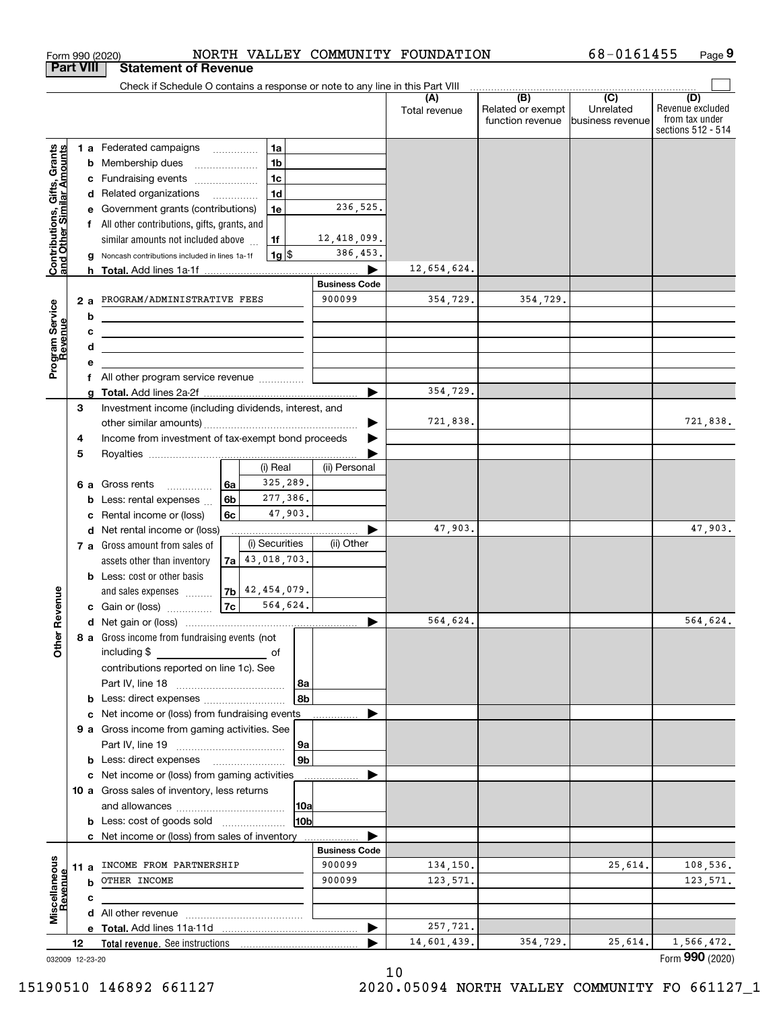| Check if Schedule O contains a response or note to any line in this Part VIII<br>$\overline{(B)}$<br>$\overline{C}$<br>(D)<br>(A<br>Unrelated<br>Related or exempt<br>Total revenue<br>from tax under<br>function revenue<br>business revenue<br>sections 512 - 514<br>1a<br><b>Contributions, Gifts, Grants</b><br>and Other Similar Amounts<br><b>1 a</b> Federated campaigns<br>1 <sub>b</sub><br>Membership dues<br>b<br>1 <sub>c</sub><br>Fundraising events<br>с<br>1 <sub>d</sub><br>Related organizations<br>d<br>$\overline{\phantom{a}}$<br>236,525.<br>1e<br>Government grants (contributions)<br>All other contributions, gifts, grants, and<br>f<br>12,418,099.<br>similar amounts not included above<br>1f<br>386,453.<br> 1g <br>Noncash contributions included in lines 1a-1f<br>12,654,624.<br><b>Business Code</b><br>900099<br>354,729.<br>354,729.<br>PROGRAM/ADMINISTRATIVE FEES<br>2a<br>Program Service<br>Revenue<br>b<br>c<br><u> 1989 - Johann Stein, marwolaethau a bhann an t-Amhainn an t-Amhainn an t-Amhainn an t-Amhainn an t-Amhainn an</u><br>d<br><u> 1989 - Johann Stein, marwolaethau a bhann an t-Amhainn an t-Amhainn an t-Amhainn an t-Amhainn an t-Amhainn an</u><br>All other program service revenue<br>f<br>354,729.<br>3<br>Investment income (including dividends, interest, and<br>721,838.<br>721,838.<br>Income from investment of tax-exempt bond proceeds<br>4<br>5<br>(i) Real<br>(ii) Personal<br>325,289.<br>Gross rents<br>6a<br>6а<br>.<br>277,386.<br>6 <sub>b</sub><br>Less: rental expenses<br>b<br>47,903.<br>6c<br>Rental income or (loss)<br>47,903.<br>Net rental income or (loss)<br>d<br>(i) Securities<br>(ii) Other<br>7 a Gross amount from sales of<br>$7a$ 43, 018, 703.<br>assets other than inventory<br><b>b</b> Less: cost or other basis<br>$7b$ 42, 454, 079.<br>Revenue<br>and sales expenses<br> 7c <br>564,624.<br>c Gain or (loss)<br>564,624.<br>564,624.<br>8 a Gross income from fundraising events (not<br>Othe<br>including \$<br>of<br>contributions reported on line 1c). See<br>  8a<br>8b<br>Net income or (loss) from fundraising events<br>c<br>9 a Gross income from gaming activities. See<br> 9a<br>9b<br><b>b</b> Less: direct expenses <b>manually</b><br>c Net income or (loss) from gaming activities<br>10 a Gross sales of inventory, less returns<br> 10a<br>10b<br><b>b</b> Less: cost of goods sold<br>c Net income or (loss) from sales of inventory<br><b>Business Code</b><br>Miscellaneous<br>Revenue<br>INCOME FROM PARTNERSHIP<br>900099<br>134,150.<br>25,614.<br>11 a<br>900099<br>OTHER INCOME<br>123,571.<br>b<br>c<br>257,721.<br>14,601,439.<br>354,729.<br>25,614.<br>1,566,472.<br>12<br>032009 12-23-20 |  | <b>Part VIII</b> | <b>Statement of Revenue</b> |  |  |                  |
|-------------------------------------------------------------------------------------------------------------------------------------------------------------------------------------------------------------------------------------------------------------------------------------------------------------------------------------------------------------------------------------------------------------------------------------------------------------------------------------------------------------------------------------------------------------------------------------------------------------------------------------------------------------------------------------------------------------------------------------------------------------------------------------------------------------------------------------------------------------------------------------------------------------------------------------------------------------------------------------------------------------------------------------------------------------------------------------------------------------------------------------------------------------------------------------------------------------------------------------------------------------------------------------------------------------------------------------------------------------------------------------------------------------------------------------------------------------------------------------------------------------------------------------------------------------------------------------------------------------------------------------------------------------------------------------------------------------------------------------------------------------------------------------------------------------------------------------------------------------------------------------------------------------------------------------------------------------------------------------------------------------------------------------------------------------------------------------------------------------------------------------------------------------------------------------------------------------------------------------------------------------------------------------------------------------------------------------------------------------------------------------------------------------------------------------------------------------------------------------------------------------------------------------------------------------------------------------------------------------------------------------------------------------------------------------------------------------------------------|--|------------------|-----------------------------|--|--|------------------|
|                                                                                                                                                                                                                                                                                                                                                                                                                                                                                                                                                                                                                                                                                                                                                                                                                                                                                                                                                                                                                                                                                                                                                                                                                                                                                                                                                                                                                                                                                                                                                                                                                                                                                                                                                                                                                                                                                                                                                                                                                                                                                                                                                                                                                                                                                                                                                                                                                                                                                                                                                                                                                                                                                                                               |  |                  |                             |  |  |                  |
|                                                                                                                                                                                                                                                                                                                                                                                                                                                                                                                                                                                                                                                                                                                                                                                                                                                                                                                                                                                                                                                                                                                                                                                                                                                                                                                                                                                                                                                                                                                                                                                                                                                                                                                                                                                                                                                                                                                                                                                                                                                                                                                                                                                                                                                                                                                                                                                                                                                                                                                                                                                                                                                                                                                               |  |                  |                             |  |  | Revenue excluded |
|                                                                                                                                                                                                                                                                                                                                                                                                                                                                                                                                                                                                                                                                                                                                                                                                                                                                                                                                                                                                                                                                                                                                                                                                                                                                                                                                                                                                                                                                                                                                                                                                                                                                                                                                                                                                                                                                                                                                                                                                                                                                                                                                                                                                                                                                                                                                                                                                                                                                                                                                                                                                                                                                                                                               |  |                  |                             |  |  |                  |
|                                                                                                                                                                                                                                                                                                                                                                                                                                                                                                                                                                                                                                                                                                                                                                                                                                                                                                                                                                                                                                                                                                                                                                                                                                                                                                                                                                                                                                                                                                                                                                                                                                                                                                                                                                                                                                                                                                                                                                                                                                                                                                                                                                                                                                                                                                                                                                                                                                                                                                                                                                                                                                                                                                                               |  |                  |                             |  |  |                  |
|                                                                                                                                                                                                                                                                                                                                                                                                                                                                                                                                                                                                                                                                                                                                                                                                                                                                                                                                                                                                                                                                                                                                                                                                                                                                                                                                                                                                                                                                                                                                                                                                                                                                                                                                                                                                                                                                                                                                                                                                                                                                                                                                                                                                                                                                                                                                                                                                                                                                                                                                                                                                                                                                                                                               |  |                  |                             |  |  |                  |
|                                                                                                                                                                                                                                                                                                                                                                                                                                                                                                                                                                                                                                                                                                                                                                                                                                                                                                                                                                                                                                                                                                                                                                                                                                                                                                                                                                                                                                                                                                                                                                                                                                                                                                                                                                                                                                                                                                                                                                                                                                                                                                                                                                                                                                                                                                                                                                                                                                                                                                                                                                                                                                                                                                                               |  |                  |                             |  |  |                  |
|                                                                                                                                                                                                                                                                                                                                                                                                                                                                                                                                                                                                                                                                                                                                                                                                                                                                                                                                                                                                                                                                                                                                                                                                                                                                                                                                                                                                                                                                                                                                                                                                                                                                                                                                                                                                                                                                                                                                                                                                                                                                                                                                                                                                                                                                                                                                                                                                                                                                                                                                                                                                                                                                                                                               |  |                  |                             |  |  |                  |
|                                                                                                                                                                                                                                                                                                                                                                                                                                                                                                                                                                                                                                                                                                                                                                                                                                                                                                                                                                                                                                                                                                                                                                                                                                                                                                                                                                                                                                                                                                                                                                                                                                                                                                                                                                                                                                                                                                                                                                                                                                                                                                                                                                                                                                                                                                                                                                                                                                                                                                                                                                                                                                                                                                                               |  |                  |                             |  |  |                  |
|                                                                                                                                                                                                                                                                                                                                                                                                                                                                                                                                                                                                                                                                                                                                                                                                                                                                                                                                                                                                                                                                                                                                                                                                                                                                                                                                                                                                                                                                                                                                                                                                                                                                                                                                                                                                                                                                                                                                                                                                                                                                                                                                                                                                                                                                                                                                                                                                                                                                                                                                                                                                                                                                                                                               |  |                  |                             |  |  |                  |
|                                                                                                                                                                                                                                                                                                                                                                                                                                                                                                                                                                                                                                                                                                                                                                                                                                                                                                                                                                                                                                                                                                                                                                                                                                                                                                                                                                                                                                                                                                                                                                                                                                                                                                                                                                                                                                                                                                                                                                                                                                                                                                                                                                                                                                                                                                                                                                                                                                                                                                                                                                                                                                                                                                                               |  |                  |                             |  |  |                  |
|                                                                                                                                                                                                                                                                                                                                                                                                                                                                                                                                                                                                                                                                                                                                                                                                                                                                                                                                                                                                                                                                                                                                                                                                                                                                                                                                                                                                                                                                                                                                                                                                                                                                                                                                                                                                                                                                                                                                                                                                                                                                                                                                                                                                                                                                                                                                                                                                                                                                                                                                                                                                                                                                                                                               |  |                  |                             |  |  |                  |
|                                                                                                                                                                                                                                                                                                                                                                                                                                                                                                                                                                                                                                                                                                                                                                                                                                                                                                                                                                                                                                                                                                                                                                                                                                                                                                                                                                                                                                                                                                                                                                                                                                                                                                                                                                                                                                                                                                                                                                                                                                                                                                                                                                                                                                                                                                                                                                                                                                                                                                                                                                                                                                                                                                                               |  |                  |                             |  |  |                  |
|                                                                                                                                                                                                                                                                                                                                                                                                                                                                                                                                                                                                                                                                                                                                                                                                                                                                                                                                                                                                                                                                                                                                                                                                                                                                                                                                                                                                                                                                                                                                                                                                                                                                                                                                                                                                                                                                                                                                                                                                                                                                                                                                                                                                                                                                                                                                                                                                                                                                                                                                                                                                                                                                                                                               |  |                  |                             |  |  |                  |
|                                                                                                                                                                                                                                                                                                                                                                                                                                                                                                                                                                                                                                                                                                                                                                                                                                                                                                                                                                                                                                                                                                                                                                                                                                                                                                                                                                                                                                                                                                                                                                                                                                                                                                                                                                                                                                                                                                                                                                                                                                                                                                                                                                                                                                                                                                                                                                                                                                                                                                                                                                                                                                                                                                                               |  |                  |                             |  |  |                  |
|                                                                                                                                                                                                                                                                                                                                                                                                                                                                                                                                                                                                                                                                                                                                                                                                                                                                                                                                                                                                                                                                                                                                                                                                                                                                                                                                                                                                                                                                                                                                                                                                                                                                                                                                                                                                                                                                                                                                                                                                                                                                                                                                                                                                                                                                                                                                                                                                                                                                                                                                                                                                                                                                                                                               |  |                  |                             |  |  |                  |
|                                                                                                                                                                                                                                                                                                                                                                                                                                                                                                                                                                                                                                                                                                                                                                                                                                                                                                                                                                                                                                                                                                                                                                                                                                                                                                                                                                                                                                                                                                                                                                                                                                                                                                                                                                                                                                                                                                                                                                                                                                                                                                                                                                                                                                                                                                                                                                                                                                                                                                                                                                                                                                                                                                                               |  |                  |                             |  |  |                  |
|                                                                                                                                                                                                                                                                                                                                                                                                                                                                                                                                                                                                                                                                                                                                                                                                                                                                                                                                                                                                                                                                                                                                                                                                                                                                                                                                                                                                                                                                                                                                                                                                                                                                                                                                                                                                                                                                                                                                                                                                                                                                                                                                                                                                                                                                                                                                                                                                                                                                                                                                                                                                                                                                                                                               |  |                  |                             |  |  |                  |
|                                                                                                                                                                                                                                                                                                                                                                                                                                                                                                                                                                                                                                                                                                                                                                                                                                                                                                                                                                                                                                                                                                                                                                                                                                                                                                                                                                                                                                                                                                                                                                                                                                                                                                                                                                                                                                                                                                                                                                                                                                                                                                                                                                                                                                                                                                                                                                                                                                                                                                                                                                                                                                                                                                                               |  |                  |                             |  |  |                  |
|                                                                                                                                                                                                                                                                                                                                                                                                                                                                                                                                                                                                                                                                                                                                                                                                                                                                                                                                                                                                                                                                                                                                                                                                                                                                                                                                                                                                                                                                                                                                                                                                                                                                                                                                                                                                                                                                                                                                                                                                                                                                                                                                                                                                                                                                                                                                                                                                                                                                                                                                                                                                                                                                                                                               |  |                  |                             |  |  |                  |
|                                                                                                                                                                                                                                                                                                                                                                                                                                                                                                                                                                                                                                                                                                                                                                                                                                                                                                                                                                                                                                                                                                                                                                                                                                                                                                                                                                                                                                                                                                                                                                                                                                                                                                                                                                                                                                                                                                                                                                                                                                                                                                                                                                                                                                                                                                                                                                                                                                                                                                                                                                                                                                                                                                                               |  |                  |                             |  |  |                  |
|                                                                                                                                                                                                                                                                                                                                                                                                                                                                                                                                                                                                                                                                                                                                                                                                                                                                                                                                                                                                                                                                                                                                                                                                                                                                                                                                                                                                                                                                                                                                                                                                                                                                                                                                                                                                                                                                                                                                                                                                                                                                                                                                                                                                                                                                                                                                                                                                                                                                                                                                                                                                                                                                                                                               |  |                  |                             |  |  |                  |
|                                                                                                                                                                                                                                                                                                                                                                                                                                                                                                                                                                                                                                                                                                                                                                                                                                                                                                                                                                                                                                                                                                                                                                                                                                                                                                                                                                                                                                                                                                                                                                                                                                                                                                                                                                                                                                                                                                                                                                                                                                                                                                                                                                                                                                                                                                                                                                                                                                                                                                                                                                                                                                                                                                                               |  |                  |                             |  |  |                  |
|                                                                                                                                                                                                                                                                                                                                                                                                                                                                                                                                                                                                                                                                                                                                                                                                                                                                                                                                                                                                                                                                                                                                                                                                                                                                                                                                                                                                                                                                                                                                                                                                                                                                                                                                                                                                                                                                                                                                                                                                                                                                                                                                                                                                                                                                                                                                                                                                                                                                                                                                                                                                                                                                                                                               |  |                  |                             |  |  |                  |
|                                                                                                                                                                                                                                                                                                                                                                                                                                                                                                                                                                                                                                                                                                                                                                                                                                                                                                                                                                                                                                                                                                                                                                                                                                                                                                                                                                                                                                                                                                                                                                                                                                                                                                                                                                                                                                                                                                                                                                                                                                                                                                                                                                                                                                                                                                                                                                                                                                                                                                                                                                                                                                                                                                                               |  |                  |                             |  |  |                  |
|                                                                                                                                                                                                                                                                                                                                                                                                                                                                                                                                                                                                                                                                                                                                                                                                                                                                                                                                                                                                                                                                                                                                                                                                                                                                                                                                                                                                                                                                                                                                                                                                                                                                                                                                                                                                                                                                                                                                                                                                                                                                                                                                                                                                                                                                                                                                                                                                                                                                                                                                                                                                                                                                                                                               |  |                  |                             |  |  |                  |
|                                                                                                                                                                                                                                                                                                                                                                                                                                                                                                                                                                                                                                                                                                                                                                                                                                                                                                                                                                                                                                                                                                                                                                                                                                                                                                                                                                                                                                                                                                                                                                                                                                                                                                                                                                                                                                                                                                                                                                                                                                                                                                                                                                                                                                                                                                                                                                                                                                                                                                                                                                                                                                                                                                                               |  |                  |                             |  |  |                  |
|                                                                                                                                                                                                                                                                                                                                                                                                                                                                                                                                                                                                                                                                                                                                                                                                                                                                                                                                                                                                                                                                                                                                                                                                                                                                                                                                                                                                                                                                                                                                                                                                                                                                                                                                                                                                                                                                                                                                                                                                                                                                                                                                                                                                                                                                                                                                                                                                                                                                                                                                                                                                                                                                                                                               |  |                  |                             |  |  | 47,903.          |
|                                                                                                                                                                                                                                                                                                                                                                                                                                                                                                                                                                                                                                                                                                                                                                                                                                                                                                                                                                                                                                                                                                                                                                                                                                                                                                                                                                                                                                                                                                                                                                                                                                                                                                                                                                                                                                                                                                                                                                                                                                                                                                                                                                                                                                                                                                                                                                                                                                                                                                                                                                                                                                                                                                                               |  |                  |                             |  |  |                  |
|                                                                                                                                                                                                                                                                                                                                                                                                                                                                                                                                                                                                                                                                                                                                                                                                                                                                                                                                                                                                                                                                                                                                                                                                                                                                                                                                                                                                                                                                                                                                                                                                                                                                                                                                                                                                                                                                                                                                                                                                                                                                                                                                                                                                                                                                                                                                                                                                                                                                                                                                                                                                                                                                                                                               |  |                  |                             |  |  |                  |
|                                                                                                                                                                                                                                                                                                                                                                                                                                                                                                                                                                                                                                                                                                                                                                                                                                                                                                                                                                                                                                                                                                                                                                                                                                                                                                                                                                                                                                                                                                                                                                                                                                                                                                                                                                                                                                                                                                                                                                                                                                                                                                                                                                                                                                                                                                                                                                                                                                                                                                                                                                                                                                                                                                                               |  |                  |                             |  |  |                  |
|                                                                                                                                                                                                                                                                                                                                                                                                                                                                                                                                                                                                                                                                                                                                                                                                                                                                                                                                                                                                                                                                                                                                                                                                                                                                                                                                                                                                                                                                                                                                                                                                                                                                                                                                                                                                                                                                                                                                                                                                                                                                                                                                                                                                                                                                                                                                                                                                                                                                                                                                                                                                                                                                                                                               |  |                  |                             |  |  |                  |
|                                                                                                                                                                                                                                                                                                                                                                                                                                                                                                                                                                                                                                                                                                                                                                                                                                                                                                                                                                                                                                                                                                                                                                                                                                                                                                                                                                                                                                                                                                                                                                                                                                                                                                                                                                                                                                                                                                                                                                                                                                                                                                                                                                                                                                                                                                                                                                                                                                                                                                                                                                                                                                                                                                                               |  |                  |                             |  |  |                  |
|                                                                                                                                                                                                                                                                                                                                                                                                                                                                                                                                                                                                                                                                                                                                                                                                                                                                                                                                                                                                                                                                                                                                                                                                                                                                                                                                                                                                                                                                                                                                                                                                                                                                                                                                                                                                                                                                                                                                                                                                                                                                                                                                                                                                                                                                                                                                                                                                                                                                                                                                                                                                                                                                                                                               |  |                  |                             |  |  |                  |
|                                                                                                                                                                                                                                                                                                                                                                                                                                                                                                                                                                                                                                                                                                                                                                                                                                                                                                                                                                                                                                                                                                                                                                                                                                                                                                                                                                                                                                                                                                                                                                                                                                                                                                                                                                                                                                                                                                                                                                                                                                                                                                                                                                                                                                                                                                                                                                                                                                                                                                                                                                                                                                                                                                                               |  |                  |                             |  |  |                  |
|                                                                                                                                                                                                                                                                                                                                                                                                                                                                                                                                                                                                                                                                                                                                                                                                                                                                                                                                                                                                                                                                                                                                                                                                                                                                                                                                                                                                                                                                                                                                                                                                                                                                                                                                                                                                                                                                                                                                                                                                                                                                                                                                                                                                                                                                                                                                                                                                                                                                                                                                                                                                                                                                                                                               |  |                  |                             |  |  |                  |
|                                                                                                                                                                                                                                                                                                                                                                                                                                                                                                                                                                                                                                                                                                                                                                                                                                                                                                                                                                                                                                                                                                                                                                                                                                                                                                                                                                                                                                                                                                                                                                                                                                                                                                                                                                                                                                                                                                                                                                                                                                                                                                                                                                                                                                                                                                                                                                                                                                                                                                                                                                                                                                                                                                                               |  |                  |                             |  |  |                  |
|                                                                                                                                                                                                                                                                                                                                                                                                                                                                                                                                                                                                                                                                                                                                                                                                                                                                                                                                                                                                                                                                                                                                                                                                                                                                                                                                                                                                                                                                                                                                                                                                                                                                                                                                                                                                                                                                                                                                                                                                                                                                                                                                                                                                                                                                                                                                                                                                                                                                                                                                                                                                                                                                                                                               |  |                  |                             |  |  |                  |
|                                                                                                                                                                                                                                                                                                                                                                                                                                                                                                                                                                                                                                                                                                                                                                                                                                                                                                                                                                                                                                                                                                                                                                                                                                                                                                                                                                                                                                                                                                                                                                                                                                                                                                                                                                                                                                                                                                                                                                                                                                                                                                                                                                                                                                                                                                                                                                                                                                                                                                                                                                                                                                                                                                                               |  |                  |                             |  |  |                  |
|                                                                                                                                                                                                                                                                                                                                                                                                                                                                                                                                                                                                                                                                                                                                                                                                                                                                                                                                                                                                                                                                                                                                                                                                                                                                                                                                                                                                                                                                                                                                                                                                                                                                                                                                                                                                                                                                                                                                                                                                                                                                                                                                                                                                                                                                                                                                                                                                                                                                                                                                                                                                                                                                                                                               |  |                  |                             |  |  |                  |
|                                                                                                                                                                                                                                                                                                                                                                                                                                                                                                                                                                                                                                                                                                                                                                                                                                                                                                                                                                                                                                                                                                                                                                                                                                                                                                                                                                                                                                                                                                                                                                                                                                                                                                                                                                                                                                                                                                                                                                                                                                                                                                                                                                                                                                                                                                                                                                                                                                                                                                                                                                                                                                                                                                                               |  |                  |                             |  |  |                  |
|                                                                                                                                                                                                                                                                                                                                                                                                                                                                                                                                                                                                                                                                                                                                                                                                                                                                                                                                                                                                                                                                                                                                                                                                                                                                                                                                                                                                                                                                                                                                                                                                                                                                                                                                                                                                                                                                                                                                                                                                                                                                                                                                                                                                                                                                                                                                                                                                                                                                                                                                                                                                                                                                                                                               |  |                  |                             |  |  |                  |
|                                                                                                                                                                                                                                                                                                                                                                                                                                                                                                                                                                                                                                                                                                                                                                                                                                                                                                                                                                                                                                                                                                                                                                                                                                                                                                                                                                                                                                                                                                                                                                                                                                                                                                                                                                                                                                                                                                                                                                                                                                                                                                                                                                                                                                                                                                                                                                                                                                                                                                                                                                                                                                                                                                                               |  |                  |                             |  |  |                  |
|                                                                                                                                                                                                                                                                                                                                                                                                                                                                                                                                                                                                                                                                                                                                                                                                                                                                                                                                                                                                                                                                                                                                                                                                                                                                                                                                                                                                                                                                                                                                                                                                                                                                                                                                                                                                                                                                                                                                                                                                                                                                                                                                                                                                                                                                                                                                                                                                                                                                                                                                                                                                                                                                                                                               |  |                  |                             |  |  |                  |
|                                                                                                                                                                                                                                                                                                                                                                                                                                                                                                                                                                                                                                                                                                                                                                                                                                                                                                                                                                                                                                                                                                                                                                                                                                                                                                                                                                                                                                                                                                                                                                                                                                                                                                                                                                                                                                                                                                                                                                                                                                                                                                                                                                                                                                                                                                                                                                                                                                                                                                                                                                                                                                                                                                                               |  |                  |                             |  |  |                  |
|                                                                                                                                                                                                                                                                                                                                                                                                                                                                                                                                                                                                                                                                                                                                                                                                                                                                                                                                                                                                                                                                                                                                                                                                                                                                                                                                                                                                                                                                                                                                                                                                                                                                                                                                                                                                                                                                                                                                                                                                                                                                                                                                                                                                                                                                                                                                                                                                                                                                                                                                                                                                                                                                                                                               |  |                  |                             |  |  |                  |
|                                                                                                                                                                                                                                                                                                                                                                                                                                                                                                                                                                                                                                                                                                                                                                                                                                                                                                                                                                                                                                                                                                                                                                                                                                                                                                                                                                                                                                                                                                                                                                                                                                                                                                                                                                                                                                                                                                                                                                                                                                                                                                                                                                                                                                                                                                                                                                                                                                                                                                                                                                                                                                                                                                                               |  |                  |                             |  |  |                  |
|                                                                                                                                                                                                                                                                                                                                                                                                                                                                                                                                                                                                                                                                                                                                                                                                                                                                                                                                                                                                                                                                                                                                                                                                                                                                                                                                                                                                                                                                                                                                                                                                                                                                                                                                                                                                                                                                                                                                                                                                                                                                                                                                                                                                                                                                                                                                                                                                                                                                                                                                                                                                                                                                                                                               |  |                  |                             |  |  |                  |
|                                                                                                                                                                                                                                                                                                                                                                                                                                                                                                                                                                                                                                                                                                                                                                                                                                                                                                                                                                                                                                                                                                                                                                                                                                                                                                                                                                                                                                                                                                                                                                                                                                                                                                                                                                                                                                                                                                                                                                                                                                                                                                                                                                                                                                                                                                                                                                                                                                                                                                                                                                                                                                                                                                                               |  |                  |                             |  |  | 108,536.         |
|                                                                                                                                                                                                                                                                                                                                                                                                                                                                                                                                                                                                                                                                                                                                                                                                                                                                                                                                                                                                                                                                                                                                                                                                                                                                                                                                                                                                                                                                                                                                                                                                                                                                                                                                                                                                                                                                                                                                                                                                                                                                                                                                                                                                                                                                                                                                                                                                                                                                                                                                                                                                                                                                                                                               |  |                  |                             |  |  | 123,571.         |
|                                                                                                                                                                                                                                                                                                                                                                                                                                                                                                                                                                                                                                                                                                                                                                                                                                                                                                                                                                                                                                                                                                                                                                                                                                                                                                                                                                                                                                                                                                                                                                                                                                                                                                                                                                                                                                                                                                                                                                                                                                                                                                                                                                                                                                                                                                                                                                                                                                                                                                                                                                                                                                                                                                                               |  |                  |                             |  |  |                  |
|                                                                                                                                                                                                                                                                                                                                                                                                                                                                                                                                                                                                                                                                                                                                                                                                                                                                                                                                                                                                                                                                                                                                                                                                                                                                                                                                                                                                                                                                                                                                                                                                                                                                                                                                                                                                                                                                                                                                                                                                                                                                                                                                                                                                                                                                                                                                                                                                                                                                                                                                                                                                                                                                                                                               |  |                  |                             |  |  |                  |
|                                                                                                                                                                                                                                                                                                                                                                                                                                                                                                                                                                                                                                                                                                                                                                                                                                                                                                                                                                                                                                                                                                                                                                                                                                                                                                                                                                                                                                                                                                                                                                                                                                                                                                                                                                                                                                                                                                                                                                                                                                                                                                                                                                                                                                                                                                                                                                                                                                                                                                                                                                                                                                                                                                                               |  |                  |                             |  |  |                  |
|                                                                                                                                                                                                                                                                                                                                                                                                                                                                                                                                                                                                                                                                                                                                                                                                                                                                                                                                                                                                                                                                                                                                                                                                                                                                                                                                                                                                                                                                                                                                                                                                                                                                                                                                                                                                                                                                                                                                                                                                                                                                                                                                                                                                                                                                                                                                                                                                                                                                                                                                                                                                                                                                                                                               |  |                  |                             |  |  | Form 990 (2020)  |

Form 990 (2020) NORTH VALLEY COMMUNITY FOUNDATION 68-0161455 Page

**9** 68-0161455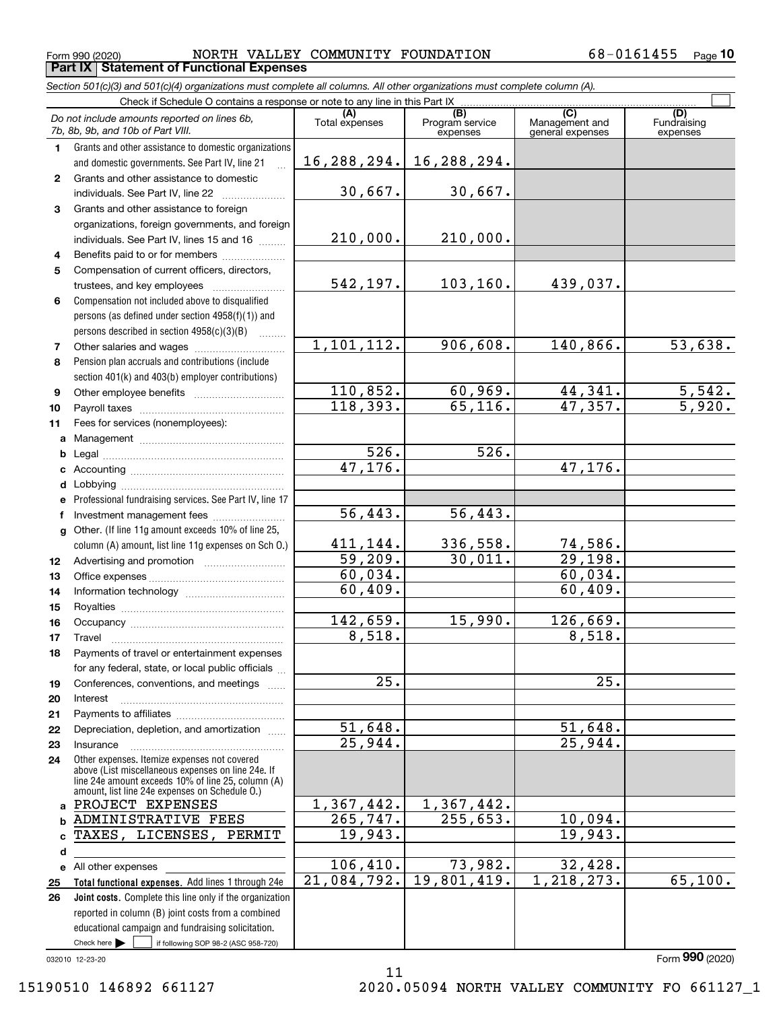**cdefg**

**abcde2526**

Insurance

47,176.

60,034. 60,409.

8,518.

51,648. 25,944.

19,943.

19,801,419. 1,218,273. 65,100.

25.

|    | Form 990 (2020)                                                                                                                                    | NORTH VALLEY COMMUNITY FOUNDATION |                                    |                                           | 68-0161455<br>$Page$ 10 |
|----|----------------------------------------------------------------------------------------------------------------------------------------------------|-----------------------------------|------------------------------------|-------------------------------------------|-------------------------|
|    | <b>Part IX   Statement of Functional Expenses</b>                                                                                                  |                                   |                                    |                                           |                         |
|    | Section 501(c)(3) and 501(c)(4) organizations must complete all columns. All other organizations must complete column (A).                         |                                   |                                    |                                           |                         |
|    | Check if Schedule O contains a response or note to any line in this Part IX                                                                        |                                   |                                    |                                           |                         |
|    | Do not include amounts reported on lines 6b,<br>7b, 8b, 9b, and 10b of Part VIII.                                                                  | (A)<br>Total expenses             | (B)<br>Program service<br>expenses | (C)<br>Management and<br>general expenses | Fundraising<br>expenses |
| 1  | Grants and other assistance to domestic organizations<br>and domestic governments. See Part IV, line 21<br>$\dddotsc$                              | 16,288,294.                       | 16,288,294.                        |                                           |                         |
| 2  | Grants and other assistance to domestic<br>individuals. See Part IV, line 22                                                                       | 30,667.                           | 30,667.                            |                                           |                         |
| 3  | Grants and other assistance to foreign<br>organizations, foreign governments, and foreign<br>individuals. See Part IV, lines 15 and 16             | 210,000.                          | 210,000.                           |                                           |                         |
| 4  | Benefits paid to or for members                                                                                                                    |                                   |                                    |                                           |                         |
| 5  | Compensation of current officers, directors,<br>trustees, and key employees                                                                        | 542, 197.                         | 103, 160.                          | 439,037.                                  |                         |
| 6  | Compensation not included above to disqualified<br>persons (as defined under section 4958(f)(1)) and<br>persons described in section 4958(c)(3)(B) |                                   |                                    |                                           |                         |
| 7  |                                                                                                                                                    | 1,101,112.                        | 906,608.                           | 140,866.                                  | 53,638.                 |
| 8  | Pension plan accruals and contributions (include<br>section 401(k) and 403(b) employer contributions)                                              |                                   |                                    |                                           |                         |
| 9  |                                                                                                                                                    | 110,852.                          | 60,969.                            | 44,341.                                   | 5,542.                  |
| 10 |                                                                                                                                                    | 118,393.                          | 65, 116.                           | 47,357.                                   | 5,920.                  |
| 11 | Fees for services (nonemployees):                                                                                                                  |                                   |                                    |                                           |                         |
| a  |                                                                                                                                                    |                                   |                                    |                                           |                         |
| b  | Legal                                                                                                                                              | 526.                              | 526.                               |                                           |                         |

47,176.

56,443.

56,443.

336,558. 74,586. 30,011. 29,198.

15,990. 126,669.

255,653. 10,094.

73,982. 32,428.

411,144. 59,209. 60,034. 60,409.

142,659. 8,518.

> 51,648. 25,944.

1,367,442. 265,747. 19,943.

106,410. 21,084,792.

11

25.

032010 12-23-20

15190510 146892 661127 2020.05094 NORTH VALLEY COMMUNITY FO 661127\_1

All other expenses

Check here  $\begin{array}{|c|c|c|c|c|}\hline \text{ } & \text{ if following SOP 98-2 (ASC 958-720)} \hline \end{array}$ 

reported in column (B) joint costs from a combined educational campaign and fundraising solicitation.

**Total functional expenses.**  Add lines 1 through 24e **Joint costs.** Complete this line only if the organization

Other expenses. Itemize expenses not covered above (List miscellaneous expenses on line 24e. If line 24e amount exceeds 10% of line 25, column (A) amount, list line 24e expenses on Schedule O.)

PROJECT EXPENSES ADMINISTRATIVE FEES TAXES, LICENSES, PERMIT

~~~~~~~~~~~~~~~~~

Professional fundraising services. See Part IV, line 17

lnvestment management fees .......................

Accounting ~~~~~~~~~~~~~~~~~ Lobbying ~~~~~~~~~~~~~~~~~~

Other. (If line 11g amount exceeds 10% of line 25, column (A) amount, list line 11g expenses on Sch O.)

Advertising and promotion www.communication Office expenses ~~~~~~~~~~~~~~~ Information technology Royalties ~~~~~~~~~~~~~~~~~~

Occupancy ~~~~~~~~~~~~~~~~~ Travel ……………………………………………… Payments of travel or entertainment expenses for any federal, state, or local public officials ... Conferences, conventions, and meetings Interest ……………………………………………… Payments to affiliates ~~~~~~~~~~~~ Depreciation, depletion, and amortization  $\,\,\ldots\,\,$ 

~~~~~~~~~~~

1,367,442.

Form (2020) **990**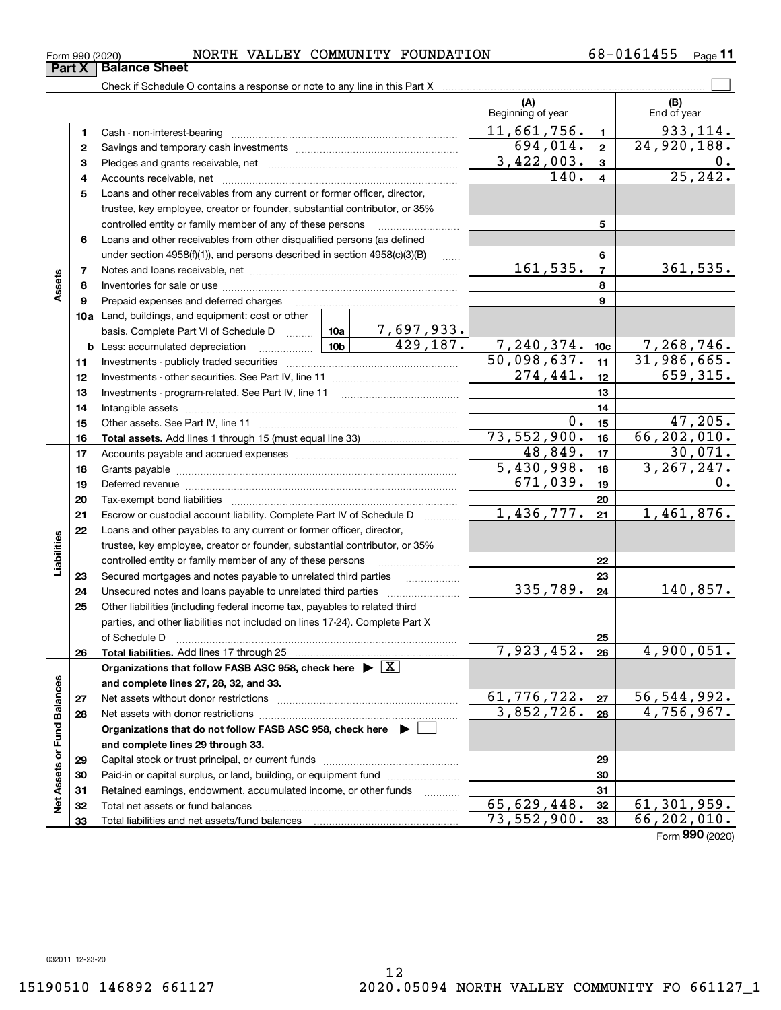### $_{\rm Form}$   $_{990}$  (2020) <code>MORTH VALLEY COMMUNITY FOUNDATION</code>  $68-0161455$   $_{\rm Page}$

**11**

|                             |          |                                                                                                                                                                                                                 |             |                 | (A)<br>Beginning of year |                         | (B)<br>End of year          |
|-----------------------------|----------|-----------------------------------------------------------------------------------------------------------------------------------------------------------------------------------------------------------------|-------------|-----------------|--------------------------|-------------------------|-----------------------------|
|                             | 1        |                                                                                                                                                                                                                 |             |                 | 11,661,756.              | $\mathbf{1}$            | 933, 114.                   |
|                             | 2        |                                                                                                                                                                                                                 |             |                 | 694,014.                 | $\overline{\mathbf{2}}$ | $\overline{24,920,188}$ .   |
|                             | з        |                                                                                                                                                                                                                 |             |                 | $\overline{3,422,003}$ . | 3                       | 0.                          |
|                             | 4        |                                                                                                                                                                                                                 |             |                 | 140.                     | 4                       | 25, 242.                    |
|                             | 5        | Loans and other receivables from any current or former officer, director,                                                                                                                                       |             |                 |                          |                         |                             |
|                             |          | trustee, key employee, creator or founder, substantial contributor, or 35%                                                                                                                                      |             |                 |                          |                         |                             |
|                             |          | controlled entity or family member of any of these persons                                                                                                                                                      |             |                 |                          | 5                       |                             |
|                             | 6        | Loans and other receivables from other disqualified persons (as defined                                                                                                                                         |             |                 |                          |                         |                             |
|                             |          | under section 4958(f)(1)), and persons described in section 4958(c)(3)(B)                                                                                                                                       |             | $\overline{a}$  |                          | 6                       |                             |
| Assets                      | 7        |                                                                                                                                                                                                                 |             | 161, 535.       | $\overline{7}$           | 361,535.                |                             |
|                             | 8        |                                                                                                                                                                                                                 |             |                 |                          | 8                       |                             |
|                             | 9        | Prepaid expenses and deferred charges                                                                                                                                                                           |             |                 |                          | 9                       |                             |
|                             |          | 10a Land, buildings, and equipment: cost or other                                                                                                                                                               |             |                 |                          |                         |                             |
|                             |          | basis. Complete Part VI of Schedule D $\begin{array}{ c c c c c }\n\hline\n10a & 7,697,933.\n\hline\n\text{Less: accumulated depreciation} & & & 10b & 429,187.\n\hline\n\end{array}$                           |             |                 |                          |                         |                             |
|                             |          | <b>b</b> Less: accumulated depreciation<br>. 1                                                                                                                                                                  | 7,240,374.  | 10 <sub>c</sub> | 7,268,746.               |                         |                             |
|                             | 11       |                                                                                                                                                                                                                 | 50,098,637. | 11              | 31,986,665.              |                         |                             |
|                             | 12       |                                                                                                                                                                                                                 | 274,441.    | 12              | 659,315.                 |                         |                             |
|                             | 13       |                                                                                                                                                                                                                 |             | 13              |                          |                         |                             |
|                             | 14       |                                                                                                                                                                                                                 |             |                 |                          | 14                      |                             |
|                             | 15       |                                                                                                                                                                                                                 |             |                 | $0$ .                    | 15                      | 47,205.<br>66, 202, 010.    |
|                             | 16       |                                                                                                                                                                                                                 |             |                 | 73,552,900.<br>48,849.   | 16<br>17                | 30,071.                     |
|                             | 17       |                                                                                                                                                                                                                 |             |                 | 5,430,998.               |                         | 3, 267, 247.                |
|                             | 18<br>19 |                                                                                                                                                                                                                 | 671,039.    | 18<br>19        | 0.                       |                         |                             |
|                             | 20       |                                                                                                                                                                                                                 |             |                 |                          |                         |                             |
|                             | 21       | Escrow or custodial account liability. Complete Part IV of Schedule D                                                                                                                                           | 1,436,777.  | 20<br>21        | 1,461,876.               |                         |                             |
|                             | 22       | Loans and other payables to any current or former officer, director,                                                                                                                                            |             |                 |                          |                         |                             |
| Liabilities                 |          | trustee, key employee, creator or founder, substantial contributor, or 35%                                                                                                                                      |             |                 |                          |                         |                             |
|                             |          | controlled entity or family member of any of these persons                                                                                                                                                      |             | 22              |                          |                         |                             |
|                             | 23       | Secured mortgages and notes payable to unrelated third parties                                                                                                                                                  |             |                 |                          | 23                      |                             |
|                             | 24       |                                                                                                                                                                                                                 |             |                 | 335,789.                 | 24                      | 140,857.                    |
|                             | 25       | Other liabilities (including federal income tax, payables to related third                                                                                                                                      |             |                 |                          |                         |                             |
|                             |          | parties, and other liabilities not included on lines 17-24). Complete Part X                                                                                                                                    |             |                 |                          |                         |                             |
|                             |          | of Schedule D <b>Example 20 Contract 20 Contract 20 Contract 20 <b>Contract 20 Contract 20 Contract 20 Contract 20 Contract 20 Contract 20 Contract 20 Contract 20 Contract 20 Contract 20 Contract 20</b> </b> |             |                 |                          | 25                      |                             |
|                             | 26       |                                                                                                                                                                                                                 |             |                 | 7,923,452.               | 26                      | $\overline{4,900,051}$ .    |
|                             |          | Organizations that follow FASB ASC 958, check here $\blacktriangleright \lfloor X \rfloor$                                                                                                                      |             |                 |                          |                         |                             |
|                             |          | and complete lines 27, 28, 32, and 33.                                                                                                                                                                          |             |                 |                          |                         |                             |
|                             | 27       |                                                                                                                                                                                                                 |             |                 | 61,776,722.              | 27                      | 56,544,992.                 |
|                             | 28       |                                                                                                                                                                                                                 |             |                 | 3,852,726.               | 28                      | 4,756,967.                  |
|                             |          | Organizations that do not follow FASB ASC 958, check here $\blacktriangleright \ \lfloor$                                                                                                                       |             |                 |                          |                         |                             |
| Net Assets or Fund Balances |          | and complete lines 29 through 33.                                                                                                                                                                               |             |                 |                          | 29                      |                             |
|                             | 29       |                                                                                                                                                                                                                 |             |                 |                          |                         |                             |
|                             | 30       | Paid-in or capital surplus, or land, building, or equipment fund                                                                                                                                                |             |                 |                          | 30                      |                             |
|                             | 31       | Retained earnings, endowment, accumulated income, or other funds                                                                                                                                                |             | .               |                          | 31                      |                             |
|                             | 32       |                                                                                                                                                                                                                 |             |                 | 65,629,448.              | 32                      | $\overline{61}$ , 301, 959. |
|                             | 33       |                                                                                                                                                                                                                 | 73,552,900. | 33              | 66,202,010.              |                         |                             |

Form (2020) **990**

**Part X Balance Sheet**<br>**Part X Balance Sheet**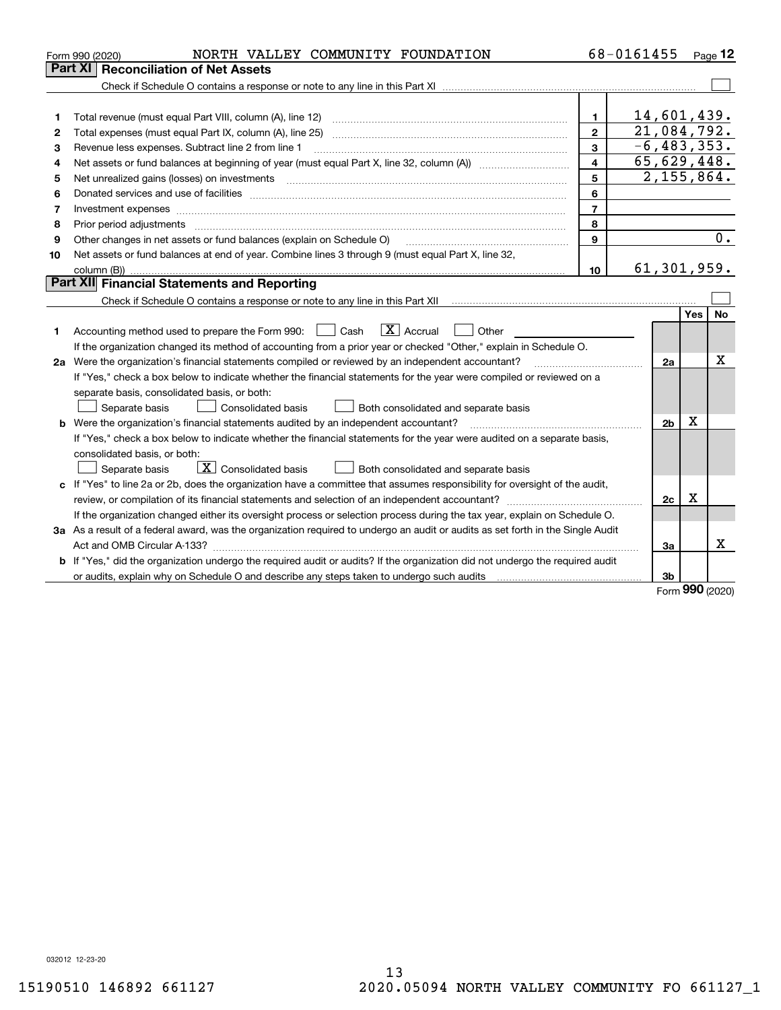|                     | NORTH VALLEY COMMUNITY FOUNDATION<br>Form 990 (2020)                                                                                                                          |    | 68-0161455 |             |             | Page $12$ |  |  |
|---------------------|-------------------------------------------------------------------------------------------------------------------------------------------------------------------------------|----|------------|-------------|-------------|-----------|--|--|
|                     | Part XI   Reconciliation of Net Assets                                                                                                                                        |    |            |             |             |           |  |  |
|                     |                                                                                                                                                                               |    |            |             |             |           |  |  |
|                     |                                                                                                                                                                               |    |            |             |             |           |  |  |
| 1                   |                                                                                                                                                                               | 1. |            | 14,601,439. |             |           |  |  |
| 2                   | 21,084,792.<br>$\mathbf{2}$<br>Total expenses (must equal Part IX, column (A), line 25)                                                                                       |    |            |             |             |           |  |  |
| з                   | $-6, 483, 353.$<br>3<br>Revenue less expenses. Subtract line 2 from line 1                                                                                                    |    |            |             |             |           |  |  |
| 4                   | 65,629,448.<br>$\overline{\mathbf{4}}$                                                                                                                                        |    |            |             |             |           |  |  |
| 5                   | 2,155,864.<br>5<br>Net unrealized gains (losses) on investments                                                                                                               |    |            |             |             |           |  |  |
| 6                   | 6                                                                                                                                                                             |    |            |             |             |           |  |  |
| 7                   | $\overline{7}$                                                                                                                                                                |    |            |             |             |           |  |  |
| 8                   | 8                                                                                                                                                                             |    |            |             |             |           |  |  |
| 9                   | Other changes in net assets or fund balances (explain on Schedule O)<br>9                                                                                                     |    |            |             |             |           |  |  |
| 10                  | Net assets or fund balances at end of year. Combine lines 3 through 9 (must equal Part X, line 32,                                                                            |    |            |             |             |           |  |  |
| 61, 301, 959.<br>10 |                                                                                                                                                                               |    |            |             |             |           |  |  |
|                     | <b>Part XII</b> Financial Statements and Reporting                                                                                                                            |    |            |             |             |           |  |  |
|                     | Check if Schedule O contains a response or note to any line in this Part XII [11] [12] [12] [13] Check if Schedule O contains a response or note to any line in this Part XII |    |            |             |             |           |  |  |
|                     |                                                                                                                                                                               |    |            |             | Yes         | <b>No</b> |  |  |
| 1                   | $\overline{X}$ Accrual<br>Accounting method used to prepare the Form 990: <u>[</u> Cash<br>Other                                                                              |    |            |             |             |           |  |  |
|                     | If the organization changed its method of accounting from a prior year or checked "Other," explain in Schedule O.                                                             |    |            |             |             |           |  |  |
|                     | 2a Were the organization's financial statements compiled or reviewed by an independent accountant?                                                                            |    |            |             |             |           |  |  |
|                     | If "Yes," check a box below to indicate whether the financial statements for the year were compiled or reviewed on a                                                          |    |            |             |             |           |  |  |
|                     | separate basis, consolidated basis, or both:                                                                                                                                  |    |            |             |             |           |  |  |
|                     | Separate basis<br><b>Consolidated basis</b><br>Both consolidated and separate basis                                                                                           |    |            |             |             |           |  |  |
|                     | <b>b</b> Were the organization's financial statements audited by an independent accountant?                                                                                   |    |            |             |             |           |  |  |
|                     | If "Yes," check a box below to indicate whether the financial statements for the year were audited on a separate basis,                                                       |    |            |             |             |           |  |  |
|                     | consolidated basis, or both:                                                                                                                                                  |    |            |             |             |           |  |  |
|                     | $\boxed{\mathbf{X}}$ Consolidated basis<br>Both consolidated and separate basis<br>Separate basis                                                                             |    |            |             |             |           |  |  |
|                     | c If "Yes" to line 2a or 2b, does the organization have a committee that assumes responsibility for oversight of the audit,                                                   |    |            |             |             |           |  |  |
|                     |                                                                                                                                                                               |    |            | 2c          | $\mathbf X$ |           |  |  |
|                     | If the organization changed either its oversight process or selection process during the tax year, explain on Schedule O.                                                     |    |            |             |             |           |  |  |
|                     | 3a As a result of a federal award, was the organization required to undergo an audit or audits as set forth in the Single Audit                                               |    |            |             |             |           |  |  |
|                     |                                                                                                                                                                               |    |            | За          |             | х         |  |  |
|                     | b If "Yes," did the organization undergo the required audit or audits? If the organization did not undergo the required audit                                                 |    |            |             |             |           |  |  |
|                     |                                                                                                                                                                               |    |            | 3b          | nnn.        |           |  |  |

Form (2020) **990**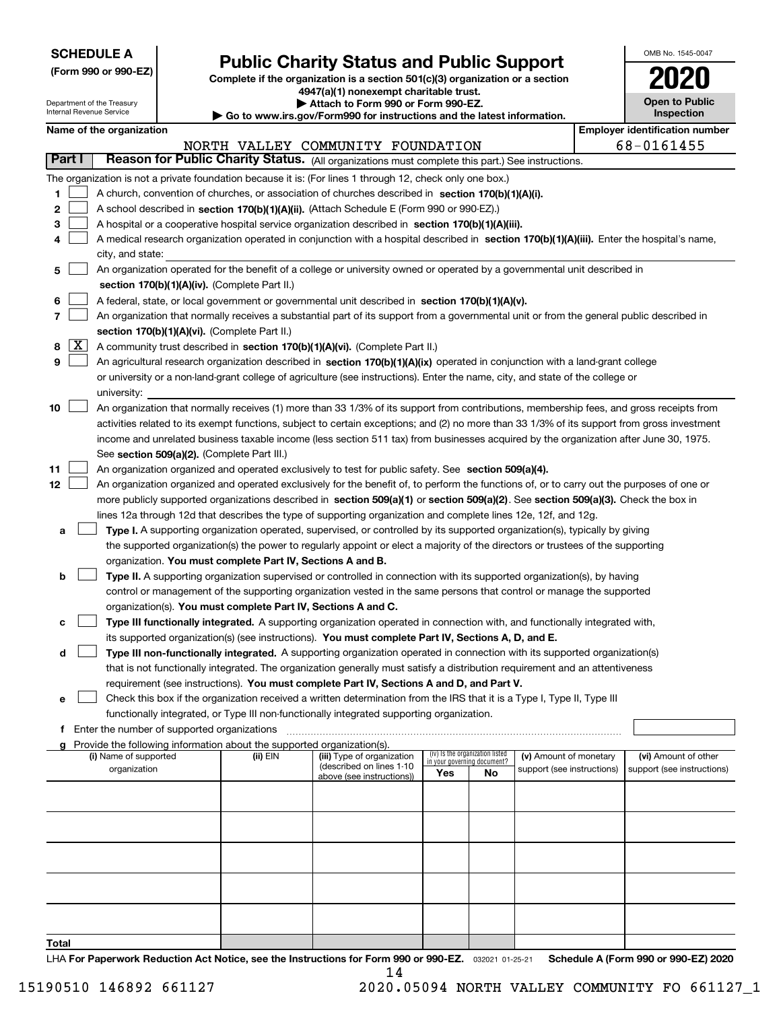| <b>SCHEDULE A</b> |
|-------------------|
|-------------------|

Department of the Treasury Internal Revenue Service

**(Form 990 or 990-EZ)**

## **Public Charity Status and Public Support**

**Complete if the organization is a section 501(c)(3) organization or a section 4947(a)(1) nonexempt charitable trust. | Attach to Form 990 or Form 990-EZ.** 

| ▶ Go to www.irs.gov/Form990 for instructions and the latest information. |
|--------------------------------------------------------------------------|

| OMB No. 1545-0047                   |
|-------------------------------------|
| 020                                 |
| <b>Open to Public</b><br>Inspection |

|    | <b>Employer identification number</b><br>Name of the organization |                                                                                                                                              |          |                                   |     |                                   |                            |  |                            |  |
|----|-------------------------------------------------------------------|----------------------------------------------------------------------------------------------------------------------------------------------|----------|-----------------------------------|-----|-----------------------------------|----------------------------|--|----------------------------|--|
|    |                                                                   |                                                                                                                                              |          | NORTH VALLEY COMMUNITY FOUNDATION |     |                                   |                            |  | 68-0161455                 |  |
|    | Part I                                                            | Reason for Public Charity Status. (All organizations must complete this part.) See instructions.                                             |          |                                   |     |                                   |                            |  |                            |  |
|    |                                                                   | The organization is not a private foundation because it is: (For lines 1 through 12, check only one box.)                                    |          |                                   |     |                                   |                            |  |                            |  |
| 1. |                                                                   | A church, convention of churches, or association of churches described in section 170(b)(1)(A)(i).                                           |          |                                   |     |                                   |                            |  |                            |  |
| 2  |                                                                   | A school described in section 170(b)(1)(A)(ii). (Attach Schedule E (Form 990 or 990-EZ).)                                                    |          |                                   |     |                                   |                            |  |                            |  |
| 3  |                                                                   | A hospital or a cooperative hospital service organization described in section 170(b)(1)(A)(iii).                                            |          |                                   |     |                                   |                            |  |                            |  |
| 4  |                                                                   | A medical research organization operated in conjunction with a hospital described in section 170(b)(1)(A)(iii). Enter the hospital's name,   |          |                                   |     |                                   |                            |  |                            |  |
|    |                                                                   | city, and state:                                                                                                                             |          |                                   |     |                                   |                            |  |                            |  |
| 5. |                                                                   | An organization operated for the benefit of a college or university owned or operated by a governmental unit described in                    |          |                                   |     |                                   |                            |  |                            |  |
|    |                                                                   | section 170(b)(1)(A)(iv). (Complete Part II.)                                                                                                |          |                                   |     |                                   |                            |  |                            |  |
| 6  |                                                                   | A federal, state, or local government or governmental unit described in section 170(b)(1)(A)(v).                                             |          |                                   |     |                                   |                            |  |                            |  |
| 7  |                                                                   | An organization that normally receives a substantial part of its support from a governmental unit or from the general public described in    |          |                                   |     |                                   |                            |  |                            |  |
|    |                                                                   | section 170(b)(1)(A)(vi). (Complete Part II.)                                                                                                |          |                                   |     |                                   |                            |  |                            |  |
| 8  | $\lfloor x \rfloor$                                               | A community trust described in section 170(b)(1)(A)(vi). (Complete Part II.)                                                                 |          |                                   |     |                                   |                            |  |                            |  |
| 9  |                                                                   | An agricultural research organization described in section 170(b)(1)(A)(ix) operated in conjunction with a land-grant college                |          |                                   |     |                                   |                            |  |                            |  |
|    |                                                                   | or university or a non-land-grant college of agriculture (see instructions). Enter the name, city, and state of the college or               |          |                                   |     |                                   |                            |  |                            |  |
|    |                                                                   | university:                                                                                                                                  |          |                                   |     |                                   |                            |  |                            |  |
| 10 |                                                                   | An organization that normally receives (1) more than 33 1/3% of its support from contributions, membership fees, and gross receipts from     |          |                                   |     |                                   |                            |  |                            |  |
|    |                                                                   | activities related to its exempt functions, subject to certain exceptions; and (2) no more than 33 1/3% of its support from gross investment |          |                                   |     |                                   |                            |  |                            |  |
|    |                                                                   | income and unrelated business taxable income (less section 511 tax) from businesses acquired by the organization after June 30, 1975.        |          |                                   |     |                                   |                            |  |                            |  |
|    |                                                                   | See section 509(a)(2). (Complete Part III.)                                                                                                  |          |                                   |     |                                   |                            |  |                            |  |
| 11 |                                                                   | An organization organized and operated exclusively to test for public safety. See section 509(a)(4).                                         |          |                                   |     |                                   |                            |  |                            |  |
| 12 |                                                                   | An organization organized and operated exclusively for the benefit of, to perform the functions of, or to carry out the purposes of one or   |          |                                   |     |                                   |                            |  |                            |  |
|    |                                                                   | more publicly supported organizations described in section 509(a)(1) or section 509(a)(2). See section 509(a)(3). Check the box in           |          |                                   |     |                                   |                            |  |                            |  |
|    |                                                                   | lines 12a through 12d that describes the type of supporting organization and complete lines 12e, 12f, and 12g.                               |          |                                   |     |                                   |                            |  |                            |  |
| а  |                                                                   | Type I. A supporting organization operated, supervised, or controlled by its supported organization(s), typically by giving                  |          |                                   |     |                                   |                            |  |                            |  |
|    |                                                                   | the supported organization(s) the power to regularly appoint or elect a majority of the directors or trustees of the supporting              |          |                                   |     |                                   |                            |  |                            |  |
|    |                                                                   | organization. You must complete Part IV, Sections A and B.                                                                                   |          |                                   |     |                                   |                            |  |                            |  |
| b  |                                                                   | Type II. A supporting organization supervised or controlled in connection with its supported organization(s), by having                      |          |                                   |     |                                   |                            |  |                            |  |
|    |                                                                   | control or management of the supporting organization vested in the same persons that control or manage the supported                         |          |                                   |     |                                   |                            |  |                            |  |
|    |                                                                   | organization(s). You must complete Part IV, Sections A and C.                                                                                |          |                                   |     |                                   |                            |  |                            |  |
| с  |                                                                   | Type III functionally integrated. A supporting organization operated in connection with, and functionally integrated with,                   |          |                                   |     |                                   |                            |  |                            |  |
|    |                                                                   | its supported organization(s) (see instructions). You must complete Part IV, Sections A, D, and E.                                           |          |                                   |     |                                   |                            |  |                            |  |
| d  |                                                                   | Type III non-functionally integrated. A supporting organization operated in connection with its supported organization(s)                    |          |                                   |     |                                   |                            |  |                            |  |
|    |                                                                   | that is not functionally integrated. The organization generally must satisfy a distribution requirement and an attentiveness                 |          |                                   |     |                                   |                            |  |                            |  |
|    |                                                                   | requirement (see instructions). You must complete Part IV, Sections A and D, and Part V.                                                     |          |                                   |     |                                   |                            |  |                            |  |
|    |                                                                   | Check this box if the organization received a written determination from the IRS that it is a Type I, Type II, Type III                      |          |                                   |     |                                   |                            |  |                            |  |
|    |                                                                   | functionally integrated, or Type III non-functionally integrated supporting organization.                                                    |          |                                   |     |                                   |                            |  |                            |  |
|    |                                                                   | f Enter the number of supported organizations                                                                                                |          |                                   |     |                                   |                            |  |                            |  |
| a  |                                                                   | Provide the following information about the supported organization(s).                                                                       |          |                                   |     |                                   |                            |  |                            |  |
|    |                                                                   | (i) Name of supported                                                                                                                        | (ii) EIN | (iii) Type of organization        |     | (iv) Is the organization listed   | (v) Amount of monetary     |  | (vi) Amount of other       |  |
|    |                                                                   | organization                                                                                                                                 |          | (described on lines 1-10          | Yes | in your governing document?<br>No | support (see instructions) |  | support (see instructions) |  |
|    |                                                                   |                                                                                                                                              |          | above (see instructions))         |     |                                   |                            |  |                            |  |
|    |                                                                   |                                                                                                                                              |          |                                   |     |                                   |                            |  |                            |  |
|    |                                                                   |                                                                                                                                              |          |                                   |     |                                   |                            |  |                            |  |
|    |                                                                   |                                                                                                                                              |          |                                   |     |                                   |                            |  |                            |  |
|    |                                                                   |                                                                                                                                              |          |                                   |     |                                   |                            |  |                            |  |
|    |                                                                   |                                                                                                                                              |          |                                   |     |                                   |                            |  |                            |  |
|    |                                                                   |                                                                                                                                              |          |                                   |     |                                   |                            |  |                            |  |
|    |                                                                   |                                                                                                                                              |          |                                   |     |                                   |                            |  |                            |  |
|    |                                                                   |                                                                                                                                              |          |                                   |     |                                   |                            |  |                            |  |
|    |                                                                   |                                                                                                                                              |          |                                   |     |                                   |                            |  |                            |  |
|    |                                                                   |                                                                                                                                              |          |                                   |     |                                   |                            |  |                            |  |

**Total**

LHA For Paperwork Reduction Act Notice, see the Instructions for Form 990 or 990-EZ. <sub>032021</sub> o1-25-21 Schedule A (Form 990 or 990-EZ) 2020 14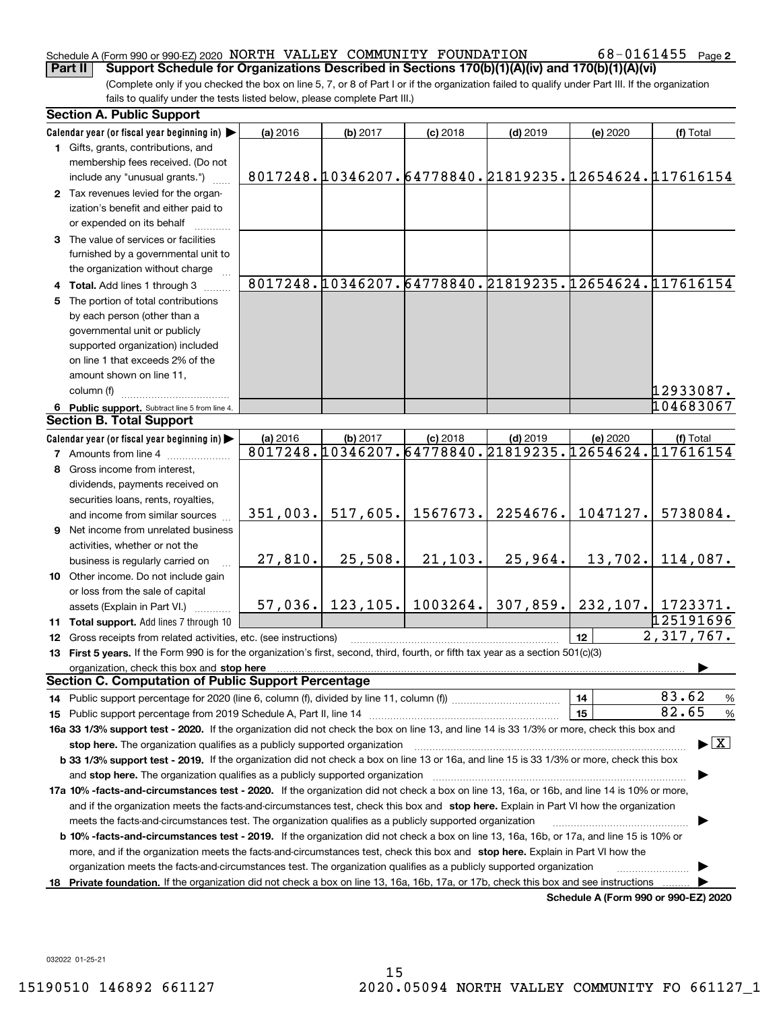#### Schedule A (Form 990 or 990-EZ) 2020 Page NORTH VALLEY COMMUNITY FOUNDATION 68-0161455 **Part II Support Schedule for Organizations Described in Sections 170(b)(1)(A)(iv) and 170(b)(1)(A)(vi)**

(Complete only if you checked the box on line 5, 7, or 8 of Part I or if the organization failed to qualify under Part III. If the organization fails to qualify under the tests listed below, please complete Part III.)

|                               | <b>Section A. Public Support</b>                                                                                                               |          |                    |            |                                                                     |                                      |                                                       |  |  |
|-------------------------------|------------------------------------------------------------------------------------------------------------------------------------------------|----------|--------------------|------------|---------------------------------------------------------------------|--------------------------------------|-------------------------------------------------------|--|--|
|                               | Calendar year (or fiscal year beginning in)                                                                                                    | (a) 2016 | (b) 2017           | $(c)$ 2018 | $(d)$ 2019                                                          | (e) 2020                             | (f) Total                                             |  |  |
|                               | 1 Gifts, grants, contributions, and<br>membership fees received. (Do not                                                                       |          |                    |            |                                                                     |                                      |                                                       |  |  |
|                               | include any "unusual grants.")                                                                                                                 |          |                    |            | 8017248. 0346207. 64778840. 21819235. 02654624. 017616154           |                                      |                                                       |  |  |
|                               | 2 Tax revenues levied for the organ-                                                                                                           |          |                    |            |                                                                     |                                      |                                                       |  |  |
|                               | ization's benefit and either paid to                                                                                                           |          |                    |            |                                                                     |                                      |                                                       |  |  |
|                               | or expended on its behalf                                                                                                                      |          |                    |            |                                                                     |                                      |                                                       |  |  |
|                               | 3 The value of services or facilities                                                                                                          |          |                    |            |                                                                     |                                      |                                                       |  |  |
|                               | furnished by a governmental unit to                                                                                                            |          |                    |            |                                                                     |                                      |                                                       |  |  |
|                               | the organization without charge                                                                                                                |          |                    |            |                                                                     |                                      |                                                       |  |  |
|                               | 4 Total. Add lines 1 through 3                                                                                                                 |          |                    |            |                                                                     |                                      | 8017248.10346207.64778840.21819235.12654624.117616154 |  |  |
|                               | 5 The portion of total contributions                                                                                                           |          |                    |            |                                                                     |                                      |                                                       |  |  |
|                               | by each person (other than a                                                                                                                   |          |                    |            |                                                                     |                                      |                                                       |  |  |
|                               | governmental unit or publicly                                                                                                                  |          |                    |            |                                                                     |                                      |                                                       |  |  |
|                               | supported organization) included                                                                                                               |          |                    |            |                                                                     |                                      |                                                       |  |  |
|                               | on line 1 that exceeds 2% of the                                                                                                               |          |                    |            |                                                                     |                                      |                                                       |  |  |
|                               | amount shown on line 11,                                                                                                                       |          |                    |            |                                                                     |                                      |                                                       |  |  |
|                               | column (f)                                                                                                                                     |          |                    |            |                                                                     |                                      | 12933087.                                             |  |  |
|                               | 6 Public support. Subtract line 5 from line 4.<br><b>Section B. Total Support</b>                                                              |          |                    |            |                                                                     |                                      | 104683067                                             |  |  |
|                               |                                                                                                                                                |          |                    |            |                                                                     |                                      |                                                       |  |  |
|                               | Calendar year (or fiscal year beginning in)                                                                                                    | (a) 2016 | (b) 2017           | $(c)$ 2018 | $(d)$ 2019<br>8017248.10346207.64778840.21819235.12654624.117616154 | (e) 2020                             | (f) Total                                             |  |  |
|                               | <b>7</b> Amounts from line 4                                                                                                                   |          |                    |            |                                                                     |                                      |                                                       |  |  |
| 8 Gross income from interest, |                                                                                                                                                |          |                    |            |                                                                     |                                      |                                                       |  |  |
|                               | dividends, payments received on                                                                                                                |          |                    |            |                                                                     |                                      |                                                       |  |  |
|                               | securities loans, rents, royalties,                                                                                                            | 351,003. | 517,605.           | 1567673.   | 2254676.                                                            | 1047127.                             | 5738084.                                              |  |  |
|                               | and income from similar sources                                                                                                                |          |                    |            |                                                                     |                                      |                                                       |  |  |
|                               | 9 Net income from unrelated business<br>activities, whether or not the                                                                         |          |                    |            |                                                                     |                                      |                                                       |  |  |
|                               | business is regularly carried on                                                                                                               | 27,810.  | 25,508.            | 21, 103.   | 25,964.                                                             | 13,702.                              | 114,087.                                              |  |  |
|                               | 10 Other income. Do not include gain                                                                                                           |          |                    |            |                                                                     |                                      |                                                       |  |  |
|                               | or loss from the sale of capital                                                                                                               |          |                    |            |                                                                     |                                      |                                                       |  |  |
|                               | assets (Explain in Part VI.)                                                                                                                   |          | $57,036.$ 123,105. | 1003264.   | 307,859.                                                            |                                      | 232,107. 1723371.                                     |  |  |
|                               | 11 Total support. Add lines 7 through 10                                                                                                       |          |                    |            |                                                                     |                                      | 125191696                                             |  |  |
|                               | 12 Gross receipts from related activities, etc. (see instructions)                                                                             |          |                    |            |                                                                     | 12 <sup>2</sup>                      | 2,317,767.                                            |  |  |
|                               | 13 First 5 years. If the Form 990 is for the organization's first, second, third, fourth, or fifth tax year as a section 501(c)(3)             |          |                    |            |                                                                     |                                      |                                                       |  |  |
|                               | organization, check this box and stop here                                                                                                     |          |                    |            |                                                                     |                                      |                                                       |  |  |
|                               | <b>Section C. Computation of Public Support Percentage</b>                                                                                     |          |                    |            |                                                                     |                                      |                                                       |  |  |
|                               |                                                                                                                                                |          |                    |            |                                                                     | 14                                   | 83.62<br>%                                            |  |  |
|                               |                                                                                                                                                |          |                    |            |                                                                     | 15                                   | 82.65<br>$\%$                                         |  |  |
|                               | 16a 33 1/3% support test - 2020. If the organization did not check the box on line 13, and line 14 is 33 1/3% or more, check this box and      |          |                    |            |                                                                     |                                      |                                                       |  |  |
|                               | stop here. The organization qualifies as a publicly supported organization                                                                     |          |                    |            |                                                                     |                                      | $\blacktriangleright$ $\boxed{\text{X}}$              |  |  |
|                               | b 33 1/3% support test - 2019. If the organization did not check a box on line 13 or 16a, and line 15 is 33 1/3% or more, check this box       |          |                    |            |                                                                     |                                      |                                                       |  |  |
|                               | and stop here. The organization qualifies as a publicly supported organization                                                                 |          |                    |            |                                                                     |                                      |                                                       |  |  |
|                               | 17a 10% -facts-and-circumstances test - 2020. If the organization did not check a box on line 13, 16a, or 16b, and line 14 is 10% or more,     |          |                    |            |                                                                     |                                      |                                                       |  |  |
|                               | and if the organization meets the facts and circumstances test, check this box and stop here. Explain in Part VI how the organization          |          |                    |            |                                                                     |                                      |                                                       |  |  |
|                               | meets the facts-and-circumstances test. The organization qualifies as a publicly supported organization                                        |          |                    |            |                                                                     |                                      |                                                       |  |  |
|                               | <b>b 10% -facts-and-circumstances test - 2019.</b> If the organization did not check a box on line 13, 16a, 16b, or 17a, and line 15 is 10% or |          |                    |            |                                                                     |                                      |                                                       |  |  |
|                               | more, and if the organization meets the facts-and-circumstances test, check this box and stop here. Explain in Part VI how the                 |          |                    |            |                                                                     |                                      |                                                       |  |  |
|                               | organization meets the facts-and-circumstances test. The organization qualifies as a publicly supported organization                           |          |                    |            |                                                                     |                                      |                                                       |  |  |
|                               | 18 Private foundation. If the organization did not check a box on line 13, 16a, 16b, 17a, or 17b, check this box and see instructions          |          |                    |            |                                                                     |                                      |                                                       |  |  |
|                               |                                                                                                                                                |          |                    |            |                                                                     | Schedule A (Form 990 or 990-EZ) 2020 |                                                       |  |  |

032022 01-25-21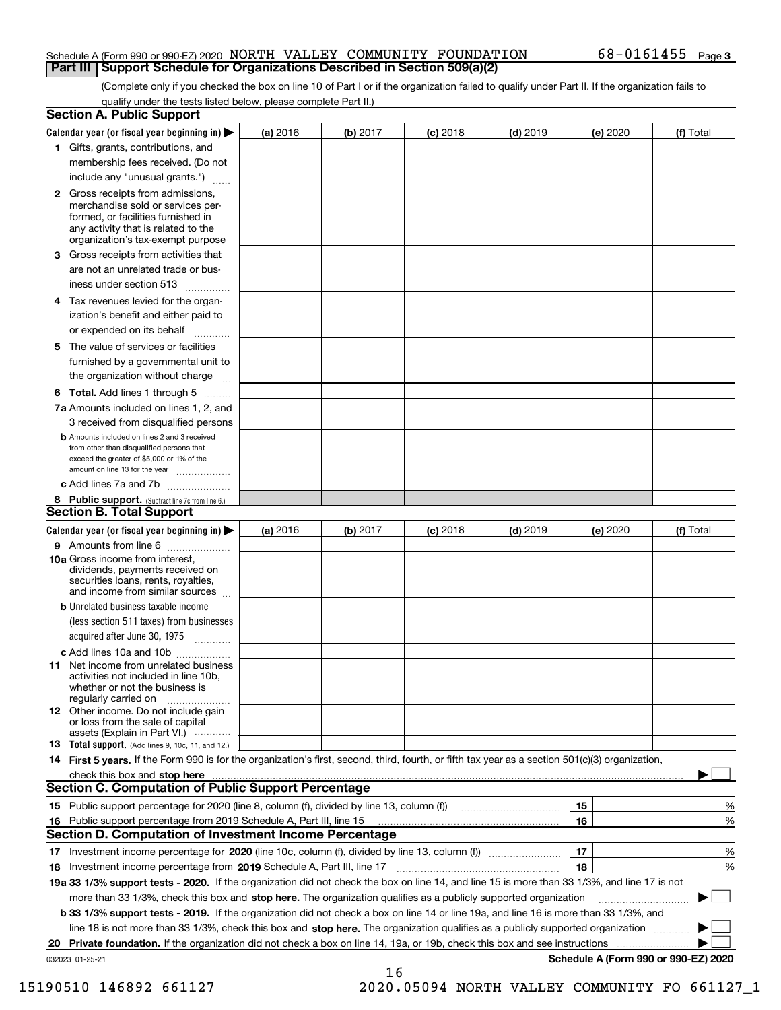#### Schedule A (Form 990 or 990-EZ) 2020 Page NORTH VALLEY COMMUNITY FOUNDATION 68-0161455 **Part III Support Schedule for Organizations Described in Section 509(a)(2)**

(Complete only if you checked the box on line 10 of Part I or if the organization failed to qualify under Part II. If the organization fails to qualify under the tests listed below, please complete Part II.)

|    | <b>Section A. Public Support</b>                                                                                                                                                                                                    |          |          |            |            |                                      |           |
|----|-------------------------------------------------------------------------------------------------------------------------------------------------------------------------------------------------------------------------------------|----------|----------|------------|------------|--------------------------------------|-----------|
|    | Calendar year (or fiscal year beginning in) $\blacktriangleright$                                                                                                                                                                   | (a) 2016 | (b) 2017 | $(c)$ 2018 | $(d)$ 2019 | (e) 2020                             | (f) Total |
|    | 1 Gifts, grants, contributions, and                                                                                                                                                                                                 |          |          |            |            |                                      |           |
|    | membership fees received. (Do not                                                                                                                                                                                                   |          |          |            |            |                                      |           |
|    | include any "unusual grants.")                                                                                                                                                                                                      |          |          |            |            |                                      |           |
|    | <b>2</b> Gross receipts from admissions,<br>merchandise sold or services per-<br>formed, or facilities furnished in<br>any activity that is related to the<br>organization's tax-exempt purpose                                     |          |          |            |            |                                      |           |
|    | 3 Gross receipts from activities that<br>are not an unrelated trade or bus-<br>iness under section 513                                                                                                                              |          |          |            |            |                                      |           |
|    | 4 Tax revenues levied for the organ-<br>ization's benefit and either paid to                                                                                                                                                        |          |          |            |            |                                      |           |
|    | or expended on its behalf                                                                                                                                                                                                           |          |          |            |            |                                      |           |
|    | 5 The value of services or facilities<br>furnished by a governmental unit to<br>the organization without charge                                                                                                                     |          |          |            |            |                                      |           |
|    | <b>6 Total.</b> Add lines 1 through 5                                                                                                                                                                                               |          |          |            |            |                                      |           |
|    | 7a Amounts included on lines 1, 2, and<br>3 received from disqualified persons                                                                                                                                                      |          |          |            |            |                                      |           |
|    | <b>b</b> Amounts included on lines 2 and 3 received<br>from other than disqualified persons that<br>exceed the greater of \$5,000 or 1% of the<br>amount on line 13 for the year                                                    |          |          |            |            |                                      |           |
|    | c Add lines 7a and 7b                                                                                                                                                                                                               |          |          |            |            |                                      |           |
|    | 8 Public support. (Subtract line 7c from line 6.)                                                                                                                                                                                   |          |          |            |            |                                      |           |
|    | <b>Section B. Total Support</b>                                                                                                                                                                                                     |          |          |            |            |                                      |           |
|    | Calendar year (or fiscal year beginning in)                                                                                                                                                                                         | (a) 2016 | (b) 2017 | $(c)$ 2018 | $(d)$ 2019 | (e) 2020                             | (f) Total |
|    | 9 Amounts from line 6                                                                                                                                                                                                               |          |          |            |            |                                      |           |
|    | <b>10a</b> Gross income from interest,<br>dividends, payments received on<br>securities loans, rents, royalties,<br>and income from similar sources                                                                                 |          |          |            |            |                                      |           |
|    | <b>b</b> Unrelated business taxable income                                                                                                                                                                                          |          |          |            |            |                                      |           |
|    | (less section 511 taxes) from businesses<br>acquired after June 30, 1975                                                                                                                                                            |          |          |            |            |                                      |           |
|    | c Add lines 10a and 10b<br>11 Net income from unrelated business<br>activities not included in line 10b,<br>whether or not the business is<br>regularly carried on                                                                  |          |          |            |            |                                      |           |
|    | <b>12</b> Other income. Do not include gain<br>or loss from the sale of capital<br>assets (Explain in Part VI.)                                                                                                                     |          |          |            |            |                                      |           |
|    | 13 Total support. (Add lines 9, 10c, 11, and 12.)                                                                                                                                                                                   |          |          |            |            |                                      |           |
|    | 14 First 5 years. If the Form 990 is for the organization's first, second, third, fourth, or fifth tax year as a section 501(c)(3) organization,                                                                                    |          |          |            |            |                                      |           |
|    | check this box and stop here <b>contractly constructed</b> that the state of the state of the state of the state of the state of the state of the state of the state of the state of the state of the state of the state of the sta |          |          |            |            |                                      |           |
|    | <b>Section C. Computation of Public Support Percentage</b>                                                                                                                                                                          |          |          |            |            |                                      |           |
|    | 15 Public support percentage for 2020 (line 8, column (f), divided by line 13, column (f))                                                                                                                                          |          |          |            |            | 15                                   | %         |
| 16 | Public support percentage from 2019 Schedule A, Part III, line 15                                                                                                                                                                   |          |          |            |            | 16                                   | %         |
|    | <b>Section D. Computation of Investment Income Percentage</b>                                                                                                                                                                       |          |          |            |            |                                      |           |
|    | 17 Investment income percentage for 2020 (line 10c, column (f), divided by line 13, column (f))                                                                                                                                     |          |          |            |            | 17                                   | %         |
|    | 18 Investment income percentage from 2019 Schedule A, Part III, line 17                                                                                                                                                             |          |          |            |            | 18                                   | %         |
|    | 19a 33 1/3% support tests - 2020. If the organization did not check the box on line 14, and line 15 is more than 33 1/3%, and line 17 is not                                                                                        |          |          |            |            |                                      |           |
|    | more than 33 1/3%, check this box and stop here. The organization qualifies as a publicly supported organization                                                                                                                    |          |          |            |            |                                      |           |
|    | b 33 1/3% support tests - 2019. If the organization did not check a box on line 14 or line 19a, and line 16 is more than 33 1/3%, and                                                                                               |          |          |            |            |                                      |           |
|    | line 18 is not more than 33 1/3%, check this box and stop here. The organization qualifies as a publicly supported organization                                                                                                     |          |          |            |            |                                      |           |
| 20 | Private foundation. If the organization did not check a box on line 14, 19a, or 19b, check this box and see instructions                                                                                                            |          |          |            |            |                                      |           |
|    | 032023 01-25-21                                                                                                                                                                                                                     |          |          |            |            | Schedule A (Form 990 or 990-EZ) 2020 |           |

16

 <sup>15190510 146892 661127 2020.05094</sup> NORTH VALLEY COMMUNITY FO 661127\_1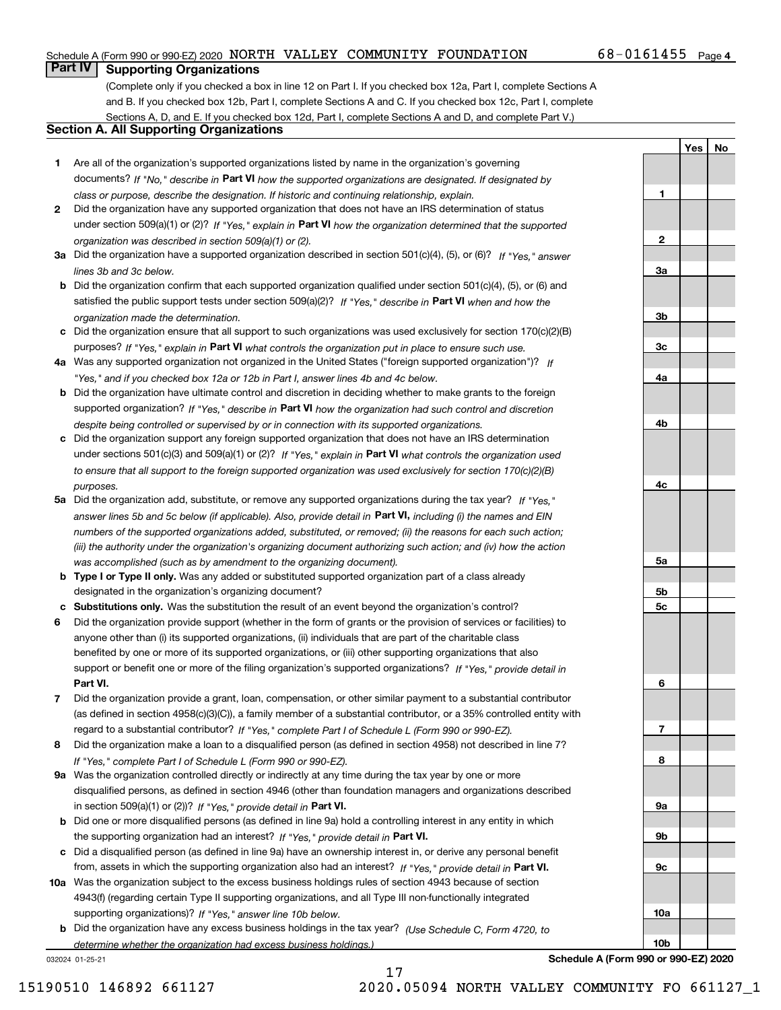#### Schedule A (Form 990 or 990-EZ) 2020 Page NORTH VALLEY COMMUNITY FOUNDATION 68-0161455

### $68 - 0161455$  Page 4

**1**

**2**

**3a**

**3b**

**YesNo**

## **Part IV Supporting Organizations**

(Complete only if you checked a box in line 12 on Part I. If you checked box 12a, Part I, complete Sections A and B. If you checked box 12b, Part I, complete Sections A and C. If you checked box 12c, Part I, complete Sections A, D, and E. If you checked box 12d, Part I, complete Sections A and D, and complete Part V.)

### **Section A. All Supporting Organizations**

- **1** Are all of the organization's supported organizations listed by name in the organization's governing documents? If "No," describe in **Part VI** how the supported organizations are designated. If designated by *class or purpose, describe the designation. If historic and continuing relationship, explain.*
- **2** Did the organization have any supported organization that does not have an IRS determination of status under section 509(a)(1) or (2)? If "Yes," explain in Part VI how the organization determined that the supported *organization was described in section 509(a)(1) or (2).*
- **3a** Did the organization have a supported organization described in section 501(c)(4), (5), or (6)? If "Yes," answer *lines 3b and 3c below.*
- **b** Did the organization confirm that each supported organization qualified under section 501(c)(4), (5), or (6) and satisfied the public support tests under section 509(a)(2)? If "Yes," describe in **Part VI** when and how the *organization made the determination.*
- **c**Did the organization ensure that all support to such organizations was used exclusively for section 170(c)(2)(B) purposes? If "Yes," explain in **Part VI** what controls the organization put in place to ensure such use.
- **4a***If* Was any supported organization not organized in the United States ("foreign supported organization")? *"Yes," and if you checked box 12a or 12b in Part I, answer lines 4b and 4c below.*
- **b** Did the organization have ultimate control and discretion in deciding whether to make grants to the foreign supported organization? If "Yes," describe in **Part VI** how the organization had such control and discretion *despite being controlled or supervised by or in connection with its supported organizations.*
- **c** Did the organization support any foreign supported organization that does not have an IRS determination under sections 501(c)(3) and 509(a)(1) or (2)? If "Yes," explain in **Part VI** what controls the organization used *to ensure that all support to the foreign supported organization was used exclusively for section 170(c)(2)(B) purposes.*
- **5a** Did the organization add, substitute, or remove any supported organizations during the tax year? If "Yes," answer lines 5b and 5c below (if applicable). Also, provide detail in **Part VI,** including (i) the names and EIN *numbers of the supported organizations added, substituted, or removed; (ii) the reasons for each such action; (iii) the authority under the organization's organizing document authorizing such action; and (iv) how the action was accomplished (such as by amendment to the organizing document).*
- **b** Type I or Type II only. Was any added or substituted supported organization part of a class already designated in the organization's organizing document?
- **cSubstitutions only.**  Was the substitution the result of an event beyond the organization's control?
- **6** Did the organization provide support (whether in the form of grants or the provision of services or facilities) to **Part VI.** *If "Yes," provide detail in* support or benefit one or more of the filing organization's supported organizations? anyone other than (i) its supported organizations, (ii) individuals that are part of the charitable class benefited by one or more of its supported organizations, or (iii) other supporting organizations that also
- **7**Did the organization provide a grant, loan, compensation, or other similar payment to a substantial contributor *If "Yes," complete Part I of Schedule L (Form 990 or 990-EZ).* regard to a substantial contributor? (as defined in section 4958(c)(3)(C)), a family member of a substantial contributor, or a 35% controlled entity with
- **8** Did the organization make a loan to a disqualified person (as defined in section 4958) not described in line 7? *If "Yes," complete Part I of Schedule L (Form 990 or 990-EZ).*
- **9a** Was the organization controlled directly or indirectly at any time during the tax year by one or more in section 509(a)(1) or (2))? If "Yes," *provide detail in* <code>Part VI.</code> disqualified persons, as defined in section 4946 (other than foundation managers and organizations described
- **b** Did one or more disqualified persons (as defined in line 9a) hold a controlling interest in any entity in which the supporting organization had an interest? If "Yes," provide detail in P**art VI**.
- **c**Did a disqualified person (as defined in line 9a) have an ownership interest in, or derive any personal benefit from, assets in which the supporting organization also had an interest? If "Yes," provide detail in P**art VI.**
- **10a** Was the organization subject to the excess business holdings rules of section 4943 because of section supporting organizations)? If "Yes," answer line 10b below. 4943(f) (regarding certain Type II supporting organizations, and all Type III non-functionally integrated
- **b** Did the organization have any excess business holdings in the tax year? (Use Schedule C, Form 4720, to *determine whether the organization had excess business holdings.)*

17

032024 01-25-21

**3c4a4b4c5a 5b5c6789a 9b9c10a10bSchedule A (Form 990 or 990-EZ) 2020**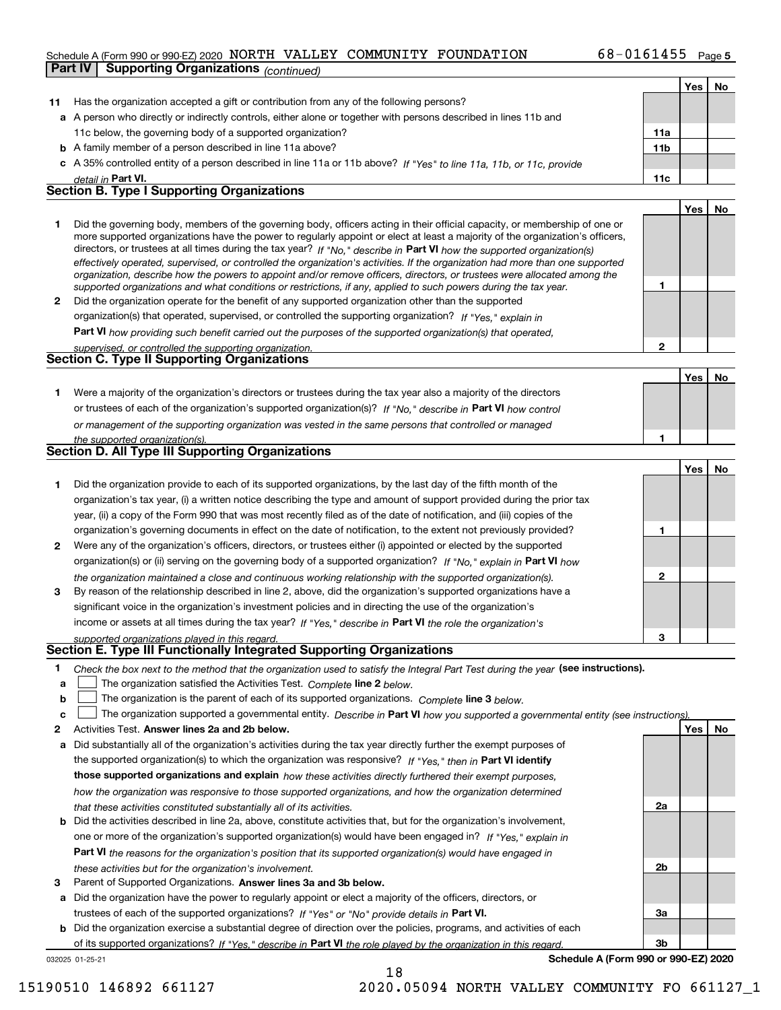#### Schedule A (Form 990 or 990-EZ) 2020 Page NORTH VALLEY COMMUNITY FOUNDATION 68-0161455

| Part IV | <b>Supporting Organizations (continued)</b>                                                                                                                                                                                                                                                                                                                                                                                                                                                                              |                 |     |           |
|---------|--------------------------------------------------------------------------------------------------------------------------------------------------------------------------------------------------------------------------------------------------------------------------------------------------------------------------------------------------------------------------------------------------------------------------------------------------------------------------------------------------------------------------|-----------------|-----|-----------|
|         |                                                                                                                                                                                                                                                                                                                                                                                                                                                                                                                          |                 | Yes | No        |
| 11      | Has the organization accepted a gift or contribution from any of the following persons?                                                                                                                                                                                                                                                                                                                                                                                                                                  |                 |     |           |
|         | a A person who directly or indirectly controls, either alone or together with persons described in lines 11b and                                                                                                                                                                                                                                                                                                                                                                                                         |                 |     |           |
|         | 11c below, the governing body of a supported organization?                                                                                                                                                                                                                                                                                                                                                                                                                                                               | 11a             |     |           |
|         | <b>b</b> A family member of a person described in line 11a above?                                                                                                                                                                                                                                                                                                                                                                                                                                                        | 11 <sub>b</sub> |     |           |
|         | c A 35% controlled entity of a person described in line 11a or 11b above? If "Yes" to line 11a, 11b, or 11c, provide                                                                                                                                                                                                                                                                                                                                                                                                     |                 |     |           |
|         | detail in Part VI.                                                                                                                                                                                                                                                                                                                                                                                                                                                                                                       | 11c             |     |           |
|         | <b>Section B. Type I Supporting Organizations</b>                                                                                                                                                                                                                                                                                                                                                                                                                                                                        |                 |     |           |
|         |                                                                                                                                                                                                                                                                                                                                                                                                                                                                                                                          |                 | Yes | No        |
| 1       | Did the governing body, members of the governing body, officers acting in their official capacity, or membership of one or<br>more supported organizations have the power to regularly appoint or elect at least a majority of the organization's officers,<br>directors, or trustees at all times during the tax year? If "No," describe in Part VI how the supported organization(s)<br>effectively operated, supervised, or controlled the organization's activities. If the organization had more than one supported |                 |     |           |
|         | organization, describe how the powers to appoint and/or remove officers, directors, or trustees were allocated among the<br>supported organizations and what conditions or restrictions, if any, applied to such powers during the tax year.                                                                                                                                                                                                                                                                             | 1               |     |           |
| 2       | Did the organization operate for the benefit of any supported organization other than the supported                                                                                                                                                                                                                                                                                                                                                                                                                      |                 |     |           |
|         | organization(s) that operated, supervised, or controlled the supporting organization? If "Yes," explain in                                                                                                                                                                                                                                                                                                                                                                                                               |                 |     |           |
|         | Part VI how providing such benefit carried out the purposes of the supported organization(s) that operated,                                                                                                                                                                                                                                                                                                                                                                                                              |                 |     |           |
|         | supervised, or controlled the supporting organization.                                                                                                                                                                                                                                                                                                                                                                                                                                                                   | $\overline{2}$  |     |           |
|         | <b>Section C. Type II Supporting Organizations</b>                                                                                                                                                                                                                                                                                                                                                                                                                                                                       |                 |     |           |
|         |                                                                                                                                                                                                                                                                                                                                                                                                                                                                                                                          |                 | Yes | No        |
| 1       | Were a majority of the organization's directors or trustees during the tax year also a majority of the directors                                                                                                                                                                                                                                                                                                                                                                                                         |                 |     |           |
|         | or trustees of each of the organization's supported organization(s)? If "No," describe in Part VI how control                                                                                                                                                                                                                                                                                                                                                                                                            |                 |     |           |
|         | or management of the supporting organization was vested in the same persons that controlled or managed                                                                                                                                                                                                                                                                                                                                                                                                                   |                 |     |           |
|         | the supported organization(s).                                                                                                                                                                                                                                                                                                                                                                                                                                                                                           | 1               |     |           |
|         | <b>Section D. All Type III Supporting Organizations</b>                                                                                                                                                                                                                                                                                                                                                                                                                                                                  |                 |     |           |
|         |                                                                                                                                                                                                                                                                                                                                                                                                                                                                                                                          |                 | Yes | No        |
| 1       | Did the organization provide to each of its supported organizations, by the last day of the fifth month of the                                                                                                                                                                                                                                                                                                                                                                                                           |                 |     |           |
|         | organization's tax year, (i) a written notice describing the type and amount of support provided during the prior tax                                                                                                                                                                                                                                                                                                                                                                                                    |                 |     |           |
|         | year, (ii) a copy of the Form 990 that was most recently filed as of the date of notification, and (iii) copies of the                                                                                                                                                                                                                                                                                                                                                                                                   |                 |     |           |
|         | organization's governing documents in effect on the date of notification, to the extent not previously provided?                                                                                                                                                                                                                                                                                                                                                                                                         | 1               |     |           |
| 2       | Were any of the organization's officers, directors, or trustees either (i) appointed or elected by the supported                                                                                                                                                                                                                                                                                                                                                                                                         |                 |     |           |
|         | organization(s) or (ii) serving on the governing body of a supported organization? If "No." explain in Part VI how                                                                                                                                                                                                                                                                                                                                                                                                       |                 |     |           |
| 3       | the organization maintained a close and continuous working relationship with the supported organization(s).<br>By reason of the relationship described in line 2, above, did the organization's supported organizations have a                                                                                                                                                                                                                                                                                           | $\mathbf 2$     |     |           |
|         | significant voice in the organization's investment policies and in directing the use of the organization's                                                                                                                                                                                                                                                                                                                                                                                                               |                 |     |           |
|         | income or assets at all times during the tax year? If "Yes," describe in Part VI the role the organization's                                                                                                                                                                                                                                                                                                                                                                                                             |                 |     |           |
|         | supported organizations played in this regard.                                                                                                                                                                                                                                                                                                                                                                                                                                                                           |                 |     |           |
|         | Section E. Type III Functionally Integrated Supporting Organizations                                                                                                                                                                                                                                                                                                                                                                                                                                                     |                 |     |           |
| 1       | Check the box next to the method that the organization used to satisfy the Integral Part Test during the year (see instructions).                                                                                                                                                                                                                                                                                                                                                                                        |                 |     |           |
| а       | The organization satisfied the Activities Test. Complete line 2 below.                                                                                                                                                                                                                                                                                                                                                                                                                                                   |                 |     |           |
| b       | The organization is the parent of each of its supported organizations. Complete line 3 below.                                                                                                                                                                                                                                                                                                                                                                                                                            |                 |     |           |
| c       | The organization supported a governmental entity. Describe in Part VI how you supported a governmental entity (see instructions).                                                                                                                                                                                                                                                                                                                                                                                        |                 |     |           |
| 2       | Activities Test. Answer lines 2a and 2b below.                                                                                                                                                                                                                                                                                                                                                                                                                                                                           |                 | Yes | <u>No</u> |
| а       | Did substantially all of the organization's activities during the tax year directly further the exempt purposes of                                                                                                                                                                                                                                                                                                                                                                                                       |                 |     |           |
|         | the supported organization(s) to which the organization was responsive? If "Yes," then in Part VI identify                                                                                                                                                                                                                                                                                                                                                                                                               |                 |     |           |
|         | those supported organizations and explain how these activities directly furthered their exempt purposes,                                                                                                                                                                                                                                                                                                                                                                                                                 |                 |     |           |
|         | how the organization was responsive to those supported organizations, and how the organization determined                                                                                                                                                                                                                                                                                                                                                                                                                |                 |     |           |
|         | that these activities constituted substantially all of its activities.                                                                                                                                                                                                                                                                                                                                                                                                                                                   | 2a              |     |           |
| b       | Did the activities described in line 2a, above, constitute activities that, but for the organization's involvement,                                                                                                                                                                                                                                                                                                                                                                                                      |                 |     |           |
|         | one or more of the organization's supported organization(s) would have been engaged in? If "Yes," explain in                                                                                                                                                                                                                                                                                                                                                                                                             |                 |     |           |
|         | Part VI the reasons for the organization's position that its supported organization(s) would have engaged in                                                                                                                                                                                                                                                                                                                                                                                                             | 2b              |     |           |
|         | these activities but for the organization's involvement.                                                                                                                                                                                                                                                                                                                                                                                                                                                                 |                 |     |           |

**3** Parent of Supported Organizations. Answer lines 3a and 3b below.

**a** Did the organization have the power to regularly appoint or elect a majority of the officers, directors, or trustees of each of the supported organizations? If "Yes" or "No" provide details in P**art VI.** 

**b** Did the organization exercise a substantial degree of direction over the policies, programs, and activities of each of its supported organizations? If "Yes," describe in Part VI the role played by the organization in this regard.

18

032025 01-25-21

**Schedule A (Form 990 or 990-EZ) 2020**

**3a**

**3b**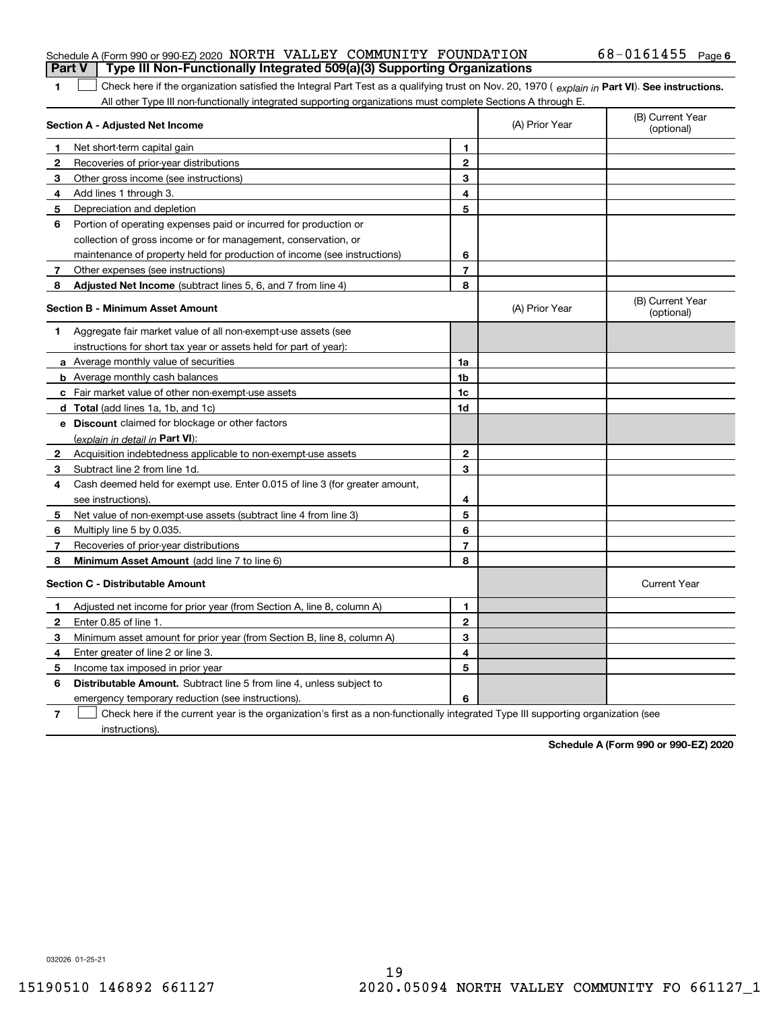|  | Schedule A (Form 990 or 990-EZ) 2020 NORTH VALLEY COMMUNITY FOUNDATION           |  |  | $68 - 0161455$ Page 6                                                                                                                          |  |
|--|----------------------------------------------------------------------------------|--|--|------------------------------------------------------------------------------------------------------------------------------------------------|--|
|  | Part V   Type III Non-Functionally Integrated 509(a)(3) Supporting Organizations |  |  |                                                                                                                                                |  |
|  |                                                                                  |  |  | Check here if the organization satisfied the Integral Part Test as a qualifying trust on Nov. 20, 1970 (explain in Part VI). See instructions. |  |

 **Part VI See instructions.** *explain in*  Check here if the organization satisfied the Integral Part Test as a qualifying trust on Nov. 20, 1970 (  $\epsilon_{\mathsf{XD}}$ lain in **Part VI**). All other Type III non-functionally integrated supporting organizations must complete Sections A through E.

|              | Section A - Adjusted Net Income                                                                                                   |                | (A) Prior Year | (B) Current Year<br>(optional) |
|--------------|-----------------------------------------------------------------------------------------------------------------------------------|----------------|----------------|--------------------------------|
| 1.           | Net short-term capital gain                                                                                                       | 1              |                |                                |
| $\mathbf{2}$ | Recoveries of prior-year distributions                                                                                            | $\overline{2}$ |                |                                |
| 3            | Other gross income (see instructions)                                                                                             | 3              |                |                                |
| 4            | Add lines 1 through 3.                                                                                                            | 4              |                |                                |
| 5            | Depreciation and depletion                                                                                                        | 5              |                |                                |
| 6            | Portion of operating expenses paid or incurred for production or                                                                  |                |                |                                |
|              | collection of gross income or for management, conservation, or                                                                    |                |                |                                |
|              | maintenance of property held for production of income (see instructions)                                                          | 6              |                |                                |
| 7            | Other expenses (see instructions)                                                                                                 | $\overline{7}$ |                |                                |
| 8            | Adjusted Net Income (subtract lines 5, 6, and 7 from line 4)                                                                      | 8              |                |                                |
|              | <b>Section B - Minimum Asset Amount</b>                                                                                           |                | (A) Prior Year | (B) Current Year<br>(optional) |
| 1.           | Aggregate fair market value of all non-exempt-use assets (see                                                                     |                |                |                                |
|              | instructions for short tax year or assets held for part of year):                                                                 |                |                |                                |
|              | a Average monthly value of securities                                                                                             | 1a             |                |                                |
|              | <b>b</b> Average monthly cash balances                                                                                            | 1b             |                |                                |
|              | c Fair market value of other non-exempt-use assets                                                                                | 1c             |                |                                |
|              | <b>d</b> Total (add lines 1a, 1b, and 1c)                                                                                         | 1d             |                |                                |
|              | <b>e</b> Discount claimed for blockage or other factors                                                                           |                |                |                                |
|              | (explain in detail in Part VI):                                                                                                   |                |                |                                |
| 2            | Acquisition indebtedness applicable to non-exempt-use assets                                                                      | $\mathbf{2}$   |                |                                |
| 3            | Subtract line 2 from line 1d.                                                                                                     | 3              |                |                                |
| 4            | Cash deemed held for exempt use. Enter 0.015 of line 3 (for greater amount,                                                       |                |                |                                |
|              | see instructions).                                                                                                                | 4              |                |                                |
| 5            | Net value of non-exempt-use assets (subtract line 4 from line 3)                                                                  | 5              |                |                                |
| 6            | Multiply line 5 by 0.035.                                                                                                         | 6              |                |                                |
| 7            | Recoveries of prior-year distributions                                                                                            | $\overline{7}$ |                |                                |
| 8            | Minimum Asset Amount (add line 7 to line 6)                                                                                       | 8              |                |                                |
|              | <b>Section C - Distributable Amount</b>                                                                                           |                |                | <b>Current Year</b>            |
| 1            | Adjusted net income for prior year (from Section A, line 8, column A)                                                             | 1              |                |                                |
| $\mathbf{2}$ | Enter 0.85 of line 1.                                                                                                             | $\overline{2}$ |                |                                |
| 3            | Minimum asset amount for prior year (from Section B, line 8, column A)                                                            | 3              |                |                                |
| 4            | Enter greater of line 2 or line 3.                                                                                                | 4              |                |                                |
| 5            | Income tax imposed in prior year                                                                                                  | 5              |                |                                |
| 6            | <b>Distributable Amount.</b> Subtract line 5 from line 4, unless subject to                                                       |                |                |                                |
|              | emergency temporary reduction (see instructions).                                                                                 | 6              |                |                                |
| 7            | Check here if the current year is the organization's first as a non-functionally integrated Type III supporting organization (see |                |                |                                |

instructions).

**Schedule A (Form 990 or 990-EZ) 2020**

032026 01-25-21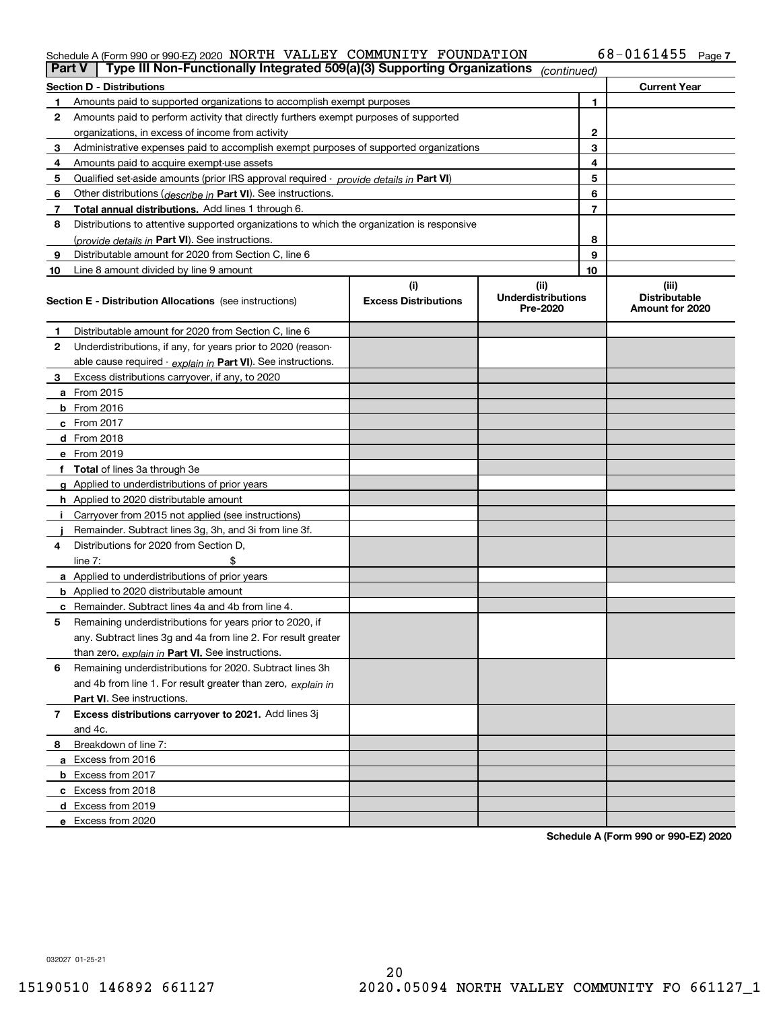#### Schedule A (Form 990 or 990-EZ) 2020 Page NORTH VALLEY COMMUNITY FOUNDATION 68-0161455

|    | Type III Non-Functionally Integrated 509(a)(3) Supporting Organizations<br>Part V<br>(continued) |                             |                                       |                |                                         |  |
|----|--------------------------------------------------------------------------------------------------|-----------------------------|---------------------------------------|----------------|-----------------------------------------|--|
|    | <b>Section D - Distributions</b>                                                                 |                             |                                       |                | <b>Current Year</b>                     |  |
|    | Amounts paid to supported organizations to accomplish exempt purposes                            |                             |                                       | 1              |                                         |  |
| 2  | Amounts paid to perform activity that directly furthers exempt purposes of supported             |                             |                                       |                |                                         |  |
|    | organizations, in excess of income from activity                                                 |                             |                                       | $\mathbf{2}$   |                                         |  |
| 3  | Administrative expenses paid to accomplish exempt purposes of supported organizations            |                             |                                       | 3              |                                         |  |
| 4  | Amounts paid to acquire exempt-use assets                                                        |                             |                                       | 4              |                                         |  |
| 5  | Qualified set aside amounts (prior IRS approval required - provide details in Part VI)           |                             |                                       | 5              |                                         |  |
| 6  | Other distributions ( <i>describe in</i> Part VI). See instructions.                             |                             |                                       | 6              |                                         |  |
| 7  | Total annual distributions. Add lines 1 through 6.                                               |                             |                                       | $\overline{7}$ |                                         |  |
| 8  | Distributions to attentive supported organizations to which the organization is responsive       |                             |                                       |                |                                         |  |
|    | (provide details in Part VI). See instructions.                                                  |                             |                                       | 8              |                                         |  |
| 9  | Distributable amount for 2020 from Section C, line 6                                             |                             |                                       | 9              |                                         |  |
| 10 | Line 8 amount divided by line 9 amount                                                           |                             |                                       | 10             |                                         |  |
|    |                                                                                                  | (i)                         | (ii)                                  |                | (iii)                                   |  |
|    | <b>Section E - Distribution Allocations</b> (see instructions)                                   | <b>Excess Distributions</b> | <b>Underdistributions</b><br>Pre-2020 |                | <b>Distributable</b><br>Amount for 2020 |  |
| 1  | Distributable amount for 2020 from Section C, line 6                                             |                             |                                       |                |                                         |  |
| 2  | Underdistributions, if any, for years prior to 2020 (reason-                                     |                             |                                       |                |                                         |  |
|    | able cause required - explain in Part VI). See instructions.                                     |                             |                                       |                |                                         |  |
| 3  | Excess distributions carryover, if any, to 2020                                                  |                             |                                       |                |                                         |  |
|    | a From 2015                                                                                      |                             |                                       |                |                                         |  |
|    | $b$ From 2016                                                                                    |                             |                                       |                |                                         |  |
|    | $c$ From 2017                                                                                    |                             |                                       |                |                                         |  |
|    | <b>d</b> From 2018                                                                               |                             |                                       |                |                                         |  |
|    | e From 2019                                                                                      |                             |                                       |                |                                         |  |
|    | f Total of lines 3a through 3e                                                                   |                             |                                       |                |                                         |  |
|    | g Applied to underdistributions of prior years                                                   |                             |                                       |                |                                         |  |
|    | <b>h</b> Applied to 2020 distributable amount                                                    |                             |                                       |                |                                         |  |
|    | Carryover from 2015 not applied (see instructions)                                               |                             |                                       |                |                                         |  |
|    | Remainder. Subtract lines 3g, 3h, and 3i from line 3f.                                           |                             |                                       |                |                                         |  |
| 4  | Distributions for 2020 from Section D.                                                           |                             |                                       |                |                                         |  |
|    | line $7:$                                                                                        |                             |                                       |                |                                         |  |
|    | a Applied to underdistributions of prior years                                                   |                             |                                       |                |                                         |  |
|    | <b>b</b> Applied to 2020 distributable amount                                                    |                             |                                       |                |                                         |  |
|    | c Remainder. Subtract lines 4a and 4b from line 4.                                               |                             |                                       |                |                                         |  |
| 5  | Remaining underdistributions for years prior to 2020, if                                         |                             |                                       |                |                                         |  |
|    | any. Subtract lines 3g and 4a from line 2. For result greater                                    |                             |                                       |                |                                         |  |
|    | than zero, explain in Part VI. See instructions.                                                 |                             |                                       |                |                                         |  |
| 6  | Remaining underdistributions for 2020. Subtract lines 3h                                         |                             |                                       |                |                                         |  |
|    | and 4b from line 1. For result greater than zero, explain in                                     |                             |                                       |                |                                         |  |
|    | <b>Part VI.</b> See instructions.                                                                |                             |                                       |                |                                         |  |
| 7  | Excess distributions carryover to 2021. Add lines 3j                                             |                             |                                       |                |                                         |  |
|    | and 4c.                                                                                          |                             |                                       |                |                                         |  |
| 8  | Breakdown of line 7:                                                                             |                             |                                       |                |                                         |  |
|    | a Excess from 2016                                                                               |                             |                                       |                |                                         |  |
|    | <b>b</b> Excess from 2017                                                                        |                             |                                       |                |                                         |  |
|    | c Excess from 2018                                                                               |                             |                                       |                |                                         |  |
|    | d Excess from 2019                                                                               |                             |                                       |                |                                         |  |
|    | e Excess from 2020                                                                               |                             |                                       |                |                                         |  |
|    |                                                                                                  |                             |                                       |                |                                         |  |

**Schedule A (Form 990 or 990-EZ) 2020**

032027 01-25-21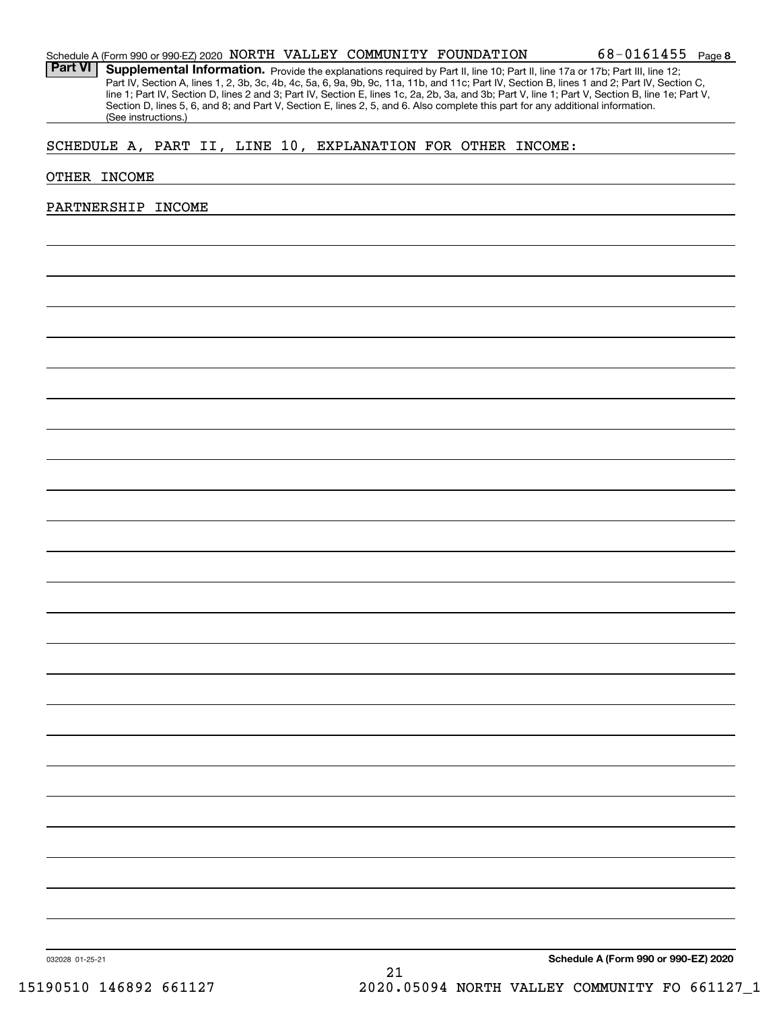| Schedule A (Form 990 or 990-EZ) 2020 NORTH VALLEY COMMUNITY FOUNDATION |  |  | $68 - 0161455$ Page 8 |  |
|------------------------------------------------------------------------|--|--|-----------------------|--|
|                                                                        |  |  |                       |  |

Part VI | Supplemental Information. Provide the explanations required by Part II, line 10; Part II, line 17a or 17b; Part III, line 12; Part IV, Section A, lines 1, 2, 3b, 3c, 4b, 4c, 5a, 6, 9a, 9b, 9c, 11a, 11b, and 11c; Part IV, Section B, lines 1 and 2; Part IV, Section C, line 1; Part IV, Section D, lines 2 and 3; Part IV, Section E, lines 1c, 2a, 2b, 3a, and 3b; Part V, line 1; Part V, Section B, line 1e; Part V, Section D, lines 5, 6, and 8; and Part V, Section E, lines 2, 5, and 6. Also complete this part for any additional information. (See instructions.)

### SCHEDULE A, PART II, LINE 10, EXPLANATION FOR OTHER INCOME:

#### OTHER INCOME

#### PARTNERSHIP INCOME

**Schedule A (Form 990 or 990-EZ) 2020**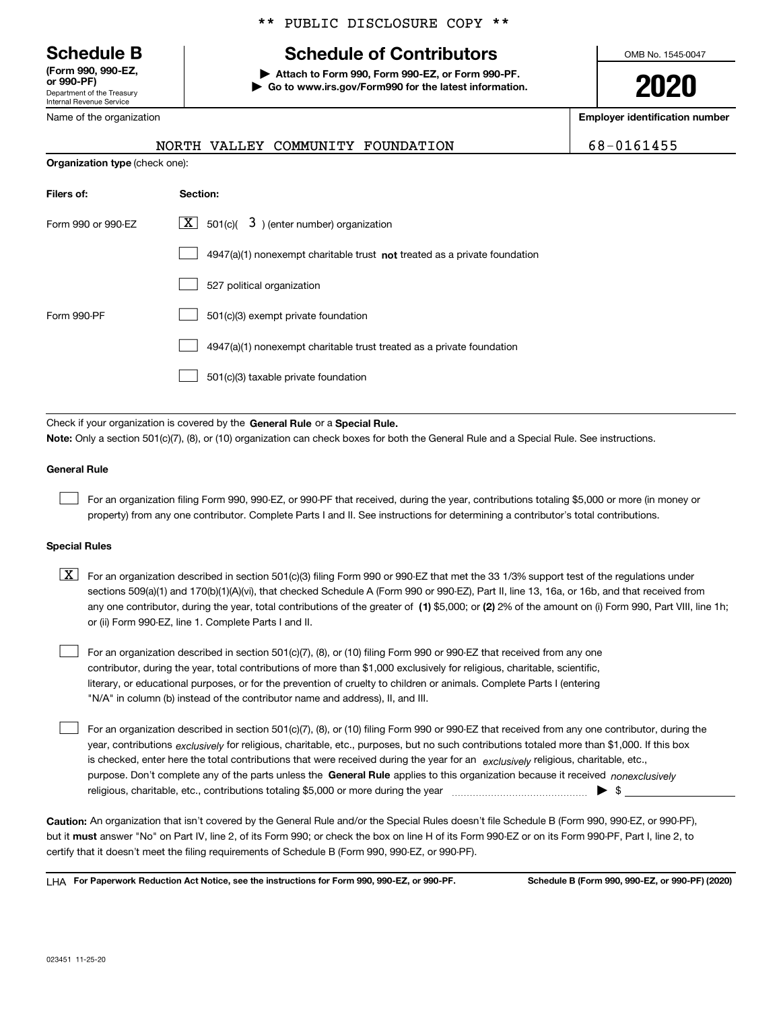Department of the Treasury Internal Revenue Service **(Form 990, 990-EZ, or 990-PF)**

**Organization type** (check one):

### \*\* PUBLIC DISCLOSURE COPY \*\*

## **Schedule B Schedule of Contributors**

**| Attach to Form 990, Form 990-EZ, or Form 990-PF. | Go to www.irs.gov/Form990 for the latest information.** OMB No. 1545-0047

**2020**

**Employer identification number**

|--|

| Name of the organization |  |                                   |
|--------------------------|--|-----------------------------------|
|                          |  | NORTH VALLEY COMMUNITY FOUNDATION |

| Filers of:         | <b>Section:</b>                                                             |
|--------------------|-----------------------------------------------------------------------------|
| Form 990 or 990-EZ | $\lfloor x \rfloor$ 501(c)( 3) (enter number) organization                  |
|                    | $4947(a)(1)$ nonexempt charitable trust not treated as a private foundation |
|                    | 527 political organization                                                  |
| Form 990-PF        | 501(c)(3) exempt private foundation                                         |
|                    | 4947(a)(1) nonexempt charitable trust treated as a private foundation       |
|                    | 501(c)(3) taxable private foundation                                        |

Check if your organization is covered by the **General Rule** or a **Special Rule. Note:**  Only a section 501(c)(7), (8), or (10) organization can check boxes for both the General Rule and a Special Rule. See instructions.

#### **General Rule**

 $\mathcal{L}^{\text{max}}$ 

For an organization filing Form 990, 990-EZ, or 990-PF that received, during the year, contributions totaling \$5,000 or more (in money or property) from any one contributor. Complete Parts I and II. See instructions for determining a contributor's total contributions.

#### **Special Rules**

any one contributor, during the year, total contributions of the greater of  $\,$  (1) \$5,000; or **(2)** 2% of the amount on (i) Form 990, Part VIII, line 1h;  $\boxed{\textbf{X}}$  For an organization described in section 501(c)(3) filing Form 990 or 990-EZ that met the 33 1/3% support test of the regulations under sections 509(a)(1) and 170(b)(1)(A)(vi), that checked Schedule A (Form 990 or 990-EZ), Part II, line 13, 16a, or 16b, and that received from or (ii) Form 990-EZ, line 1. Complete Parts I and II.

For an organization described in section 501(c)(7), (8), or (10) filing Form 990 or 990-EZ that received from any one contributor, during the year, total contributions of more than \$1,000 exclusively for religious, charitable, scientific, literary, or educational purposes, or for the prevention of cruelty to children or animals. Complete Parts I (entering "N/A" in column (b) instead of the contributor name and address), II, and III.  $\mathcal{L}^{\text{max}}$ 

purpose. Don't complete any of the parts unless the **General Rule** applies to this organization because it received *nonexclusively* year, contributions <sub>exclusively</sub> for religious, charitable, etc., purposes, but no such contributions totaled more than \$1,000. If this box is checked, enter here the total contributions that were received during the year for an  $\;$ exclusively religious, charitable, etc., For an organization described in section 501(c)(7), (8), or (10) filing Form 990 or 990-EZ that received from any one contributor, during the religious, charitable, etc., contributions totaling \$5,000 or more during the year  $\Box$ — $\Box$   $\Box$  $\mathcal{L}^{\text{max}}$ 

**Caution:**  An organization that isn't covered by the General Rule and/or the Special Rules doesn't file Schedule B (Form 990, 990-EZ, or 990-PF),  **must** but it answer "No" on Part IV, line 2, of its Form 990; or check the box on line H of its Form 990-EZ or on its Form 990-PF, Part I, line 2, to certify that it doesn't meet the filing requirements of Schedule B (Form 990, 990-EZ, or 990-PF).

**For Paperwork Reduction Act Notice, see the instructions for Form 990, 990-EZ, or 990-PF. Schedule B (Form 990, 990-EZ, or 990-PF) (2020)** LHA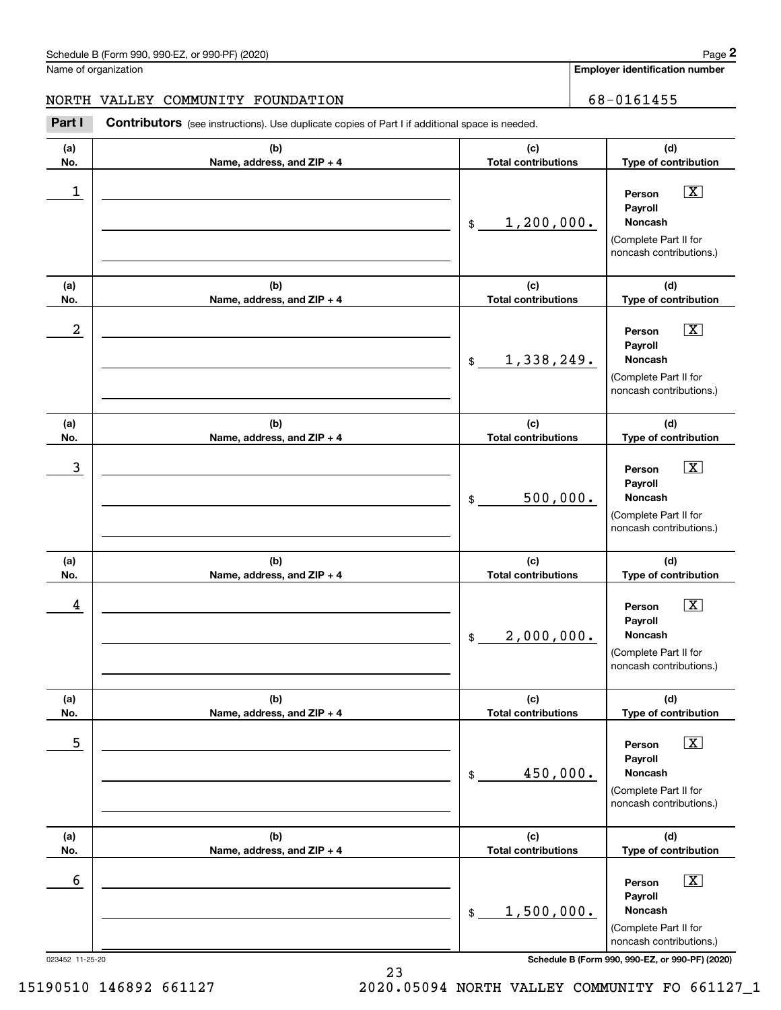**Employer identification number**

### NORTH VALLEY COMMUNITY FOUNDATION 68-0161455

Contributors (see instructions). Use duplicate copies of Part I if additional space is needed. **2** Chedule B (Form 990, 990-EZ, or 990-PF) (2020)<br> **2Part II COMMUNITY FOUNDATION**<br> **Part I Contributors** (see instructions). Use duplicate copies of Part I if additional space is needed.

| (a)<br>No.           | (b)<br>Name, address, and ZIP + 4 | (c)<br><b>Total contributions</b> | (d)<br>Type of contribution                                                                                                                               |
|----------------------|-----------------------------------|-----------------------------------|-----------------------------------------------------------------------------------------------------------------------------------------------------------|
| 1                    |                                   | 1,200,000.<br>\$                  | $\boxed{\text{X}}$<br>Person<br>Payroll<br><b>Noncash</b><br>(Complete Part II for<br>noncash contributions.)                                             |
| (a)<br>No.           | (b)<br>Name, address, and ZIP + 4 | (c)<br><b>Total contributions</b> | (d)<br>Type of contribution                                                                                                                               |
| 2                    |                                   | 1,338,249.<br>\$                  | $\boxed{\text{X}}$<br>Person<br>Payroll<br><b>Noncash</b><br>(Complete Part II for<br>noncash contributions.)                                             |
| (a)<br>No.           | (b)<br>Name, address, and ZIP + 4 | (c)<br><b>Total contributions</b> | (d)<br>Type of contribution                                                                                                                               |
| 3                    |                                   | 500,000.<br>\$                    | $\boxed{\text{X}}$<br>Person<br>Payroll<br><b>Noncash</b><br>(Complete Part II for<br>noncash contributions.)                                             |
| (a)<br>No.           | (b)<br>Name, address, and ZIP + 4 | (c)<br><b>Total contributions</b> | (d)<br>Type of contribution                                                                                                                               |
| 4                    |                                   | 2,000,000.<br>\$                  | $\boxed{\text{X}}$<br>Person<br>Payroll<br><b>Noncash</b><br>(Complete Part II for<br>noncash contributions.)                                             |
| (a)<br>No.           | (b)<br>Name, address, and ZIP + 4 | (c)<br><b>Total contributions</b> | (d)<br>Type of contribution                                                                                                                               |
| 5                    |                                   | 450,000.<br>\$                    | $\boxed{\text{X}}$<br>Person<br>Payroll<br>Noncash<br>(Complete Part II for<br>noncash contributions.)                                                    |
| (a)<br>No.           | (b)<br>Name, address, and ZIP + 4 | (c)<br><b>Total contributions</b> | (d)<br>Type of contribution                                                                                                                               |
| 6<br>023452 11-25-20 |                                   | 1,500,000.<br>\$                  | $\boxed{\text{X}}$<br>Person<br>Payroll<br>Noncash<br>(Complete Part II for<br>noncash contributions.)<br>Schedule B (Form 990, 990-EZ, or 990-PF) (2020) |
|                      |                                   |                                   |                                                                                                                                                           |

15190510 146892 661127 2020.05094 NORTH VALLEY COMMUNITY FO 661127\_1

23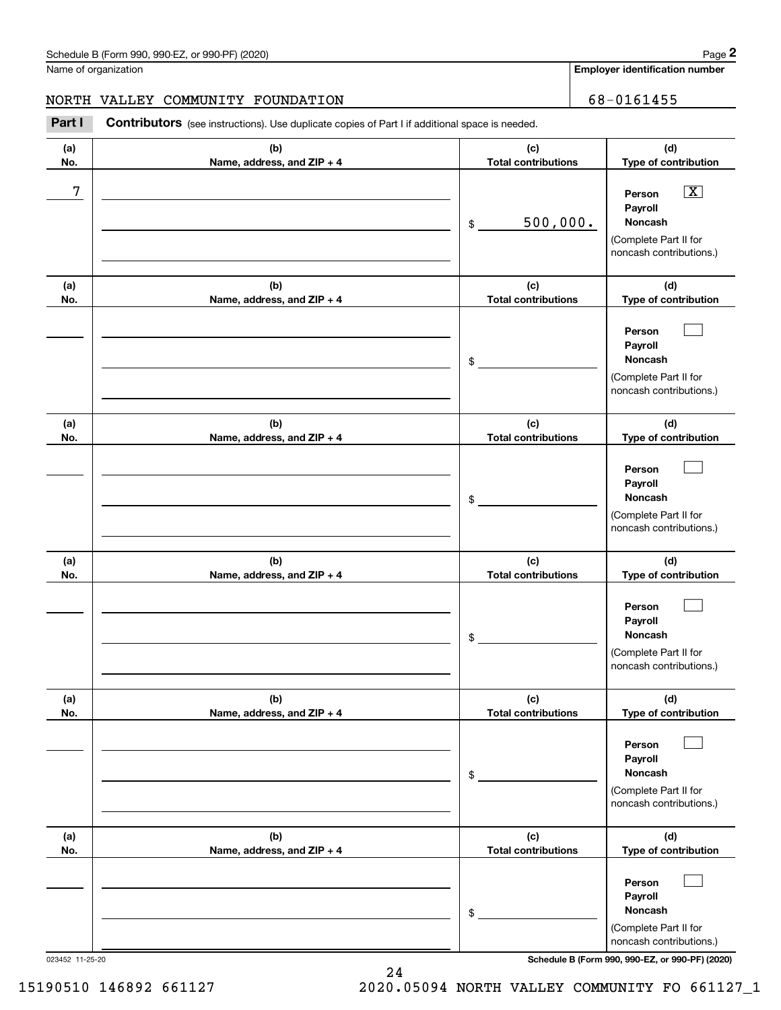**Employer identification number**

### NORTH VALLEY COMMUNITY FOUNDATION 68-0161455

Contributors (see instructions). Use duplicate copies of Part I if additional space is needed. **2** Chedule B (Form 990, 990-EZ, or 990-PF) (2020)<br> **2Part II COMMUNITY FOUNDATION**<br> **Part I Contributors** (see instructions). Use duplicate copies of Part I if additional space is needed.

| (a)<br>No. | (b)<br>Name, address, and ZIP + 4 | (c)<br><b>Total contributions</b> | (d)<br>Type of contribution                                                                            |
|------------|-----------------------------------|-----------------------------------|--------------------------------------------------------------------------------------------------------|
| 7          |                                   | 500,000.<br>\$                    | $\boxed{\text{X}}$<br>Person<br>Payroll<br>Noncash<br>(Complete Part II for<br>noncash contributions.) |
| (a)<br>No. | (b)<br>Name, address, and ZIP + 4 | (c)<br><b>Total contributions</b> | (d)<br>Type of contribution                                                                            |
|            |                                   | \$                                | Person<br>Payroll<br>Noncash<br>(Complete Part II for<br>noncash contributions.)                       |
| (a)<br>No. | (b)<br>Name, address, and ZIP + 4 | (c)<br><b>Total contributions</b> | (d)<br>Type of contribution                                                                            |
|            |                                   | \$                                | Person<br>Payroll<br><b>Noncash</b><br>(Complete Part II for<br>noncash contributions.)                |
| (a)<br>No. | (b)<br>Name, address, and ZIP + 4 | (c)<br><b>Total contributions</b> | (d)<br>Type of contribution                                                                            |
|            |                                   | $\frac{1}{2}$                     | Person<br>Payroll<br>Noncash<br>(Complete Part II for<br>noncash contributions.)                       |
| (a)<br>No. | (b)<br>Name, address, and ZIP + 4 | (c)<br><b>Total contributions</b> | (d)<br>Type of contribution                                                                            |
|            |                                   | \$                                | Person<br>Payroll<br>Noncash<br>(Complete Part II for<br>noncash contributions.)                       |
| (a)<br>No. | (b)<br>Name, address, and ZIP + 4 | (c)<br><b>Total contributions</b> | (d)<br>Type of contribution                                                                            |
|            |                                   | \$                                | Person<br>Payroll<br>Noncash<br>(Complete Part II for<br>noncash contributions.)                       |

023452 11-25-20 **Schedule B (Form 990, 990-EZ, or 990-PF) (2020)**

15190510 146892 661127 2020.05094 NORTH VALLEY COMMUNITY FO 661127\_1

24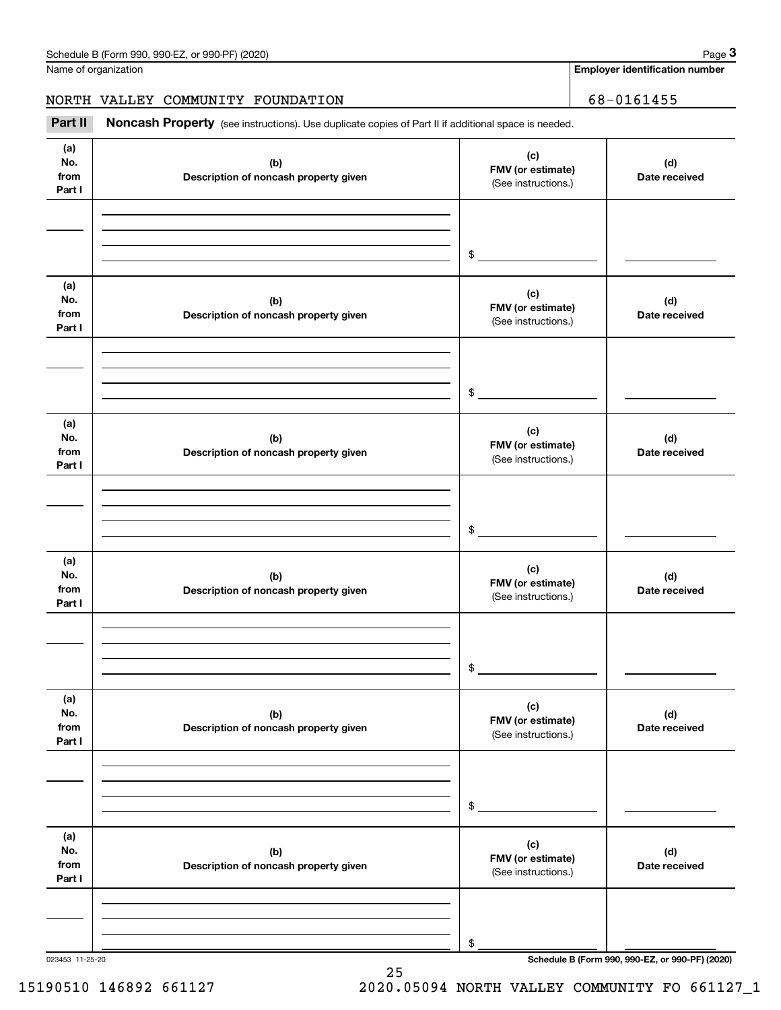**Employer identification number**

NORTH VALLEY COMMUNITY FOUNDATION 68-0161455

(see instructions). Use duplicate copies of Part II if additional space is needed.<br> **3Part II Noncash Property** (see instructions). Use duplicate copies of Part II if additional space is needed.<br> **3Part II Noncash Prop** 

| (a)<br>No.<br>from<br>Part I | (b)<br>Description of noncash property given | (c)<br>FMV (or estimate)<br>(See instructions.) | (d)<br>Date received |
|------------------------------|----------------------------------------------|-------------------------------------------------|----------------------|
|                              |                                              |                                                 |                      |
|                              |                                              |                                                 |                      |
|                              |                                              | $$\overbrace{\hspace{2.5cm}}$                   |                      |
|                              |                                              |                                                 |                      |
| (a)<br>No.                   | (b)                                          | (c)                                             | (d)                  |
| from                         | Description of noncash property given        | FMV (or estimate)<br>(See instructions.)        | Date received        |
| Part I                       |                                              |                                                 |                      |
|                              |                                              |                                                 |                      |
|                              |                                              |                                                 |                      |
|                              |                                              | $\frac{1}{2}$                                   |                      |
| (a)                          |                                              |                                                 |                      |
| No.                          | (b)                                          | (c)<br>FMV (or estimate)                        | (d)                  |
| from<br>Part I               | Description of noncash property given        | (See instructions.)                             | Date received        |
|                              |                                              |                                                 |                      |
|                              |                                              |                                                 |                      |
|                              |                                              | $\frac{1}{2}$                                   |                      |
|                              |                                              |                                                 |                      |
| (a)                          |                                              | (c)                                             |                      |
| No.<br>from                  | (b)<br>Description of noncash property given | FMV (or estimate)                               | (d)<br>Date received |
| Part I                       |                                              | (See instructions.)                             |                      |
|                              |                                              |                                                 |                      |
|                              |                                              |                                                 |                      |
|                              |                                              | $\mathsf{\$}$                                   |                      |
| (a)                          |                                              |                                                 |                      |
| No.                          | (b)                                          | (c)                                             | (d)                  |
| from                         | Description of noncash property given        | FMV (or estimate)<br>(See instructions.)        | Date received        |
| Part I                       |                                              |                                                 |                      |
|                              |                                              |                                                 |                      |
|                              |                                              |                                                 |                      |
|                              |                                              | $\$$                                            |                      |
| (a)                          |                                              | (c)                                             |                      |
| No.<br>from                  | (b)                                          | FMV (or estimate)                               | (d)                  |
| Part I                       | Description of noncash property given        | (See instructions.)                             | Date received        |
|                              |                                              |                                                 |                      |
|                              |                                              |                                                 |                      |
|                              |                                              | \$                                              |                      |
|                              |                                              |                                                 |                      |

25

023453 11-25-20 **Schedule B (Form 990, 990-EZ, or 990-PF) (2020)**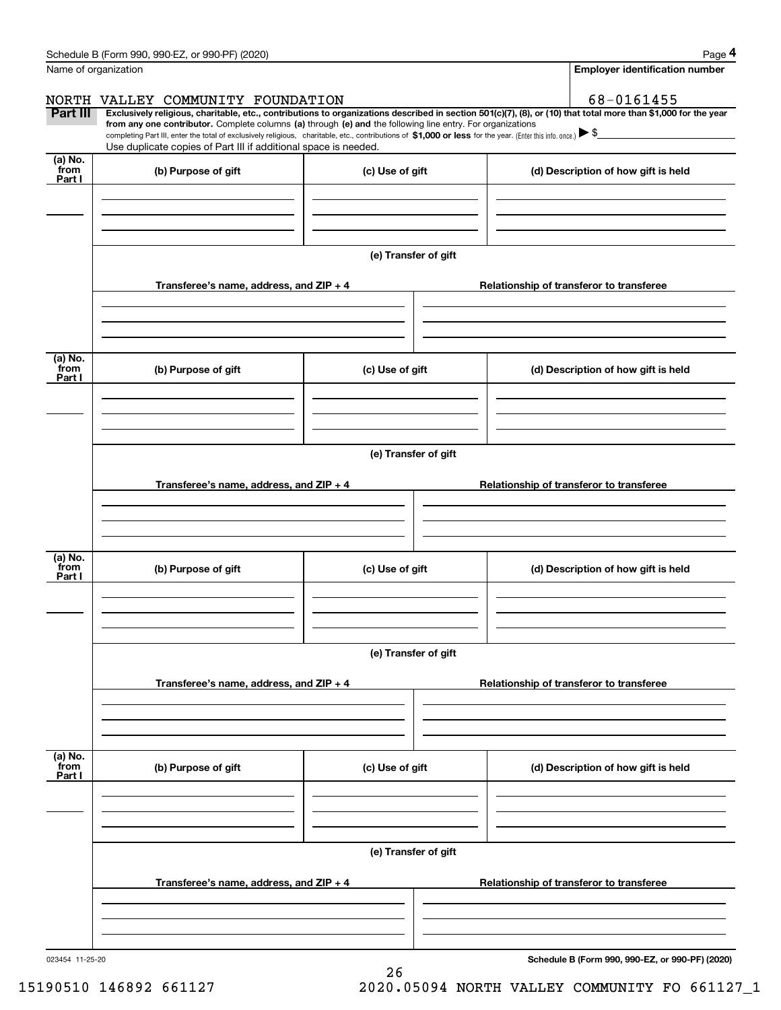| Schedule B (Form 990, 990-EZ, or 990-PF) (2020) | Page |
|-------------------------------------------------|------|
|-------------------------------------------------|------|

|--|--|--|

|                           | Schedule B (Form 990, 990-EZ, or 990-PF) (2020)                                                                                                                                                                                                                                                                                               |                      | Page 4                                                                                                                                                         |
|---------------------------|-----------------------------------------------------------------------------------------------------------------------------------------------------------------------------------------------------------------------------------------------------------------------------------------------------------------------------------------------|----------------------|----------------------------------------------------------------------------------------------------------------------------------------------------------------|
| Name of organization      |                                                                                                                                                                                                                                                                                                                                               |                      | <b>Employer identification number</b>                                                                                                                          |
| NORTH                     | VALLEY COMMUNITY FOUNDATION                                                                                                                                                                                                                                                                                                                   |                      | 68-0161455                                                                                                                                                     |
| <b>Part III</b>           | from any one contributor. Complete columns (a) through (e) and the following line entry. For organizations<br>completing Part III, enter the total of exclusively religious, charitable, etc., contributions of \$1,000 or less for the year. (Enter this info. once.) \\$<br>Use duplicate copies of Part III if additional space is needed. |                      | Exclusively religious, charitable, etc., contributions to organizations described in section 501(c)(7), (8), or (10) that total more than \$1,000 for the year |
| (a) No.                   |                                                                                                                                                                                                                                                                                                                                               |                      |                                                                                                                                                                |
| from<br>Part I            | (b) Purpose of gift                                                                                                                                                                                                                                                                                                                           | (c) Use of gift      | (d) Description of how gift is held                                                                                                                            |
|                           |                                                                                                                                                                                                                                                                                                                                               | (e) Transfer of gift |                                                                                                                                                                |
|                           | Transferee's name, address, and ZIP + 4                                                                                                                                                                                                                                                                                                       |                      | Relationship of transferor to transferee                                                                                                                       |
| (a) No.<br>from           | (b) Purpose of gift                                                                                                                                                                                                                                                                                                                           | (c) Use of gift      | (d) Description of how gift is held                                                                                                                            |
| Part I                    |                                                                                                                                                                                                                                                                                                                                               |                      |                                                                                                                                                                |
|                           |                                                                                                                                                                                                                                                                                                                                               | (e) Transfer of gift |                                                                                                                                                                |
|                           | Transferee's name, address, and ZIP + 4                                                                                                                                                                                                                                                                                                       |                      | Relationship of transferor to transferee                                                                                                                       |
| (a) No.<br>from           | (b) Purpose of gift                                                                                                                                                                                                                                                                                                                           | (c) Use of gift      | (d) Description of how gift is held                                                                                                                            |
| Part I                    |                                                                                                                                                                                                                                                                                                                                               |                      |                                                                                                                                                                |
|                           |                                                                                                                                                                                                                                                                                                                                               | (e) Transfer of gift |                                                                                                                                                                |
|                           | Transferee's name, address, and $ZIP + 4$                                                                                                                                                                                                                                                                                                     |                      | Relationship of transferor to transferee                                                                                                                       |
| (a) No.<br>from<br>Part I | (b) Purpose of gift                                                                                                                                                                                                                                                                                                                           | (c) Use of gift      | (d) Description of how gift is held                                                                                                                            |
|                           |                                                                                                                                                                                                                                                                                                                                               |                      |                                                                                                                                                                |
|                           |                                                                                                                                                                                                                                                                                                                                               | (e) Transfer of gift |                                                                                                                                                                |
|                           | Transferee's name, address, and $ZIP + 4$                                                                                                                                                                                                                                                                                                     |                      | Relationship of transferor to transferee                                                                                                                       |
|                           |                                                                                                                                                                                                                                                                                                                                               |                      |                                                                                                                                                                |

26

**Schedule B (Form 990, 990-EZ, or 990-PF) (2020)**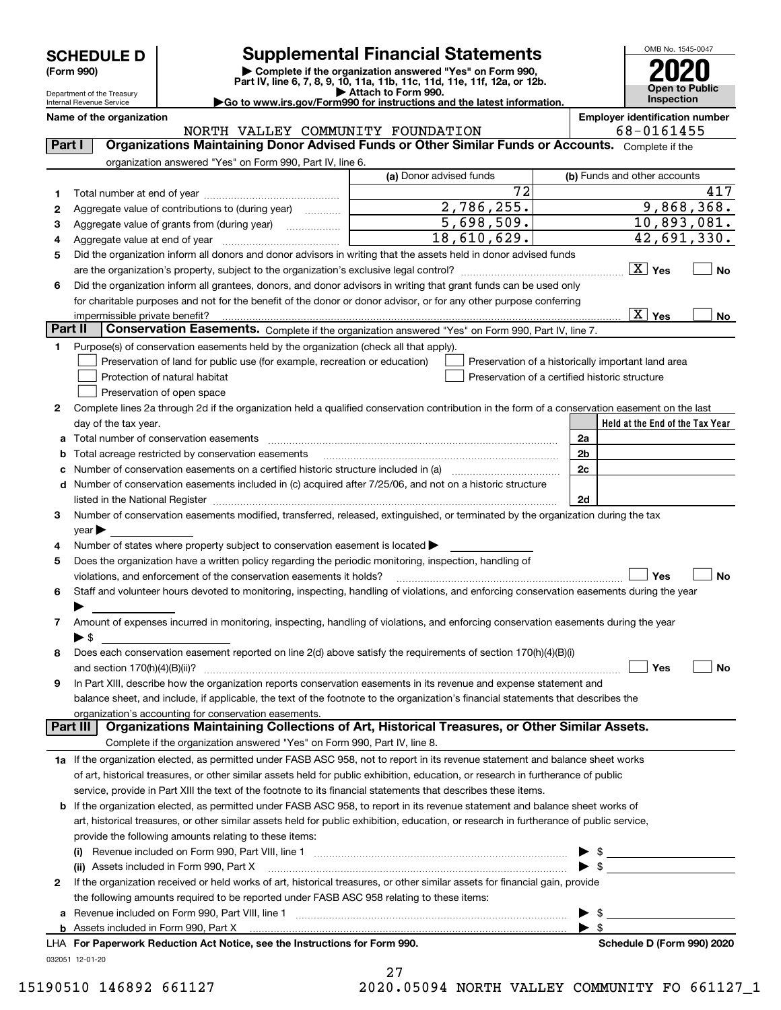| <b>SCHEDULE D</b> |  |
|-------------------|--|
|-------------------|--|

| (Form 990) |  |
|------------|--|
|------------|--|

## **SCHEDULE D Supplemental Financial Statements**

(Form 990)<br>
Pepartment of the Treasury<br>
Department of the Treasury<br>
Department of the Treasury<br>
Department of the Treasury<br> **Co to www.irs.gov/Form990 for instructions and the latest information.**<br> **Co to www.irs.gov/Form9** 



Department of the Treasury Internal Revenue Service

**Name of the organization Employer identification number**

|         | NORTH VALLEY COMMUNITY FOUNDATION                                                                                                                                                                                              |                                                | 68-0161455                                         |  |  |
|---------|--------------------------------------------------------------------------------------------------------------------------------------------------------------------------------------------------------------------------------|------------------------------------------------|----------------------------------------------------|--|--|
| Part I  | Organizations Maintaining Donor Advised Funds or Other Similar Funds or Accounts. Complete if the                                                                                                                              |                                                |                                                    |  |  |
|         | organization answered "Yes" on Form 990, Part IV, line 6.                                                                                                                                                                      |                                                |                                                    |  |  |
|         |                                                                                                                                                                                                                                | (a) Donor advised funds                        | (b) Funds and other accounts                       |  |  |
| 1       |                                                                                                                                                                                                                                | $\overline{72}$                                | 417                                                |  |  |
| 2       | Aggregate value of contributions to (during year)                                                                                                                                                                              | 2,786,255.                                     | 9,868,368.                                         |  |  |
| з       | Aggregate value of grants from (during year) <i>mimimimimial</i>                                                                                                                                                               | 5,698,509.                                     | 10,893,081.                                        |  |  |
| 4       |                                                                                                                                                                                                                                | 18,610,629.                                    | 42,691,330.                                        |  |  |
| 5       | Did the organization inform all donors and donor advisors in writing that the assets held in donor advised funds                                                                                                               |                                                |                                                    |  |  |
|         | are the organization's property, subject to the organization's exclusive legal control?                                                                                                                                        |                                                | $X$ Yes<br>No                                      |  |  |
| 6       | Did the organization inform all grantees, donors, and donor advisors in writing that grant funds can be used only                                                                                                              |                                                |                                                    |  |  |
|         | for charitable purposes and not for the benefit of the donor or donor advisor, or for any other purpose conferring                                                                                                             |                                                |                                                    |  |  |
|         | impermissible private benefit?                                                                                                                                                                                                 |                                                | $\boxed{\text{X}}$ Yes<br>No                       |  |  |
| Part II | Conservation Easements. Complete if the organization answered "Yes" on Form 990, Part IV, line 7.                                                                                                                              |                                                |                                                    |  |  |
| 1       | Purpose(s) of conservation easements held by the organization (check all that apply).                                                                                                                                          |                                                |                                                    |  |  |
|         | Preservation of land for public use (for example, recreation or education)                                                                                                                                                     |                                                | Preservation of a historically important land area |  |  |
|         | Protection of natural habitat                                                                                                                                                                                                  | Preservation of a certified historic structure |                                                    |  |  |
|         | Preservation of open space                                                                                                                                                                                                     |                                                |                                                    |  |  |
|         |                                                                                                                                                                                                                                |                                                |                                                    |  |  |
| 2       | Complete lines 2a through 2d if the organization held a qualified conservation contribution in the form of a conservation easement on the last                                                                                 |                                                | Held at the End of the Tax Year                    |  |  |
|         | day of the tax year.<br>Total number of conservation easements                                                                                                                                                                 |                                                |                                                    |  |  |
| а       |                                                                                                                                                                                                                                |                                                | 2a                                                 |  |  |
|         | Total acreage restricted by conservation easements                                                                                                                                                                             |                                                | 2 <sub>b</sub>                                     |  |  |
|         | Number of conservation easements on a certified historic structure included in (a) manu-conservation exercises                                                                                                                 |                                                | 2c                                                 |  |  |
| d       | Number of conservation easements included in (c) acquired after 7/25/06, and not on a historic structure                                                                                                                       |                                                |                                                    |  |  |
|         | listed in the National Register [111] increases: the National Register [11] increases: the National Register [11] increases: the National Register [11] increases: the National Register [11] increases: the National Register |                                                | 2d                                                 |  |  |
| з       | Number of conservation easements modified, transferred, released, extinguished, or terminated by the organization during the tax                                                                                               |                                                |                                                    |  |  |
|         | $\vee$ ear                                                                                                                                                                                                                     |                                                |                                                    |  |  |
| 4       | Number of states where property subject to conservation easement is located >                                                                                                                                                  |                                                |                                                    |  |  |
| 5       | Does the organization have a written policy regarding the periodic monitoring, inspection, handling of                                                                                                                         |                                                |                                                    |  |  |
|         | violations, and enforcement of the conservation easements it holds?                                                                                                                                                            |                                                | Yes<br>No                                          |  |  |
| 6       | Staff and volunteer hours devoted to monitoring, inspecting, handling of violations, and enforcing conservation easements during the year                                                                                      |                                                |                                                    |  |  |
|         |                                                                                                                                                                                                                                |                                                |                                                    |  |  |
| 7       | Amount of expenses incurred in monitoring, inspecting, handling of violations, and enforcing conservation easements during the year                                                                                            |                                                |                                                    |  |  |
|         | ► \$                                                                                                                                                                                                                           |                                                |                                                    |  |  |
| 8       | Does each conservation easement reported on line 2(d) above satisfy the requirements of section 170(h)(4)(B)(i)                                                                                                                |                                                |                                                    |  |  |
|         | and section $170(h)(4)(B)(ii)?$                                                                                                                                                                                                |                                                | Yes<br>No                                          |  |  |
| 9       | In Part XIII, describe how the organization reports conservation easements in its revenue and expense statement and                                                                                                            |                                                |                                                    |  |  |
|         | balance sheet, and include, if applicable, the text of the footnote to the organization's financial statements that describes the                                                                                              |                                                |                                                    |  |  |
|         | organization's accounting for conservation easements.<br>Organizations Maintaining Collections of Art, Historical Treasures, or Other Similar Assets.                                                                          |                                                |                                                    |  |  |
|         | Part III                                                                                                                                                                                                                       |                                                |                                                    |  |  |
|         | Complete if the organization answered "Yes" on Form 990, Part IV, line 8.                                                                                                                                                      |                                                |                                                    |  |  |
|         | 1a If the organization elected, as permitted under FASB ASC 958, not to report in its revenue statement and balance sheet works                                                                                                |                                                |                                                    |  |  |
|         | of art, historical treasures, or other similar assets held for public exhibition, education, or research in furtherance of public                                                                                              |                                                |                                                    |  |  |
|         | service, provide in Part XIII the text of the footnote to its financial statements that describes these items.                                                                                                                 |                                                |                                                    |  |  |
| b       | If the organization elected, as permitted under FASB ASC 958, to report in its revenue statement and balance sheet works of                                                                                                    |                                                |                                                    |  |  |
|         | art, historical treasures, or other similar assets held for public exhibition, education, or research in furtherance of public service,                                                                                        |                                                |                                                    |  |  |
|         | provide the following amounts relating to these items:                                                                                                                                                                         |                                                |                                                    |  |  |
|         |                                                                                                                                                                                                                                |                                                |                                                    |  |  |
|         | (ii) Assets included in Form 990, Part X                                                                                                                                                                                       |                                                |                                                    |  |  |
| 2       | If the organization received or held works of art, historical treasures, or other similar assets for financial gain, provide                                                                                                   |                                                |                                                    |  |  |
|         | the following amounts required to be reported under FASB ASC 958 relating to these items:                                                                                                                                      |                                                |                                                    |  |  |
| а       | Revenue included on Form 990, Part VIII, line 1 [2000] [2000] [2000] [2000] [3000] [3000] [3000] [3000] [3000                                                                                                                  |                                                |                                                    |  |  |
|         | <b>b</b> Assets included in Form 990, Part X                                                                                                                                                                                   |                                                | $\blacktriangleright$ s                            |  |  |
|         | LHA For Paperwork Reduction Act Notice, see the Instructions for Form 990.                                                                                                                                                     |                                                | Schedule D (Form 990) 2020                         |  |  |
|         | 032051 12-01-20                                                                                                                                                                                                                |                                                |                                                    |  |  |

| 27     |        |                                           |
|--------|--------|-------------------------------------------|
| $\sim$ | 0.0001 | $\sim$ $\sim$ $\sim$ $\sim$ $\sim$ $\sim$ |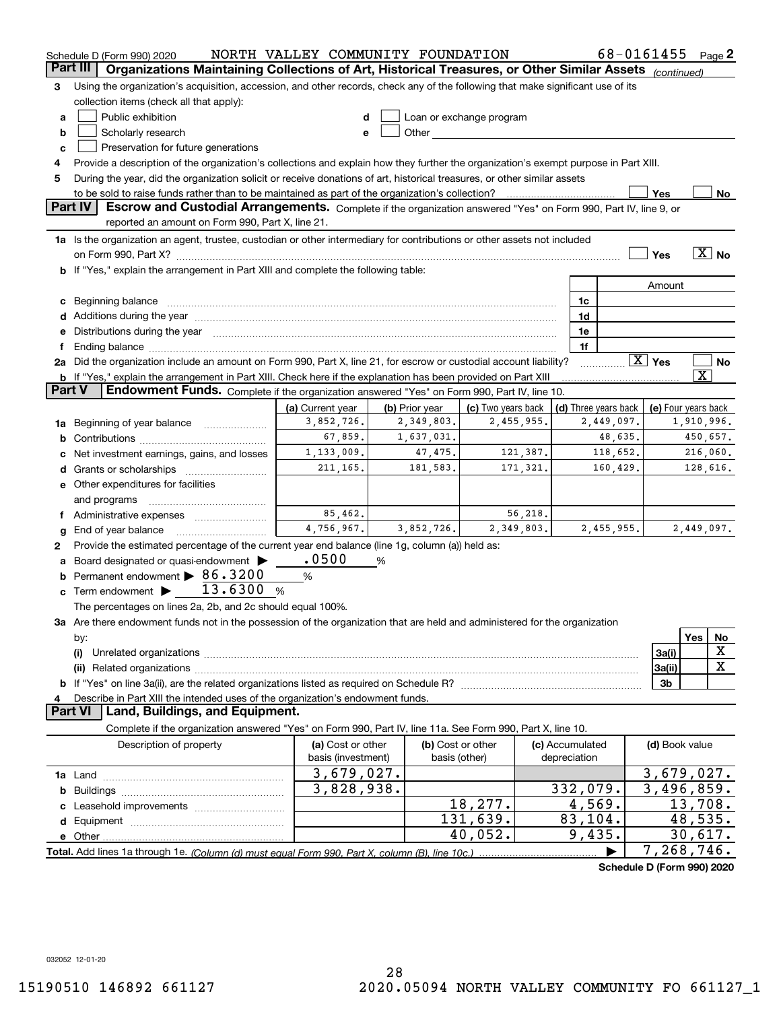|        | Schedule D (Form 990) 2020                                                                                                                                                                                                     | NORTH VALLEY COMMUNITY FOUNDATION |                   |                          |                 | 68-0161455           |                        | Page $2$                   |
|--------|--------------------------------------------------------------------------------------------------------------------------------------------------------------------------------------------------------------------------------|-----------------------------------|-------------------|--------------------------|-----------------|----------------------|------------------------|----------------------------|
|        | Organizations Maintaining Collections of Art, Historical Treasures, or Other Similar Assets (continued)<br>Part III                                                                                                            |                                   |                   |                          |                 |                      |                        |                            |
| 3      | Using the organization's acquisition, accession, and other records, check any of the following that make significant use of its                                                                                                |                                   |                   |                          |                 |                      |                        |                            |
|        | collection items (check all that apply):                                                                                                                                                                                       |                                   |                   |                          |                 |                      |                        |                            |
| а      | Public exhibition                                                                                                                                                                                                              |                                   |                   | Loan or exchange program |                 |                      |                        |                            |
| b      | Scholarly research                                                                                                                                                                                                             | e                                 |                   |                          |                 |                      |                        |                            |
| c      | Preservation for future generations                                                                                                                                                                                            |                                   |                   |                          |                 |                      |                        |                            |
| 4      | Provide a description of the organization's collections and explain how they further the organization's exempt purpose in Part XIII.                                                                                           |                                   |                   |                          |                 |                      |                        |                            |
| 5      | During the year, did the organization solicit or receive donations of art, historical treasures, or other similar assets                                                                                                       |                                   |                   |                          |                 |                      |                        |                            |
|        | to be sold to raise funds rather than to be maintained as part of the organization's collection?                                                                                                                               |                                   |                   |                          |                 |                      | Yes                    | <u>No</u>                  |
|        | Part IV<br>Escrow and Custodial Arrangements. Complete if the organization answered "Yes" on Form 990, Part IV, line 9, or                                                                                                     |                                   |                   |                          |                 |                      |                        |                            |
|        | reported an amount on Form 990, Part X, line 21.                                                                                                                                                                               |                                   |                   |                          |                 |                      |                        |                            |
|        | 1a Is the organization an agent, trustee, custodian or other intermediary for contributions or other assets not included                                                                                                       |                                   |                   |                          |                 |                      |                        |                            |
|        | on Form 990, Part X? [11] matter contracts and contracts and contracts are contracted and contracts are contracted and contract and contract of the set of the set of the set of the set of the set of the set of the set of t |                                   |                   |                          |                 |                      | Yes                    | $\overline{X}$ No          |
|        | <b>b</b> If "Yes," explain the arrangement in Part XIII and complete the following table:                                                                                                                                      |                                   |                   |                          |                 |                      |                        |                            |
|        |                                                                                                                                                                                                                                |                                   |                   |                          |                 |                      | Amount                 |                            |
| с      | Beginning balance material continuum contracts and all the contracts of the contracts of the contracts of the contracts of the contracts of the contracts of the contracts of the contracts of the contracts of the contracts  |                                   |                   |                          | 1c              |                      |                        |                            |
|        | Additions during the year manufactured and an annual contract of the year manufactured and all the year manufactured and all the year manufactured and all the year manufactured and all the year manufactured and all the yea |                                   |                   |                          | 1d              |                      |                        |                            |
|        | Distributions during the year manufactured and continuum and contact the year manufactured and contact the year                                                                                                                |                                   |                   |                          | 1e              |                      |                        |                            |
|        | Ending balance manufactured and contract and contract and contract and contract and contract and contract and                                                                                                                  |                                   |                   |                          | 1f              |                      |                        |                            |
|        | 2a Did the organization include an amount on Form 990, Part X, line 21, for escrow or custodial account liability?                                                                                                             |                                   |                   |                          |                 |                      | $\boxed{\text{X}}$ Yes | No                         |
|        | <b>b</b> If "Yes," explain the arrangement in Part XIII. Check here if the explanation has been provided on Part XIII                                                                                                          |                                   |                   |                          |                 |                      |                        | $\overline{\texttt{X}}$    |
| Part V | Endowment Funds. Complete if the organization answered "Yes" on Form 990, Part IV, line 10.                                                                                                                                    |                                   |                   |                          |                 |                      |                        |                            |
|        |                                                                                                                                                                                                                                | (a) Current year                  | (b) Prior year    | (c) Two years back       |                 | (d) Three years back |                        | (e) Four years back        |
| 1a     | Beginning of year balance                                                                                                                                                                                                      | 3,852,726.                        | 2,349,803.        | 2,455,955.               |                 | 2,449,097.           |                        | 1,910,996.                 |
|        |                                                                                                                                                                                                                                | 67,859.                           | 1,637,031.        |                          |                 | 48,635.              |                        | 450,657.                   |
|        | Net investment earnings, gains, and losses                                                                                                                                                                                     | 1,133,009.                        | 47,475.           | 121,387.                 |                 | 118,652.             |                        | 216,060.                   |
|        |                                                                                                                                                                                                                                | 211, 165.                         | 181,583.          | 171,321.                 |                 | 160,429.             |                        | 128,616.                   |
|        | e Other expenditures for facilities                                                                                                                                                                                            |                                   |                   |                          |                 |                      |                        |                            |
|        | and programs                                                                                                                                                                                                                   |                                   |                   |                          |                 |                      |                        |                            |
|        | f Administrative expenses                                                                                                                                                                                                      | 85,462.                           |                   | 56,218.                  |                 |                      |                        |                            |
|        | End of year balance                                                                                                                                                                                                            | 4,756,967.                        | 3,852,726.        | 2,349,803.               |                 | 2,455,955.           |                        | 2,449,097.                 |
| 2      | Provide the estimated percentage of the current year end balance (line 1g, column (a)) held as:                                                                                                                                |                                   |                   |                          |                 |                      |                        |                            |
|        | Board designated or quasi-endowment >                                                                                                                                                                                          | .0500                             | %                 |                          |                 |                      |                        |                            |
|        | Permanent endowment > 86.3200                                                                                                                                                                                                  | %                                 |                   |                          |                 |                      |                        |                            |
| с      | Term endowment $\blacktriangleright$ 13.6300<br>%                                                                                                                                                                              |                                   |                   |                          |                 |                      |                        |                            |
|        | The percentages on lines 2a, 2b, and 2c should equal 100%.                                                                                                                                                                     |                                   |                   |                          |                 |                      |                        |                            |
|        | 3a Are there endowment funds not in the possession of the organization that are held and administered for the organization                                                                                                     |                                   |                   |                          |                 |                      |                        |                            |
|        | by:                                                                                                                                                                                                                            |                                   |                   |                          |                 |                      |                        | Yes<br>No                  |
|        | (i)                                                                                                                                                                                                                            |                                   |                   |                          |                 |                      | 3a(i)                  | X                          |
|        |                                                                                                                                                                                                                                |                                   |                   |                          |                 |                      | 3a(ii)                 | $\mathbf X$                |
|        |                                                                                                                                                                                                                                |                                   |                   |                          |                 |                      | 3b                     |                            |
|        | Describe in Part XIII the intended uses of the organization's endowment funds.                                                                                                                                                 |                                   |                   |                          |                 |                      |                        |                            |
|        | Land, Buildings, and Equipment.<br><b>Part VI</b>                                                                                                                                                                              |                                   |                   |                          |                 |                      |                        |                            |
|        | Complete if the organization answered "Yes" on Form 990, Part IV, line 11a. See Form 990, Part X, line 10.                                                                                                                     |                                   |                   |                          |                 |                      |                        |                            |
|        | Description of property                                                                                                                                                                                                        | (a) Cost or other                 | (b) Cost or other |                          | (c) Accumulated |                      | (d) Book value         |                            |
|        |                                                                                                                                                                                                                                | basis (investment)                |                   | basis (other)            | depreciation    |                      |                        |                            |
|        |                                                                                                                                                                                                                                | 3,679,027.                        |                   |                          |                 |                      |                        | 3,679,027.                 |
| b      |                                                                                                                                                                                                                                | 3,828,938.                        |                   |                          | 332,079.        |                      |                        | 3,496,859.                 |
|        | Leasehold improvements                                                                                                                                                                                                         |                                   |                   | 18,277.                  | 4,569.          |                      |                        | 13,708.                    |
| d      |                                                                                                                                                                                                                                |                                   |                   | 131,639.                 | 83,104.         |                      |                        | 48,535.                    |
|        |                                                                                                                                                                                                                                |                                   |                   | 40,052.                  | 9,435.          |                      |                        | 30,617.                    |
|        | Total. Add lines 1a through 1e. (Column (d) must equal Form 990. Part X. column (B). line 10c.)                                                                                                                                |                                   |                   |                          |                 |                      | 7,268,746.             |                            |
|        |                                                                                                                                                                                                                                |                                   |                   |                          |                 |                      |                        | Schedule D (Form 990) 2020 |

032052 12-01-20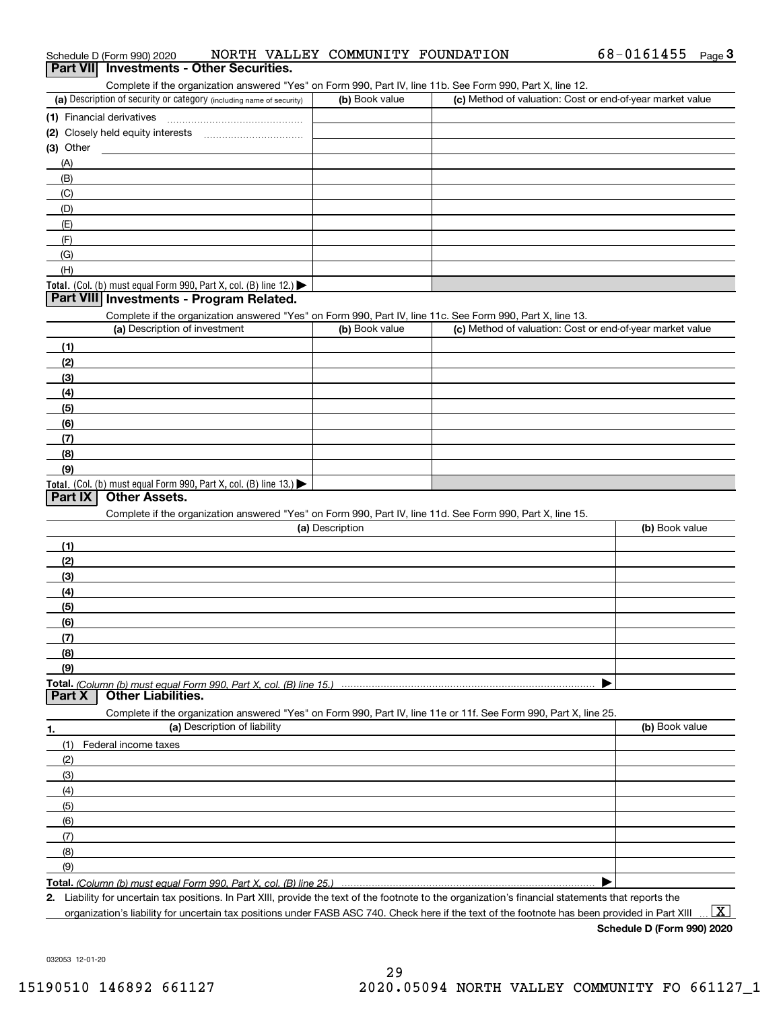| (a) Description of security or category (including name of security)                                                                                 | (b) Book value  | (c) Method of valuation: Cost or end-of-year market value |                |
|------------------------------------------------------------------------------------------------------------------------------------------------------|-----------------|-----------------------------------------------------------|----------------|
| (1) Financial derivatives                                                                                                                            |                 |                                                           |                |
| (2) Closely held equity interests                                                                                                                    |                 |                                                           |                |
| (3) Other                                                                                                                                            |                 |                                                           |                |
| (A)                                                                                                                                                  |                 |                                                           |                |
| (B)                                                                                                                                                  |                 |                                                           |                |
|                                                                                                                                                      |                 |                                                           |                |
| (C)                                                                                                                                                  |                 |                                                           |                |
| (D)                                                                                                                                                  |                 |                                                           |                |
| (E)                                                                                                                                                  |                 |                                                           |                |
| (F)                                                                                                                                                  |                 |                                                           |                |
| (G)                                                                                                                                                  |                 |                                                           |                |
| (H)                                                                                                                                                  |                 |                                                           |                |
| Total. (Col. (b) must equal Form 990, Part X, col. (B) line 12.)                                                                                     |                 |                                                           |                |
| Part VIII Investments - Program Related.                                                                                                             |                 |                                                           |                |
| Complete if the organization answered "Yes" on Form 990, Part IV, line 11c. See Form 990, Part X, line 13.                                           |                 |                                                           |                |
| (a) Description of investment                                                                                                                        | (b) Book value  | (c) Method of valuation: Cost or end-of-year market value |                |
| (1)                                                                                                                                                  |                 |                                                           |                |
| (2)                                                                                                                                                  |                 |                                                           |                |
| (3)                                                                                                                                                  |                 |                                                           |                |
| (4)                                                                                                                                                  |                 |                                                           |                |
| (5)                                                                                                                                                  |                 |                                                           |                |
| (6)                                                                                                                                                  |                 |                                                           |                |
| (7)                                                                                                                                                  |                 |                                                           |                |
| (8)                                                                                                                                                  |                 |                                                           |                |
|                                                                                                                                                      |                 |                                                           |                |
| (9)                                                                                                                                                  |                 |                                                           |                |
| Total. (Col. (b) must equal Form 990, Part X, col. (B) line 13.)<br>Part IX<br><b>Other Assets.</b>                                                  |                 |                                                           |                |
|                                                                                                                                                      |                 |                                                           |                |
| Complete if the organization answered "Yes" on Form 990, Part IV, line 11d. See Form 990, Part X, line 15.                                           |                 |                                                           |                |
|                                                                                                                                                      | (a) Description |                                                           | (b) Book value |
| (1)                                                                                                                                                  |                 |                                                           |                |
| (2)                                                                                                                                                  |                 |                                                           |                |
| (3)                                                                                                                                                  |                 |                                                           |                |
| (4)                                                                                                                                                  |                 |                                                           |                |
| (5)                                                                                                                                                  |                 |                                                           |                |
| (6)                                                                                                                                                  |                 |                                                           |                |
| (7)                                                                                                                                                  |                 |                                                           |                |
| (8)                                                                                                                                                  |                 |                                                           |                |
| (9)                                                                                                                                                  |                 |                                                           |                |
|                                                                                                                                                      |                 |                                                           |                |
| Part X<br><b>Other Liabilities.</b>                                                                                                                  |                 |                                                           |                |
| Complete if the organization answered "Yes" on Form 990, Part IV, line 11e or 11f. See Form 990, Part X, line 25.                                    |                 |                                                           |                |
| (a) Description of liability                                                                                                                         |                 |                                                           | (b) Book value |
| 1.                                                                                                                                                   |                 |                                                           |                |
| (1)<br>Federal income taxes                                                                                                                          |                 |                                                           |                |
| (2)                                                                                                                                                  |                 |                                                           |                |
| (3)                                                                                                                                                  |                 |                                                           |                |
| (4)                                                                                                                                                  |                 |                                                           |                |
| (5)                                                                                                                                                  |                 |                                                           |                |
| (6)                                                                                                                                                  |                 |                                                           |                |
| (7)                                                                                                                                                  |                 |                                                           |                |
| (8)                                                                                                                                                  |                 |                                                           |                |
| (9)                                                                                                                                                  |                 |                                                           |                |
| Total. (Column (b) must equal Form 990, Part X, col. (B) line 25.)                                                                                   |                 |                                                           |                |
| 2. Liability for uncertain tax positions. In Part XIII, provide the text of the footnote to the organization's financial statements that reports the |                 |                                                           |                |

organization's liability for uncertain tax positions under FASB ASC 740. Check here if the text of the footnote has been provided in Part XIII

 $\boxed{\text{X}}$ 

032053 12-01-20

# Schedule D (Form 990) 2020 NORTH VALLEY COMMUNITY FOUNDATION 68-0161455 <sub>Page</sub> 3<br>| **Part VII** | Investments - Other Securities.

Complete if the organization answered "Yes" on Form 990, Part IV, line 11b. See Form 990, Part X, line 12.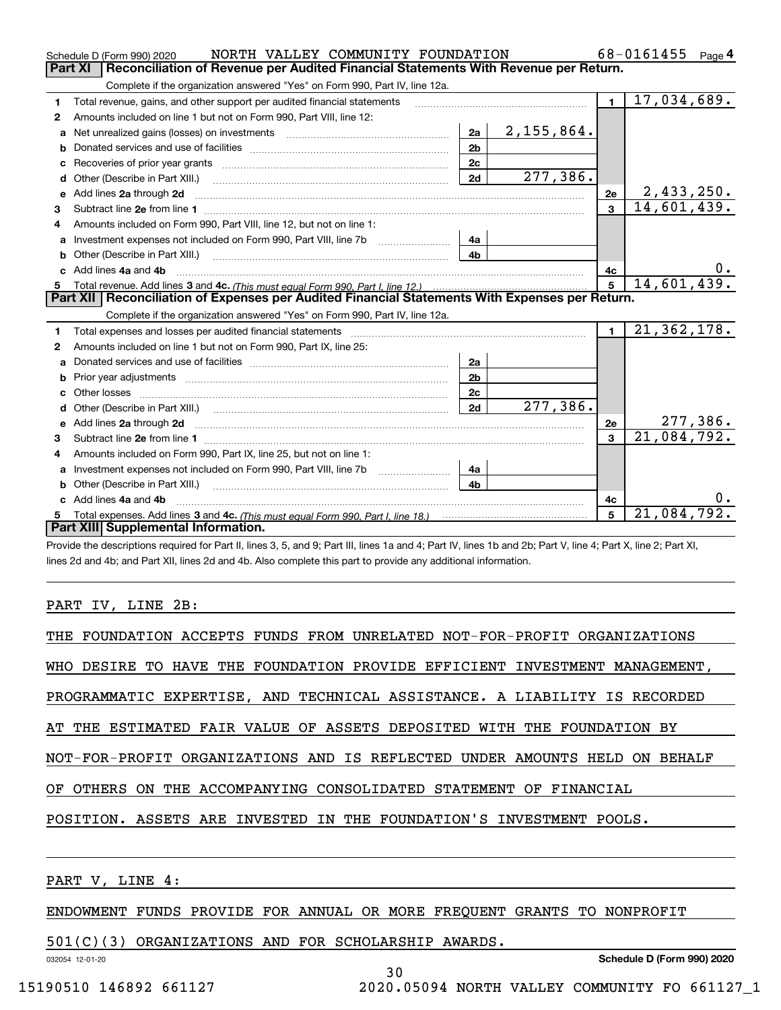|    | NORTH VALLEY COMMUNITY FOUNDATION<br>Schedule D (Form 990) 2020                                                                                                |                |            |                | 68-0161455<br>Page 4      |
|----|----------------------------------------------------------------------------------------------------------------------------------------------------------------|----------------|------------|----------------|---------------------------|
|    | Reconciliation of Revenue per Audited Financial Statements With Revenue per Return.<br>Part XI                                                                 |                |            |                |                           |
|    | Complete if the organization answered "Yes" on Form 990, Part IV, line 12a.                                                                                    |                |            |                |                           |
| 1  | Total revenue, gains, and other support per audited financial statements                                                                                       |                |            | $\blacksquare$ | 17,034,689.               |
| 2  | Amounts included on line 1 but not on Form 990, Part VIII, line 12:                                                                                            |                |            |                |                           |
| a  | Net unrealized gains (losses) on investments [11] matter contracts and the unrealized gains (losses) on investments                                            | 2a             | 2,155,864. |                |                           |
| b  |                                                                                                                                                                | 2 <sub>b</sub> |            |                |                           |
| c  |                                                                                                                                                                | 2c             |            |                |                           |
|    | Other (Describe in Part XIII.) <b>Construction Contract Construction</b> Chemistry Chemistry Chemistry Chemistry Chemistry                                     | 2d             | 277,386.   |                |                           |
| e  | Add lines 2a through 2d <b>must be a constructed as the constant of the constant of the constant of the construction</b>                                       |                |            | 2е             | 2,433,250.                |
| 3  | Subtract line 2e from line 1 <b>Manual Community of the Community</b> Subtract line 2e from line 1                                                             |                |            | $\mathbf{R}$   | 14,601,439.               |
| 4  | Amounts included on Form 990, Part VIII, line 12, but not on line 1:                                                                                           |                |            |                |                           |
| а  |                                                                                                                                                                | 4a             |            |                |                           |
| b  | Other (Describe in Part XIII.) <b>Construction Contract Construction</b> Chemistry Chemistry Chemistry Chemistry Chemistry                                     | 4b             |            |                |                           |
| c. | Add lines 4a and 4b                                                                                                                                            |                |            | 4c             | 0.                        |
| 5  |                                                                                                                                                                |                |            | $5^{\circ}$    | 14,601,439.               |
|    | Part XII   Reconciliation of Expenses per Audited Financial Statements With Expenses per Return.                                                               |                |            |                |                           |
|    | Complete if the organization answered "Yes" on Form 990, Part IV, line 12a.                                                                                    |                |            |                |                           |
| 1  |                                                                                                                                                                |                |            | $\blacksquare$ | $\overline{21,362,178}$ . |
| 2  | Amounts included on line 1 but not on Form 990, Part IX, line 25:                                                                                              |                |            |                |                           |
| a  |                                                                                                                                                                | 2a             |            |                |                           |
| b  |                                                                                                                                                                | 2 <sub>b</sub> |            |                |                           |
|    |                                                                                                                                                                | 2 <sub>c</sub> |            |                |                           |
| d  |                                                                                                                                                                | 2d             | 277,386.   |                |                           |
| e  | Add lines 2a through 2d <b>must be a constructed as the constant of the constant of the constant of the construction</b>                                       |                |            | 2e             | 277,386.                  |
| 3  |                                                                                                                                                                |                |            | 3              | 21,084,792.               |
| 4  | Amounts included on Form 990, Part IX, line 25, but not on line 1:                                                                                             |                |            |                |                           |
| a  |                                                                                                                                                                | 4a             |            |                |                           |
| b  |                                                                                                                                                                | 4 <sub>h</sub> |            |                |                           |
|    | Add lines 4a and 4b                                                                                                                                            |                |            | 4c             | 0.                        |
| 5. |                                                                                                                                                                |                |            | 5              | 21,084,792.               |
|    | Part XIII Supplemental Information.                                                                                                                            |                |            |                |                           |
|    | Provide the descriptions required for Part II, lines 3, 5, and 9; Part III, lines 1a and 4; Part IV, lines 1b and 2b; Part V, line 4; Part X, line 2; Part XI, |                |            |                |                           |

lines 2d and 4b; and Part XII, lines 2d and 4b. Also complete this part to provide any additional information.

#### PART IV, LINE 2B:

| THE FOUNDATION ACCEPTS FUNDS FROM UNRELATED NOT-FOR-PROFIT ORGANIZATIONS   |
|----------------------------------------------------------------------------|
| WHO DESIRE TO HAVE THE FOUNDATION PROVIDE EFFICIENT INVESTMENT MANAGEMENT, |
| PROGRAMMATIC EXPERTISE, AND TECHNICAL ASSISTANCE. A LIABILITY IS RECORDED  |
| AT THE ESTIMATED FAIR VALUE OF ASSETS DEPOSITED WITH THE FOUNDATION BY     |
| NOT-FOR-PROFIT ORGANIZATIONS AND IS REFLECTED UNDER AMOUNTS HELD ON BEHALF |
| OF OTHERS ON THE ACCOMPANYING CONSOLIDATED STATEMENT OF FINANCIAL          |
| POSITION. ASSETS ARE INVESTED IN THE FOUNDATION'S INVESTMENT POOLS.        |
|                                                                            |
|                                                                            |

#### PART V, LINE 4:

### ENDOWMENT FUNDS PROVIDE FOR ANNUAL OR MORE FREQUENT GRANTS TO NONPROFIT

#### 501(C)(3) ORGANIZATIONS AND FOR SCHOLARSHIP AWARDS.

032054 12-01-20

30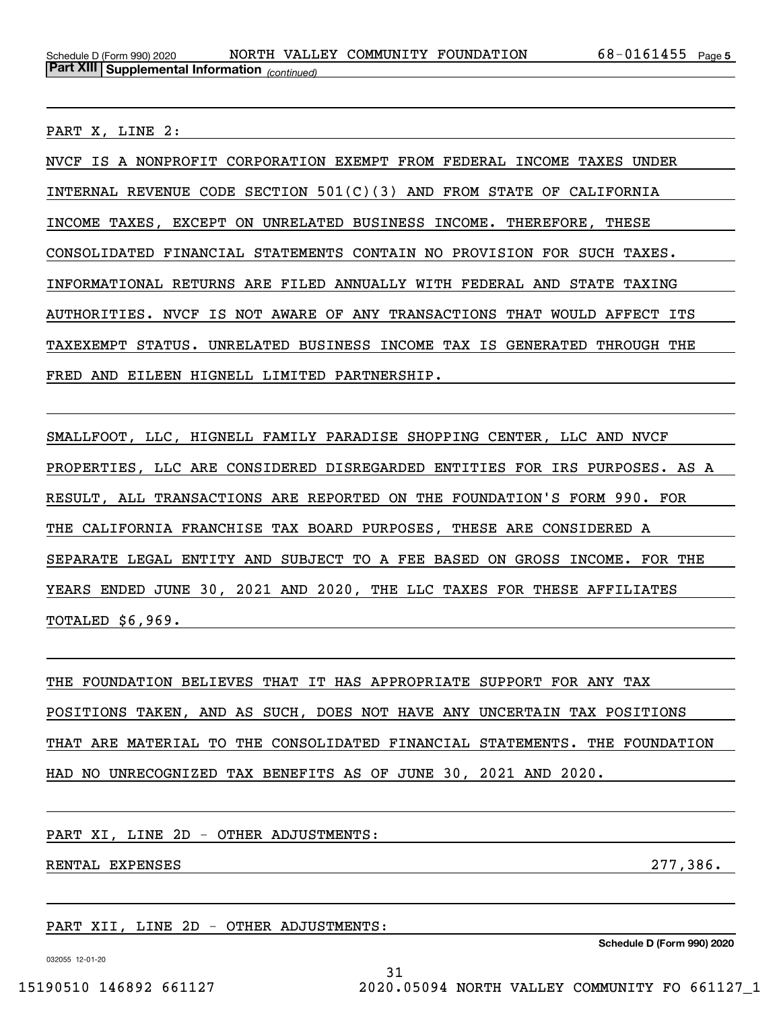PART X, LINE 2:

NVCF IS A NONPROFIT CORPORATION EXEMPT FROM FEDERAL INCOME TAXES UNDER INTERNAL REVENUE CODE SECTION 501(C)(3) AND FROM STATE OF CALIFORNIA INCOME TAXES, EXCEPT ON UNRELATED BUSINESS INCOME. THEREFORE, THESE CONSOLIDATED FINANCIAL STATEMENTS CONTAIN NO PROVISION FOR SUCH TAXES. INFORMATIONAL RETURNS ARE FILED ANNUALLY WITH FEDERAL AND STATE TAXING AUTHORITIES. NVCF IS NOT AWARE OF ANY TRANSACTIONS THAT WOULD AFFECT ITS TAXEXEMPT STATUS. UNRELATED BUSINESS INCOME TAX IS GENERATED THROUGH THE FRED AND EILEEN HIGNELL LIMITED PARTNERSHIP.

SMALLFOOT, LLC, HIGNELL FAMILY PARADISE SHOPPING CENTER, LLC AND NVCF PROPERTIES, LLC ARE CONSIDERED DISREGARDED ENTITIES FOR IRS PURPOSES. AS A RESULT, ALL TRANSACTIONS ARE REPORTED ON THE FOUNDATION'S FORM 990. FOR THE CALIFORNIA FRANCHISE TAX BOARD PURPOSES, THESE ARE CONSIDERED A SEPARATE LEGAL ENTITY AND SUBJECT TO A FEE BASED ON GROSS INCOME. FOR THE YEARS ENDED JUNE 30, 2021 AND 2020, THE LLC TAXES FOR THESE AFFILIATES TOTALED \$6,969.

THE FOUNDATION BELIEVES THAT IT HAS APPROPRIATE SUPPORT FOR ANY TAX POSITIONS TAKEN, AND AS SUCH, DOES NOT HAVE ANY UNCERTAIN TAX POSITIONS THAT ARE MATERIAL TO THE CONSOLIDATED FINANCIAL STATEMENTS. THE FOUNDATION HAD NO UNRECOGNIZED TAX BENEFITS AS OF JUNE 30, 2021 AND 2020.

31

PART XI, LINE 2D - OTHER ADJUSTMENTS:

RENTAL EXPENSES 277, 286.

PART XII, LINE 2D - OTHER ADJUSTMENTS:

032055 12-01-20

**Schedule D (Form 990) 2020**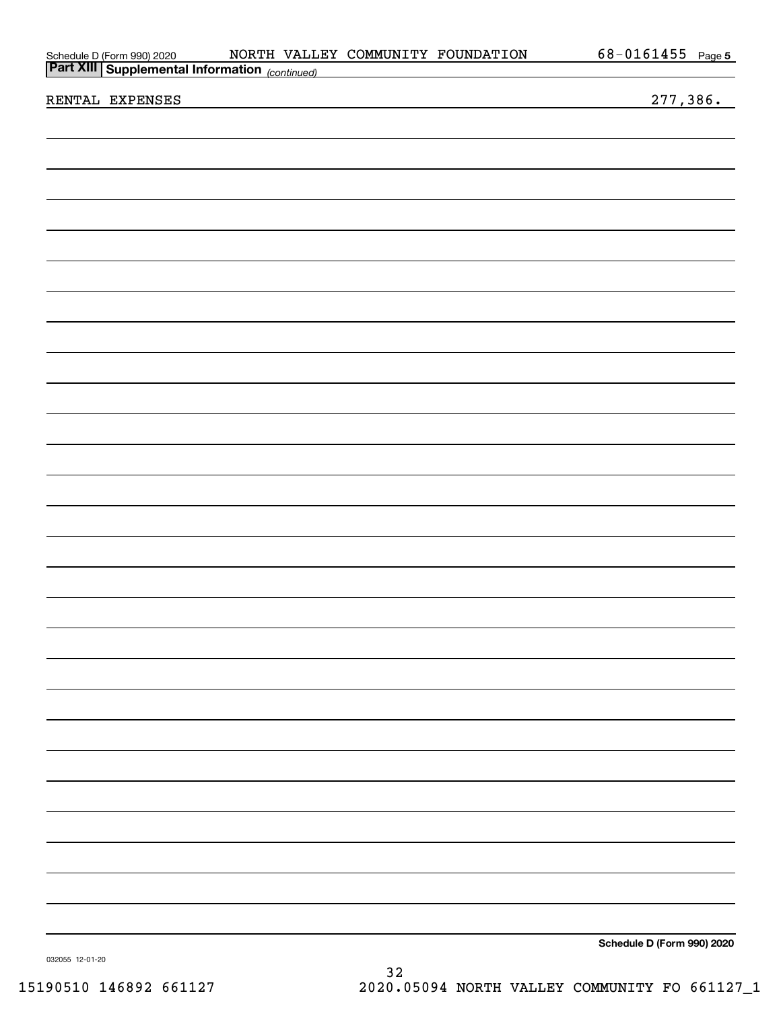| Part XIII Supplemental Information (continued) |            |  |
|------------------------------------------------|------------|--|
| Schedule D (Form 990) 2020                     | NORTH VALI |  |

| RENTAL | <b>EXPENSES</b> |
|--------|-----------------|
|        |                 |

277,386.

**Schedule D (Form 990) 2020**

032055 12-01-20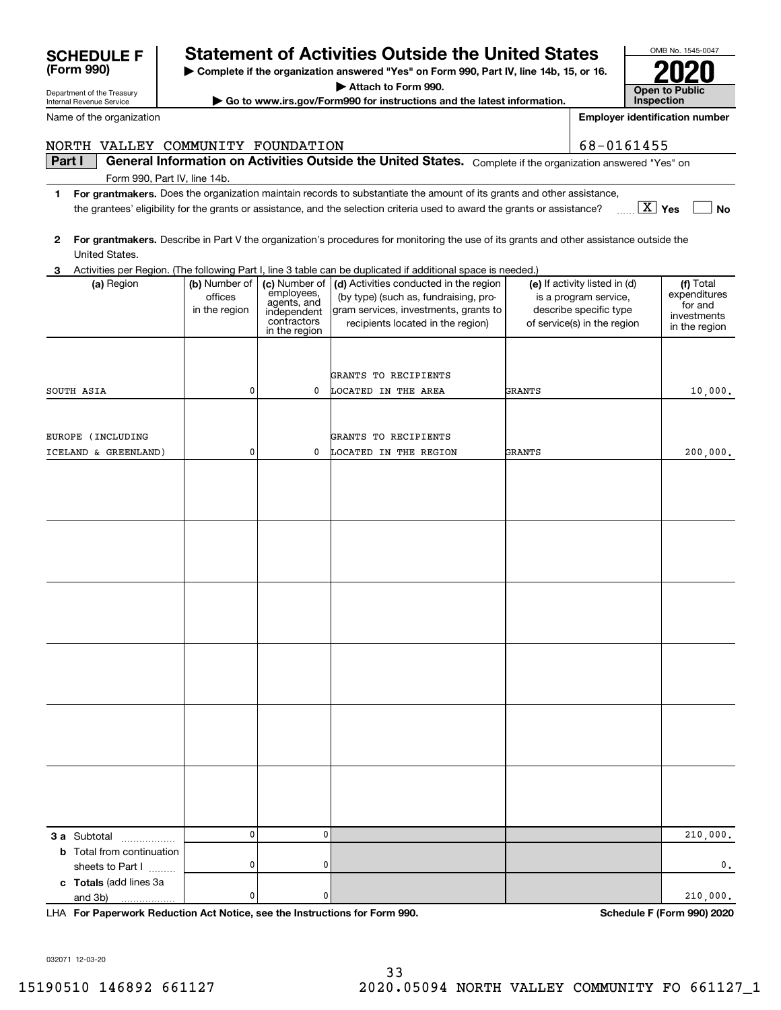| Name of the organization          | <b>Employer identification number</b> |                                             |                                                                                                                                         |        |                                                        |                              |
|-----------------------------------|---------------------------------------|---------------------------------------------|-----------------------------------------------------------------------------------------------------------------------------------------|--------|--------------------------------------------------------|------------------------------|
| NORTH VALLEY COMMUNITY FOUNDATION |                                       |                                             |                                                                                                                                         |        | 68-0161455                                             |                              |
| Part I                            |                                       |                                             | General Information on Activities Outside the United States. Complete if the organization answered "Yes" on                             |        |                                                        |                              |
| Form 990, Part IV, line 14b.      |                                       |                                             |                                                                                                                                         |        |                                                        |                              |
| 1                                 |                                       |                                             | For grantmakers. Does the organization maintain records to substantiate the amount of its grants and other assistance,                  |        |                                                        |                              |
|                                   |                                       |                                             | the grantees' eligibility for the grants or assistance, and the selection criteria used to award the grants or assistance?              |        |                                                        | $\boxed{\text{X}}$ Yes<br>No |
| 2                                 |                                       |                                             | For grantmakers. Describe in Part V the organization's procedures for monitoring the use of its grants and other assistance outside the |        |                                                        |                              |
| United States.                    |                                       |                                             |                                                                                                                                         |        |                                                        |                              |
| З.                                |                                       |                                             | Activities per Region. (The following Part I, line 3 table can be duplicated if additional space is needed.)                            |        |                                                        |                              |
| (a) Region                        | (b) Number of<br>offices              | (c) Number of                               | (d) Activities conducted in the region<br>(by type) (such as, fundraising, pro-                                                         |        | (e) If activity listed in (d)<br>is a program service, | (f) Total<br>expenditures    |
|                                   | in the region                         | employees,<br>agents, and                   | gram services, investments, grants to                                                                                                   |        | describe specific type                                 | for and                      |
|                                   |                                       | independent<br>contractors<br>in the region | recipients located in the region)                                                                                                       |        | of service(s) in the region                            | investments<br>in the region |
|                                   |                                       |                                             |                                                                                                                                         |        |                                                        |                              |
|                                   |                                       |                                             |                                                                                                                                         |        |                                                        |                              |
|                                   |                                       |                                             | GRANTS TO RECIPIENTS                                                                                                                    |        |                                                        |                              |
| SOUTH ASIA                        | 0                                     | 0                                           | LOCATED IN THE AREA                                                                                                                     | GRANTS |                                                        | 10,000.                      |
|                                   |                                       |                                             |                                                                                                                                         |        |                                                        |                              |
| EUROPE (INCLUDING                 |                                       |                                             | GRANTS TO RECIPIENTS                                                                                                                    |        |                                                        |                              |
| ICELAND & GREENLAND)              | 0                                     | 0                                           | LOCATED IN THE REGION                                                                                                                   | GRANTS |                                                        | 200,000.                     |
|                                   |                                       |                                             |                                                                                                                                         |        |                                                        |                              |
|                                   |                                       |                                             |                                                                                                                                         |        |                                                        |                              |
|                                   |                                       |                                             |                                                                                                                                         |        |                                                        |                              |
|                                   |                                       |                                             |                                                                                                                                         |        |                                                        |                              |
|                                   |                                       |                                             |                                                                                                                                         |        |                                                        |                              |
|                                   |                                       |                                             |                                                                                                                                         |        |                                                        |                              |
|                                   |                                       |                                             |                                                                                                                                         |        |                                                        |                              |
|                                   |                                       |                                             |                                                                                                                                         |        |                                                        |                              |
|                                   |                                       |                                             |                                                                                                                                         |        |                                                        |                              |
|                                   |                                       |                                             |                                                                                                                                         |        |                                                        |                              |
|                                   |                                       |                                             |                                                                                                                                         |        |                                                        |                              |
|                                   |                                       |                                             |                                                                                                                                         |        |                                                        |                              |
|                                   |                                       |                                             |                                                                                                                                         |        |                                                        |                              |
|                                   |                                       |                                             |                                                                                                                                         |        |                                                        |                              |
|                                   |                                       |                                             |                                                                                                                                         |        |                                                        |                              |
|                                   |                                       |                                             |                                                                                                                                         |        |                                                        |                              |
|                                   |                                       |                                             |                                                                                                                                         |        |                                                        |                              |
|                                   |                                       |                                             |                                                                                                                                         |        |                                                        |                              |
|                                   |                                       |                                             |                                                                                                                                         |        |                                                        |                              |
|                                   |                                       |                                             |                                                                                                                                         |        |                                                        |                              |
| 3 a Subtotal                      | 0                                     | 0                                           |                                                                                                                                         |        |                                                        | 210,000.                     |
| <b>b</b> Total from continuation  |                                       |                                             |                                                                                                                                         |        |                                                        |                              |
| sheets to Part I                  | 0                                     | 0                                           |                                                                                                                                         |        |                                                        | 0.                           |
| c Totals (add lines 3a<br>and 3b) | 0                                     | 0                                           |                                                                                                                                         |        |                                                        | 210,000.                     |

**| Complete if the organization answered "Yes" on Form 990, Part IV, line 14b, 15, or 16. | Attach to Form 990. | Go to www.irs.gov/Form990 for instructions and the latest information.**

**SCHEDULE F Statement of Activities Outside the United States**

**For Paperwork Reduction Act Notice, see the Instructions for Form 990. Schedule F (Form 990) 2020** LHA

032071 12-03-20

Department of the Treasury Internal Revenue Service

**(Form 990)**

OMB No. 1545-0047

**2020**

**Open to Public Inspection**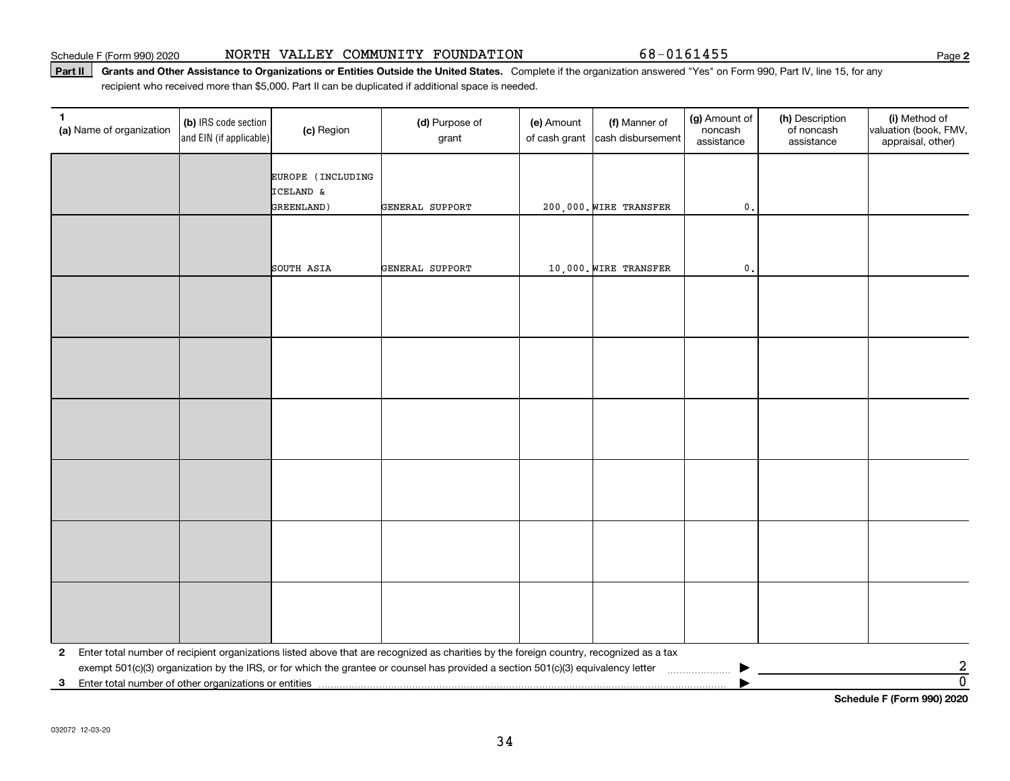#### Schedule F (Form 990) 2020 Page NORTH VALLEY COMMUNITY FOUNDATION 68-0161455

#### **Part II** Grants and Other Assistance to Organizations or Entities Outside the United States. Complete if the organization answered "Yes" on Form 990, Part IV, line 15, for any<br>recisiont who received more than \$5,000. Part recipient who received more than \$5,000. Part II can be duplicated if additional space is needed.

| 1<br>(a) Name of organization                                                       | (b) IRS code section<br>and EIN (if applicable) | (c) Region                     | (d) Purpose of<br>grant                                                                                                                 | (e) Amount<br>of cash grant | (f) Manner of<br>cash disbursement | (g) Amount of<br>noncash<br>assistance | (h) Description<br>of noncash<br>assistance | (i) Method of<br>valuation (book, FMV,<br>appraisal, other) |  |
|-------------------------------------------------------------------------------------|-------------------------------------------------|--------------------------------|-----------------------------------------------------------------------------------------------------------------------------------------|-----------------------------|------------------------------------|----------------------------------------|---------------------------------------------|-------------------------------------------------------------|--|
|                                                                                     |                                                 | EUROPE (INCLUDING<br>ICELAND & |                                                                                                                                         |                             |                                    |                                        |                                             |                                                             |  |
|                                                                                     |                                                 | GREENLAND)                     | <b>GENERAL SUPPORT</b>                                                                                                                  |                             | 200,000. WIRE TRANSFER             | $\mathbf{0}$ .                         |                                             |                                                             |  |
|                                                                                     |                                                 |                                |                                                                                                                                         |                             |                                    |                                        |                                             |                                                             |  |
|                                                                                     |                                                 | SOUTH ASIA                     | GENERAL SUPPORT                                                                                                                         |                             | 10,000. WIRE TRANSFER              | $\mathfrak{o}$ .                       |                                             |                                                             |  |
|                                                                                     |                                                 |                                |                                                                                                                                         |                             |                                    |                                        |                                             |                                                             |  |
|                                                                                     |                                                 |                                |                                                                                                                                         |                             |                                    |                                        |                                             |                                                             |  |
|                                                                                     |                                                 |                                |                                                                                                                                         |                             |                                    |                                        |                                             |                                                             |  |
|                                                                                     |                                                 |                                |                                                                                                                                         |                             |                                    |                                        |                                             |                                                             |  |
|                                                                                     |                                                 |                                |                                                                                                                                         |                             |                                    |                                        |                                             |                                                             |  |
|                                                                                     |                                                 |                                |                                                                                                                                         |                             |                                    |                                        |                                             |                                                             |  |
|                                                                                     |                                                 |                                |                                                                                                                                         |                             |                                    |                                        |                                             |                                                             |  |
|                                                                                     |                                                 |                                |                                                                                                                                         |                             |                                    |                                        |                                             |                                                             |  |
|                                                                                     |                                                 |                                |                                                                                                                                         |                             |                                    |                                        |                                             |                                                             |  |
|                                                                                     |                                                 |                                |                                                                                                                                         |                             |                                    |                                        |                                             |                                                             |  |
|                                                                                     |                                                 |                                |                                                                                                                                         |                             |                                    |                                        |                                             |                                                             |  |
|                                                                                     |                                                 |                                |                                                                                                                                         |                             |                                    |                                        |                                             |                                                             |  |
| $\mathbf{2}$                                                                        |                                                 |                                | Enter total number of recipient organizations listed above that are recognized as charities by the foreign country, recognized as a tax |                             |                                    |                                        |                                             |                                                             |  |
| 3                                                                                   |                                                 |                                | exempt 501(c)(3) organization by the IRS, or for which the grantee or counsel has provided a section 501(c)(3) equivalency letter       |                             |                                    |                                        |                                             | $\frac{2}{0}$                                               |  |
| Enter total number of other organizations or entities<br>Cabadule E (Faum 000) 0000 |                                                 |                                |                                                                                                                                         |                             |                                    |                                        |                                             |                                                             |  |

**Schedule F (Form 990) 2020**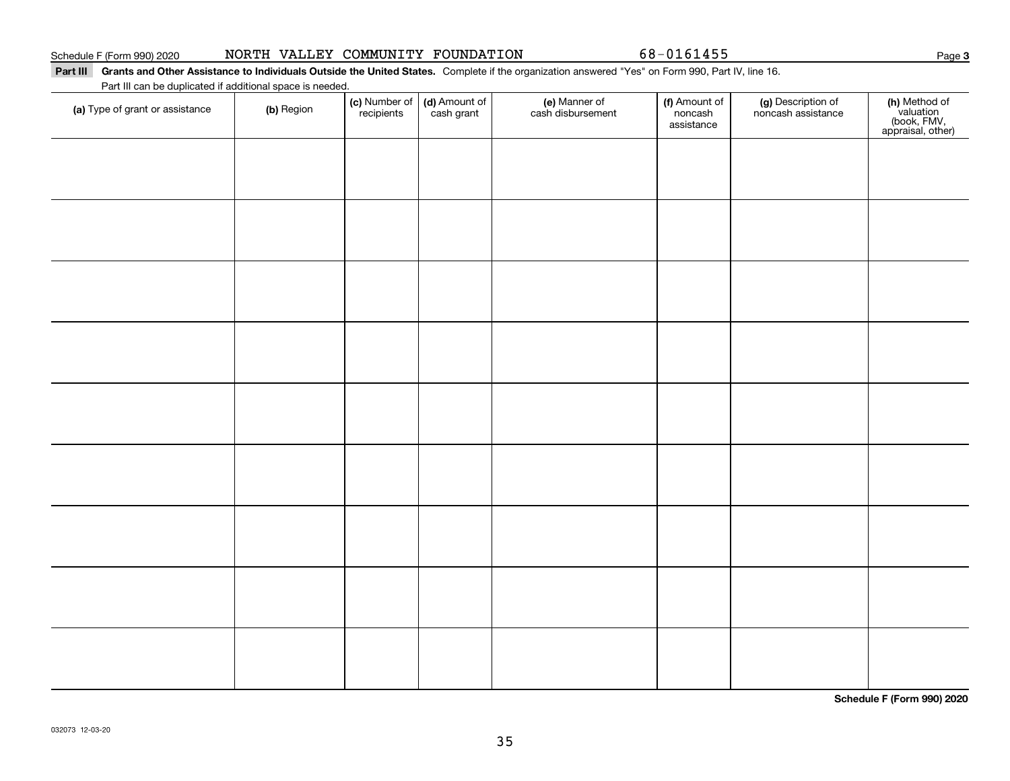### Part III Grants and Other Assistance to Individuals Outside the United States. Complete if the organization answered "Yes" on Form 990, Part IV, line 16.

Part III can be duplicated if additional space is needed.

| (a) Type of grant or assistance | (b) Region | (c) Number of<br>recipients | (d) Amount of<br>cash grant | (e) Manner of<br>cash disbursement | (f) Amount of<br>noncash<br>assistance | (g) Description of<br>noncash assistance | (h) Method of<br>valuation<br>(book, FMV,<br>appraisal, other) |
|---------------------------------|------------|-----------------------------|-----------------------------|------------------------------------|----------------------------------------|------------------------------------------|----------------------------------------------------------------|
|                                 |            |                             |                             |                                    |                                        |                                          |                                                                |
|                                 |            |                             |                             |                                    |                                        |                                          |                                                                |
|                                 |            |                             |                             |                                    |                                        |                                          |                                                                |
|                                 |            |                             |                             |                                    |                                        |                                          |                                                                |
|                                 |            |                             |                             |                                    |                                        |                                          |                                                                |
|                                 |            |                             |                             |                                    |                                        |                                          |                                                                |
|                                 |            |                             |                             |                                    |                                        |                                          |                                                                |
|                                 |            |                             |                             |                                    |                                        |                                          |                                                                |
|                                 |            |                             |                             |                                    |                                        |                                          |                                                                |
|                                 |            |                             |                             |                                    |                                        |                                          |                                                                |
|                                 |            |                             |                             |                                    |                                        |                                          |                                                                |
|                                 |            |                             |                             |                                    |                                        |                                          |                                                                |
|                                 |            |                             |                             |                                    |                                        |                                          |                                                                |
|                                 |            |                             |                             |                                    |                                        |                                          |                                                                |

**Schedule F (Form 990) 2020**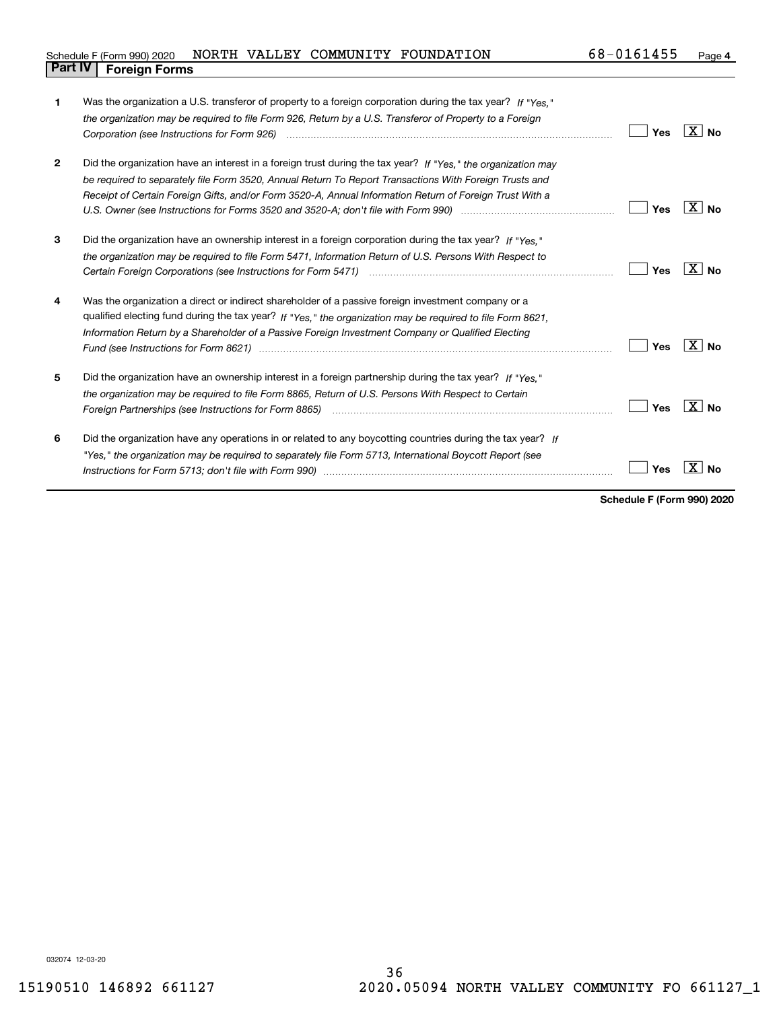| 1            | Was the organization a U.S. transferor of property to a foreign corporation during the tax year? If "Yes."<br>the organization may be required to file Form 926, Return by a U.S. Transferor of Property to a Foreign                                                                                                                                                                                                                   | Yes | $X \mid N_{0}$            |
|--------------|-----------------------------------------------------------------------------------------------------------------------------------------------------------------------------------------------------------------------------------------------------------------------------------------------------------------------------------------------------------------------------------------------------------------------------------------|-----|---------------------------|
| $\mathbf{2}$ | Did the organization have an interest in a foreign trust during the tax year? If "Yes." the organization may<br>be required to separately file Form 3520, Annual Return To Report Transactions With Foreign Trusts and<br>Receipt of Certain Foreign Gifts, and/or Form 3520-A, Annual Information Return of Foreign Trust With a                                                                                                       | Yes | ΧI<br>  No                |
| 3            | Did the organization have an ownership interest in a foreign corporation during the tax year? If "Yes."<br>the organization may be required to file Form 5471, Information Return of U.S. Persons With Respect to                                                                                                                                                                                                                       | Yes | $\mathbf{X}$<br><b>No</b> |
| 4            | Was the organization a direct or indirect shareholder of a passive foreign investment company or a<br>qualified electing fund during the tax year? If "Yes," the organization may be required to file Form 8621.<br>Information Return by a Shareholder of a Passive Foreign Investment Company or Qualified Electing<br>Fund (see Instructions for Form 8621) manufactured control control and the latest state of the state of the st | Yes | <b>No</b>                 |
| 5            | Did the organization have an ownership interest in a foreign partnership during the tax year? If "Yes."<br>the organization may be required to file Form 8865, Return of U.S. Persons With Respect to Certain                                                                                                                                                                                                                           | Yes | - X I<br><b>No</b>        |
| 6            | Did the organization have any operations in or related to any boycotting countries during the tax year? If<br>"Yes," the organization may be required to separately file Form 5713, International Boycott Report (see                                                                                                                                                                                                                   | Yes |                           |

**Schedule F (Form 990) 2020**

**4**

032074 12-03-20

**Part IV Foreign Forms**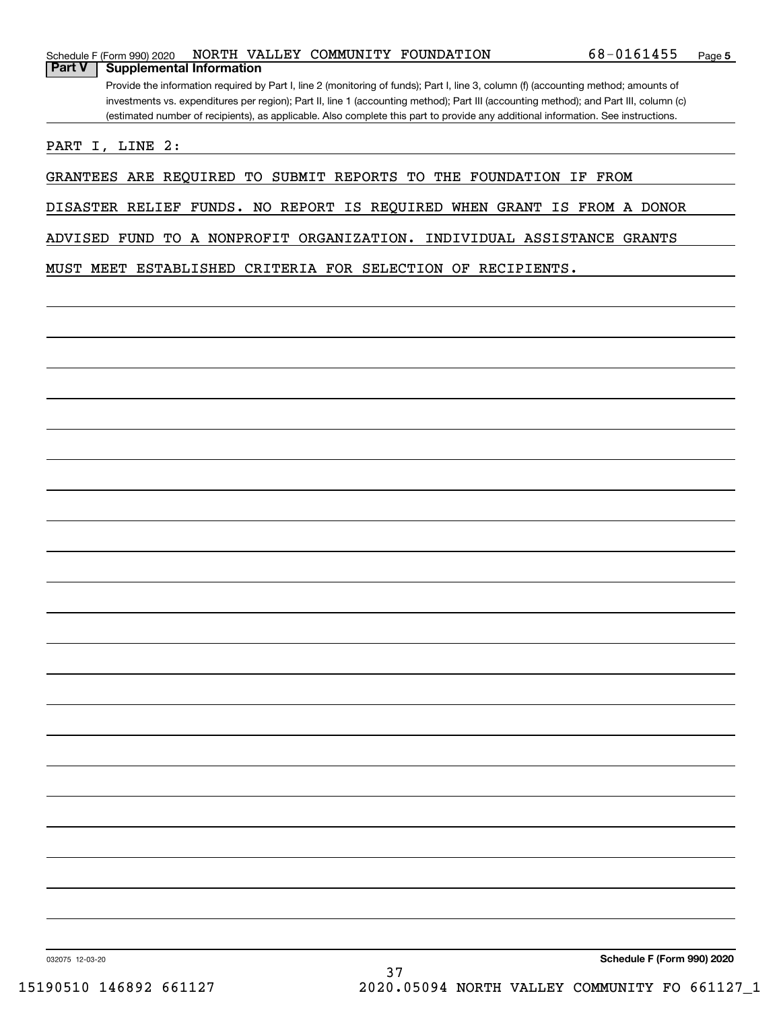|               | Schedule F (Form 990) 2020                                                                                                            |  |  |  | NORTH VALLEY COMMUNITY FOUNDATION | 68-0161455                                                                                                                        | Page 5 |  |  |
|---------------|---------------------------------------------------------------------------------------------------------------------------------------|--|--|--|-----------------------------------|-----------------------------------------------------------------------------------------------------------------------------------|--------|--|--|
| <b>Part V</b> | <b>Supplemental Information</b>                                                                                                       |  |  |  |                                   |                                                                                                                                   |        |  |  |
|               | Provide the information required by Part I, line 2 (monitoring of funds); Part I, line 3, column (f) (accounting method; amounts of   |  |  |  |                                   |                                                                                                                                   |        |  |  |
|               | investments vs. expenditures per region); Part II, line 1 (accounting method); Part III (accounting method); and Part III, column (c) |  |  |  |                                   |                                                                                                                                   |        |  |  |
|               |                                                                                                                                       |  |  |  |                                   | (estimated number of recipients), as applicable. Also complete this part to provide any additional information. See instructions. |        |  |  |
| ד חמגת        | . ר הזוד ד                                                                                                                            |  |  |  |                                   |                                                                                                                                   |        |  |  |

PART I, LINE 2:

GRANTEES ARE REQUIRED TO SUBMIT REPORTS TO THE FOUNDATION IF FROM

DISASTER RELIEF FUNDS. NO REPORT IS REQUIRED WHEN GRANT IS FROM A DONOR

ADVISED FUND TO A NONPROFIT ORGANIZATION. INDIVIDUAL ASSISTANCE GRANTS

MUST MEET ESTABLISHED CRITERIA FOR SELECTION OF RECIPIENTS.

032075 12-03-20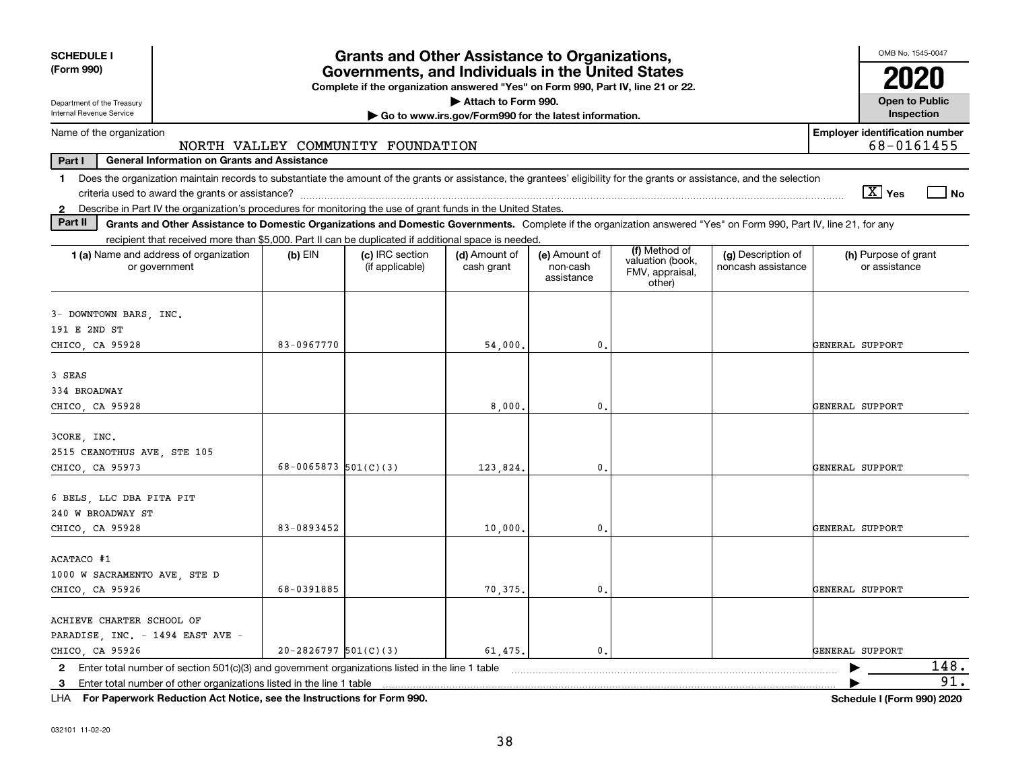| <b>SCHEDULE I</b>                                                                                                                                                                       |                          | <b>Grants and Other Assistance to Organizations,</b>                                                                                  |                                                       |                                         |                                               |                                          | OMB No. 1545-0047                                   |      |
|-----------------------------------------------------------------------------------------------------------------------------------------------------------------------------------------|--------------------------|---------------------------------------------------------------------------------------------------------------------------------------|-------------------------------------------------------|-----------------------------------------|-----------------------------------------------|------------------------------------------|-----------------------------------------------------|------|
| (Form 990)                                                                                                                                                                              |                          | Governments, and Individuals in the United States<br>Complete if the organization answered "Yes" on Form 990, Part IV, line 21 or 22. |                                                       |                                         |                                               |                                          | 2020                                                |      |
| Department of the Treasury                                                                                                                                                              |                          |                                                                                                                                       | Attach to Form 990.                                   |                                         |                                               |                                          | <b>Open to Public</b>                               |      |
| Internal Revenue Service                                                                                                                                                                |                          |                                                                                                                                       | Go to www.irs.gov/Form990 for the latest information. |                                         |                                               |                                          | Inspection                                          |      |
| Name of the organization                                                                                                                                                                |                          | NORTH VALLEY COMMUNITY FOUNDATION                                                                                                     |                                                       |                                         |                                               |                                          | <b>Employer identification number</b><br>68-0161455 |      |
| <b>General Information on Grants and Assistance</b><br>Part I                                                                                                                           |                          |                                                                                                                                       |                                                       |                                         |                                               |                                          |                                                     |      |
| Does the organization maintain records to substantiate the amount of the grants or assistance, the grantees' eligibility for the grants or assistance, and the selection<br>$\mathbf 1$ |                          |                                                                                                                                       |                                                       |                                         |                                               |                                          |                                                     |      |
|                                                                                                                                                                                         |                          |                                                                                                                                       |                                                       |                                         |                                               |                                          | $\sqrt{X}$ Yes                                      | l No |
| 2 Describe in Part IV the organization's procedures for monitoring the use of grant funds in the United States.                                                                         |                          |                                                                                                                                       |                                                       |                                         |                                               |                                          |                                                     |      |
| Part II<br>Grants and Other Assistance to Domestic Organizations and Domestic Governments. Complete if the organization answered "Yes" on Form 990, Part IV, line 21, for any           |                          |                                                                                                                                       |                                                       |                                         |                                               |                                          |                                                     |      |
| recipient that received more than \$5,000. Part II can be duplicated if additional space is needed.                                                                                     |                          |                                                                                                                                       |                                                       |                                         | (f) Method of                                 |                                          |                                                     |      |
| 1 (a) Name and address of organization<br>or government                                                                                                                                 | $(b)$ EIN                | (c) IRC section<br>(if applicable)                                                                                                    | (d) Amount of<br>cash grant                           | (e) Amount of<br>non-cash<br>assistance | valuation (book,<br>FMV, appraisal,<br>other) | (g) Description of<br>noncash assistance | (h) Purpose of grant<br>or assistance               |      |
|                                                                                                                                                                                         |                          |                                                                                                                                       |                                                       |                                         |                                               |                                          |                                                     |      |
| 3- DOWNTOWN BARS, INC.<br>191 E 2ND ST                                                                                                                                                  |                          |                                                                                                                                       |                                                       |                                         |                                               |                                          |                                                     |      |
| CHICO, CA 95928                                                                                                                                                                         | 83-0967770               |                                                                                                                                       | 54,000.                                               | $\mathbf{0}$ .                          |                                               |                                          | GENERAL SUPPORT                                     |      |
|                                                                                                                                                                                         |                          |                                                                                                                                       |                                                       |                                         |                                               |                                          |                                                     |      |
| 3 SEAS                                                                                                                                                                                  |                          |                                                                                                                                       |                                                       |                                         |                                               |                                          |                                                     |      |
| 334 BROADWAY                                                                                                                                                                            |                          |                                                                                                                                       |                                                       |                                         |                                               |                                          |                                                     |      |
| CHICO, CA 95928                                                                                                                                                                         |                          |                                                                                                                                       | 8,000                                                 | $\mathbf{0}$                            |                                               |                                          | GENERAL SUPPORT                                     |      |
|                                                                                                                                                                                         |                          |                                                                                                                                       |                                                       |                                         |                                               |                                          |                                                     |      |
| 3CORE, INC.                                                                                                                                                                             |                          |                                                                                                                                       |                                                       |                                         |                                               |                                          |                                                     |      |
| 2515 CEANOTHUS AVE, STE 105                                                                                                                                                             |                          |                                                                                                                                       |                                                       |                                         |                                               |                                          |                                                     |      |
| CHICO, CA 95973                                                                                                                                                                         | $68-0065873$ $501(C)(3)$ |                                                                                                                                       | 123,824.                                              | $\mathbf{0}$                            |                                               |                                          | GENERAL SUPPORT                                     |      |
|                                                                                                                                                                                         |                          |                                                                                                                                       |                                                       |                                         |                                               |                                          |                                                     |      |
| 6 BELS, LLC DBA PITA PIT                                                                                                                                                                |                          |                                                                                                                                       |                                                       |                                         |                                               |                                          |                                                     |      |
| 240 W BROADWAY ST                                                                                                                                                                       |                          |                                                                                                                                       |                                                       |                                         |                                               |                                          |                                                     |      |
| CHICO, CA 95928                                                                                                                                                                         | 83-0893452               |                                                                                                                                       | 10,000                                                | $\mathbf{0}$                            |                                               |                                          | GENERAL SUPPORT                                     |      |
|                                                                                                                                                                                         |                          |                                                                                                                                       |                                                       |                                         |                                               |                                          |                                                     |      |
| ACATACO #1                                                                                                                                                                              |                          |                                                                                                                                       |                                                       |                                         |                                               |                                          |                                                     |      |
| 1000 W SACRAMENTO AVE, STE D                                                                                                                                                            |                          |                                                                                                                                       |                                                       |                                         |                                               |                                          |                                                     |      |
| CHICO, CA 95926                                                                                                                                                                         | 68-0391885               |                                                                                                                                       | 70,375.                                               | 0.                                      |                                               |                                          | GENERAL SUPPORT                                     |      |
|                                                                                                                                                                                         |                          |                                                                                                                                       |                                                       |                                         |                                               |                                          |                                                     |      |
| ACHIEVE CHARTER SCHOOL OF                                                                                                                                                               |                          |                                                                                                                                       |                                                       |                                         |                                               |                                          |                                                     |      |
| PARADISE, INC. - 1494 EAST AVE -                                                                                                                                                        |                          |                                                                                                                                       |                                                       |                                         |                                               |                                          |                                                     |      |
| CHICO, CA 95926                                                                                                                                                                         | $20-2826797$ $501(C)(3)$ |                                                                                                                                       | 61,475.                                               | $\mathbf{0}$ .                          |                                               |                                          | GENERAL SUPPORT                                     |      |
| 2 Enter total number of section 501(c)(3) and government organizations listed in the line 1 table                                                                                       |                          |                                                                                                                                       |                                                       |                                         |                                               |                                          |                                                     | 148. |
| 3 Enter total number of other organizations listed in the line 1 table                                                                                                                  |                          |                                                                                                                                       |                                                       |                                         |                                               |                                          |                                                     | 91.  |

**For Paperwork Reduction Act Notice, see the Instructions for Form 990. Schedule I (Form 990) 2020** LHA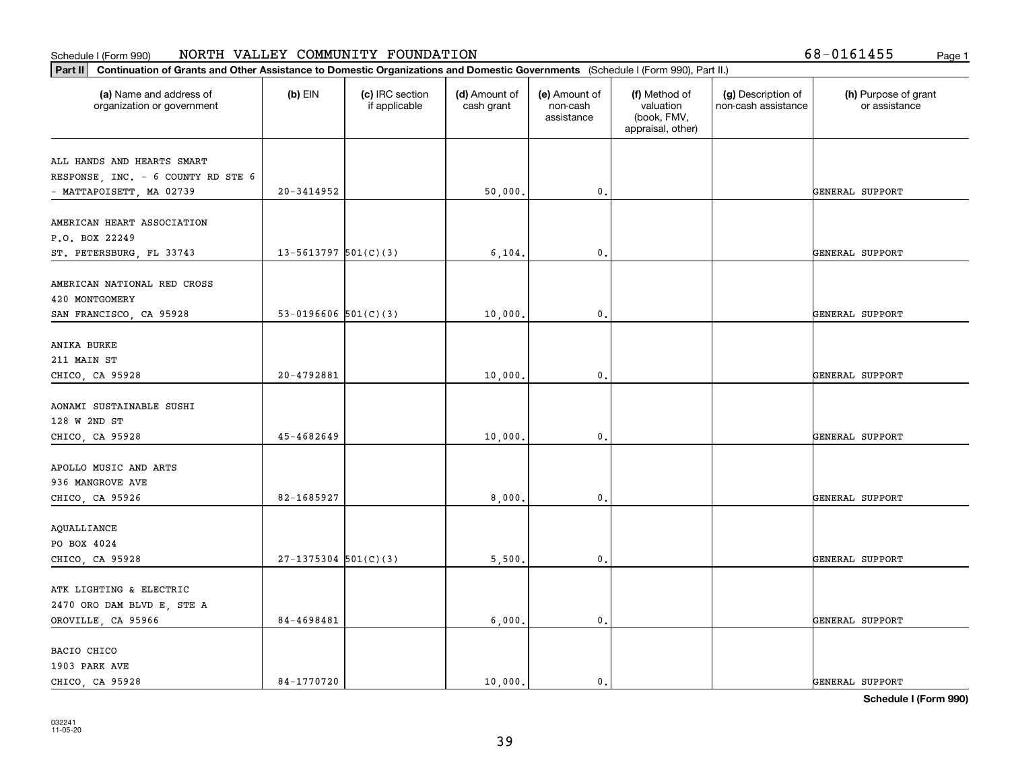| Part II   Continuation of Grants and Other Assistance to Domestic Organizations and Domestic Governments (Schedule I (Form 990), Part II.) |                          |                                  |                             |                                         |                                                                |                                           |                                       |
|--------------------------------------------------------------------------------------------------------------------------------------------|--------------------------|----------------------------------|-----------------------------|-----------------------------------------|----------------------------------------------------------------|-------------------------------------------|---------------------------------------|
| (a) Name and address of<br>organization or government                                                                                      | $(b)$ EIN                | (c) IRC section<br>if applicable | (d) Amount of<br>cash grant | (e) Amount of<br>non-cash<br>assistance | (f) Method of<br>valuation<br>(book, FMV,<br>appraisal, other) | (g) Description of<br>non-cash assistance | (h) Purpose of grant<br>or assistance |
| ALL HANDS AND HEARTS SMART                                                                                                                 |                          |                                  |                             |                                         |                                                                |                                           |                                       |
| RESPONSE, INC. - 6 COUNTY RD STE 6                                                                                                         |                          |                                  |                             |                                         |                                                                |                                           |                                       |
| - MATTAPOISETT, MA 02739                                                                                                                   | 20-3414952               |                                  | 50,000.                     | $\mathfrak o$ .                         |                                                                |                                           | GENERAL SUPPORT                       |
|                                                                                                                                            |                          |                                  |                             |                                         |                                                                |                                           |                                       |
| AMERICAN HEART ASSOCIATION                                                                                                                 |                          |                                  |                             |                                         |                                                                |                                           |                                       |
| P.O. BOX 22249                                                                                                                             |                          |                                  |                             |                                         |                                                                |                                           |                                       |
| ST. PETERSBURG, FL 33743                                                                                                                   | 13-5613797 $501(C)(3)$   |                                  | 6, 104.                     | $\mathbf{0}$ .                          |                                                                |                                           | GENERAL SUPPORT                       |
|                                                                                                                                            |                          |                                  |                             |                                         |                                                                |                                           |                                       |
| AMERICAN NATIONAL RED CROSS                                                                                                                |                          |                                  |                             |                                         |                                                                |                                           |                                       |
| 420 MONTGOMERY                                                                                                                             |                          |                                  |                             |                                         |                                                                |                                           |                                       |
| SAN FRANCISCO, CA 95928                                                                                                                    | $53-0196606$ $501(C)(3)$ |                                  | 10,000.                     | $\mathbf{0}$ .                          |                                                                |                                           | GENERAL SUPPORT                       |
| ANIKA BURKE                                                                                                                                |                          |                                  |                             |                                         |                                                                |                                           |                                       |
| 211 MAIN ST                                                                                                                                |                          |                                  |                             |                                         |                                                                |                                           |                                       |
| CHICO, CA 95928                                                                                                                            | $20 - 4792881$           |                                  | 10,000.                     | $\mathfrak o$ .                         |                                                                |                                           | GENERAL SUPPORT                       |
|                                                                                                                                            |                          |                                  |                             |                                         |                                                                |                                           |                                       |
| AONAMI SUSTAINABLE SUSHI                                                                                                                   |                          |                                  |                             |                                         |                                                                |                                           |                                       |
| 128 W 2ND ST                                                                                                                               |                          |                                  |                             |                                         |                                                                |                                           |                                       |
| CHICO, CA 95928                                                                                                                            | 45-4682649               |                                  | 10,000                      | $\mathbf{0}$                            |                                                                |                                           | GENERAL SUPPORT                       |
|                                                                                                                                            |                          |                                  |                             |                                         |                                                                |                                           |                                       |
| APOLLO MUSIC AND ARTS                                                                                                                      |                          |                                  |                             |                                         |                                                                |                                           |                                       |
| 936 MANGROVE AVE                                                                                                                           |                          |                                  |                             |                                         |                                                                |                                           |                                       |
| CHICO, CA 95926                                                                                                                            | 82-1685927               |                                  | 8,000,                      | $\mathfrak o$ .                         |                                                                |                                           | GENERAL SUPPORT                       |
|                                                                                                                                            |                          |                                  |                             |                                         |                                                                |                                           |                                       |
| AQUALLIANCE                                                                                                                                |                          |                                  |                             |                                         |                                                                |                                           |                                       |
| PO BOX 4024                                                                                                                                |                          |                                  |                             |                                         |                                                                |                                           |                                       |
| CHICO, CA 95928                                                                                                                            | $27-1375304$ 501(C)(3)   |                                  | 5,500                       | $\mathbf{0}$ .                          |                                                                |                                           | GENERAL SUPPORT                       |
| ATK LIGHTING & ELECTRIC                                                                                                                    |                          |                                  |                             |                                         |                                                                |                                           |                                       |
| 2470 ORO DAM BLVD E, STE A                                                                                                                 |                          |                                  |                             |                                         |                                                                |                                           |                                       |
| OROVILLE, CA 95966                                                                                                                         | 84-4698481               |                                  | 6,000.                      | $\mathbf{0}$ .                          |                                                                |                                           | GENERAL SUPPORT                       |
|                                                                                                                                            |                          |                                  |                             |                                         |                                                                |                                           |                                       |
| BACIO CHICO                                                                                                                                |                          |                                  |                             |                                         |                                                                |                                           |                                       |
| 1903 PARK AVE                                                                                                                              |                          |                                  |                             |                                         |                                                                |                                           |                                       |
| CHICO, CA 95928                                                                                                                            | 84-1770720               |                                  | 10,000.                     | $\mathfrak{o}$ .                        |                                                                |                                           | GENERAL SUPPORT                       |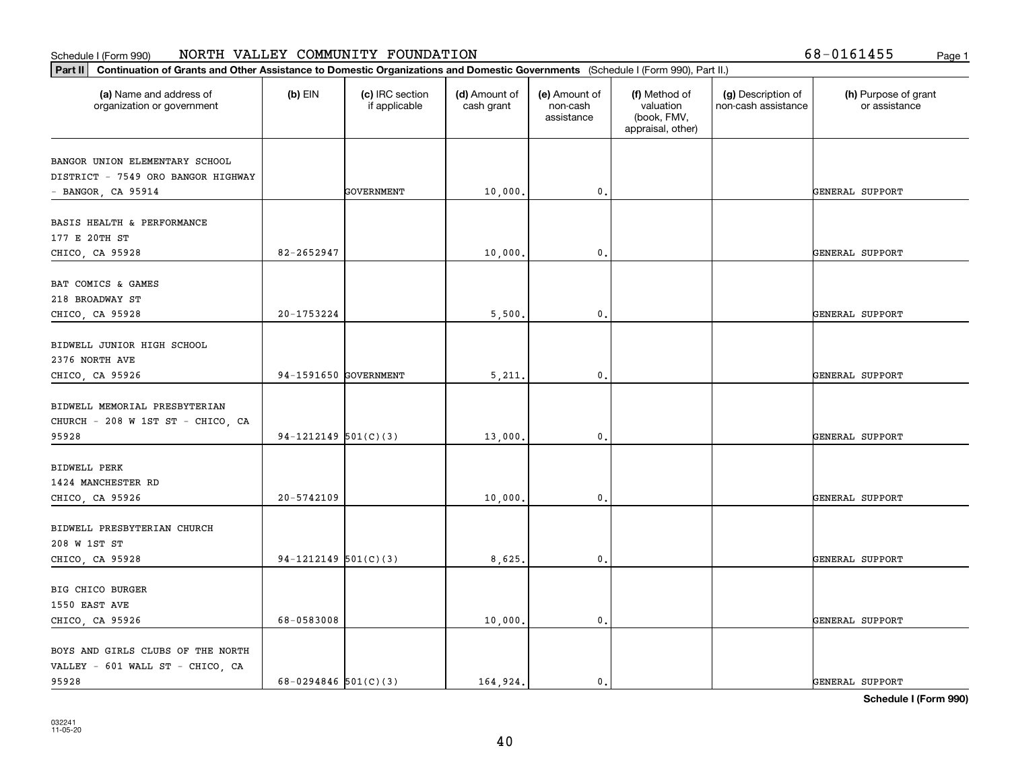|  |  |  |  | 58-0161455 | Рa |
|--|--|--|--|------------|----|
|--|--|--|--|------------|----|

| Part II   Continuation of Grants and Other Assistance to Domestic Organizations and Domestic Governments (Schedule I (Form 990), Part II.)<br>(a) Name and address of | $(b)$ EIN              | (c) IRC section | (d) Amount of | (e) Amount of          | (f) Method of                                 | (g) Description of  | (h) Purpose of grant |
|-----------------------------------------------------------------------------------------------------------------------------------------------------------------------|------------------------|-----------------|---------------|------------------------|-----------------------------------------------|---------------------|----------------------|
| organization or government                                                                                                                                            |                        | if applicable   | cash grant    | non-cash<br>assistance | valuation<br>(book, FMV,<br>appraisal, other) | non-cash assistance | or assistance        |
| BANGOR UNION ELEMENTARY SCHOOL                                                                                                                                        |                        |                 |               |                        |                                               |                     |                      |
| DISTRICT - 7549 ORO BANGOR HIGHWAY                                                                                                                                    |                        |                 |               |                        |                                               |                     |                      |
| $-$ BANGOR, CA 95914                                                                                                                                                  |                        | GOVERNMENT      | 10,000.       | 0.                     |                                               |                     | GENERAL SUPPORT      |
| BASIS HEALTH & PERFORMANCE                                                                                                                                            |                        |                 |               |                        |                                               |                     |                      |
| 177 E 20TH ST                                                                                                                                                         |                        |                 |               |                        |                                               |                     |                      |
| CHICO, CA 95928                                                                                                                                                       | 82-2652947             |                 | 10,000.       | 0.                     |                                               |                     | GENERAL SUPPORT      |
| BAT COMICS & GAMES                                                                                                                                                    |                        |                 |               |                        |                                               |                     |                      |
| 218 BROADWAY ST                                                                                                                                                       |                        |                 |               |                        |                                               |                     |                      |
| CHICO, CA 95928                                                                                                                                                       | 20-1753224             |                 | 5,500.        | 0.                     |                                               |                     | GENERAL SUPPORT      |
| BIDWELL JUNIOR HIGH SCHOOL                                                                                                                                            |                        |                 |               |                        |                                               |                     |                      |
| 2376 NORTH AVE                                                                                                                                                        |                        |                 |               |                        |                                               |                     |                      |
| CHICO, CA 95926                                                                                                                                                       | 94-1591650 GOVERNMENT  |                 | 5,211.        | $\mathfrak{o}$ .       |                                               |                     | GENERAL SUPPORT      |
| BIDWELL MEMORIAL PRESBYTERIAN                                                                                                                                         |                        |                 |               |                        |                                               |                     |                      |
| CHURCH - 208 W 1ST ST - CHICO, CA                                                                                                                                     |                        |                 |               |                        |                                               |                     |                      |
| 95928                                                                                                                                                                 | 94-1212149 $501(C)(3)$ |                 | 13,000        | $\mathbf{0}$           |                                               |                     | GENERAL SUPPORT      |
| <b>BIDWELL PERK</b>                                                                                                                                                   |                        |                 |               |                        |                                               |                     |                      |
| 1424 MANCHESTER RD                                                                                                                                                    |                        |                 |               |                        |                                               |                     |                      |
| CHICO, CA 95926                                                                                                                                                       | 20-5742109             |                 | 10,000.       | 0.                     |                                               |                     | GENERAL SUPPORT      |
| BIDWELL PRESBYTERIAN CHURCH                                                                                                                                           |                        |                 |               |                        |                                               |                     |                      |
| 208 W 1ST ST                                                                                                                                                          |                        |                 |               |                        |                                               |                     |                      |
| CHICO, CA 95928                                                                                                                                                       | 94-1212149 $501(C)(3)$ |                 | 8,625         | $^{\circ}$ .           |                                               |                     | GENERAL SUPPORT      |
| BIG CHICO BURGER                                                                                                                                                      |                        |                 |               |                        |                                               |                     |                      |
| 1550 EAST AVE                                                                                                                                                         |                        |                 |               |                        |                                               |                     |                      |
| CHICO, CA 95926                                                                                                                                                       | 68-0583008             |                 | 10,000.       | $\mathfrak o$ .        |                                               |                     | GENERAL SUPPORT      |
| BOYS AND GIRLS CLUBS OF THE NORTH                                                                                                                                     |                        |                 |               |                        |                                               |                     |                      |
| VALLEY - 601 WALL ST - CHICO, CA                                                                                                                                      |                        |                 |               |                        |                                               |                     |                      |
| 95928                                                                                                                                                                 | 68-0294846 $501(C)(3)$ |                 | 164.924.      | $\mathbf{0}$ .         |                                               |                     | GENERAL SUPPORT      |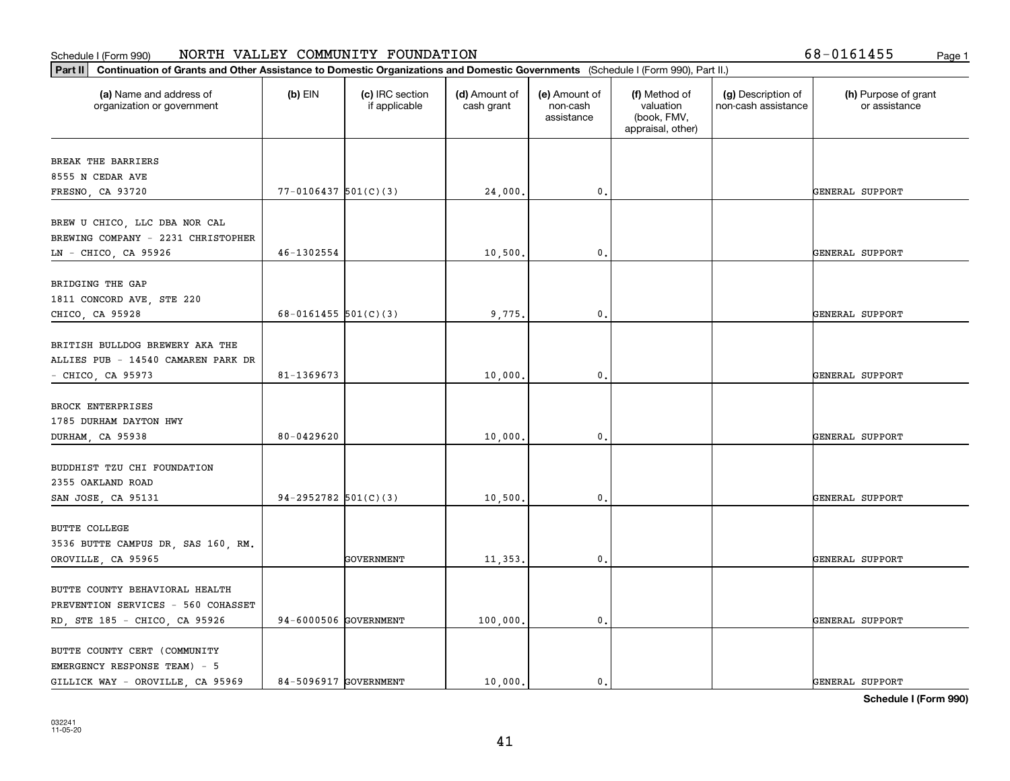| Continuation of Grants and Other Assistance to Domestic Organizations and Domestic Governments (Schedule I (Form 990), Part II.)<br>Part II |                          |                                  |                             |                                         |                                                                |                                           |                                       |
|---------------------------------------------------------------------------------------------------------------------------------------------|--------------------------|----------------------------------|-----------------------------|-----------------------------------------|----------------------------------------------------------------|-------------------------------------------|---------------------------------------|
| (a) Name and address of<br>organization or government                                                                                       | (b) EIN                  | (c) IRC section<br>if applicable | (d) Amount of<br>cash grant | (e) Amount of<br>non-cash<br>assistance | (f) Method of<br>valuation<br>(book, FMV,<br>appraisal, other) | (g) Description of<br>non-cash assistance | (h) Purpose of grant<br>or assistance |
| BREAK THE BARRIERS                                                                                                                          |                          |                                  |                             |                                         |                                                                |                                           |                                       |
| 8555 N CEDAR AVE                                                                                                                            |                          |                                  |                             |                                         |                                                                |                                           |                                       |
| FRESNO, CA 93720                                                                                                                            | $77 - 0106437$ 501(C)(3) |                                  | 24,000.                     | $\mathbf{0}$ .                          |                                                                |                                           | GENERAL SUPPORT                       |
| BREW U CHICO, LLC DBA NOR CAL<br>BREWING COMPANY - 2231 CHRISTOPHER                                                                         |                          |                                  |                             |                                         |                                                                |                                           |                                       |
| LN - CHICO, CA 95926                                                                                                                        | 46-1302554               |                                  | 10,500.                     | $\mathbf{0}$ .                          |                                                                |                                           | GENERAL SUPPORT                       |
| BRIDGING THE GAP<br>1811 CONCORD AVE, STE 220                                                                                               | 68-0161455 $501(C)(3)$   |                                  |                             | 0.                                      |                                                                |                                           |                                       |
| CHICO, CA 95928                                                                                                                             |                          |                                  | 9,775.                      |                                         |                                                                |                                           | GENERAL SUPPORT                       |
| BRITISH BULLDOG BREWERY AKA THE<br>ALLIES PUB - 14540 CAMAREN PARK DR<br>$-$ CHICO, CA 95973                                                | 81-1369673               |                                  | 10,000.                     | 0.                                      |                                                                |                                           | GENERAL SUPPORT                       |
| BROCK ENTERPRISES<br>1785 DURHAM DAYTON HWY                                                                                                 | 80-0429620               |                                  |                             |                                         |                                                                |                                           |                                       |
| DURHAM, CA 95938                                                                                                                            |                          |                                  | 10,000.                     | $\mathbf{0}$ .                          |                                                                |                                           | GENERAL SUPPORT                       |
| BUDDHIST TZU CHI FOUNDATION<br>2355 OAKLAND ROAD                                                                                            | 94-2952782 $501(C)(3)$   |                                  | 10,500.                     | 0.                                      |                                                                |                                           | GENERAL SUPPORT                       |
| SAN JOSE, CA 95131                                                                                                                          |                          |                                  |                             |                                         |                                                                |                                           |                                       |
| BUTTE COLLEGE<br>3536 BUTTE CAMPUS DR, SAS 160, RM.                                                                                         |                          |                                  |                             |                                         |                                                                |                                           |                                       |
| OROVILLE, CA 95965                                                                                                                          |                          | GOVERNMENT                       | 11,353.                     | $^{\circ}$ .                            |                                                                |                                           | GENERAL SUPPORT                       |
| BUTTE COUNTY BEHAVIORAL HEALTH<br>PREVENTION SERVICES - 560 COHASSET<br>RD, STE 185 - CHICO, CA 95926                                       | 94-6000506 GOVERNMENT    |                                  | 100,000.                    | $\mathbf{0}$ .                          |                                                                |                                           | GENERAL SUPPORT                       |
| BUTTE COUNTY CERT (COMMUNITY<br>EMERGENCY RESPONSE TEAM) - 5<br>GILLICK WAY - OROVILLE, CA 95969                                            | 84-5096917 GOVERNMENT    |                                  | 10,000.                     | $\mathfrak{o}$ .                        |                                                                |                                           | GENERAL SUPPORT                       |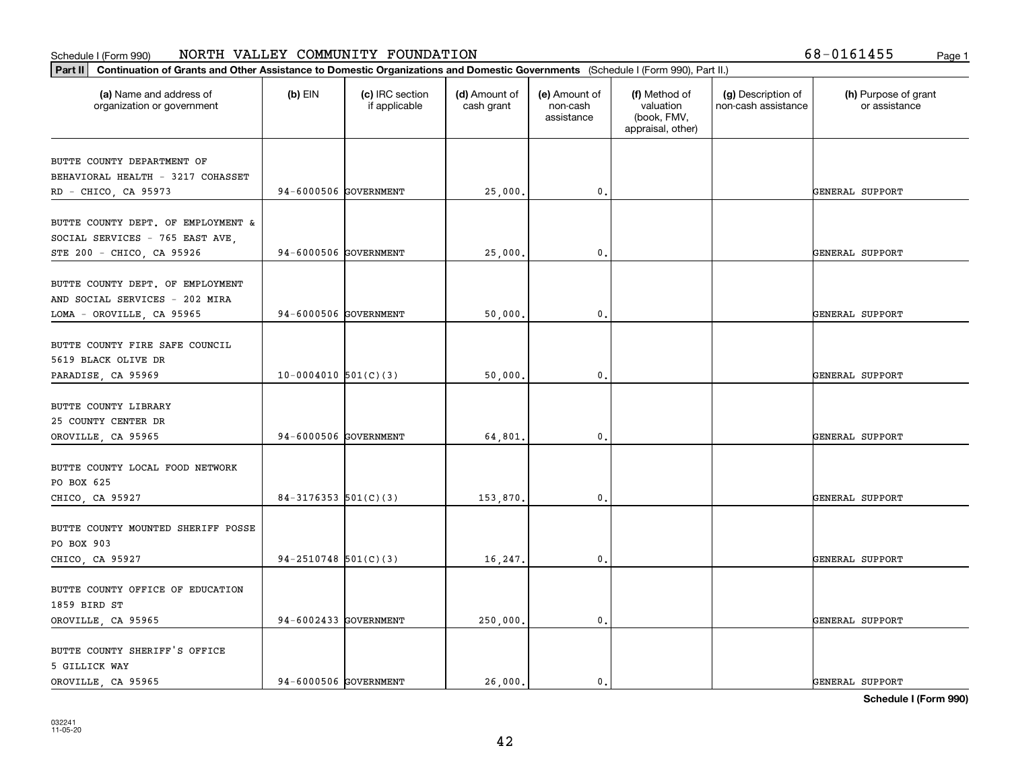|  |  |  | 8-0161455; |  |  | Page: |
|--|--|--|------------|--|--|-------|
|--|--|--|------------|--|--|-------|

| (a) Name and address of<br>organization or government                 | $(b)$ EIN                | (c) IRC section<br>if applicable | (d) Amount of<br>cash grant | (e) Amount of<br>non-cash<br>assistance | (f) Method of<br>valuation<br>(book, FMV,<br>appraisal, other) | (g) Description of<br>non-cash assistance | (h) Purpose of grant<br>or assistance |
|-----------------------------------------------------------------------|--------------------------|----------------------------------|-----------------------------|-----------------------------------------|----------------------------------------------------------------|-------------------------------------------|---------------------------------------|
| BUTTE COUNTY DEPARTMENT OF                                            |                          |                                  |                             |                                         |                                                                |                                           |                                       |
| BEHAVIORAL HEALTH - 3217 COHASSET                                     |                          |                                  |                             |                                         |                                                                |                                           |                                       |
| RD - CHICO, CA 95973                                                  | 94-6000506 GOVERNMENT    |                                  | 25,000.                     | 0.                                      |                                                                |                                           | GENERAL SUPPORT                       |
| BUTTE COUNTY DEPT. OF EMPLOYMENT &<br>SOCIAL SERVICES - 765 EAST AVE, |                          |                                  |                             |                                         |                                                                |                                           |                                       |
| STE 200 - CHICO, CA 95926                                             | 94-6000506 GOVERNMENT    |                                  | 25,000.                     | 0.                                      |                                                                |                                           | GENERAL SUPPORT                       |
| BUTTE COUNTY DEPT. OF EMPLOYMENT<br>AND SOCIAL SERVICES - 202 MIRA    |                          |                                  |                             |                                         |                                                                |                                           |                                       |
| LOMA - OROVILLE, CA 95965                                             | 94-6000506 GOVERNMENT    |                                  | 50,000.                     | 0.                                      |                                                                |                                           | GENERAL SUPPORT                       |
| BUTTE COUNTY FIRE SAFE COUNCIL<br>5619 BLACK OLIVE DR                 |                          |                                  |                             |                                         |                                                                |                                           |                                       |
| PARADISE, CA 95969                                                    | $10-0004010$ 501(C)(3)   |                                  | 50,000.                     | 0.                                      |                                                                |                                           | GENERAL SUPPORT                       |
| BUTTE COUNTY LIBRARY<br>25 COUNTY CENTER DR                           |                          |                                  |                             |                                         |                                                                |                                           |                                       |
| OROVILLE, CA 95965                                                    | 94-6000506 GOVERNMENT    |                                  | 64,801.                     | $\mathbf{0}$                            |                                                                |                                           | GENERAL SUPPORT                       |
| BUTTE COUNTY LOCAL FOOD NETWORK<br>PO BOX 625                         |                          |                                  |                             |                                         |                                                                |                                           |                                       |
| CHICO, CA 95927                                                       | $84-3176353$ $501(C)(3)$ |                                  | 153,870.                    | 0.                                      |                                                                |                                           | GENERAL SUPPORT                       |
| BUTTE COUNTY MOUNTED SHERIFF POSSE<br>PO BOX 903                      |                          |                                  |                             |                                         |                                                                |                                           |                                       |
| CHICO, CA 95927                                                       | $94-2510748$ 501(C)(3)   |                                  | 16,247.                     | 0.                                      |                                                                |                                           | GENERAL SUPPORT                       |
| BUTTE COUNTY OFFICE OF EDUCATION<br>1859 BIRD ST                      |                          |                                  |                             |                                         |                                                                |                                           |                                       |
| OROVILLE, CA 95965                                                    | 94-6002433 GOVERNMENT    |                                  | 250,000.                    | $\mathbf{0}$ .                          |                                                                |                                           | GENERAL SUPPORT                       |
| BUTTE COUNTY SHERIFF'S OFFICE<br>5 GILLICK WAY                        |                          |                                  |                             |                                         |                                                                |                                           |                                       |
| OROVILLE, CA 95965                                                    | 94-6000506 GOVERNMENT    |                                  | 26,000.                     | 0.                                      |                                                                |                                           | GENERAL SUPPORT                       |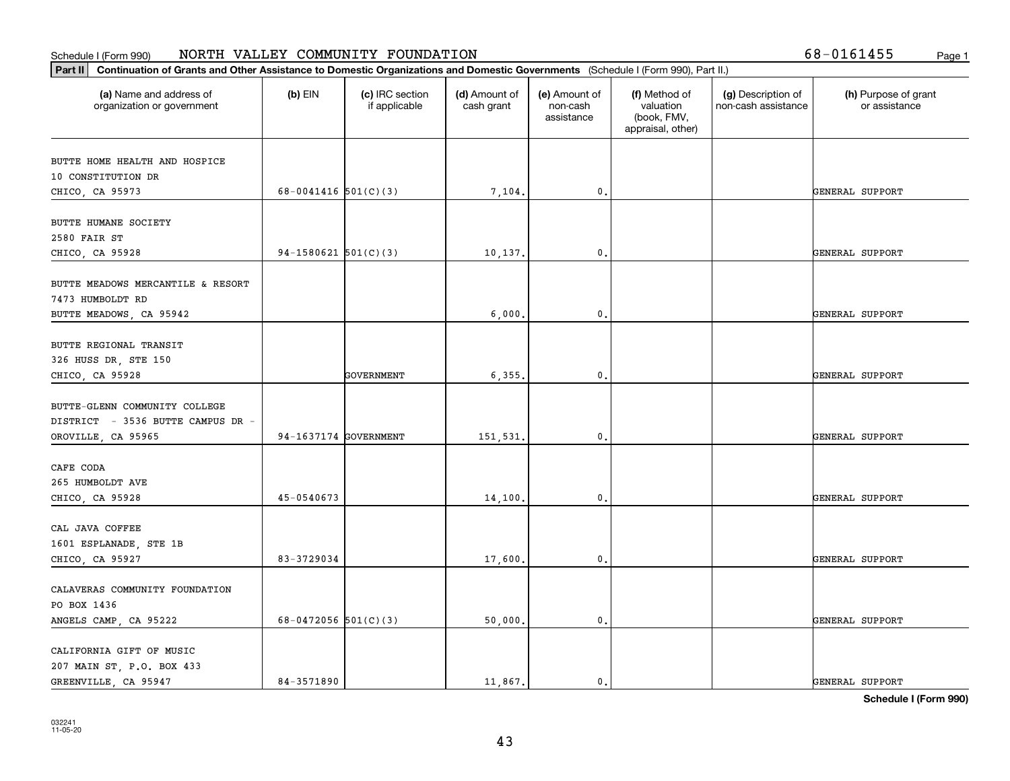| 68-0161455 |  |  |  |  |  |
|------------|--|--|--|--|--|
|------------|--|--|--|--|--|

| Part II   Continuation of Grants and Other Assistance to Domestic Organizations and Domestic Governments (Schedule I (Form 990), Part II.) |                          |                                  |                             |                                         |                                                                |                                           |                                       |
|--------------------------------------------------------------------------------------------------------------------------------------------|--------------------------|----------------------------------|-----------------------------|-----------------------------------------|----------------------------------------------------------------|-------------------------------------------|---------------------------------------|
| (a) Name and address of<br>organization or government                                                                                      | $(b)$ EIN                | (c) IRC section<br>if applicable | (d) Amount of<br>cash grant | (e) Amount of<br>non-cash<br>assistance | (f) Method of<br>valuation<br>(book, FMV,<br>appraisal, other) | (g) Description of<br>non-cash assistance | (h) Purpose of grant<br>or assistance |
| BUTTE HOME HEALTH AND HOSPICE                                                                                                              |                          |                                  |                             |                                         |                                                                |                                           |                                       |
| 10 CONSTITUTION DR                                                                                                                         |                          |                                  |                             |                                         |                                                                |                                           |                                       |
| CHICO, CA 95973                                                                                                                            | 68-0041416 $501(C)(3)$   |                                  | 7,104.                      | $\mathbf{0}$ .                          |                                                                |                                           | GENERAL SUPPORT                       |
|                                                                                                                                            |                          |                                  |                             |                                         |                                                                |                                           |                                       |
| BUTTE HUMANE SOCIETY<br>2580 FAIR ST                                                                                                       |                          |                                  |                             |                                         |                                                                |                                           |                                       |
| CHICO, CA 95928                                                                                                                            | $94-1580621$ $501(C)(3)$ |                                  | 10,137.                     | $^{\circ}$ .                            |                                                                |                                           | GENERAL SUPPORT                       |
|                                                                                                                                            |                          |                                  |                             |                                         |                                                                |                                           |                                       |
| BUTTE MEADOWS MERCANTILE & RESORT                                                                                                          |                          |                                  |                             |                                         |                                                                |                                           |                                       |
| 7473 HUMBOLDT RD                                                                                                                           |                          |                                  |                             |                                         |                                                                |                                           |                                       |
| BUTTE MEADOWS, CA 95942                                                                                                                    |                          |                                  | 6,000                       | $\mathbf{0}$ .                          |                                                                |                                           | GENERAL SUPPORT                       |
| BUTTE REGIONAL TRANSIT                                                                                                                     |                          |                                  |                             |                                         |                                                                |                                           |                                       |
| 326 HUSS DR, STE 150                                                                                                                       |                          |                                  |                             |                                         |                                                                |                                           |                                       |
| CHICO, CA 95928                                                                                                                            |                          | <b>GOVERNMENT</b>                | 6,355.                      | $\mathbf{0}$ .                          |                                                                |                                           | GENERAL SUPPORT                       |
|                                                                                                                                            |                          |                                  |                             |                                         |                                                                |                                           |                                       |
| BUTTE-GLENN COMMUNITY COLLEGE                                                                                                              |                          |                                  |                             |                                         |                                                                |                                           |                                       |
| DISTRICT - 3536 BUTTE CAMPUS DR -                                                                                                          |                          |                                  |                             |                                         |                                                                |                                           |                                       |
| OROVILLE, CA 95965                                                                                                                         | 94-1637174 GOVERNMENT    |                                  | 151,531                     | $\mathfrak o$ .                         |                                                                |                                           | GENERAL SUPPORT                       |
|                                                                                                                                            |                          |                                  |                             |                                         |                                                                |                                           |                                       |
| CAFE CODA                                                                                                                                  |                          |                                  |                             |                                         |                                                                |                                           |                                       |
| 265 HUMBOLDT AVE                                                                                                                           |                          |                                  |                             |                                         |                                                                |                                           |                                       |
| CHICO, CA 95928                                                                                                                            | 45-0540673               |                                  | 14,100.                     | 0.                                      |                                                                |                                           | GENERAL SUPPORT                       |
| CAL JAVA COFFEE                                                                                                                            |                          |                                  |                             |                                         |                                                                |                                           |                                       |
| 1601 ESPLANADE, STE 1B                                                                                                                     |                          |                                  |                             |                                         |                                                                |                                           |                                       |
| CHICO, CA 95927                                                                                                                            | 83-3729034               |                                  | 17,600.                     | $\mathbf{0}$ .                          |                                                                |                                           | GENERAL SUPPORT                       |
|                                                                                                                                            |                          |                                  |                             |                                         |                                                                |                                           |                                       |
| CALAVERAS COMMUNITY FOUNDATION                                                                                                             |                          |                                  |                             |                                         |                                                                |                                           |                                       |
| PO BOX 1436                                                                                                                                |                          |                                  |                             |                                         |                                                                |                                           |                                       |
| ANGELS CAMP, CA 95222                                                                                                                      | 68-0472056 $501(C)(3)$   |                                  | 50,000.                     | $\mathbf{0}$ .                          |                                                                |                                           | GENERAL SUPPORT                       |
|                                                                                                                                            |                          |                                  |                             |                                         |                                                                |                                           |                                       |
| CALIFORNIA GIFT OF MUSIC                                                                                                                   |                          |                                  |                             |                                         |                                                                |                                           |                                       |
| 207 MAIN ST, P.O. BOX 433                                                                                                                  |                          |                                  |                             |                                         |                                                                |                                           |                                       |
| GREENVILLE, CA 95947                                                                                                                       | 84-3571890               |                                  | 11,867.                     | $\mathbf{0}$ .                          |                                                                |                                           | GENERAL SUPPORT                       |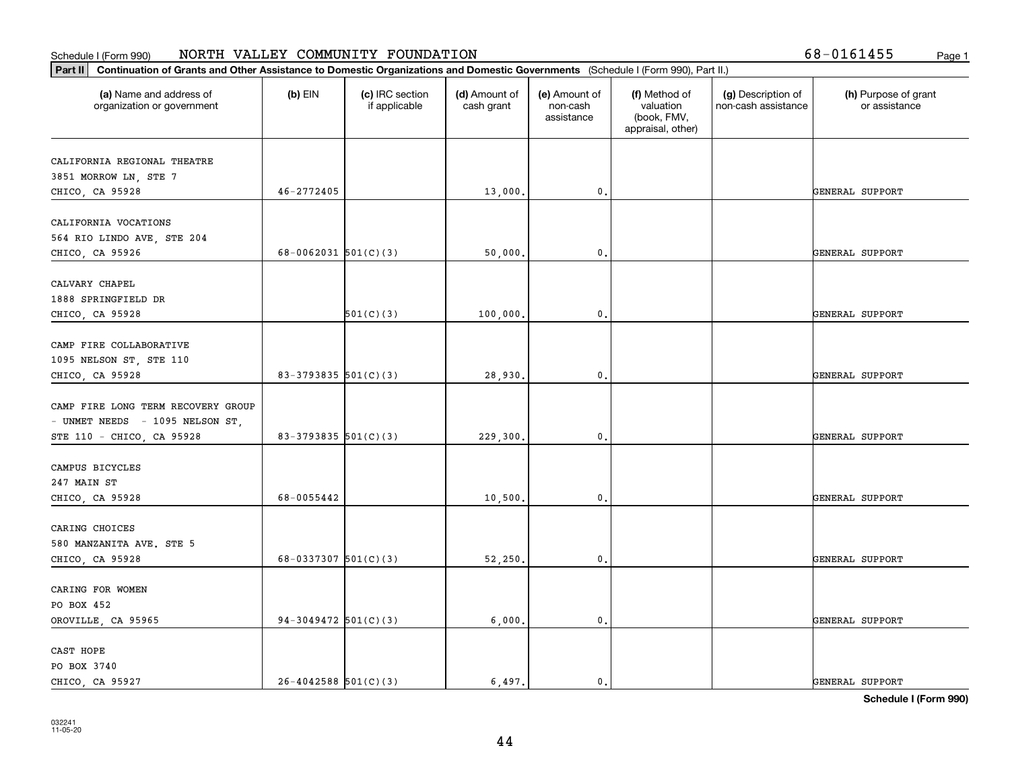| (a) Name and address of<br>organization or government | $(b)$ EIN                | (c) IRC section<br>if applicable | (d) Amount of<br>cash grant | (e) Amount of<br>non-cash<br>assistance | (f) Method of<br>valuation<br>(book, FMV,<br>appraisal, other) | (g) Description of<br>non-cash assistance | (h) Purpose of grant<br>or assistance |
|-------------------------------------------------------|--------------------------|----------------------------------|-----------------------------|-----------------------------------------|----------------------------------------------------------------|-------------------------------------------|---------------------------------------|
| CALIFORNIA REGIONAL THEATRE                           |                          |                                  |                             |                                         |                                                                |                                           |                                       |
| 3851 MORROW LN, STE 7                                 |                          |                                  |                             |                                         |                                                                |                                           |                                       |
| CHICO, CA 95928                                       | $46 - 2772405$           |                                  | 13,000.                     | 0.                                      |                                                                |                                           | GENERAL SUPPORT                       |
|                                                       |                          |                                  |                             |                                         |                                                                |                                           |                                       |
| CALIFORNIA VOCATIONS                                  |                          |                                  |                             |                                         |                                                                |                                           |                                       |
| 564 RIO LINDO AVE, STE 204                            |                          |                                  |                             |                                         |                                                                |                                           |                                       |
| CHICO, CA 95926                                       | 68-0062031 $501(C)(3)$   |                                  | 50,000.                     | 0.                                      |                                                                |                                           | GENERAL SUPPORT                       |
| CALVARY CHAPEL                                        |                          |                                  |                             |                                         |                                                                |                                           |                                       |
| 1888 SPRINGFIELD DR                                   |                          |                                  |                             |                                         |                                                                |                                           |                                       |
| CHICO, CA 95928                                       |                          | 501(C)(3)                        | 100,000.                    | 0.                                      |                                                                |                                           | GENERAL SUPPORT                       |
|                                                       |                          |                                  |                             |                                         |                                                                |                                           |                                       |
| CAMP FIRE COLLABORATIVE                               |                          |                                  |                             |                                         |                                                                |                                           |                                       |
| 1095 NELSON ST, STE 110                               |                          |                                  |                             |                                         |                                                                |                                           |                                       |
| CHICO, CA 95928                                       | 83-3793835 501(C)(3)     |                                  | 28,930.                     | 0.                                      |                                                                |                                           | GENERAL SUPPORT                       |
| CAMP FIRE LONG TERM RECOVERY GROUP                    |                          |                                  |                             |                                         |                                                                |                                           |                                       |
| - UNMET NEEDS - 1095 NELSON ST,                       |                          |                                  |                             |                                         |                                                                |                                           |                                       |
| STE 110 - CHICO, CA 95928                             | 83-3793835 $501(C)(3)$   |                                  | 229,300.                    | 0.                                      |                                                                |                                           | GENERAL SUPPORT                       |
|                                                       |                          |                                  |                             |                                         |                                                                |                                           |                                       |
| CAMPUS BICYCLES                                       |                          |                                  |                             |                                         |                                                                |                                           |                                       |
| 247 MAIN ST                                           |                          |                                  |                             |                                         |                                                                |                                           |                                       |
| CHICO, CA 95928                                       | 68-0055442               |                                  | 10,500.                     | 0.                                      |                                                                |                                           | GENERAL SUPPORT                       |
|                                                       |                          |                                  |                             |                                         |                                                                |                                           |                                       |
| CARING CHOICES                                        |                          |                                  |                             |                                         |                                                                |                                           |                                       |
| 580 MANZANITA AVE. STE 5                              |                          |                                  |                             |                                         |                                                                |                                           |                                       |
| CHICO, CA 95928                                       | 68-0337307 $501(C)(3)$   |                                  | 52, 250.                    | 0.                                      |                                                                |                                           | GENERAL SUPPORT                       |
| CARING FOR WOMEN                                      |                          |                                  |                             |                                         |                                                                |                                           |                                       |
| PO BOX 452                                            |                          |                                  |                             |                                         |                                                                |                                           |                                       |
| OROVILLE, CA 95965                                    | 94-3049472 $501(C)(3)$   |                                  | 6,000.                      | 0.                                      |                                                                |                                           | GENERAL SUPPORT                       |
|                                                       |                          |                                  |                             |                                         |                                                                |                                           |                                       |
| CAST HOPE                                             |                          |                                  |                             |                                         |                                                                |                                           |                                       |
| PO BOX 3740                                           |                          |                                  |                             |                                         |                                                                |                                           |                                       |
| CHICO, CA 95927                                       | $26 - 4042588$ 501(C)(3) |                                  | 6,497.                      | $\mathbf{0}$ .                          |                                                                |                                           | GENERAL SUPPORT                       |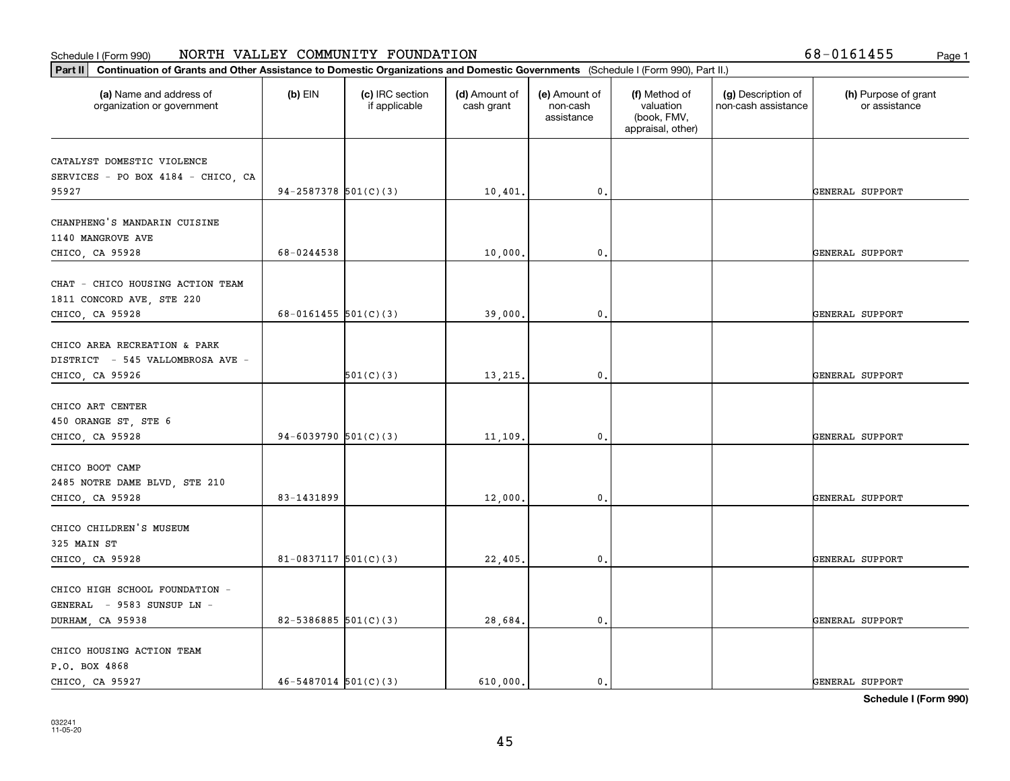| (a) Name and address of<br>organization or government                            | $(b)$ EIN                  | (c) IRC section<br>if applicable | (d) Amount of<br>cash grant | (e) Amount of<br>non-cash<br>assistance | (f) Method of<br>valuation<br>(book, FMV,<br>appraisal, other) | (g) Description of<br>non-cash assistance | (h) Purpose of grant<br>or assistance |
|----------------------------------------------------------------------------------|----------------------------|----------------------------------|-----------------------------|-----------------------------------------|----------------------------------------------------------------|-------------------------------------------|---------------------------------------|
| CATALYST DOMESTIC VIOLENCE<br>SERVICES - PO BOX 4184 - CHICO, CA                 |                            |                                  |                             |                                         |                                                                |                                           |                                       |
| 95927                                                                            | 94-2587378 $501(C)(3)$     |                                  | 10,401.                     | 0.                                      |                                                                |                                           | GENERAL SUPPORT                       |
| CHANPHENG'S MANDARIN CUISINE<br>1140 MANGROVE AVE                                | 68-0244538                 |                                  | 10,000.                     | 0.                                      |                                                                |                                           | GENERAL SUPPORT                       |
| CHICO, CA 95928                                                                  |                            |                                  |                             |                                         |                                                                |                                           |                                       |
| CHAT - CHICO HOUSING ACTION TEAM<br>1811 CONCORD AVE, STE 220<br>CHICO, CA 95928 | $68 - 0161455$ 501(C)(3)   |                                  | 39,000.                     | 0.                                      |                                                                |                                           | GENERAL SUPPORT                       |
| CHICO AREA RECREATION & PARK<br>DISTRICT - 545 VALLOMBROSA AVE -                 |                            |                                  |                             |                                         |                                                                |                                           |                                       |
| CHICO, CA 95926                                                                  |                            | 501(C)(3)                        | 13,215.                     | 0.                                      |                                                                |                                           | GENERAL SUPPORT                       |
| CHICO ART CENTER<br>450 ORANGE ST, STE 6                                         |                            |                                  |                             |                                         |                                                                |                                           |                                       |
| CHICO, CA 95928                                                                  | 94-6039790 $501(C)(3)$     |                                  | 11,109.                     | $\mathbf{0}$                            |                                                                |                                           | GENERAL SUPPORT                       |
| CHICO BOOT CAMP<br>2485 NOTRE DAME BLVD, STE 210<br>CHICO, CA 95928              | 83-1431899                 |                                  | 12,000.                     | 0.                                      |                                                                |                                           | GENERAL SUPPORT                       |
| CHICO CHILDREN'S MUSEUM<br>325 MAIN ST                                           |                            |                                  |                             |                                         |                                                                |                                           |                                       |
| CHICO, CA 95928                                                                  | $81-0837117$ 501(C)(3)     |                                  | 22,405.                     | 0.                                      |                                                                |                                           | GENERAL SUPPORT                       |
| CHICO HIGH SCHOOL FOUNDATION -<br>GENERAL - 9583 SUNSUP LN -                     |                            |                                  |                             |                                         |                                                                |                                           |                                       |
| DURHAM, CA 95938                                                                 | $82 - 5386885$ 501(C)(3)   |                                  | 28,684.                     | $\mathbf{0}$ .                          |                                                                |                                           | GENERAL SUPPORT                       |
| CHICO HOUSING ACTION TEAM<br>P.O. BOX 4868<br>CHICO, CA 95927                    | $46 - 5487014$ $501(C)(3)$ |                                  | 610.000.                    | $\mathbf{0}$ .                          |                                                                |                                           | GENERAL SUPPORT                       |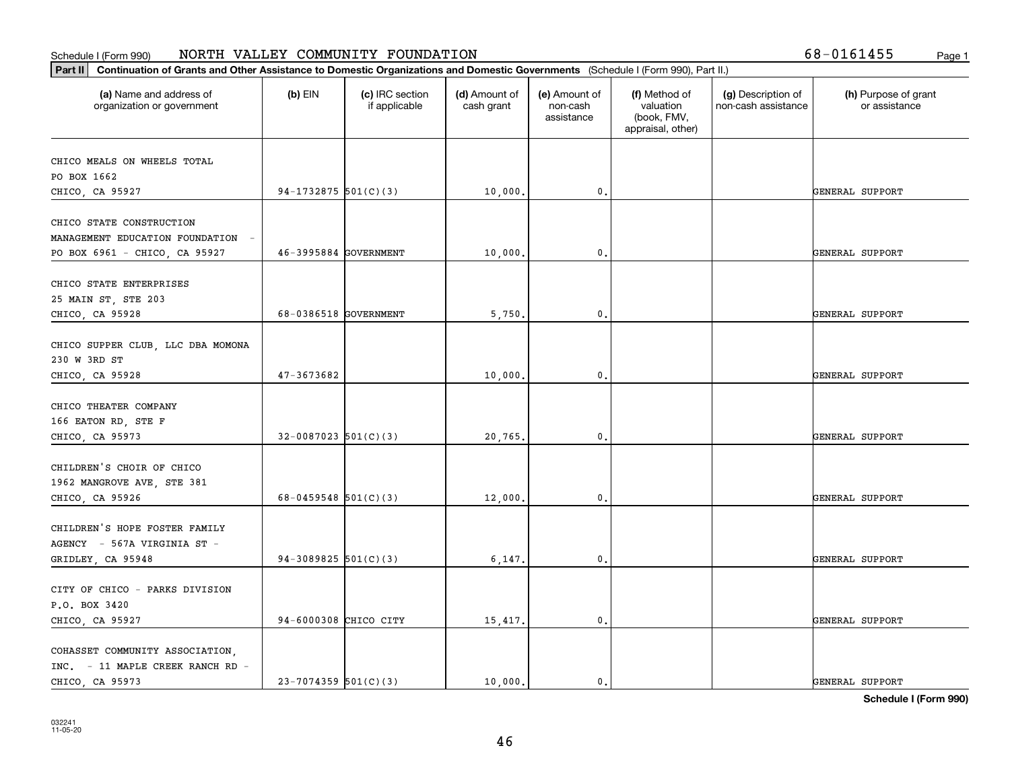| CHICO MEALS ON WHEELS TOTAL<br>94-1732875 $501(C)(3)$<br>10,000.<br>0.<br>46-3995884 GOVERNMENT<br>10,000.<br>0.<br>68-0386518 GOVERNMENT<br>$\mathbf{0}$ .<br>5,750.<br>47-3673682<br>10,000.<br>0.<br>$32 - 0087023$ 501(C)(3)<br>20,765.<br>0.<br>68-0459548 $501(C)(3)$<br>12,000.<br>0.<br>94-3089825 $501(C)(3)$<br>6, 147.<br>0.<br>94-6000308 CHICO CITY<br>$\mathbf{0}$ .<br>15,417. | (d) Amount of<br>(e) Amount of<br>(f) Method of<br>(g) Description of<br>(h) Purpose of grant<br>valuation<br>cash grant<br>non-cash<br>non-cash assistance<br>or assistance<br>(book, FMV,<br>assistance<br>appraisal, other) |  | $(b)$ EIN<br>(c) IRC section<br>if applicable | (a) Name and address of<br>organization or government |
|-----------------------------------------------------------------------------------------------------------------------------------------------------------------------------------------------------------------------------------------------------------------------------------------------------------------------------------------------------------------------------------------------|--------------------------------------------------------------------------------------------------------------------------------------------------------------------------------------------------------------------------------|--|-----------------------------------------------|-------------------------------------------------------|
|                                                                                                                                                                                                                                                                                                                                                                                               |                                                                                                                                                                                                                                |  |                                               |                                                       |
| CHICO, CA 95927<br>CHICO STATE CONSTRUCTION<br>MANAGEMENT EDUCATION FOUNDATION -<br>PO BOX 6961 - CHICO, CA 95927<br>CHICO STATE ENTERPRISES<br>25 MAIN ST, STE 203<br>CHICO, CA 95928<br>CHICO SUPPER CLUB, LLC DBA MOMONA                                                                                                                                                                   |                                                                                                                                                                                                                                |  |                                               | PO BOX 1662                                           |
|                                                                                                                                                                                                                                                                                                                                                                                               | GENERAL SUPPORT                                                                                                                                                                                                                |  |                                               |                                                       |
|                                                                                                                                                                                                                                                                                                                                                                                               |                                                                                                                                                                                                                                |  |                                               |                                                       |
|                                                                                                                                                                                                                                                                                                                                                                                               |                                                                                                                                                                                                                                |  |                                               |                                                       |
|                                                                                                                                                                                                                                                                                                                                                                                               | GENERAL SUPPORT                                                                                                                                                                                                                |  |                                               |                                                       |
|                                                                                                                                                                                                                                                                                                                                                                                               |                                                                                                                                                                                                                                |  |                                               |                                                       |
|                                                                                                                                                                                                                                                                                                                                                                                               |                                                                                                                                                                                                                                |  |                                               |                                                       |
|                                                                                                                                                                                                                                                                                                                                                                                               | GENERAL SUPPORT                                                                                                                                                                                                                |  |                                               |                                                       |
| 230 W 3RD ST<br>CHICO, CA 95928<br>CHICO THEATER COMPANY<br>166 EATON RD, STE F<br>CHICO, CA 95973<br>CHILDREN'S CHOIR OF CHICO<br>1962 MANGROVE AVE, STE 381<br>CHICO, CA 95926<br>CHILDREN'S HOPE FOSTER FAMILY<br>AGENCY - 567A VIRGINIA ST -<br>GRIDLEY, CA 95948<br>CITY OF CHICO - PARKS DIVISION<br>P.O. BOX 3420<br>CHICO, CA 95927<br>COHASSET COMMUNITY ASSOCIATION,                |                                                                                                                                                                                                                                |  |                                               |                                                       |
|                                                                                                                                                                                                                                                                                                                                                                                               |                                                                                                                                                                                                                                |  |                                               |                                                       |
|                                                                                                                                                                                                                                                                                                                                                                                               | GENERAL SUPPORT                                                                                                                                                                                                                |  |                                               |                                                       |
|                                                                                                                                                                                                                                                                                                                                                                                               |                                                                                                                                                                                                                                |  |                                               |                                                       |
|                                                                                                                                                                                                                                                                                                                                                                                               |                                                                                                                                                                                                                                |  |                                               |                                                       |
|                                                                                                                                                                                                                                                                                                                                                                                               |                                                                                                                                                                                                                                |  |                                               |                                                       |
|                                                                                                                                                                                                                                                                                                                                                                                               | GENERAL SUPPORT                                                                                                                                                                                                                |  |                                               |                                                       |
|                                                                                                                                                                                                                                                                                                                                                                                               |                                                                                                                                                                                                                                |  |                                               |                                                       |
|                                                                                                                                                                                                                                                                                                                                                                                               |                                                                                                                                                                                                                                |  |                                               |                                                       |
|                                                                                                                                                                                                                                                                                                                                                                                               | GENERAL SUPPORT                                                                                                                                                                                                                |  |                                               |                                                       |
|                                                                                                                                                                                                                                                                                                                                                                                               |                                                                                                                                                                                                                                |  |                                               |                                                       |
|                                                                                                                                                                                                                                                                                                                                                                                               |                                                                                                                                                                                                                                |  |                                               |                                                       |
|                                                                                                                                                                                                                                                                                                                                                                                               |                                                                                                                                                                                                                                |  |                                               |                                                       |
|                                                                                                                                                                                                                                                                                                                                                                                               | GENERAL SUPPORT                                                                                                                                                                                                                |  |                                               |                                                       |
|                                                                                                                                                                                                                                                                                                                                                                                               |                                                                                                                                                                                                                                |  |                                               |                                                       |
|                                                                                                                                                                                                                                                                                                                                                                                               |                                                                                                                                                                                                                                |  |                                               |                                                       |
|                                                                                                                                                                                                                                                                                                                                                                                               | GENERAL SUPPORT                                                                                                                                                                                                                |  |                                               |                                                       |
|                                                                                                                                                                                                                                                                                                                                                                                               |                                                                                                                                                                                                                                |  |                                               |                                                       |
|                                                                                                                                                                                                                                                                                                                                                                                               |                                                                                                                                                                                                                                |  |                                               | INC. - 11 MAPLE CREEK RANCH RD -                      |
| $23 - 7074359$ 501(C)(3)<br>10,000.<br>CHICO, CA 95973<br>0.                                                                                                                                                                                                                                                                                                                                  | GENERAL SUPPORT                                                                                                                                                                                                                |  |                                               |                                                       |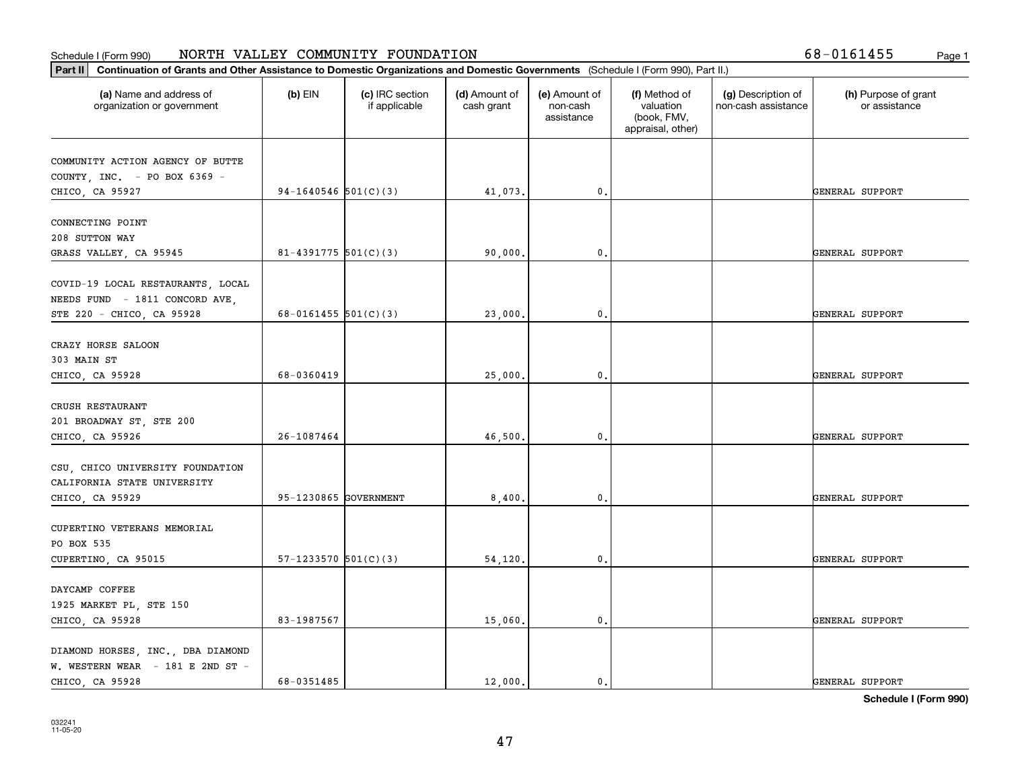|  |  | $8 - 0161455$ | Page |
|--|--|---------------|------|
|  |  |               |      |

| (a) Name and address of<br>organization or government      | $(b)$ EIN                | (c) IRC section<br>if applicable | (d) Amount of<br>cash grant | (e) Amount of<br>non-cash<br>assistance | (f) Method of<br>valuation<br>(book, FMV,<br>appraisal, other) | (g) Description of<br>non-cash assistance | (h) Purpose of grant<br>or assistance |
|------------------------------------------------------------|--------------------------|----------------------------------|-----------------------------|-----------------------------------------|----------------------------------------------------------------|-------------------------------------------|---------------------------------------|
| COMMUNITY ACTION AGENCY OF BUTTE                           |                          |                                  |                             |                                         |                                                                |                                           |                                       |
| COUNTY, INC. - PO BOX 6369 -                               |                          |                                  |                             |                                         |                                                                |                                           |                                       |
| CHICO, CA 95927                                            | 94-1640546 $501(C)(3)$   |                                  | 41,073.                     | 0.                                      |                                                                |                                           | GENERAL SUPPORT                       |
| CONNECTING POINT                                           |                          |                                  |                             |                                         |                                                                |                                           |                                       |
| 208 SUTTON WAY                                             |                          |                                  |                             |                                         |                                                                |                                           |                                       |
| GRASS VALLEY, CA 95945                                     | $81 - 4391775$ 501(C)(3) |                                  | 90,000,                     | $\mathfrak{o}$ .                        |                                                                |                                           | GENERAL SUPPORT                       |
|                                                            |                          |                                  |                             |                                         |                                                                |                                           |                                       |
| COVID-19 LOCAL RESTAURANTS, LOCAL                          |                          |                                  |                             |                                         |                                                                |                                           |                                       |
| NEEDS FUND - 1811 CONCORD AVE<br>STE 220 - CHICO, CA 95928 | 68-0161455 $501(C)(3)$   |                                  | 23,000.                     | $\mathfrak o$ .                         |                                                                |                                           | GENERAL SUPPORT                       |
|                                                            |                          |                                  |                             |                                         |                                                                |                                           |                                       |
| CRAZY HORSE SALOON                                         |                          |                                  |                             |                                         |                                                                |                                           |                                       |
| 303 MAIN ST                                                |                          |                                  |                             |                                         |                                                                |                                           |                                       |
| CHICO, CA 95928                                            | 68-0360419               |                                  | 25,000.                     | 0.                                      |                                                                |                                           | GENERAL SUPPORT                       |
|                                                            |                          |                                  |                             |                                         |                                                                |                                           |                                       |
| CRUSH RESTAURANT                                           |                          |                                  |                             |                                         |                                                                |                                           |                                       |
| 201 BROADWAY ST, STE 200                                   |                          |                                  |                             |                                         |                                                                |                                           |                                       |
| CHICO, CA 95926                                            | 26-1087464               |                                  | 46,500.                     | $\mathbf{0}$                            |                                                                |                                           | GENERAL SUPPORT                       |
|                                                            |                          |                                  |                             |                                         |                                                                |                                           |                                       |
| CSU, CHICO UNIVERSITY FOUNDATION                           |                          |                                  |                             |                                         |                                                                |                                           |                                       |
| CALIFORNIA STATE UNIVERSITY                                |                          |                                  |                             |                                         |                                                                |                                           |                                       |
| CHICO, CA 95929                                            | 95-1230865 GOVERNMENT    |                                  | 8,400.                      | $\mathfrak{o}$ .                        |                                                                |                                           | GENERAL SUPPORT                       |
| CUPERTINO VETERANS MEMORIAL                                |                          |                                  |                             |                                         |                                                                |                                           |                                       |
| PO BOX 535                                                 |                          |                                  |                             |                                         |                                                                |                                           |                                       |
| CUPERTINO, CA 95015                                        | $57-1233570$ $501(C)(3)$ |                                  | 54,120.                     | $\mathfrak{o}$ .                        |                                                                |                                           | GENERAL SUPPORT                       |
|                                                            |                          |                                  |                             |                                         |                                                                |                                           |                                       |
| DAYCAMP COFFEE                                             |                          |                                  |                             |                                         |                                                                |                                           |                                       |
| 1925 MARKET PL, STE 150                                    |                          |                                  |                             |                                         |                                                                |                                           |                                       |
| CHICO, CA 95928                                            | 83-1987567               |                                  | 15,060.                     | $\mathbf 0$ .                           |                                                                |                                           | GENERAL SUPPORT                       |
|                                                            |                          |                                  |                             |                                         |                                                                |                                           |                                       |
| DIAMOND HORSES, INC., DBA DIAMOND                          |                          |                                  |                             |                                         |                                                                |                                           |                                       |
| W. WESTERN WEAR $-181$ E 2ND ST $-$                        |                          |                                  |                             |                                         |                                                                |                                           |                                       |
| CHICO, CA 95928                                            | 68-0351485               |                                  | 12,000.                     | $\mathfrak{o}$ .                        |                                                                |                                           | GENERAL SUPPORT                       |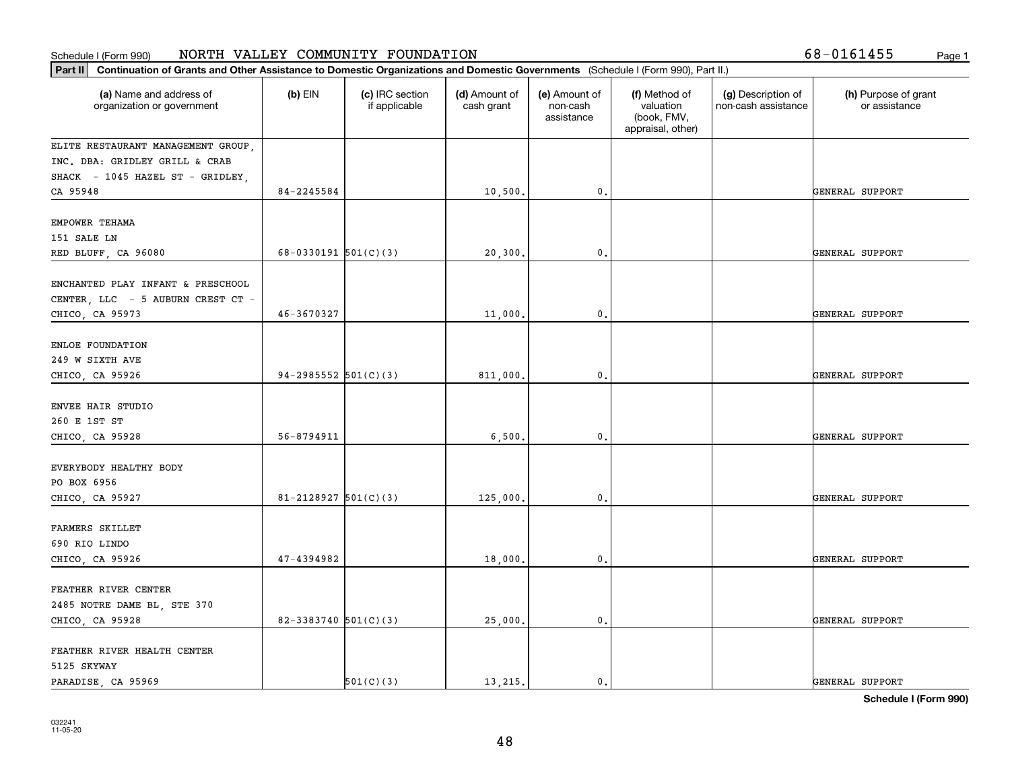| Part II   Continuation of Grants and Other Assistance to Domestic Organizations and Domestic Governments (Schedule I (Form 990), Part II.) |                          |                                  |                             |                                         |                                                                |                                           |                                       |
|--------------------------------------------------------------------------------------------------------------------------------------------|--------------------------|----------------------------------|-----------------------------|-----------------------------------------|----------------------------------------------------------------|-------------------------------------------|---------------------------------------|
| (a) Name and address of<br>organization or government                                                                                      | $(b)$ EIN                | (c) IRC section<br>if applicable | (d) Amount of<br>cash grant | (e) Amount of<br>non-cash<br>assistance | (f) Method of<br>valuation<br>(book, FMV,<br>appraisal, other) | (g) Description of<br>non-cash assistance | (h) Purpose of grant<br>or assistance |
| ELITE RESTAURANT MANAGEMENT GROUP,                                                                                                         |                          |                                  |                             |                                         |                                                                |                                           |                                       |
| INC. DBA: GRIDLEY GRILL & CRAB                                                                                                             |                          |                                  |                             |                                         |                                                                |                                           |                                       |
| SHACK - 1045 HAZEL ST - GRIDLEY,                                                                                                           |                          |                                  |                             |                                         |                                                                |                                           |                                       |
| CA 95948                                                                                                                                   | 84-2245584               |                                  | 10,500.                     | $\mathbf{0}$ .                          |                                                                |                                           | GENERAL SUPPORT                       |
| EMPOWER TEHAMA                                                                                                                             |                          |                                  |                             |                                         |                                                                |                                           |                                       |
| 151 SALE LN                                                                                                                                |                          |                                  |                             |                                         |                                                                |                                           |                                       |
| RED BLUFF, CA 96080                                                                                                                        | 68-0330191 $501(C)(3)$   |                                  | 20,300                      | $^{\circ}$ .                            |                                                                |                                           | GENERAL SUPPORT                       |
|                                                                                                                                            |                          |                                  |                             |                                         |                                                                |                                           |                                       |
| ENCHANTED PLAY INFANT & PRESCHOOL                                                                                                          |                          |                                  |                             |                                         |                                                                |                                           |                                       |
| CENTER, LLC - 5 AUBURN CREST CT -                                                                                                          |                          |                                  |                             |                                         |                                                                |                                           |                                       |
| CHICO, CA 95973                                                                                                                            | $46 - 3670327$           |                                  | 11,000.                     | $\mathbf 0$ .                           |                                                                |                                           | GENERAL SUPPORT                       |
| ENLOE FOUNDATION                                                                                                                           |                          |                                  |                             |                                         |                                                                |                                           |                                       |
| 249 W SIXTH AVE                                                                                                                            |                          |                                  |                             |                                         |                                                                |                                           |                                       |
| CHICO, CA 95926                                                                                                                            | 94-2985552 $501(C)(3)$   |                                  | 811,000.                    | 0.                                      |                                                                |                                           | GENERAL SUPPORT                       |
|                                                                                                                                            |                          |                                  |                             |                                         |                                                                |                                           |                                       |
| ENVEE HAIR STUDIO                                                                                                                          |                          |                                  |                             |                                         |                                                                |                                           |                                       |
| 260 E 1ST ST                                                                                                                               |                          |                                  |                             |                                         |                                                                |                                           |                                       |
| CHICO, CA 95928                                                                                                                            | 56-8794911               |                                  | 6,500                       | $\mathfrak o$ .                         |                                                                |                                           | GENERAL SUPPORT                       |
|                                                                                                                                            |                          |                                  |                             |                                         |                                                                |                                           |                                       |
| EVERYBODY HEALTHY BODY                                                                                                                     |                          |                                  |                             |                                         |                                                                |                                           |                                       |
| PO BOX 6956                                                                                                                                |                          |                                  |                             |                                         |                                                                |                                           |                                       |
| CHICO, CA 95927                                                                                                                            | 81-2128927 $501(C)(3)$   |                                  | 125,000.                    | 0.                                      |                                                                |                                           | GENERAL SUPPORT                       |
| <b>FARMERS SKILLET</b>                                                                                                                     |                          |                                  |                             |                                         |                                                                |                                           |                                       |
| 690 RIO LINDO                                                                                                                              |                          |                                  |                             |                                         |                                                                |                                           |                                       |
| CHICO, CA 95926                                                                                                                            | 47-4394982               |                                  | 18,000.                     | $\mathbf{0}$ .                          |                                                                |                                           | GENERAL SUPPORT                       |
|                                                                                                                                            |                          |                                  |                             |                                         |                                                                |                                           |                                       |
| FEATHER RIVER CENTER                                                                                                                       |                          |                                  |                             |                                         |                                                                |                                           |                                       |
| 2485 NOTRE DAME BL, STE 370                                                                                                                |                          |                                  |                             |                                         |                                                                |                                           |                                       |
| CHICO, CA 95928                                                                                                                            | $82 - 3383740$ 501(C)(3) |                                  | 25,000.                     | $\mathfrak o$ .                         |                                                                |                                           | GENERAL SUPPORT                       |
|                                                                                                                                            |                          |                                  |                             |                                         |                                                                |                                           |                                       |
| FEATHER RIVER HEALTH CENTER                                                                                                                |                          |                                  |                             |                                         |                                                                |                                           |                                       |
| 5125 SKYWAY                                                                                                                                |                          |                                  |                             |                                         |                                                                |                                           |                                       |
| PARADISE, CA 95969                                                                                                                         |                          | 501(C)(3)                        | 13, 215.                    | $\mathbf{0}$ .                          |                                                                |                                           | GENERAL SUPPORT                       |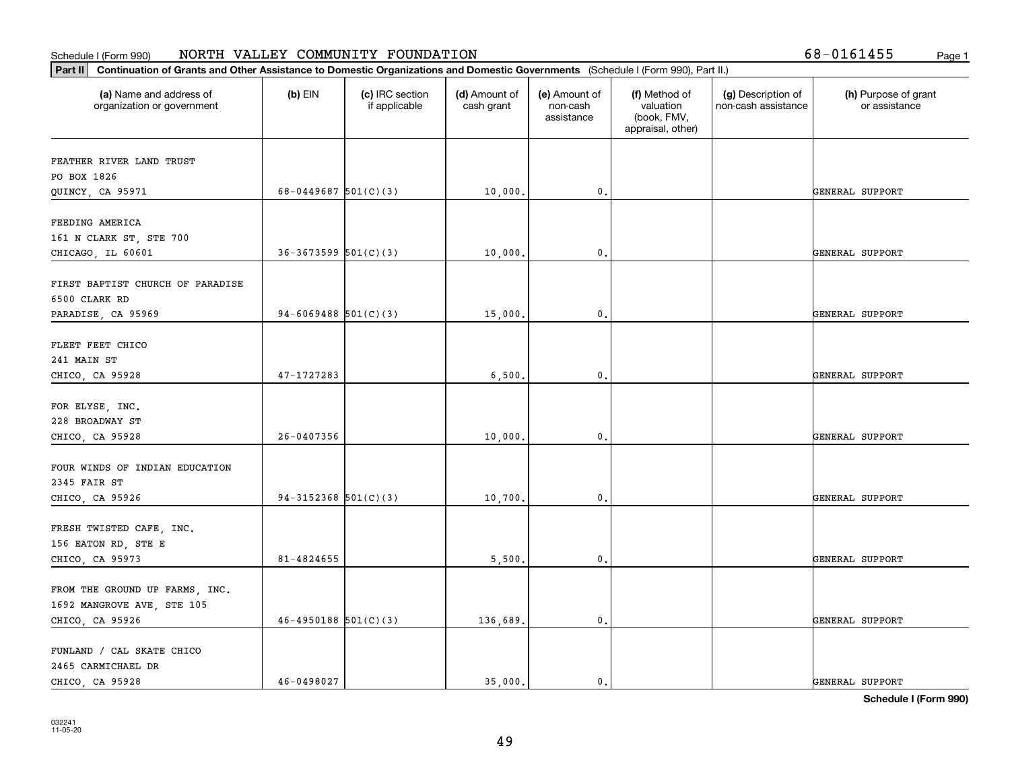| Part II   Continuation of Grants and Other Assistance to Domestic Organizations and Domestic Governments (Schedule I (Form 990), Part II.) |                            |                                  |                             |                                         |                                                                |                                           |                                       |  |  |
|--------------------------------------------------------------------------------------------------------------------------------------------|----------------------------|----------------------------------|-----------------------------|-----------------------------------------|----------------------------------------------------------------|-------------------------------------------|---------------------------------------|--|--|
| (a) Name and address of<br>organization or government                                                                                      | $(b)$ EIN                  | (c) IRC section<br>if applicable | (d) Amount of<br>cash grant | (e) Amount of<br>non-cash<br>assistance | (f) Method of<br>valuation<br>(book, FMV,<br>appraisal, other) | (g) Description of<br>non-cash assistance | (h) Purpose of grant<br>or assistance |  |  |
| FEATHER RIVER LAND TRUST                                                                                                                   |                            |                                  |                             |                                         |                                                                |                                           |                                       |  |  |
| PO BOX 1826                                                                                                                                |                            |                                  |                             |                                         |                                                                |                                           |                                       |  |  |
| QUINCY, CA 95971                                                                                                                           | 68-0449687 $501(C)(3)$     |                                  | 10,000.                     | $\mathbf{0}$ .                          |                                                                |                                           | GENERAL SUPPORT                       |  |  |
| FEEDING AMERICA                                                                                                                            |                            |                                  |                             |                                         |                                                                |                                           |                                       |  |  |
| 161 N CLARK ST, STE 700                                                                                                                    |                            |                                  |                             |                                         |                                                                |                                           |                                       |  |  |
| CHICAGO, IL 60601                                                                                                                          | $36-3673599$ $501(C)(3)$   |                                  | 10,000.                     | 0.                                      |                                                                |                                           | GENERAL SUPPORT                       |  |  |
|                                                                                                                                            |                            |                                  |                             |                                         |                                                                |                                           |                                       |  |  |
| FIRST BAPTIST CHURCH OF PARADISE<br>6500 CLARK RD                                                                                          |                            |                                  |                             |                                         |                                                                |                                           |                                       |  |  |
| PARADISE, CA 95969                                                                                                                         | $94-6069488$ 501(C)(3)     |                                  | 15,000.                     | 0.                                      |                                                                |                                           | GENERAL SUPPORT                       |  |  |
|                                                                                                                                            |                            |                                  |                             |                                         |                                                                |                                           |                                       |  |  |
| FLEET FEET CHICO                                                                                                                           |                            |                                  |                             |                                         |                                                                |                                           |                                       |  |  |
| 241 MAIN ST                                                                                                                                |                            |                                  |                             |                                         |                                                                |                                           |                                       |  |  |
| CHICO, CA 95928                                                                                                                            | 47-1727283                 |                                  | 6,500.                      | 0.                                      |                                                                |                                           | GENERAL SUPPORT                       |  |  |
|                                                                                                                                            |                            |                                  |                             |                                         |                                                                |                                           |                                       |  |  |
| FOR ELYSE, INC.                                                                                                                            |                            |                                  |                             |                                         |                                                                |                                           |                                       |  |  |
| 228 BROADWAY ST                                                                                                                            |                            |                                  |                             |                                         |                                                                |                                           |                                       |  |  |
| CHICO, CA 95928                                                                                                                            | 26-0407356                 |                                  | 10,000.                     | 0.                                      |                                                                |                                           | GENERAL SUPPORT                       |  |  |
|                                                                                                                                            |                            |                                  |                             |                                         |                                                                |                                           |                                       |  |  |
| FOUR WINDS OF INDIAN EDUCATION                                                                                                             |                            |                                  |                             |                                         |                                                                |                                           |                                       |  |  |
| 2345 FAIR ST                                                                                                                               |                            |                                  |                             |                                         |                                                                |                                           |                                       |  |  |
| CHICO, CA 95926                                                                                                                            | $94-3152368$ $501(C)(3)$   |                                  | 10,700.                     | 0.                                      |                                                                |                                           | GENERAL SUPPORT                       |  |  |
|                                                                                                                                            |                            |                                  |                             |                                         |                                                                |                                           |                                       |  |  |
| FRESH TWISTED CAFE, INC.                                                                                                                   |                            |                                  |                             |                                         |                                                                |                                           |                                       |  |  |
| 156 EATON RD, STE E                                                                                                                        |                            |                                  |                             |                                         |                                                                |                                           |                                       |  |  |
| CHICO, CA 95973                                                                                                                            | 81-4824655                 |                                  | 5,500.                      | 0.                                      |                                                                |                                           | GENERAL SUPPORT                       |  |  |
|                                                                                                                                            |                            |                                  |                             |                                         |                                                                |                                           |                                       |  |  |
| FROM THE GROUND UP FARMS, INC.                                                                                                             |                            |                                  |                             |                                         |                                                                |                                           |                                       |  |  |
| 1692 MANGROVE AVE, STE 105<br>CHICO, CA 95926                                                                                              | $46 - 4950188$ $501(C)(3)$ |                                  | 136,689.                    | 0.                                      |                                                                |                                           | GENERAL SUPPORT                       |  |  |
|                                                                                                                                            |                            |                                  |                             |                                         |                                                                |                                           |                                       |  |  |
| FUNLAND / CAL SKATE CHICO                                                                                                                  |                            |                                  |                             |                                         |                                                                |                                           |                                       |  |  |
| 2465 CARMICHAEL DR                                                                                                                         |                            |                                  |                             |                                         |                                                                |                                           |                                       |  |  |
| CHICO, CA 95928                                                                                                                            | 46-0498027                 |                                  | 35,000.                     | $\mathbf{0}$ .                          |                                                                |                                           | GENERAL SUPPORT                       |  |  |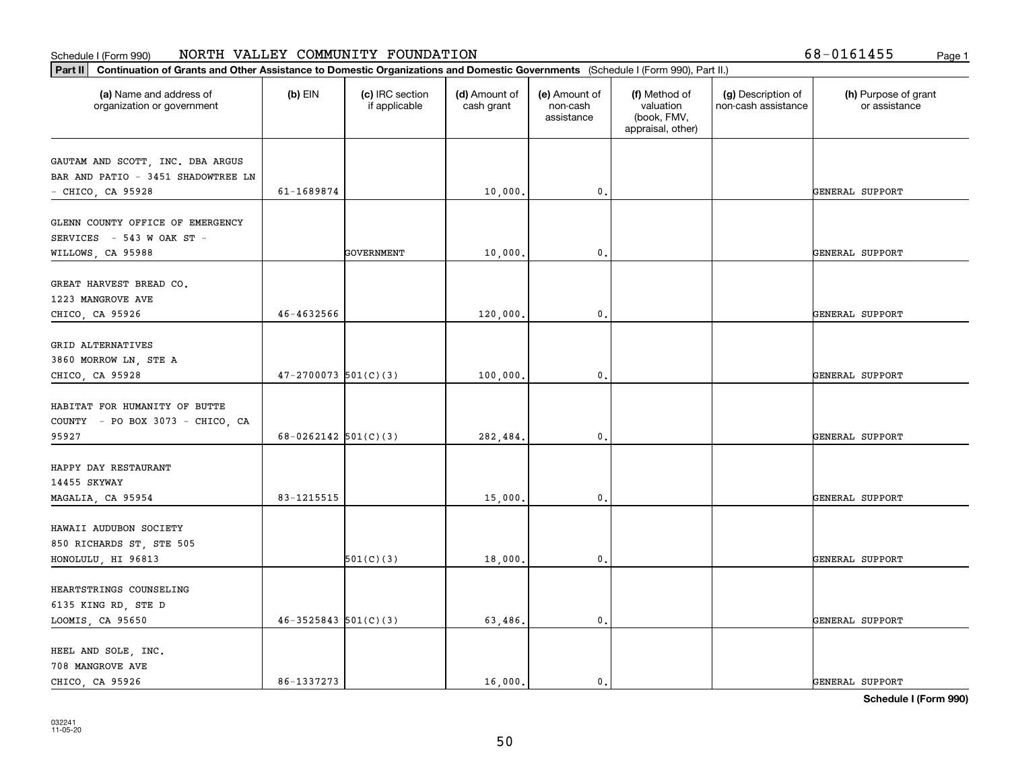|  |  |  | 58-0161455 |  |
|--|--|--|------------|--|
|--|--|--|------------|--|

| Continuation of Grants and Other Assistance to Domestic Organizations and Domestic Governments (Schedule I (Form 990), Part II.)<br>Part II |                          |                                  |                             |                                         |                                                                |                                           |                                       |
|---------------------------------------------------------------------------------------------------------------------------------------------|--------------------------|----------------------------------|-----------------------------|-----------------------------------------|----------------------------------------------------------------|-------------------------------------------|---------------------------------------|
| (a) Name and address of<br>organization or government                                                                                       | $(b)$ EIN                | (c) IRC section<br>if applicable | (d) Amount of<br>cash grant | (e) Amount of<br>non-cash<br>assistance | (f) Method of<br>valuation<br>(book, FMV,<br>appraisal, other) | (g) Description of<br>non-cash assistance | (h) Purpose of grant<br>or assistance |
| GAUTAM AND SCOTT, INC. DBA ARGUS<br>BAR AND PATIO - 3451 SHADOWTREE LN<br>- CHICO, CA 95928                                                 | 61-1689874               |                                  | 10,000.                     | 0.                                      |                                                                |                                           | GENERAL SUPPORT                       |
| GLENN COUNTY OFFICE OF EMERGENCY<br>SERVICES - 543 W OAK ST -<br>WILLOWS, CA 95988                                                          |                          | <b>GOVERNMENT</b>                | 10,000.                     | 0.                                      |                                                                |                                           | GENERAL SUPPORT                       |
| GREAT HARVEST BREAD CO.<br>1223 MANGROVE AVE<br>CHICO, CA 95926                                                                             | 46-4632566               |                                  | 120,000.                    | $\mathbf{0}$                            |                                                                |                                           | GENERAL SUPPORT                       |
| GRID ALTERNATIVES<br>3860 MORROW LN, STE A<br>CHICO, CA 95928                                                                               | $47-2700073$ 501(C)(3)   |                                  | 100,000.                    | 0.                                      |                                                                |                                           | GENERAL SUPPORT                       |
| HABITAT FOR HUMANITY OF BUTTE<br>COUNTY - PO BOX 3073 - CHICO, CA<br>95927                                                                  | $68-0262142$ 501(C)(3)   |                                  | 282,484.                    | 0.                                      |                                                                |                                           | GENERAL SUPPORT                       |
| HAPPY DAY RESTAURANT<br>14455 SKYWAY<br>MAGALIA, CA 95954                                                                                   | 83-1215515               |                                  | 15,000.                     | 0.                                      |                                                                |                                           | GENERAL SUPPORT                       |
| HAWAII AUDUBON SOCIETY<br>850 RICHARDS ST, STE 505<br>HONOLULU, HI 96813                                                                    |                          | 501(C)(3)                        | 18,000.                     | 0.                                      |                                                                |                                           | GENERAL SUPPORT                       |
| HEARTSTRINGS COUNSELING<br>6135 KING RD, STE D<br>LOOMIS, CA 95650                                                                          | $46 - 3525843$ 501(C)(3) |                                  | 63,486.                     | 0.                                      |                                                                |                                           | GENERAL SUPPORT                       |
| HEEL AND SOLE, INC.<br>708 MANGROVE AVE<br>CHICO, CA 95926                                                                                  | 86-1337273               |                                  | 16,000.                     | 0.                                      |                                                                |                                           | GENERAL SUPPORT                       |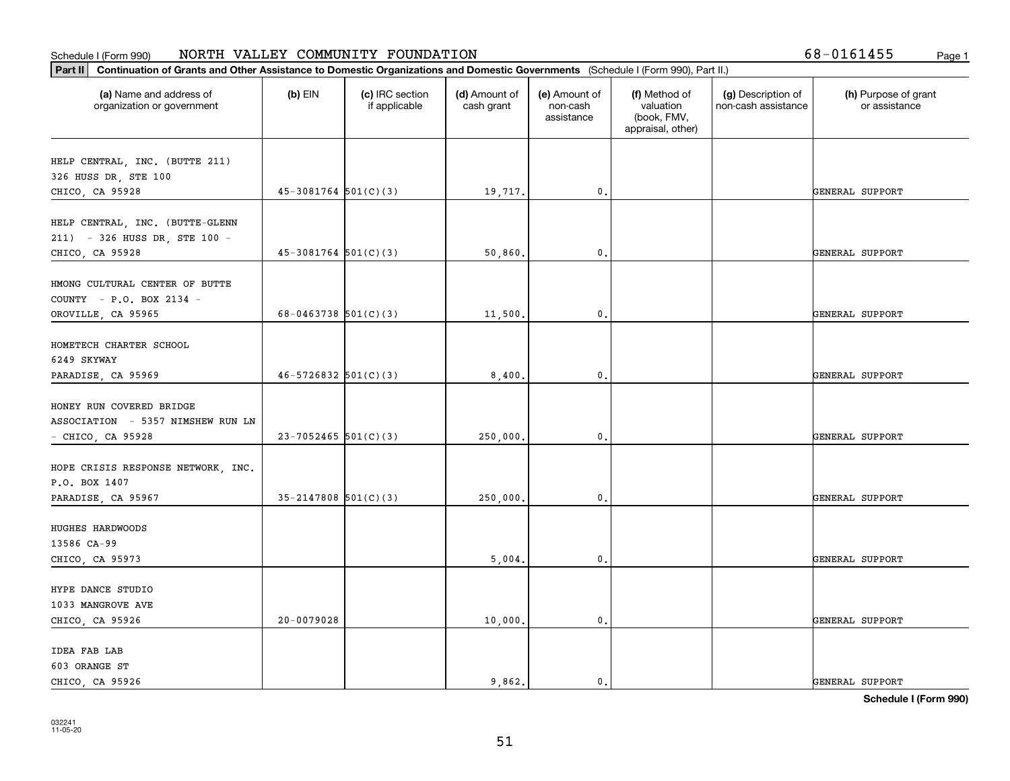| (a) Name and address of<br>organization or government      | $(b)$ EIN                  | (c) IRC section<br>if applicable | (d) Amount of<br>cash grant | (e) Amount of<br>non-cash<br>assistance | (f) Method of<br>valuation<br>(book, FMV,<br>appraisal, other) | (g) Description of<br>non-cash assistance | (h) Purpose of grant<br>or assistance |
|------------------------------------------------------------|----------------------------|----------------------------------|-----------------------------|-----------------------------------------|----------------------------------------------------------------|-------------------------------------------|---------------------------------------|
| HELP CENTRAL, INC. (BUTTE 211)                             |                            |                                  |                             |                                         |                                                                |                                           |                                       |
| 326 HUSS DR, STE 100                                       |                            |                                  |                             |                                         |                                                                |                                           |                                       |
| CHICO, CA 95928                                            | $45-3081764$ 501(C)(3)     |                                  | 19,717.                     | 0.                                      |                                                                |                                           | GENERAL SUPPORT                       |
|                                                            |                            |                                  |                             |                                         |                                                                |                                           |                                       |
| HELP CENTRAL, INC. (BUTTE-GLENN                            |                            |                                  |                             |                                         |                                                                |                                           |                                       |
| 211) - 326 HUSS DR, STE 100 -                              |                            |                                  |                             |                                         |                                                                |                                           |                                       |
| CHICO, CA 95928                                            | $45-3081764$ $501(C)(3)$   |                                  | 50,860.                     | 0.                                      |                                                                |                                           | GENERAL SUPPORT                       |
|                                                            |                            |                                  |                             |                                         |                                                                |                                           |                                       |
| HMONG CULTURAL CENTER OF BUTTE<br>COUNTY - P.O. BOX 2134 - |                            |                                  |                             |                                         |                                                                |                                           |                                       |
| OROVILLE, CA 95965                                         | 68-0463738 $501(C)(3)$     |                                  | 11,500.                     | 0.                                      |                                                                |                                           | GENERAL SUPPORT                       |
|                                                            |                            |                                  |                             |                                         |                                                                |                                           |                                       |
| HOMETECH CHARTER SCHOOL                                    |                            |                                  |                             |                                         |                                                                |                                           |                                       |
| 6249 SKYWAY                                                |                            |                                  |                             |                                         |                                                                |                                           |                                       |
| PARADISE, CA 95969                                         | $46 - 5726832$ $501(C)(3)$ |                                  | 8,400.                      | 0.                                      |                                                                |                                           | GENERAL SUPPORT                       |
|                                                            |                            |                                  |                             |                                         |                                                                |                                           |                                       |
| HONEY RUN COVERED BRIDGE                                   |                            |                                  |                             |                                         |                                                                |                                           |                                       |
| ASSOCIATION - 5357 NIMSHEW RUN LN                          |                            |                                  |                             |                                         |                                                                |                                           |                                       |
| $-$ CHICO, CA 95928                                        | $23 - 7052465$ 501(C)(3)   |                                  | 250,000.                    | 0.                                      |                                                                |                                           | GENERAL SUPPORT                       |
|                                                            |                            |                                  |                             |                                         |                                                                |                                           |                                       |
| HOPE CRISIS RESPONSE NETWORK, INC.                         |                            |                                  |                             |                                         |                                                                |                                           |                                       |
| P.O. BOX 1407<br>PARADISE, CA 95967                        | $35 - 2147808$ $501(C)(3)$ |                                  | 250,000.                    | 0.                                      |                                                                |                                           | GENERAL SUPPORT                       |
|                                                            |                            |                                  |                             |                                         |                                                                |                                           |                                       |
| HUGHES HARDWOODS                                           |                            |                                  |                             |                                         |                                                                |                                           |                                       |
| 13586 CA-99                                                |                            |                                  |                             |                                         |                                                                |                                           |                                       |
| CHICO, CA 95973                                            |                            |                                  | 5,004.                      | 0.                                      |                                                                |                                           | GENERAL SUPPORT                       |
|                                                            |                            |                                  |                             |                                         |                                                                |                                           |                                       |
| HYPE DANCE STUDIO                                          |                            |                                  |                             |                                         |                                                                |                                           |                                       |
| 1033 MANGROVE AVE                                          |                            |                                  |                             |                                         |                                                                |                                           |                                       |
| CHICO, CA 95926                                            | 20-0079028                 |                                  | 10,000.                     | 0.                                      |                                                                |                                           | GENERAL SUPPORT                       |
| IDEA FAB LAB                                               |                            |                                  |                             |                                         |                                                                |                                           |                                       |
| 603 ORANGE ST                                              |                            |                                  |                             |                                         |                                                                |                                           |                                       |
| CHICO, CA 95926                                            |                            |                                  | 9,862.                      | $\mathbf{0}$ .                          |                                                                |                                           | GENERAL SUPPORT                       |
|                                                            |                            |                                  |                             |                                         |                                                                |                                           |                                       |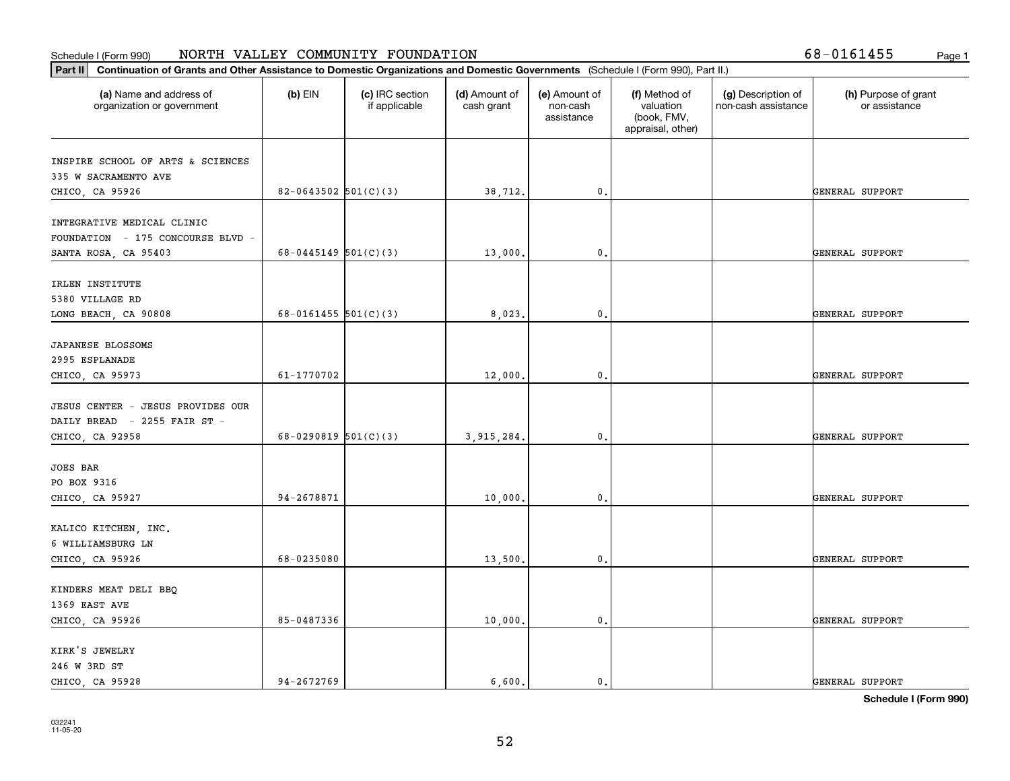| (a) Name and address of<br>organization or government | $(b)$ EIN                | (c) IRC section<br>if applicable | (d) Amount of<br>cash grant | (e) Amount of<br>non-cash<br>assistance | (f) Method of<br>valuation<br>(book, FMV,<br>appraisal, other) | (g) Description of<br>non-cash assistance | (h) Purpose of grant<br>or assistance |
|-------------------------------------------------------|--------------------------|----------------------------------|-----------------------------|-----------------------------------------|----------------------------------------------------------------|-------------------------------------------|---------------------------------------|
| INSPIRE SCHOOL OF ARTS & SCIENCES                     |                          |                                  |                             |                                         |                                                                |                                           |                                       |
| 335 W SACRAMENTO AVE                                  |                          |                                  |                             |                                         |                                                                |                                           |                                       |
| CHICO, CA 95926                                       | $82-0643502$ 501(C)(3)   |                                  | 38,712.                     | $\mathbf{0}$ .                          |                                                                |                                           | GENERAL SUPPORT                       |
| INTEGRATIVE MEDICAL CLINIC                            |                          |                                  |                             |                                         |                                                                |                                           |                                       |
| FOUNDATION - 175 CONCOURSE BLVD -                     |                          |                                  |                             |                                         |                                                                |                                           |                                       |
| SANTA ROSA, CA 95403                                  | $68 - 0445149$ 501(C)(3) |                                  | 13,000.                     | 0.                                      |                                                                |                                           | GENERAL SUPPORT                       |
| IRLEN INSTITUTE                                       |                          |                                  |                             |                                         |                                                                |                                           |                                       |
| 5380 VILLAGE RD                                       |                          |                                  |                             |                                         |                                                                |                                           |                                       |
| LONG BEACH, CA 90808                                  | $68 - 0161455$ 501(C)(3) |                                  | 8,023.                      | 0.                                      |                                                                |                                           | GENERAL SUPPORT                       |
|                                                       |                          |                                  |                             |                                         |                                                                |                                           |                                       |
| JAPANESE BLOSSOMS                                     |                          |                                  |                             |                                         |                                                                |                                           |                                       |
| 2995 ESPLANADE                                        |                          |                                  |                             |                                         |                                                                |                                           |                                       |
| CHICO, CA 95973                                       | 61-1770702               |                                  | 12,000.                     | $\mathbf 0$ .                           |                                                                |                                           | GENERAL SUPPORT                       |
| JESUS CENTER - JESUS PROVIDES OUR                     |                          |                                  |                             |                                         |                                                                |                                           |                                       |
| DAILY BREAD - 2255 FAIR ST -                          |                          |                                  |                             |                                         |                                                                |                                           |                                       |
| CHICO, CA 92958                                       | 68-0290819 $501(C)(3)$   |                                  | 3,915,284.                  | 0.                                      |                                                                |                                           | GENERAL SUPPORT                       |
| <b>JOES BAR</b>                                       |                          |                                  |                             |                                         |                                                                |                                           |                                       |
| PO BOX 9316                                           |                          |                                  |                             |                                         |                                                                |                                           |                                       |
| CHICO, CA 95927                                       | 94-2678871               |                                  | 10,000.                     | 0.                                      |                                                                |                                           | GENERAL SUPPORT                       |
| KALICO KITCHEN, INC.                                  |                          |                                  |                             |                                         |                                                                |                                           |                                       |
| 6 WILLIAMSBURG LN                                     |                          |                                  |                             |                                         |                                                                |                                           |                                       |
| CHICO, CA 95926                                       | 68-0235080               |                                  | 13,500.                     | 0.                                      |                                                                |                                           | GENERAL SUPPORT                       |
|                                                       |                          |                                  |                             |                                         |                                                                |                                           |                                       |
| KINDERS MEAT DELI BBQ                                 |                          |                                  |                             |                                         |                                                                |                                           |                                       |
| 1369 EAST AVE                                         |                          |                                  |                             |                                         |                                                                |                                           |                                       |
| CHICO, CA 95926                                       | 85-0487336               |                                  | 10,000.                     | 0.                                      |                                                                |                                           | GENERAL SUPPORT                       |
| KIRK'S JEWELRY                                        |                          |                                  |                             |                                         |                                                                |                                           |                                       |
| 246 W 3RD ST                                          |                          |                                  |                             |                                         |                                                                |                                           |                                       |
| CHICO, CA 95928                                       | 94-2672769               |                                  | 6,600.                      | $\mathbf{0}$ .                          |                                                                |                                           | GENERAL SUPPORT                       |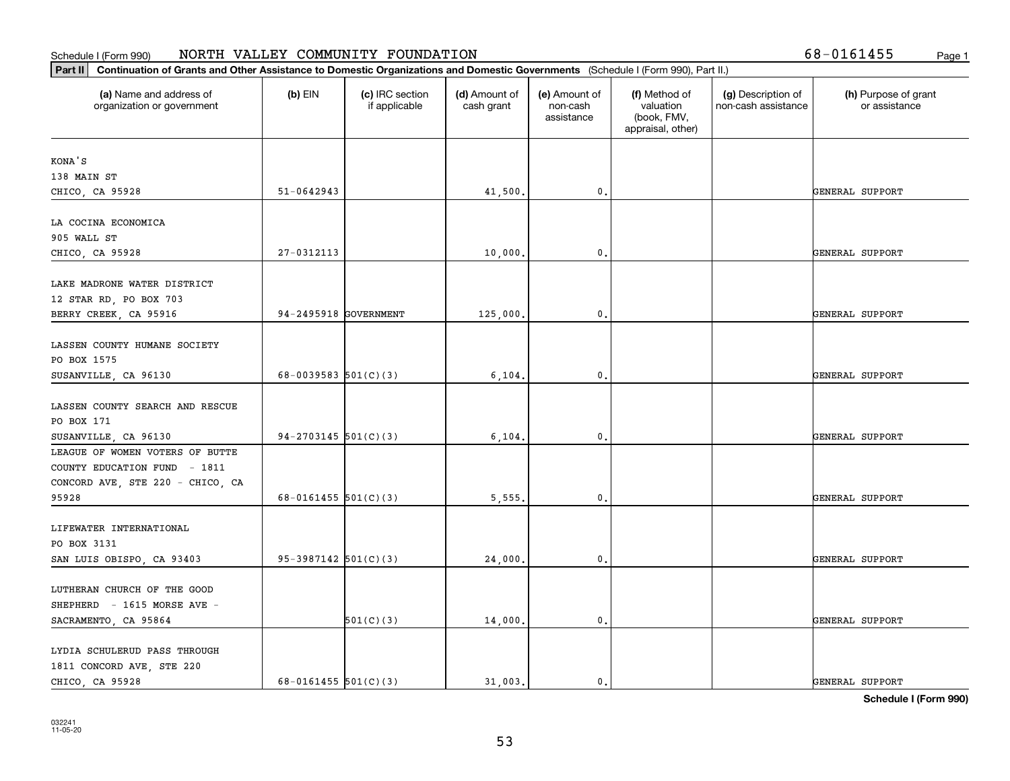| Part II   Continuation of Grants and Other Assistance to Domestic Organizations and Domestic Governments (Schedule I (Form 990), Part II.) |                          |                                  |                             |                                         |                                                                |                                           |                                       |
|--------------------------------------------------------------------------------------------------------------------------------------------|--------------------------|----------------------------------|-----------------------------|-----------------------------------------|----------------------------------------------------------------|-------------------------------------------|---------------------------------------|
| (a) Name and address of<br>organization or government                                                                                      | $(b)$ EIN                | (c) IRC section<br>if applicable | (d) Amount of<br>cash grant | (e) Amount of<br>non-cash<br>assistance | (f) Method of<br>valuation<br>(book, FMV,<br>appraisal, other) | (g) Description of<br>non-cash assistance | (h) Purpose of grant<br>or assistance |
| KONA'S                                                                                                                                     |                          |                                  |                             |                                         |                                                                |                                           |                                       |
| 138 MAIN ST                                                                                                                                |                          |                                  |                             |                                         |                                                                |                                           |                                       |
| CHICO, CA 95928                                                                                                                            | $51 - 0642943$           |                                  | 41,500.                     | $\mathbf{0}$ .                          |                                                                |                                           | GENERAL SUPPORT                       |
| LA COCINA ECONOMICA                                                                                                                        |                          |                                  |                             |                                         |                                                                |                                           |                                       |
| 905 WALL ST                                                                                                                                |                          |                                  |                             |                                         |                                                                |                                           |                                       |
| CHICO, CA 95928                                                                                                                            | 27-0312113               |                                  | 10,000.                     | 0.                                      |                                                                |                                           | GENERAL SUPPORT                       |
| LAKE MADRONE WATER DISTRICT                                                                                                                |                          |                                  |                             |                                         |                                                                |                                           |                                       |
| 12 STAR RD, PO BOX 703                                                                                                                     |                          |                                  |                             |                                         |                                                                |                                           |                                       |
| BERRY CREEK, CA 95916                                                                                                                      | 94-2495918 GOVERNMENT    |                                  | 125,000.                    | 0.                                      |                                                                |                                           | GENERAL SUPPORT                       |
|                                                                                                                                            |                          |                                  |                             |                                         |                                                                |                                           |                                       |
| LASSEN COUNTY HUMANE SOCIETY                                                                                                               |                          |                                  |                             |                                         |                                                                |                                           |                                       |
| PO BOX 1575                                                                                                                                |                          |                                  |                             |                                         |                                                                |                                           |                                       |
| SUSANVILLE, CA 96130                                                                                                                       | 68-0039583 $501(C)(3)$   |                                  | 6,104.                      | $\mathbf 0$ .                           |                                                                |                                           | GENERAL SUPPORT                       |
|                                                                                                                                            |                          |                                  |                             |                                         |                                                                |                                           |                                       |
| LASSEN COUNTY SEARCH AND RESCUE                                                                                                            |                          |                                  |                             |                                         |                                                                |                                           |                                       |
| PO BOX 171                                                                                                                                 |                          |                                  |                             |                                         |                                                                |                                           |                                       |
| SUSANVILLE, CA 96130<br>LEAGUE OF WOMEN VOTERS OF BUTTE                                                                                    | $94-2703145$ 501(C)(3)   |                                  | 6,104.                      | 0.                                      |                                                                |                                           | GENERAL SUPPORT                       |
|                                                                                                                                            |                          |                                  |                             |                                         |                                                                |                                           |                                       |
| COUNTY EDUCATION FUND - 1811                                                                                                               |                          |                                  |                             |                                         |                                                                |                                           |                                       |
| CONCORD AVE, STE 220 - CHICO, CA<br>95928                                                                                                  | $68 - 0161455$ 501(C)(3) |                                  | 5,555.                      | 0.                                      |                                                                |                                           | GENERAL SUPPORT                       |
|                                                                                                                                            |                          |                                  |                             |                                         |                                                                |                                           |                                       |
| LIFEWATER INTERNATIONAL                                                                                                                    |                          |                                  |                             |                                         |                                                                |                                           |                                       |
| PO BOX 3131                                                                                                                                |                          |                                  |                             |                                         |                                                                |                                           |                                       |
| SAN LUIS OBISPO, CA 93403                                                                                                                  | $95-3987142$ 501(C)(3)   |                                  | 24,000.                     | 0.                                      |                                                                |                                           | GENERAL SUPPORT                       |
|                                                                                                                                            |                          |                                  |                             |                                         |                                                                |                                           |                                       |
| LUTHERAN CHURCH OF THE GOOD                                                                                                                |                          |                                  |                             |                                         |                                                                |                                           |                                       |
| SHEPHERD - 1615 MORSE AVE -                                                                                                                |                          |                                  |                             |                                         |                                                                |                                           |                                       |
| SACRAMENTO, CA 95864                                                                                                                       |                          | 501(C)(3)                        | 14,000.                     | $\mathbf 0$ .                           |                                                                |                                           | GENERAL SUPPORT                       |
| LYDIA SCHULERUD PASS THROUGH                                                                                                               |                          |                                  |                             |                                         |                                                                |                                           |                                       |
| 1811 CONCORD AVE, STE 220                                                                                                                  |                          |                                  |                             |                                         |                                                                |                                           |                                       |
| CHICO, CA 95928                                                                                                                            | 68-0161455 $501(C)(3)$   |                                  | 31,003.                     | $\mathbf{0}$ .                          |                                                                |                                           | GENERAL SUPPORT                       |
|                                                                                                                                            |                          |                                  |                             |                                         |                                                                |                                           |                                       |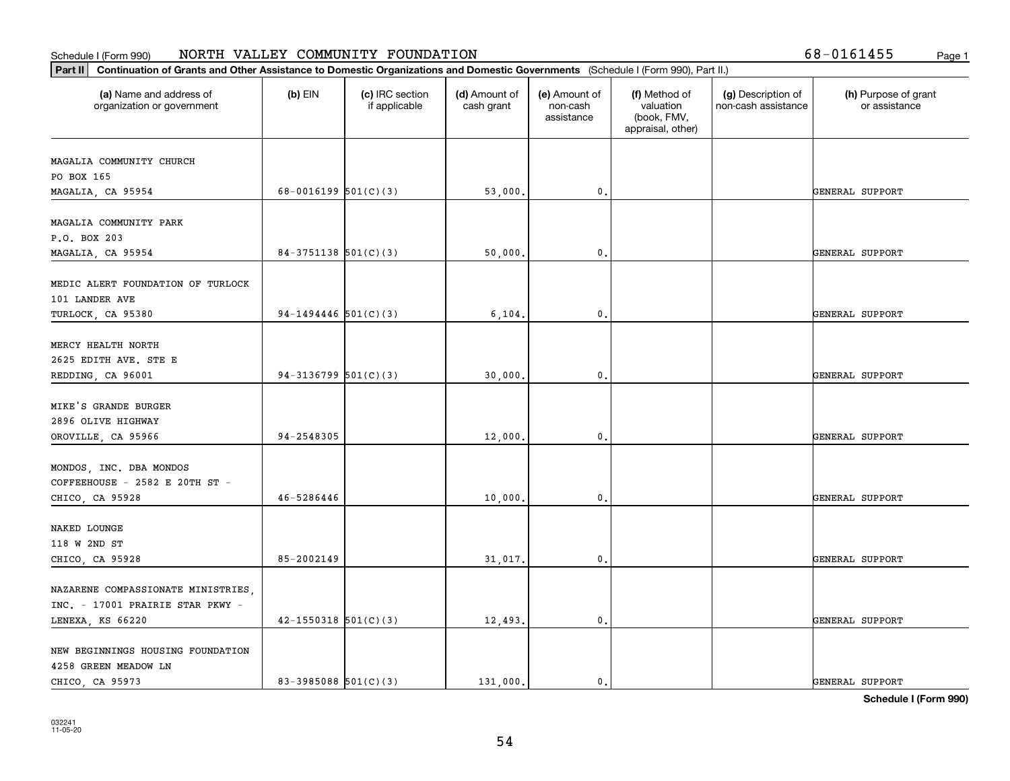| Part II   Continuation of Grants and Other Assistance to Domestic Organizations and Domestic Governments (Schedule I (Form 990), Part II.) |                            |                                  |                             |                                         |                                                                |                                           |                                       |  |  |
|--------------------------------------------------------------------------------------------------------------------------------------------|----------------------------|----------------------------------|-----------------------------|-----------------------------------------|----------------------------------------------------------------|-------------------------------------------|---------------------------------------|--|--|
| (a) Name and address of<br>organization or government                                                                                      | $(b)$ EIN                  | (c) IRC section<br>if applicable | (d) Amount of<br>cash grant | (e) Amount of<br>non-cash<br>assistance | (f) Method of<br>valuation<br>(book, FMV,<br>appraisal, other) | (g) Description of<br>non-cash assistance | (h) Purpose of grant<br>or assistance |  |  |
| MAGALIA COMMUNITY CHURCH                                                                                                                   |                            |                                  |                             |                                         |                                                                |                                           |                                       |  |  |
| PO BOX 165                                                                                                                                 |                            |                                  |                             |                                         |                                                                |                                           |                                       |  |  |
| MAGALIA, CA 95954                                                                                                                          | 68-0016199 $501(C)(3)$     |                                  | 53,000.                     | $\mathfrak{o}$ .                        |                                                                |                                           | GENERAL SUPPORT                       |  |  |
| MAGALIA COMMUNITY PARK                                                                                                                     |                            |                                  |                             |                                         |                                                                |                                           |                                       |  |  |
| P.O. BOX 203                                                                                                                               |                            |                                  |                             |                                         |                                                                |                                           |                                       |  |  |
| MAGALIA, CA 95954                                                                                                                          | $84-3751138$ $501(C)(3)$   |                                  | 50,000.                     | $\mathfrak{o}$ .                        |                                                                |                                           | GENERAL SUPPORT                       |  |  |
| MEDIC ALERT FOUNDATION OF TURLOCK                                                                                                          |                            |                                  |                             |                                         |                                                                |                                           |                                       |  |  |
| 101 LANDER AVE                                                                                                                             |                            |                                  |                             |                                         |                                                                |                                           |                                       |  |  |
| TURLOCK, CA 95380                                                                                                                          | $94-1494446$ 501(C)(3)     |                                  | 6, 104.                     | $\mathbf{0}$ .                          |                                                                |                                           | GENERAL SUPPORT                       |  |  |
|                                                                                                                                            |                            |                                  |                             |                                         |                                                                |                                           |                                       |  |  |
| MERCY HEALTH NORTH                                                                                                                         |                            |                                  |                             |                                         |                                                                |                                           |                                       |  |  |
| 2625 EDITH AVE. STE E                                                                                                                      |                            |                                  |                             |                                         |                                                                |                                           |                                       |  |  |
| REDDING, CA 96001                                                                                                                          | 94-3136799 $501(C)(3)$     |                                  | 30,000.                     | $\mathfrak{o}$ .                        |                                                                |                                           | GENERAL SUPPORT                       |  |  |
| MIKE'S GRANDE BURGER                                                                                                                       |                            |                                  |                             |                                         |                                                                |                                           |                                       |  |  |
| 2896 OLIVE HIGHWAY                                                                                                                         |                            |                                  |                             |                                         |                                                                |                                           |                                       |  |  |
| OROVILLE, CA 95966                                                                                                                         | 94-2548305                 |                                  | 12,000.                     | $\mathbf{0}$                            |                                                                |                                           | GENERAL SUPPORT                       |  |  |
|                                                                                                                                            |                            |                                  |                             |                                         |                                                                |                                           |                                       |  |  |
| MONDOS, INC. DBA MONDOS                                                                                                                    |                            |                                  |                             |                                         |                                                                |                                           |                                       |  |  |
| COFFEEHOUSE - 2582 E 20TH ST -                                                                                                             | 46-5286446                 |                                  |                             | $\mathfrak{o}$ .                        |                                                                |                                           |                                       |  |  |
| CHICO, CA 95928                                                                                                                            |                            |                                  | 10,000.                     |                                         |                                                                |                                           | GENERAL SUPPORT                       |  |  |
| NAKED LOUNGE                                                                                                                               |                            |                                  |                             |                                         |                                                                |                                           |                                       |  |  |
| 118 W 2ND ST                                                                                                                               |                            |                                  |                             |                                         |                                                                |                                           |                                       |  |  |
| CHICO, CA 95928                                                                                                                            | 85-2002149                 |                                  | 31,017.                     | $\mathfrak{o}$ .                        |                                                                |                                           | GENERAL SUPPORT                       |  |  |
|                                                                                                                                            |                            |                                  |                             |                                         |                                                                |                                           |                                       |  |  |
| NAZARENE COMPASSIONATE MINISTRIES,                                                                                                         |                            |                                  |                             |                                         |                                                                |                                           |                                       |  |  |
| INC. - 17001 PRAIRIE STAR PKWY -                                                                                                           |                            |                                  |                             |                                         |                                                                |                                           |                                       |  |  |
| LENEXA, KS 66220                                                                                                                           | $42 - 1550318$ $501(C)(3)$ |                                  | 12,493.                     | $\mathfrak o$ .                         |                                                                |                                           | GENERAL SUPPORT                       |  |  |
| NEW BEGINNINGS HOUSING FOUNDATION                                                                                                          |                            |                                  |                             |                                         |                                                                |                                           |                                       |  |  |
| 4258 GREEN MEADOW LN                                                                                                                       |                            |                                  |                             |                                         |                                                                |                                           |                                       |  |  |
| CHICO, CA 95973                                                                                                                            | 83-3985088 $501(C)(3)$     |                                  | 131,000.                    | $\mathfrak{o}$ .                        |                                                                |                                           | GENERAL SUPPORT                       |  |  |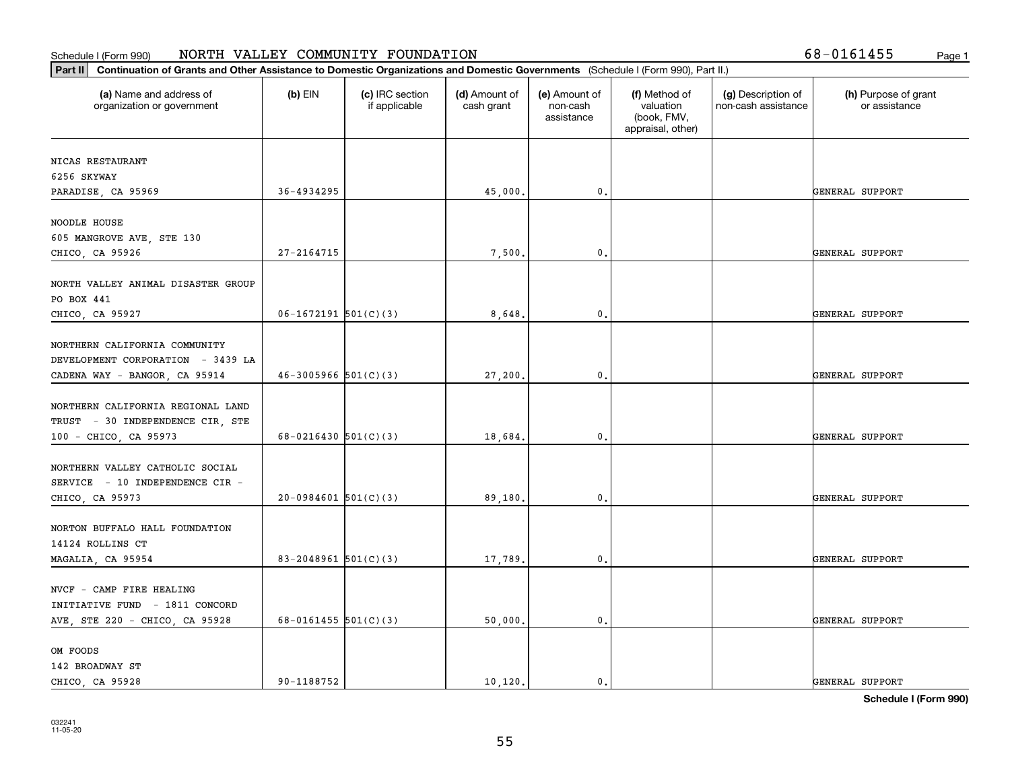| (a) Name and address of<br>organization or government      | $(b)$ EIN                | (c) IRC section<br>if applicable | (d) Amount of<br>cash grant | (e) Amount of<br>non-cash<br>assistance | (f) Method of<br>valuation<br>(book, FMV,<br>appraisal, other) | (g) Description of<br>non-cash assistance | (h) Purpose of grant<br>or assistance |
|------------------------------------------------------------|--------------------------|----------------------------------|-----------------------------|-----------------------------------------|----------------------------------------------------------------|-------------------------------------------|---------------------------------------|
| NICAS RESTAURANT                                           |                          |                                  |                             |                                         |                                                                |                                           |                                       |
| 6256 SKYWAY                                                |                          |                                  |                             |                                         |                                                                |                                           |                                       |
| PARADISE, CA 95969                                         | 36-4934295               |                                  | 45,000.                     | 0.                                      |                                                                |                                           | GENERAL SUPPORT                       |
|                                                            |                          |                                  |                             |                                         |                                                                |                                           |                                       |
| NOODLE HOUSE                                               |                          |                                  |                             |                                         |                                                                |                                           |                                       |
| 605 MANGROVE AVE, STE 130                                  |                          |                                  |                             |                                         |                                                                |                                           |                                       |
| CHICO, CA 95926                                            | 27-2164715               |                                  | 7,500.                      | 0.                                      |                                                                |                                           | GENERAL SUPPORT                       |
| NORTH VALLEY ANIMAL DISASTER GROUP                         |                          |                                  |                             |                                         |                                                                |                                           |                                       |
| PO BOX 441                                                 |                          |                                  |                             |                                         |                                                                |                                           |                                       |
| CHICO, CA 95927                                            | $06-1672191$ 501(C)(3)   |                                  | 8,648.                      | 0.                                      |                                                                |                                           | GENERAL SUPPORT                       |
|                                                            |                          |                                  |                             |                                         |                                                                |                                           |                                       |
| NORTHERN CALIFORNIA COMMUNITY                              |                          |                                  |                             |                                         |                                                                |                                           |                                       |
| DEVELOPMENT CORPORATION - 3439 LA                          |                          |                                  |                             |                                         |                                                                |                                           |                                       |
| CADENA WAY - BANGOR, CA 95914                              | $46-3005966$ $501(C)(3)$ |                                  | 27,200.                     | 0.                                      |                                                                |                                           | GENERAL SUPPORT                       |
| NORTHERN CALIFORNIA REGIONAL LAND                          |                          |                                  |                             |                                         |                                                                |                                           |                                       |
| TRUST - 30 INDEPENDENCE CIR, STE                           |                          |                                  |                             |                                         |                                                                |                                           |                                       |
| 100 - CHICO, CA 95973                                      | 68-0216430 $501(C)(3)$   |                                  | 18,684.                     | 0.                                      |                                                                |                                           | GENERAL SUPPORT                       |
|                                                            |                          |                                  |                             |                                         |                                                                |                                           |                                       |
| NORTHERN VALLEY CATHOLIC SOCIAL                            |                          |                                  |                             |                                         |                                                                |                                           |                                       |
| SERVICE - 10 INDEPENDENCE CIR -                            |                          |                                  |                             |                                         |                                                                |                                           |                                       |
| CHICO, CA 95973                                            | $20-0984601$ 501(C)(3)   |                                  | 89,180.                     | 0.                                      |                                                                |                                           | GENERAL SUPPORT                       |
|                                                            |                          |                                  |                             |                                         |                                                                |                                           |                                       |
| NORTON BUFFALO HALL FOUNDATION                             |                          |                                  |                             |                                         |                                                                |                                           |                                       |
| 14124 ROLLINS CT                                           |                          |                                  |                             |                                         |                                                                |                                           |                                       |
| MAGALIA, CA 95954                                          | 83-2048961 $501(C)(3)$   |                                  | 17,789.                     | 0.                                      |                                                                |                                           | GENERAL SUPPORT                       |
|                                                            |                          |                                  |                             |                                         |                                                                |                                           |                                       |
| NVCF - CAMP FIRE HEALING<br>INITIATIVE FUND - 1811 CONCORD |                          |                                  |                             |                                         |                                                                |                                           |                                       |
| AVE, STE 220 - CHICO, CA 95928                             | 68-0161455 $501(C)(3)$   |                                  | 50,000.                     | 0.                                      |                                                                |                                           | GENERAL SUPPORT                       |
|                                                            |                          |                                  |                             |                                         |                                                                |                                           |                                       |
| OM FOODS                                                   |                          |                                  |                             |                                         |                                                                |                                           |                                       |
| 142 BROADWAY ST                                            |                          |                                  |                             |                                         |                                                                |                                           |                                       |
| CHICO, CA 95928                                            | 90-1188752               |                                  | 10, 120.                    | $\mathbf{0}$ .                          |                                                                |                                           | GENERAL SUPPORT                       |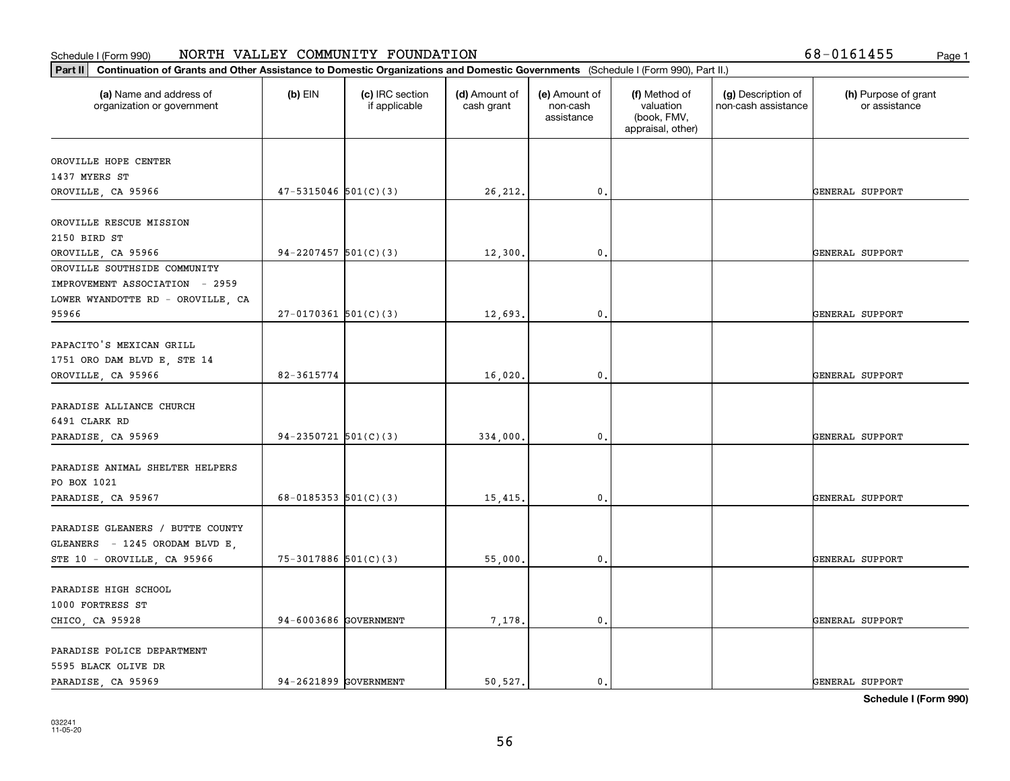| Continuation of Grants and Other Assistance to Domestic Organizations and Domestic Governments (Schedule I (Form 990), Part II.)<br>Part II |                            |                                  |                             |                                         |                                                                |                                           |                                       |  |  |  |
|---------------------------------------------------------------------------------------------------------------------------------------------|----------------------------|----------------------------------|-----------------------------|-----------------------------------------|----------------------------------------------------------------|-------------------------------------------|---------------------------------------|--|--|--|
| (a) Name and address of<br>organization or government                                                                                       | $(b)$ EIN                  | (c) IRC section<br>if applicable | (d) Amount of<br>cash grant | (e) Amount of<br>non-cash<br>assistance | (f) Method of<br>valuation<br>(book, FMV,<br>appraisal, other) | (g) Description of<br>non-cash assistance | (h) Purpose of grant<br>or assistance |  |  |  |
| OROVILLE HOPE CENTER                                                                                                                        |                            |                                  |                             |                                         |                                                                |                                           |                                       |  |  |  |
| 1437 MYERS ST                                                                                                                               |                            |                                  |                             |                                         |                                                                |                                           |                                       |  |  |  |
| OROVILLE, CA 95966                                                                                                                          | $47 - 5315046$ $501(C)(3)$ |                                  | 26,212.                     | 0.                                      |                                                                |                                           | GENERAL SUPPORT                       |  |  |  |
|                                                                                                                                             |                            |                                  |                             |                                         |                                                                |                                           |                                       |  |  |  |
| OROVILLE RESCUE MISSION                                                                                                                     |                            |                                  |                             |                                         |                                                                |                                           |                                       |  |  |  |
| 2150 BIRD ST                                                                                                                                | $94-2207457$ 501(C)(3)     |                                  |                             | $\mathfrak{o}$ .                        |                                                                |                                           | GENERAL SUPPORT                       |  |  |  |
| OROVILLE, CA 95966<br>OROVILLE SOUTHSIDE COMMUNITY                                                                                          |                            |                                  | 12,300.                     |                                         |                                                                |                                           |                                       |  |  |  |
| IMPROVEMENT ASSOCIATION - 2959                                                                                                              |                            |                                  |                             |                                         |                                                                |                                           |                                       |  |  |  |
| LOWER WYANDOTTE RD - OROVILLE, CA                                                                                                           |                            |                                  |                             |                                         |                                                                |                                           |                                       |  |  |  |
| 95966                                                                                                                                       | $27-0170361$ 501(C)(3)     |                                  | 12,693                      | $\mathbf{0}$                            |                                                                |                                           | GENERAL SUPPORT                       |  |  |  |
|                                                                                                                                             |                            |                                  |                             |                                         |                                                                |                                           |                                       |  |  |  |
| PAPACITO'S MEXICAN GRILL                                                                                                                    |                            |                                  |                             |                                         |                                                                |                                           |                                       |  |  |  |
| 1751 ORO DAM BLVD E, STE 14                                                                                                                 |                            |                                  |                             |                                         |                                                                |                                           |                                       |  |  |  |
| OROVILLE, CA 95966                                                                                                                          | 82-3615774                 |                                  | 16,020.                     | 0.                                      |                                                                |                                           | GENERAL SUPPORT                       |  |  |  |
|                                                                                                                                             |                            |                                  |                             |                                         |                                                                |                                           |                                       |  |  |  |
| PARADISE ALLIANCE CHURCH                                                                                                                    |                            |                                  |                             |                                         |                                                                |                                           |                                       |  |  |  |
| 6491 CLARK RD                                                                                                                               |                            |                                  |                             |                                         |                                                                |                                           |                                       |  |  |  |
| PARADISE, CA 95969                                                                                                                          | $94-2350721$ 501(C)(3)     |                                  | 334,000.                    | $\mathfrak{o}$ .                        |                                                                |                                           | GENERAL SUPPORT                       |  |  |  |
|                                                                                                                                             |                            |                                  |                             |                                         |                                                                |                                           |                                       |  |  |  |
| PARADISE ANIMAL SHELTER HELPERS                                                                                                             |                            |                                  |                             |                                         |                                                                |                                           |                                       |  |  |  |
| PO BOX 1021                                                                                                                                 |                            |                                  |                             |                                         |                                                                |                                           |                                       |  |  |  |
| PARADISE, CA 95967                                                                                                                          | 68-0185353 $501(C)(3)$     |                                  | 15,415.                     | $\mathbf{0}$                            |                                                                |                                           | GENERAL SUPPORT                       |  |  |  |
|                                                                                                                                             |                            |                                  |                             |                                         |                                                                |                                           |                                       |  |  |  |
| PARADISE GLEANERS / BUTTE COUNTY                                                                                                            |                            |                                  |                             |                                         |                                                                |                                           |                                       |  |  |  |
| GLEANERS - 1245 ORODAM BLVD E.                                                                                                              |                            |                                  |                             |                                         |                                                                |                                           |                                       |  |  |  |
| STE 10 - OROVILLE, CA 95966                                                                                                                 | $75 - 3017886$ $501(C)(3)$ |                                  | 55,000.                     | 0.                                      |                                                                |                                           | GENERAL SUPPORT                       |  |  |  |
| PARADISE HIGH SCHOOL                                                                                                                        |                            |                                  |                             |                                         |                                                                |                                           |                                       |  |  |  |
| 1000 FORTRESS ST                                                                                                                            |                            |                                  |                             |                                         |                                                                |                                           |                                       |  |  |  |
|                                                                                                                                             | 94-6003686 GOVERNMENT      |                                  | 7,178.                      | $\mathbf{0}$ .                          |                                                                |                                           | GENERAL SUPPORT                       |  |  |  |
| CHICO, CA 95928                                                                                                                             |                            |                                  |                             |                                         |                                                                |                                           |                                       |  |  |  |
| PARADISE POLICE DEPARTMENT                                                                                                                  |                            |                                  |                             |                                         |                                                                |                                           |                                       |  |  |  |
| 5595 BLACK OLIVE DR                                                                                                                         |                            |                                  |                             |                                         |                                                                |                                           |                                       |  |  |  |
| PARADISE, CA 95969                                                                                                                          | 94-2621899 GOVERNMENT      |                                  | 50.527.                     | 0.                                      |                                                                |                                           | GENERAL SUPPORT                       |  |  |  |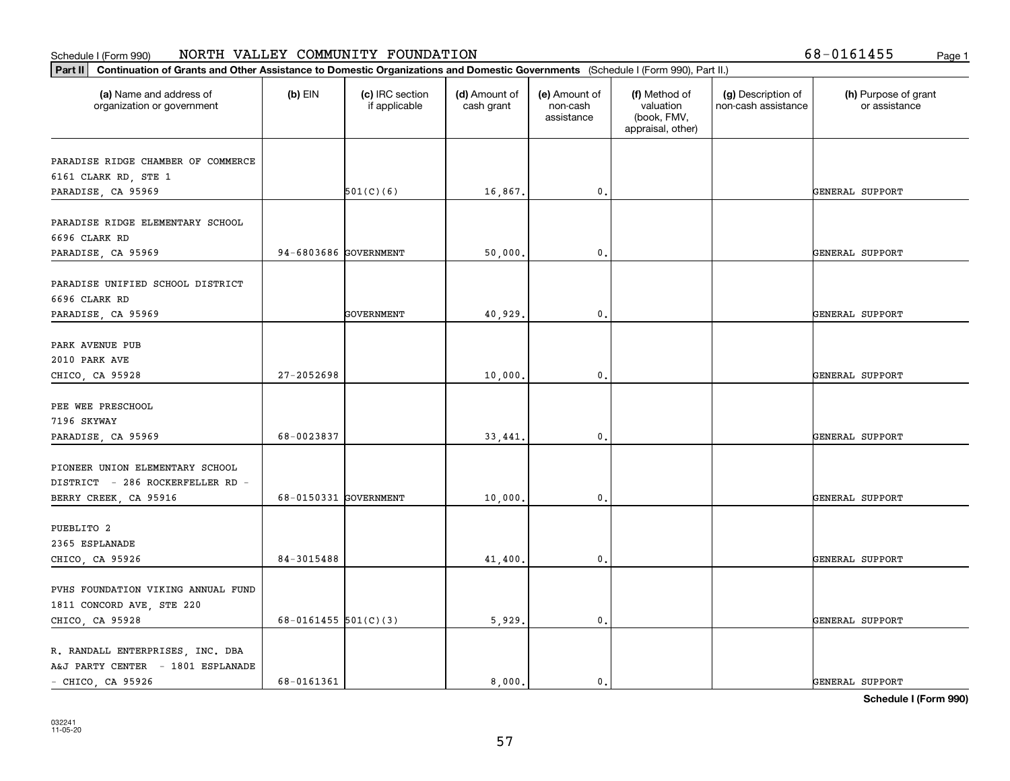|  |  |  |  | 8-0161455; |  |  |  |
|--|--|--|--|------------|--|--|--|
|--|--|--|--|------------|--|--|--|

| (a) Name and address of<br>$(b)$ EIN<br>(c) IRC section<br>(d) Amount of<br>(e) Amount of<br>(f) Method of<br>(g) Description of<br>(h) Purpose of grant<br>if applicable<br>valuation<br>non-cash assistance<br>organization or government<br>cash grant<br>non-cash<br>or assistance<br>(book, FMV,<br>assistance<br>appraisal, other)<br>PARADISE RIDGE CHAMBER OF COMMERCE<br>6161 CLARK RD, STE 1<br>501(C)(6)<br>PARADISE, CA 95969<br>16,867.<br>$\mathbf{0}$ .<br>GENERAL SUPPORT<br>PARADISE RIDGE ELEMENTARY SCHOOL<br>6696 CLARK RD<br>94-6803686 GOVERNMENT<br>$\mathbf{0}$ .<br>PARADISE, CA 95969<br>50,000.<br>GENERAL SUPPORT<br>PARADISE UNIFIED SCHOOL DISTRICT<br>6696 CLARK RD<br>GOVERNMENT<br>40,929.<br>$^{\circ}$ .<br>GENERAL SUPPORT<br>PARADISE, CA 95969<br>PARK AVENUE PUB<br>2010 PARK AVE<br>27-2052698<br>10,000<br>GENERAL SUPPORT<br>CHICO, CA 95928<br>$\mathbf 0$ . |  |
|---------------------------------------------------------------------------------------------------------------------------------------------------------------------------------------------------------------------------------------------------------------------------------------------------------------------------------------------------------------------------------------------------------------------------------------------------------------------------------------------------------------------------------------------------------------------------------------------------------------------------------------------------------------------------------------------------------------------------------------------------------------------------------------------------------------------------------------------------------------------------------------------------------|--|
|                                                                                                                                                                                                                                                                                                                                                                                                                                                                                                                                                                                                                                                                                                                                                                                                                                                                                                         |  |
|                                                                                                                                                                                                                                                                                                                                                                                                                                                                                                                                                                                                                                                                                                                                                                                                                                                                                                         |  |
|                                                                                                                                                                                                                                                                                                                                                                                                                                                                                                                                                                                                                                                                                                                                                                                                                                                                                                         |  |
|                                                                                                                                                                                                                                                                                                                                                                                                                                                                                                                                                                                                                                                                                                                                                                                                                                                                                                         |  |
|                                                                                                                                                                                                                                                                                                                                                                                                                                                                                                                                                                                                                                                                                                                                                                                                                                                                                                         |  |
|                                                                                                                                                                                                                                                                                                                                                                                                                                                                                                                                                                                                                                                                                                                                                                                                                                                                                                         |  |
|                                                                                                                                                                                                                                                                                                                                                                                                                                                                                                                                                                                                                                                                                                                                                                                                                                                                                                         |  |
|                                                                                                                                                                                                                                                                                                                                                                                                                                                                                                                                                                                                                                                                                                                                                                                                                                                                                                         |  |
|                                                                                                                                                                                                                                                                                                                                                                                                                                                                                                                                                                                                                                                                                                                                                                                                                                                                                                         |  |
|                                                                                                                                                                                                                                                                                                                                                                                                                                                                                                                                                                                                                                                                                                                                                                                                                                                                                                         |  |
|                                                                                                                                                                                                                                                                                                                                                                                                                                                                                                                                                                                                                                                                                                                                                                                                                                                                                                         |  |
|                                                                                                                                                                                                                                                                                                                                                                                                                                                                                                                                                                                                                                                                                                                                                                                                                                                                                                         |  |
|                                                                                                                                                                                                                                                                                                                                                                                                                                                                                                                                                                                                                                                                                                                                                                                                                                                                                                         |  |
|                                                                                                                                                                                                                                                                                                                                                                                                                                                                                                                                                                                                                                                                                                                                                                                                                                                                                                         |  |
|                                                                                                                                                                                                                                                                                                                                                                                                                                                                                                                                                                                                                                                                                                                                                                                                                                                                                                         |  |
|                                                                                                                                                                                                                                                                                                                                                                                                                                                                                                                                                                                                                                                                                                                                                                                                                                                                                                         |  |
| PEE WEE PRESCHOOL                                                                                                                                                                                                                                                                                                                                                                                                                                                                                                                                                                                                                                                                                                                                                                                                                                                                                       |  |
| 7196 SKYWAY                                                                                                                                                                                                                                                                                                                                                                                                                                                                                                                                                                                                                                                                                                                                                                                                                                                                                             |  |
| 68-0023837<br>$\mathfrak{o}$ .<br>PARADISE, CA 95969<br>33,441.<br>GENERAL SUPPORT                                                                                                                                                                                                                                                                                                                                                                                                                                                                                                                                                                                                                                                                                                                                                                                                                      |  |
| PIONEER UNION ELEMENTARY SCHOOL                                                                                                                                                                                                                                                                                                                                                                                                                                                                                                                                                                                                                                                                                                                                                                                                                                                                         |  |
| DISTRICT - 286 ROCKERFELLER RD -                                                                                                                                                                                                                                                                                                                                                                                                                                                                                                                                                                                                                                                                                                                                                                                                                                                                        |  |
| 68-0150331 GOVERNMENT<br>BERRY CREEK, CA 95916<br>10,000<br>0.<br>GENERAL SUPPORT                                                                                                                                                                                                                                                                                                                                                                                                                                                                                                                                                                                                                                                                                                                                                                                                                       |  |
|                                                                                                                                                                                                                                                                                                                                                                                                                                                                                                                                                                                                                                                                                                                                                                                                                                                                                                         |  |
| PUEBLITO 2                                                                                                                                                                                                                                                                                                                                                                                                                                                                                                                                                                                                                                                                                                                                                                                                                                                                                              |  |
| 2365 ESPLANADE                                                                                                                                                                                                                                                                                                                                                                                                                                                                                                                                                                                                                                                                                                                                                                                                                                                                                          |  |
| 84-3015488<br>41,400.<br>$\mathfrak{o}$ .<br>GENERAL SUPPORT<br>CHICO, CA 95926                                                                                                                                                                                                                                                                                                                                                                                                                                                                                                                                                                                                                                                                                                                                                                                                                         |  |
|                                                                                                                                                                                                                                                                                                                                                                                                                                                                                                                                                                                                                                                                                                                                                                                                                                                                                                         |  |
| PVHS FOUNDATION VIKING ANNUAL FUND                                                                                                                                                                                                                                                                                                                                                                                                                                                                                                                                                                                                                                                                                                                                                                                                                                                                      |  |
| 1811 CONCORD AVE, STE 220<br>68-0161455 $501(C)(3)$<br>5,929<br>0.<br>GENERAL SUPPORT                                                                                                                                                                                                                                                                                                                                                                                                                                                                                                                                                                                                                                                                                                                                                                                                                   |  |
| CHICO, CA 95928                                                                                                                                                                                                                                                                                                                                                                                                                                                                                                                                                                                                                                                                                                                                                                                                                                                                                         |  |
| R. RANDALL ENTERPRISES, INC. DBA                                                                                                                                                                                                                                                                                                                                                                                                                                                                                                                                                                                                                                                                                                                                                                                                                                                                        |  |
| A&J PARTY CENTER - 1801 ESPLANADE                                                                                                                                                                                                                                                                                                                                                                                                                                                                                                                                                                                                                                                                                                                                                                                                                                                                       |  |
| 68-0161361<br>$\mathbf{0}$ .<br>$-$ CHICO, CA 95926<br>8,000.<br>GENERAL SUPPORT                                                                                                                                                                                                                                                                                                                                                                                                                                                                                                                                                                                                                                                                                                                                                                                                                        |  |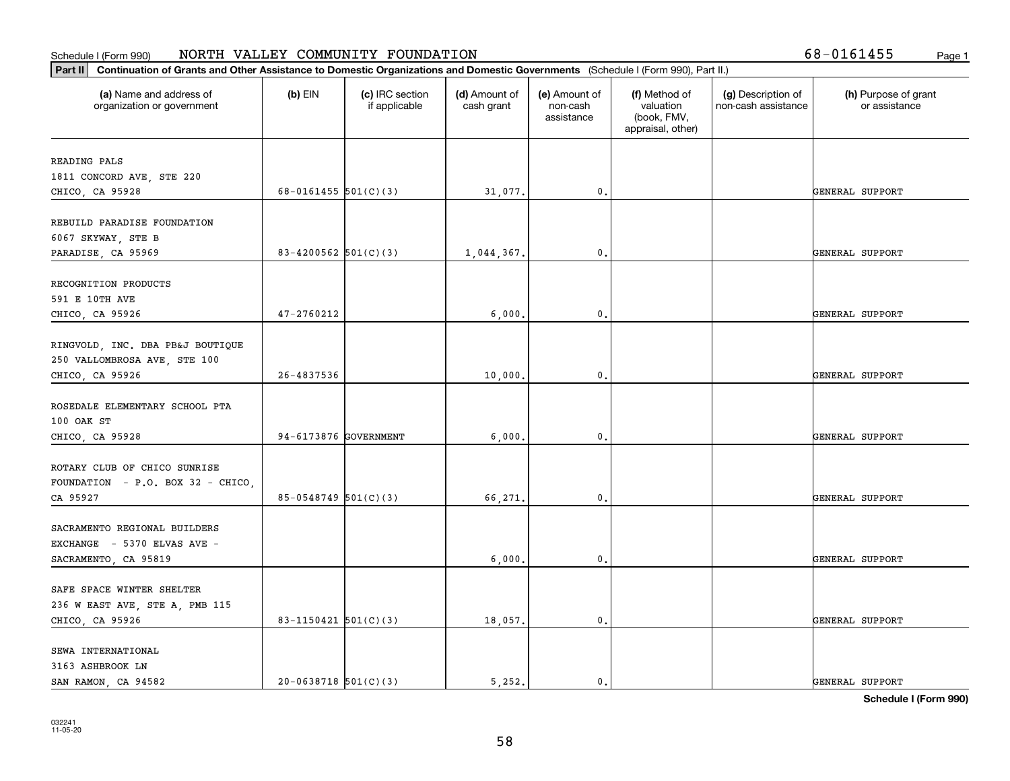| (a) Name and address of<br>organization or government            | $(b)$ EIN                  | (c) IRC section<br>if applicable | (d) Amount of<br>cash grant | (e) Amount of<br>non-cash<br>assistance | (f) Method of<br>valuation<br>(book, FMV,<br>appraisal, other) | (g) Description of<br>non-cash assistance | (h) Purpose of grant<br>or assistance |
|------------------------------------------------------------------|----------------------------|----------------------------------|-----------------------------|-----------------------------------------|----------------------------------------------------------------|-------------------------------------------|---------------------------------------|
| READING PALS                                                     |                            |                                  |                             |                                         |                                                                |                                           |                                       |
| 1811 CONCORD AVE, STE 220                                        |                            |                                  |                             |                                         |                                                                |                                           |                                       |
| CHICO, CA 95928                                                  | 68-0161455 $501(C)(3)$     |                                  | 31,077.                     | 0.                                      |                                                                |                                           | GENERAL SUPPORT                       |
| REBUILD PARADISE FOUNDATION                                      |                            |                                  |                             |                                         |                                                                |                                           |                                       |
| 6067 SKYWAY, STE B                                               |                            |                                  |                             |                                         |                                                                |                                           |                                       |
| PARADISE, CA 95969                                               | 83-4200562 $501(C)(3)$     |                                  | 1,044,367.                  | 0.                                      |                                                                |                                           | GENERAL SUPPORT                       |
| RECOGNITION PRODUCTS                                             |                            |                                  |                             |                                         |                                                                |                                           |                                       |
| 591 E 10TH AVE                                                   |                            |                                  |                             |                                         |                                                                |                                           |                                       |
| CHICO, CA 95926                                                  | 47-2760212                 |                                  | 6,000.                      | 0.                                      |                                                                |                                           | GENERAL SUPPORT                       |
|                                                                  |                            |                                  |                             |                                         |                                                                |                                           |                                       |
| RINGVOLD, INC. DBA PB&J BOUTIQUE<br>250 VALLOMBROSA AVE, STE 100 |                            |                                  |                             |                                         |                                                                |                                           |                                       |
| CHICO, CA 95926                                                  | 26-4837536                 |                                  | 10,000.                     | 0.                                      |                                                                |                                           | GENERAL SUPPORT                       |
|                                                                  |                            |                                  |                             |                                         |                                                                |                                           |                                       |
| ROSEDALE ELEMENTARY SCHOOL PTA                                   |                            |                                  |                             |                                         |                                                                |                                           |                                       |
| 100 OAK ST                                                       |                            |                                  |                             |                                         |                                                                |                                           |                                       |
| CHICO, CA 95928                                                  | 94-6173876 GOVERNMENT      |                                  | 6,000.                      | 0.                                      |                                                                |                                           | GENERAL SUPPORT                       |
| ROTARY CLUB OF CHICO SUNRISE                                     |                            |                                  |                             |                                         |                                                                |                                           |                                       |
| FOUNDATION - P.O. BOX 32 - CHICO,                                |                            |                                  |                             |                                         |                                                                |                                           |                                       |
| CA 95927                                                         | $85 - 0548749$ $501(C)(3)$ |                                  | 66,271.                     | 0.                                      |                                                                |                                           | GENERAL SUPPORT                       |
|                                                                  |                            |                                  |                             |                                         |                                                                |                                           |                                       |
| SACRAMENTO REGIONAL BUILDERS                                     |                            |                                  |                             |                                         |                                                                |                                           |                                       |
| EXCHANGE - 5370 ELVAS AVE -<br>SACRAMENTO, CA 95819              |                            |                                  | 6,000.                      | 0.                                      |                                                                |                                           | GENERAL SUPPORT                       |
|                                                                  |                            |                                  |                             |                                         |                                                                |                                           |                                       |
| SAFE SPACE WINTER SHELTER                                        |                            |                                  |                             |                                         |                                                                |                                           |                                       |
| 236 W EAST AVE, STE A, PMB 115                                   |                            |                                  |                             |                                         |                                                                |                                           |                                       |
| CHICO, CA 95926                                                  | 83-1150421 $501(C)(3)$     |                                  | 18,057.                     | 0.                                      |                                                                |                                           | GENERAL SUPPORT                       |
| SEWA INTERNATIONAL                                               |                            |                                  |                             |                                         |                                                                |                                           |                                       |
| 3163 ASHBROOK LN                                                 |                            |                                  |                             |                                         |                                                                |                                           |                                       |
| SAN RAMON, CA 94582                                              | $20-0638718$ 501(C)(3)     |                                  | 5,252.                      | $\mathbf{0}$ .                          |                                                                |                                           | GENERAL SUPPORT                       |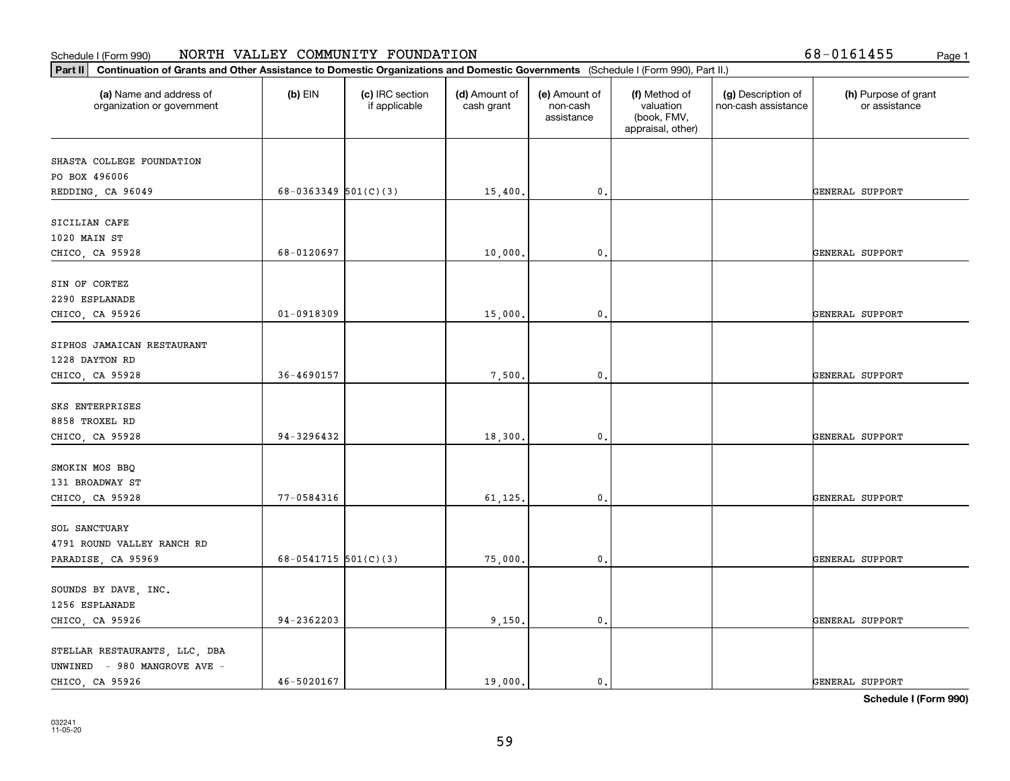| Part II   Continuation of Grants and Other Assistance to Domestic Organizations and Domestic Governments (Schedule I (Form 990), Part II.) |                          |                                  |                             |                                         |                                                                |                                           |                                       |
|--------------------------------------------------------------------------------------------------------------------------------------------|--------------------------|----------------------------------|-----------------------------|-----------------------------------------|----------------------------------------------------------------|-------------------------------------------|---------------------------------------|
| (a) Name and address of<br>organization or government                                                                                      | $(b)$ EIN                | (c) IRC section<br>if applicable | (d) Amount of<br>cash grant | (e) Amount of<br>non-cash<br>assistance | (f) Method of<br>valuation<br>(book, FMV,<br>appraisal, other) | (g) Description of<br>non-cash assistance | (h) Purpose of grant<br>or assistance |
| SHASTA COLLEGE FOUNDATION                                                                                                                  |                          |                                  |                             |                                         |                                                                |                                           |                                       |
| PO BOX 496006                                                                                                                              |                          |                                  |                             |                                         |                                                                |                                           |                                       |
| REDDING, CA 96049                                                                                                                          | $68-0363349$ $501(C)(3)$ |                                  | 15,400.                     | 0.                                      |                                                                |                                           | GENERAL SUPPORT                       |
| SICILIAN CAFE                                                                                                                              |                          |                                  |                             |                                         |                                                                |                                           |                                       |
| 1020 MAIN ST                                                                                                                               |                          |                                  |                             |                                         |                                                                |                                           |                                       |
| CHICO, CA 95928                                                                                                                            | 68-0120697               |                                  | 10,000.                     | 0.                                      |                                                                |                                           | GENERAL SUPPORT                       |
| SIN OF CORTEZ                                                                                                                              |                          |                                  |                             |                                         |                                                                |                                           |                                       |
| 2290 ESPLANADE                                                                                                                             |                          |                                  |                             |                                         |                                                                |                                           |                                       |
| CHICO, CA 95926                                                                                                                            | 01-0918309               |                                  | 15,000.                     | 0.                                      |                                                                |                                           | <b>GENERAL SUPPORT</b>                |
|                                                                                                                                            |                          |                                  |                             |                                         |                                                                |                                           |                                       |
| SIPHOS JAMAICAN RESTAURANT                                                                                                                 |                          |                                  |                             |                                         |                                                                |                                           |                                       |
| 1228 DAYTON RD                                                                                                                             |                          |                                  |                             |                                         |                                                                |                                           |                                       |
| CHICO, CA 95928                                                                                                                            | 36-4690157               |                                  | 7,500,                      | 0.                                      |                                                                |                                           | GENERAL SUPPORT                       |
| SKS ENTERPRISES                                                                                                                            |                          |                                  |                             |                                         |                                                                |                                           |                                       |
| 8858 TROXEL RD                                                                                                                             |                          |                                  |                             |                                         |                                                                |                                           |                                       |
| CHICO, CA 95928                                                                                                                            | 94-3296432               |                                  | 18,300.                     | 0.                                      |                                                                |                                           | GENERAL SUPPORT                       |
|                                                                                                                                            |                          |                                  |                             |                                         |                                                                |                                           |                                       |
| SMOKIN MOS BBQ<br>131 BROADWAY ST                                                                                                          |                          |                                  |                             |                                         |                                                                |                                           |                                       |
| CHICO, CA 95928                                                                                                                            | 77-0584316               |                                  | 61,125.                     | 0.                                      |                                                                |                                           | GENERAL SUPPORT                       |
|                                                                                                                                            |                          |                                  |                             |                                         |                                                                |                                           |                                       |
| SOL SANCTUARY                                                                                                                              |                          |                                  |                             |                                         |                                                                |                                           |                                       |
| 4791 ROUND VALLEY RANCH RD                                                                                                                 |                          |                                  |                             |                                         |                                                                |                                           |                                       |
| PARADISE, CA 95969                                                                                                                         | 68-0541715 $501(C)(3)$   |                                  | 75,000.                     | 0.                                      |                                                                |                                           | GENERAL SUPPORT                       |
| SOUNDS BY DAVE, INC.                                                                                                                       |                          |                                  |                             |                                         |                                                                |                                           |                                       |
| 1256 ESPLANADE                                                                                                                             |                          |                                  |                             |                                         |                                                                |                                           |                                       |
| CHICO, CA 95926                                                                                                                            | 94-2362203               |                                  | 9,150.                      | $\mathbf{0}$ .                          |                                                                |                                           | GENERAL SUPPORT                       |
| STELLAR RESTAURANTS, LLC, DBA                                                                                                              |                          |                                  |                             |                                         |                                                                |                                           |                                       |
| UNWINED - 980 MANGROVE AVE -                                                                                                               |                          |                                  |                             |                                         |                                                                |                                           |                                       |
| CHICO, CA 95926                                                                                                                            | 46-5020167               |                                  | 19,000.                     | $\mathfrak{o}$ .                        |                                                                |                                           | GENERAL SUPPORT                       |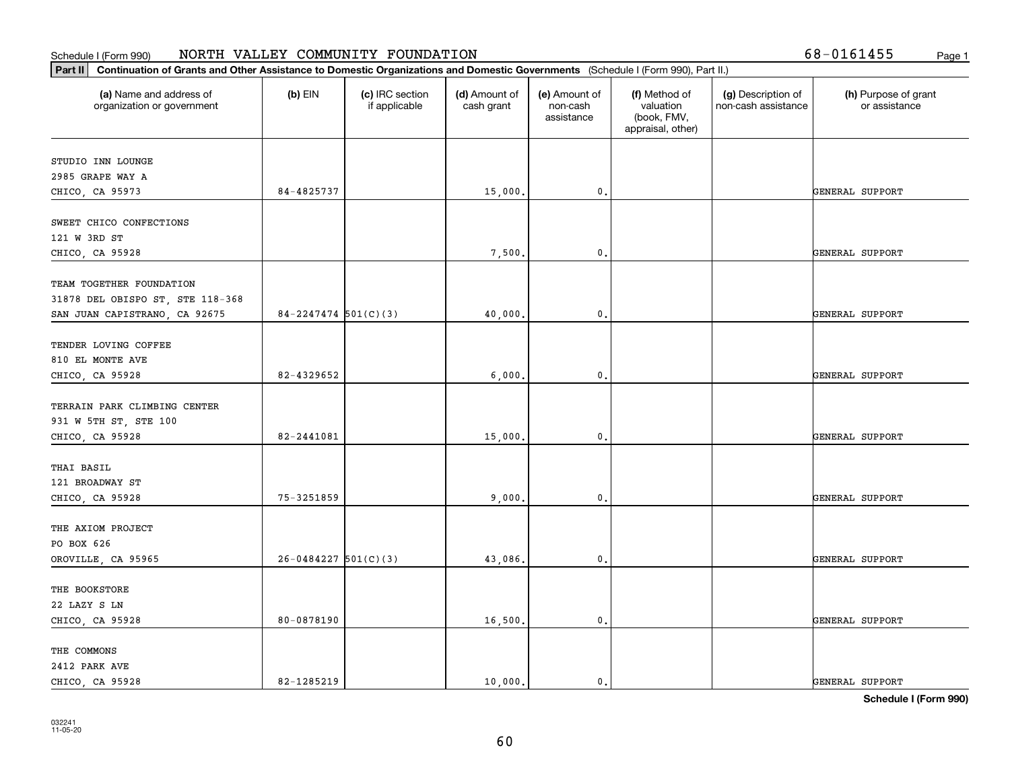| Part II   Continuation of Grants and Other Assistance to Domestic Organizations and Domestic Governments (Schedule I (Form 990), Part II.) |                          |                                  |                             |                                         |                                                                |                                           |                                       |
|--------------------------------------------------------------------------------------------------------------------------------------------|--------------------------|----------------------------------|-----------------------------|-----------------------------------------|----------------------------------------------------------------|-------------------------------------------|---------------------------------------|
| (a) Name and address of<br>organization or government                                                                                      | $(b)$ EIN                | (c) IRC section<br>if applicable | (d) Amount of<br>cash grant | (e) Amount of<br>non-cash<br>assistance | (f) Method of<br>valuation<br>(book, FMV,<br>appraisal, other) | (g) Description of<br>non-cash assistance | (h) Purpose of grant<br>or assistance |
|                                                                                                                                            |                          |                                  |                             |                                         |                                                                |                                           |                                       |
| STUDIO INN LOUNGE<br>2985 GRAPE WAY A                                                                                                      |                          |                                  |                             |                                         |                                                                |                                           |                                       |
| CHICO, CA 95973                                                                                                                            | 84-4825737               |                                  | 15,000.                     | $\mathbf{0}$ .                          |                                                                |                                           | GENERAL SUPPORT                       |
|                                                                                                                                            |                          |                                  |                             |                                         |                                                                |                                           |                                       |
| SWEET CHICO CONFECTIONS                                                                                                                    |                          |                                  |                             |                                         |                                                                |                                           |                                       |
| 121 W 3RD ST                                                                                                                               |                          |                                  |                             |                                         |                                                                |                                           |                                       |
| CHICO, CA 95928                                                                                                                            |                          |                                  | 7,500.                      | 0.                                      |                                                                |                                           | GENERAL SUPPORT                       |
|                                                                                                                                            |                          |                                  |                             |                                         |                                                                |                                           |                                       |
| TEAM TOGETHER FOUNDATION                                                                                                                   |                          |                                  |                             |                                         |                                                                |                                           |                                       |
| 31878 DEL OBISPO ST, STE 118-368                                                                                                           |                          |                                  |                             |                                         |                                                                |                                           |                                       |
| SAN JUAN CAPISTRANO, CA 92675                                                                                                              | $84 - 2247474$ 501(C)(3) |                                  | 40,000.                     | 0.                                      |                                                                |                                           | GENERAL SUPPORT                       |
|                                                                                                                                            |                          |                                  |                             |                                         |                                                                |                                           |                                       |
| TENDER LOVING COFFEE                                                                                                                       |                          |                                  |                             |                                         |                                                                |                                           |                                       |
| 810 EL MONTE AVE                                                                                                                           |                          |                                  |                             |                                         |                                                                |                                           |                                       |
| CHICO, CA 95928                                                                                                                            | 82-4329652               |                                  | 6,000.                      | $\mathbf 0$ .                           |                                                                |                                           | GENERAL SUPPORT                       |
|                                                                                                                                            |                          |                                  |                             |                                         |                                                                |                                           |                                       |
| TERRAIN PARK CLIMBING CENTER                                                                                                               |                          |                                  |                             |                                         |                                                                |                                           |                                       |
| 931 W 5TH ST, STE 100                                                                                                                      |                          |                                  |                             |                                         |                                                                |                                           |                                       |
| CHICO, CA 95928                                                                                                                            | 82-2441081               |                                  | 15,000.                     | 0.                                      |                                                                |                                           | GENERAL SUPPORT                       |
| THAI BASIL                                                                                                                                 |                          |                                  |                             |                                         |                                                                |                                           |                                       |
| 121 BROADWAY ST                                                                                                                            |                          |                                  |                             |                                         |                                                                |                                           |                                       |
| CHICO, CA 95928                                                                                                                            | 75-3251859               |                                  | 9,000,                      | $\mathbf 0$ .                           |                                                                |                                           | GENERAL SUPPORT                       |
|                                                                                                                                            |                          |                                  |                             |                                         |                                                                |                                           |                                       |
| THE AXIOM PROJECT                                                                                                                          |                          |                                  |                             |                                         |                                                                |                                           |                                       |
| PO BOX 626                                                                                                                                 |                          |                                  |                             |                                         |                                                                |                                           |                                       |
| OROVILLE, CA 95965                                                                                                                         | $26 - 0484227$ 501(C)(3) |                                  | 43,086.                     | 0.                                      |                                                                |                                           | GENERAL SUPPORT                       |
|                                                                                                                                            |                          |                                  |                             |                                         |                                                                |                                           |                                       |
| THE BOOKSTORE                                                                                                                              |                          |                                  |                             |                                         |                                                                |                                           |                                       |
| 22 LAZY S LN                                                                                                                               |                          |                                  |                             |                                         |                                                                |                                           |                                       |
| CHICO, CA 95928                                                                                                                            | 80-0878190               |                                  | 16,500.                     | 0.                                      |                                                                |                                           | GENERAL SUPPORT                       |
|                                                                                                                                            |                          |                                  |                             |                                         |                                                                |                                           |                                       |
| THE COMMONS                                                                                                                                |                          |                                  |                             |                                         |                                                                |                                           |                                       |
| 2412 PARK AVE                                                                                                                              |                          |                                  |                             |                                         |                                                                |                                           |                                       |
| CHICO, CA 95928                                                                                                                            | 82-1285219               |                                  | 10,000.                     | $\mathbf{0}$ .                          |                                                                |                                           | GENERAL SUPPORT                       |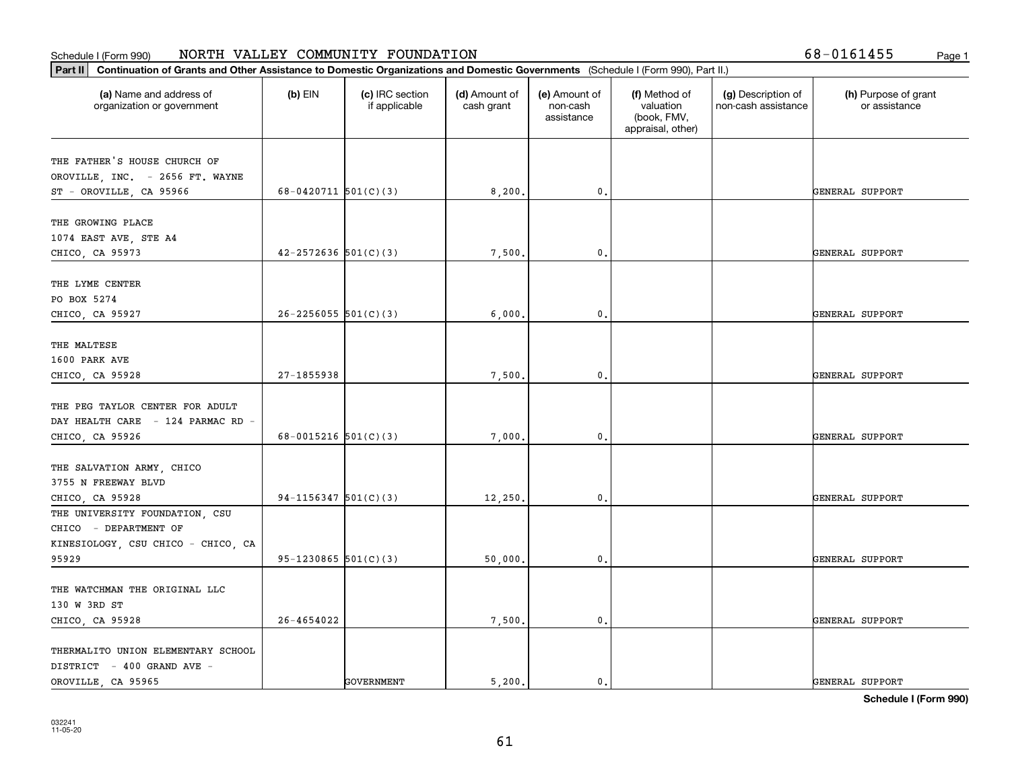| (a) Name and address of<br>organization or government | $(b)$ EIN                  | (c) IRC section<br>if applicable | (d) Amount of<br>cash grant | (e) Amount of<br>non-cash<br>assistance | (f) Method of<br>valuation<br>(book, FMV,<br>appraisal, other) | (g) Description of<br>non-cash assistance | (h) Purpose of grant<br>or assistance |
|-------------------------------------------------------|----------------------------|----------------------------------|-----------------------------|-----------------------------------------|----------------------------------------------------------------|-------------------------------------------|---------------------------------------|
| THE FATHER'S HOUSE CHURCH OF                          |                            |                                  |                             |                                         |                                                                |                                           |                                       |
| OROVILLE, INC. - 2656 FT. WAYNE                       |                            |                                  |                             |                                         |                                                                |                                           |                                       |
| ST - OROVILLE, CA 95966                               | 68-0420711 $501(C)(3)$     |                                  | 8,200.                      | 0.                                      |                                                                |                                           | GENERAL SUPPORT                       |
|                                                       |                            |                                  |                             |                                         |                                                                |                                           |                                       |
| THE GROWING PLACE                                     |                            |                                  |                             |                                         |                                                                |                                           |                                       |
| 1074 EAST AVE, STE A4                                 |                            |                                  |                             |                                         |                                                                |                                           |                                       |
| CHICO, CA 95973                                       | $42 - 2572636$ $501(C)(3)$ |                                  | 7,500.                      | $\mathfrak{o}$ .                        |                                                                |                                           | GENERAL SUPPORT                       |
| THE LYME CENTER                                       |                            |                                  |                             |                                         |                                                                |                                           |                                       |
| PO BOX 5274                                           |                            |                                  |                             |                                         |                                                                |                                           |                                       |
| CHICO, CA 95927                                       | $26 - 2256055$ 501(C)(3)   |                                  | 6,000,                      | $\mathbf{0}$ .                          |                                                                |                                           | GENERAL SUPPORT                       |
|                                                       |                            |                                  |                             |                                         |                                                                |                                           |                                       |
| THE MALTESE                                           |                            |                                  |                             |                                         |                                                                |                                           |                                       |
| 1600 PARK AVE                                         |                            |                                  |                             |                                         |                                                                |                                           |                                       |
| CHICO, CA 95928                                       | 27-1855938                 |                                  | 7,500.                      | 0.                                      |                                                                |                                           | GENERAL SUPPORT                       |
|                                                       |                            |                                  |                             |                                         |                                                                |                                           |                                       |
| THE PEG TAYLOR CENTER FOR ADULT                       |                            |                                  |                             |                                         |                                                                |                                           |                                       |
| DAY HEALTH CARE - 124 PARMAC RD -                     | 68-0015216 $501(C)(3)$     |                                  |                             | $\mathbf{0}$                            |                                                                |                                           | GENERAL SUPPORT                       |
| CHICO, CA 95926                                       |                            |                                  | 7,000.                      |                                         |                                                                |                                           |                                       |
| THE SALVATION ARMY, CHICO                             |                            |                                  |                             |                                         |                                                                |                                           |                                       |
| 3755 N FREEWAY BLVD                                   |                            |                                  |                             |                                         |                                                                |                                           |                                       |
| CHICO, CA 95928                                       | $94-1156347$ $501(C)(3)$   |                                  | 12,250.                     | $\mathfrak{o}$ .                        |                                                                |                                           | GENERAL SUPPORT                       |
| THE UNIVERSITY FOUNDATION, CSU                        |                            |                                  |                             |                                         |                                                                |                                           |                                       |
| CHICO - DEPARTMENT OF                                 |                            |                                  |                             |                                         |                                                                |                                           |                                       |
| KINESIOLOGY, CSU CHICO - CHICO, CA                    |                            |                                  |                             |                                         |                                                                |                                           |                                       |
| 95929                                                 | $95-1230865$ $501(C)(3)$   |                                  | 50,000.                     | $\mathfrak{o}$ .                        |                                                                |                                           | GENERAL SUPPORT                       |
|                                                       |                            |                                  |                             |                                         |                                                                |                                           |                                       |
| THE WATCHMAN THE ORIGINAL LLC                         |                            |                                  |                             |                                         |                                                                |                                           |                                       |
| 130 W 3RD ST                                          |                            |                                  |                             |                                         |                                                                |                                           |                                       |
| CHICO, CA 95928                                       | $26 - 4654022$             |                                  | 7,500.                      | $\mathfrak o$ .                         |                                                                |                                           | GENERAL SUPPORT                       |
| THERMALITO UNION ELEMENTARY SCHOOL                    |                            |                                  |                             |                                         |                                                                |                                           |                                       |
| DISTRICT - 400 GRAND AVE -                            |                            |                                  |                             |                                         |                                                                |                                           |                                       |
| OROVILLE, CA 95965                                    |                            | <b>GOVERNMENT</b>                | 5.200.                      | $\mathfrak{o}$ .                        |                                                                |                                           | GENERAL SUPPORT                       |
|                                                       |                            |                                  |                             |                                         |                                                                |                                           |                                       |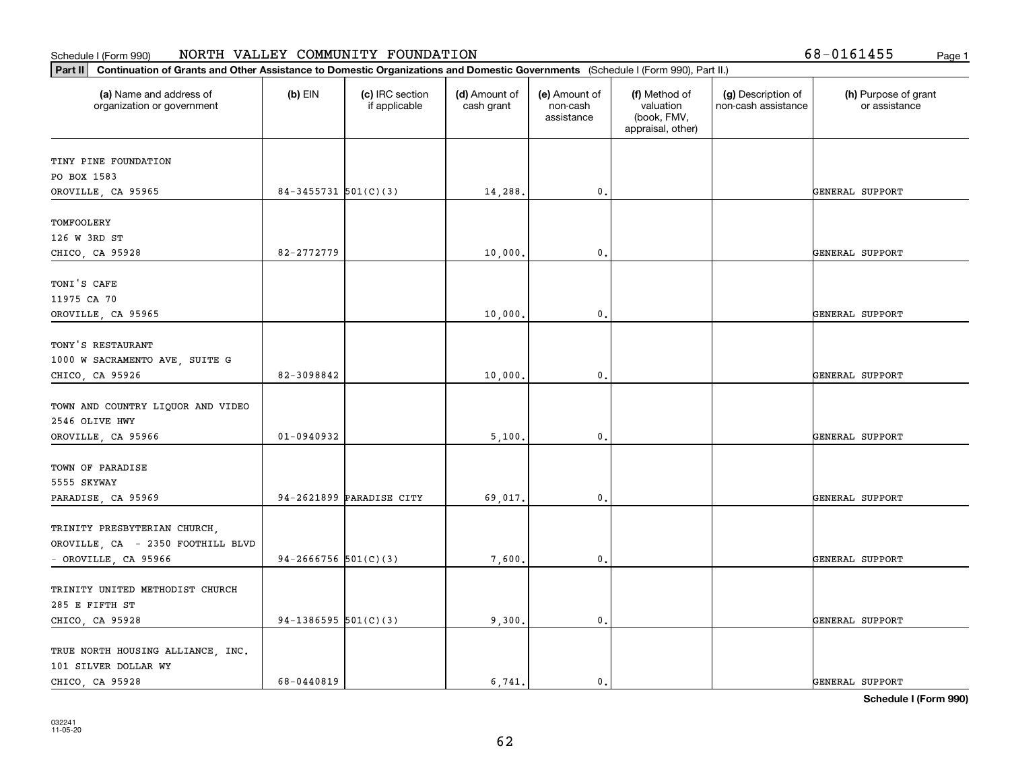| Part II   Continuation of Grants and Other Assistance to Domestic Organizations and Domestic Governments (Schedule I (Form 990), Part II.) |                        |                                  |                             |                                         |                                                                |                                           |                                       |
|--------------------------------------------------------------------------------------------------------------------------------------------|------------------------|----------------------------------|-----------------------------|-----------------------------------------|----------------------------------------------------------------|-------------------------------------------|---------------------------------------|
| (a) Name and address of<br>organization or government                                                                                      | $(b)$ EIN              | (c) IRC section<br>if applicable | (d) Amount of<br>cash grant | (e) Amount of<br>non-cash<br>assistance | (f) Method of<br>valuation<br>(book, FMV,<br>appraisal, other) | (g) Description of<br>non-cash assistance | (h) Purpose of grant<br>or assistance |
| TINY PINE FOUNDATION                                                                                                                       |                        |                                  |                             |                                         |                                                                |                                           |                                       |
| PO BOX 1583                                                                                                                                |                        |                                  |                             |                                         |                                                                |                                           |                                       |
| OROVILLE, CA 95965                                                                                                                         | 84-3455731 $501(C)(3)$ |                                  | 14,288.                     | $\mathbf{0}$ .                          |                                                                |                                           | GENERAL SUPPORT                       |
| TOMFOOLERY                                                                                                                                 |                        |                                  |                             |                                         |                                                                |                                           |                                       |
| 126 W 3RD ST                                                                                                                               |                        |                                  |                             |                                         |                                                                |                                           |                                       |
| CHICO, CA 95928                                                                                                                            | 82-2772779             |                                  | 10,000                      | $^{\circ}$ .                            |                                                                |                                           | GENERAL SUPPORT                       |
| TONI'S CAFE                                                                                                                                |                        |                                  |                             |                                         |                                                                |                                           |                                       |
| 11975 CA 70                                                                                                                                |                        |                                  |                             |                                         |                                                                |                                           |                                       |
| OROVILLE, CA 95965                                                                                                                         |                        |                                  | 10,000.                     | $\mathbf{0}$ .                          |                                                                |                                           | GENERAL SUPPORT                       |
| TONY'S RESTAURANT                                                                                                                          |                        |                                  |                             |                                         |                                                                |                                           |                                       |
| 1000 W SACRAMENTO AVE, SUITE G                                                                                                             |                        |                                  |                             |                                         |                                                                |                                           |                                       |
| CHICO, CA 95926                                                                                                                            | 82-3098842             |                                  | 10,000.                     | $\mathbf{0}$ .                          |                                                                |                                           | GENERAL SUPPORT                       |
|                                                                                                                                            |                        |                                  |                             |                                         |                                                                |                                           |                                       |
| TOWN AND COUNTRY LIQUOR AND VIDEO                                                                                                          |                        |                                  |                             |                                         |                                                                |                                           |                                       |
| 2546 OLIVE HWY                                                                                                                             |                        |                                  |                             |                                         |                                                                |                                           |                                       |
| OROVILLE, CA 95966                                                                                                                         | $01 - 0940932$         |                                  | 5,100.                      | $\mathfrak o$ .                         |                                                                |                                           | GENERAL SUPPORT                       |
| TOWN OF PARADISE                                                                                                                           |                        |                                  |                             |                                         |                                                                |                                           |                                       |
| 5555 SKYWAY                                                                                                                                |                        |                                  |                             |                                         |                                                                |                                           |                                       |
| PARADISE, CA 95969                                                                                                                         |                        | 94-2621899 PARADISE CITY         | 69,017.                     | 0.                                      |                                                                |                                           | GENERAL SUPPORT                       |
|                                                                                                                                            |                        |                                  |                             |                                         |                                                                |                                           |                                       |
| TRINITY PRESBYTERIAN CHURCH,                                                                                                               |                        |                                  |                             |                                         |                                                                |                                           |                                       |
| OROVILLE, CA - 2350 FOOTHILL BLVD                                                                                                          |                        |                                  |                             |                                         |                                                                |                                           |                                       |
| - OROVILLE, CA 95966                                                                                                                       | 94-2666756 $501(C)(3)$ |                                  | 7,600.                      | $\mathbf{0}$ .                          |                                                                |                                           | GENERAL SUPPORT                       |
| TRINITY UNITED METHODIST CHURCH                                                                                                            |                        |                                  |                             |                                         |                                                                |                                           |                                       |
| 285 E FIFTH ST                                                                                                                             |                        |                                  |                             |                                         |                                                                |                                           |                                       |
| CHICO, CA 95928                                                                                                                            | $94-1386595$ 501(C)(3) |                                  | 9,300.                      | $\mathbf{0}$ .                          |                                                                |                                           | GENERAL SUPPORT                       |
| TRUE NORTH HOUSING ALLIANCE, INC.                                                                                                          |                        |                                  |                             |                                         |                                                                |                                           |                                       |
| 101 SILVER DOLLAR WY                                                                                                                       |                        |                                  |                             |                                         |                                                                |                                           |                                       |
| CHICO, CA 95928                                                                                                                            | 68-0440819             |                                  | 6.741.                      | $\mathbf{0}$ .                          |                                                                |                                           | GENERAL SUPPORT                       |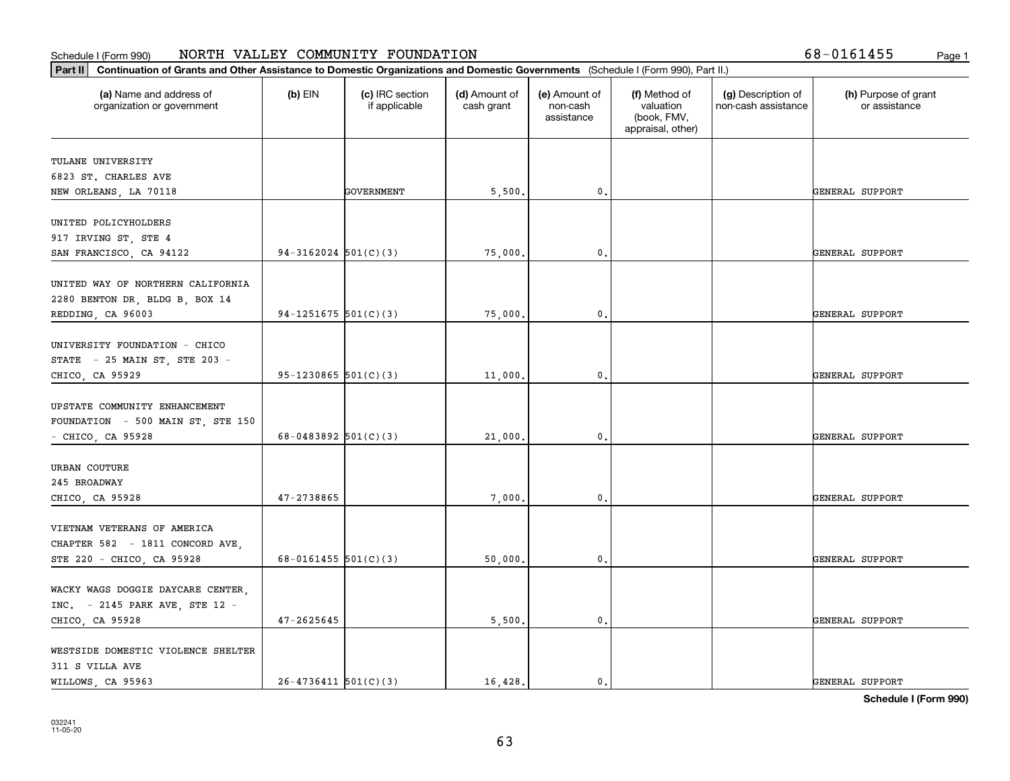| 8-0161455; | P |
|------------|---|
|------------|---|

| (a) Name and address of<br>organization or government | $(b)$ EIN                | (c) IRC section<br>if applicable | (d) Amount of<br>cash grant | (e) Amount of<br>non-cash<br>assistance | (f) Method of<br>valuation<br>(book, FMV,<br>appraisal, other) | (g) Description of<br>non-cash assistance | (h) Purpose of grant<br>or assistance |
|-------------------------------------------------------|--------------------------|----------------------------------|-----------------------------|-----------------------------------------|----------------------------------------------------------------|-------------------------------------------|---------------------------------------|
| TULANE UNIVERSITY                                     |                          |                                  |                             |                                         |                                                                |                                           |                                       |
| 6823 ST. CHARLES AVE                                  |                          |                                  |                             |                                         |                                                                |                                           |                                       |
| NEW ORLEANS, LA 70118                                 |                          | GOVERNMENT                       | 5,500.                      | 0.                                      |                                                                |                                           | GENERAL SUPPORT                       |
|                                                       |                          |                                  |                             |                                         |                                                                |                                           |                                       |
| UNITED POLICYHOLDERS                                  |                          |                                  |                             |                                         |                                                                |                                           |                                       |
| 917 IRVING ST, STE 4                                  |                          |                                  |                             |                                         |                                                                |                                           |                                       |
| SAN FRANCISCO, CA 94122                               | $94-3162024$ $501(C)(3)$ |                                  | 75,000.                     | 0.                                      |                                                                |                                           | GENERAL SUPPORT                       |
| UNITED WAY OF NORTHERN CALIFORNIA                     |                          |                                  |                             |                                         |                                                                |                                           |                                       |
| 2280 BENTON DR, BLDG B, BOX 14                        |                          |                                  |                             |                                         |                                                                |                                           |                                       |
| REDDING, CA 96003                                     | 94-1251675 $501(C)(3)$   |                                  | 75,000.                     | 0.                                      |                                                                |                                           | GENERAL SUPPORT                       |
|                                                       |                          |                                  |                             |                                         |                                                                |                                           |                                       |
| UNIVERSITY FOUNDATION - CHICO                         |                          |                                  |                             |                                         |                                                                |                                           |                                       |
| STATE - 25 MAIN ST, STE 203 -                         |                          |                                  |                             |                                         |                                                                |                                           |                                       |
| CHICO, CA 95929                                       | 95-1230865 $501(C)(3)$   |                                  | 11,000.                     | 0.                                      |                                                                |                                           | GENERAL SUPPORT                       |
|                                                       |                          |                                  |                             |                                         |                                                                |                                           |                                       |
| UPSTATE COMMUNITY ENHANCEMENT                         |                          |                                  |                             |                                         |                                                                |                                           |                                       |
| FOUNDATION - 500 MAIN ST, STE 150                     |                          |                                  |                             |                                         |                                                                |                                           |                                       |
| $-$ CHICO, CA 95928                                   | 68-0483892 $501(C)(3)$   |                                  | 21,000.                     | $\mathbf{0}$                            |                                                                |                                           | GENERAL SUPPORT                       |
|                                                       |                          |                                  |                             |                                         |                                                                |                                           |                                       |
| URBAN COUTURE<br>245 BROADWAY                         |                          |                                  |                             |                                         |                                                                |                                           |                                       |
| CHICO, CA 95928                                       | 47-2738865               |                                  | 7,000.                      | 0.                                      |                                                                |                                           | GENERAL SUPPORT                       |
|                                                       |                          |                                  |                             |                                         |                                                                |                                           |                                       |
| VIETNAM VETERANS OF AMERICA                           |                          |                                  |                             |                                         |                                                                |                                           |                                       |
| CHAPTER 582 - 1811 CONCORD AVE,                       |                          |                                  |                             |                                         |                                                                |                                           |                                       |
| STE 220 - CHICO, CA 95928                             | 68-0161455 $501(C)(3)$   |                                  | 50,000.                     | 0.                                      |                                                                |                                           | GENERAL SUPPORT                       |
|                                                       |                          |                                  |                             |                                         |                                                                |                                           |                                       |
| WACKY WAGS DOGGIE DAYCARE CENTER,                     |                          |                                  |                             |                                         |                                                                |                                           |                                       |
| INC. - 2145 PARK AVE, STE 12 -                        |                          |                                  |                             |                                         |                                                                |                                           |                                       |
| CHICO, CA 95928                                       | $47 - 2625645$           |                                  | 5,500.                      | $\mathbf{0}$ .                          |                                                                |                                           | GENERAL SUPPORT                       |
|                                                       |                          |                                  |                             |                                         |                                                                |                                           |                                       |
| WESTSIDE DOMESTIC VIOLENCE SHELTER                    |                          |                                  |                             |                                         |                                                                |                                           |                                       |
| 311 S VILLA AVE                                       |                          |                                  |                             |                                         |                                                                |                                           |                                       |
| WILLOWS, CA 95963                                     | $26 - 4736411$ 501(C)(3) |                                  | 16,428.                     | $\mathbf{0}$ .                          |                                                                |                                           | GENERAL SUPPORT                       |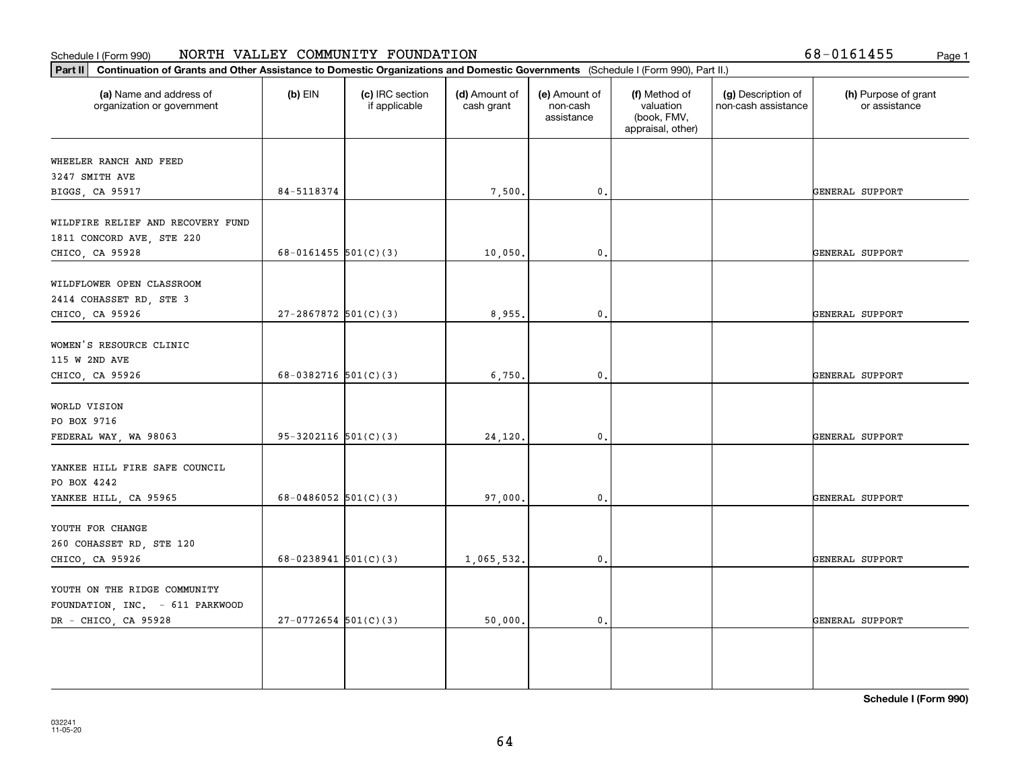| (a) Name and address of<br>organization or government | $(b)$ EIN                  | (c) IRC section<br>if applicable | (d) Amount of<br>cash grant | (e) Amount of<br>non-cash<br>assistance | (f) Method of<br>valuation<br>(book, FMV,<br>appraisal, other) | (g) Description of<br>non-cash assistance | (h) Purpose of grant<br>or assistance |
|-------------------------------------------------------|----------------------------|----------------------------------|-----------------------------|-----------------------------------------|----------------------------------------------------------------|-------------------------------------------|---------------------------------------|
| WHEELER RANCH AND FEED                                |                            |                                  |                             |                                         |                                                                |                                           |                                       |
| 3247 SMITH AVE                                        |                            |                                  |                             |                                         |                                                                |                                           |                                       |
| BIGGS, CA 95917                                       | 84-5118374                 |                                  | 7,500.                      | 0.                                      |                                                                |                                           | GENERAL SUPPORT                       |
| WILDFIRE RELIEF AND RECOVERY FUND                     |                            |                                  |                             |                                         |                                                                |                                           |                                       |
| 1811 CONCORD AVE, STE 220                             |                            |                                  |                             |                                         |                                                                |                                           |                                       |
| CHICO, CA 95928                                       | 68-0161455 $501(C)(3)$     |                                  | 10,050.                     | 0.                                      |                                                                |                                           | GENERAL SUPPORT                       |
| WILDFLOWER OPEN CLASSROOM                             |                            |                                  |                             |                                         |                                                                |                                           |                                       |
| 2414 COHASSET RD, STE 3                               |                            |                                  |                             |                                         |                                                                |                                           |                                       |
| CHICO, CA 95926                                       | $27 - 2867872$ 501(C)(3)   |                                  | 8,955.                      | $\mathfrak{o}$ .                        |                                                                |                                           | GENERAL SUPPORT                       |
| WOMEN'S RESOURCE CLINIC                               |                            |                                  |                             |                                         |                                                                |                                           |                                       |
| 115 W 2ND AVE                                         |                            |                                  |                             |                                         |                                                                |                                           |                                       |
| CHICO, CA 95926                                       | 68-0382716 $501(C)(3)$     |                                  | 6,750.                      | $\mathbf{0}$ .                          |                                                                |                                           | GENERAL SUPPORT                       |
|                                                       |                            |                                  |                             |                                         |                                                                |                                           |                                       |
| WORLD VISION                                          |                            |                                  |                             |                                         |                                                                |                                           |                                       |
| PO BOX 9716                                           |                            |                                  |                             |                                         |                                                                |                                           |                                       |
| FEDERAL WAY, WA 98063                                 | $95-3202116$ $501(C)(3)$   |                                  | 24,120.                     | $\mathfrak{o}$ .                        |                                                                |                                           | GENERAL SUPPORT                       |
| YANKEE HILL FIRE SAFE COUNCIL                         |                            |                                  |                             |                                         |                                                                |                                           |                                       |
| PO BOX 4242                                           |                            |                                  |                             |                                         |                                                                |                                           |                                       |
| YANKEE HILL, CA 95965                                 | 68-0486052 $501(C)(3)$     |                                  | 97,000.                     | $\mathfrak{o}$ .                        |                                                                |                                           | GENERAL SUPPORT                       |
|                                                       |                            |                                  |                             |                                         |                                                                |                                           |                                       |
| YOUTH FOR CHANGE                                      |                            |                                  |                             |                                         |                                                                |                                           |                                       |
| 260 COHASSET RD, STE 120<br>CHICO, CA 95926           | $68 - 0238941$ $501(C)(3)$ |                                  | 1,065,532.                  | 0.                                      |                                                                |                                           | GENERAL SUPPORT                       |
|                                                       |                            |                                  |                             |                                         |                                                                |                                           |                                       |
| YOUTH ON THE RIDGE COMMUNITY                          |                            |                                  |                             |                                         |                                                                |                                           |                                       |
| FOUNDATION, INC. - 611 PARKWOOD                       |                            |                                  |                             |                                         |                                                                |                                           |                                       |
| DR - CHICO, CA 95928                                  | $27-0772654$ 501(C)(3)     |                                  | 50,000.                     | 0.                                      |                                                                |                                           | GENERAL SUPPORT                       |
|                                                       |                            |                                  |                             |                                         |                                                                |                                           |                                       |
|                                                       |                            |                                  |                             |                                         |                                                                |                                           |                                       |
|                                                       |                            |                                  |                             |                                         |                                                                |                                           |                                       |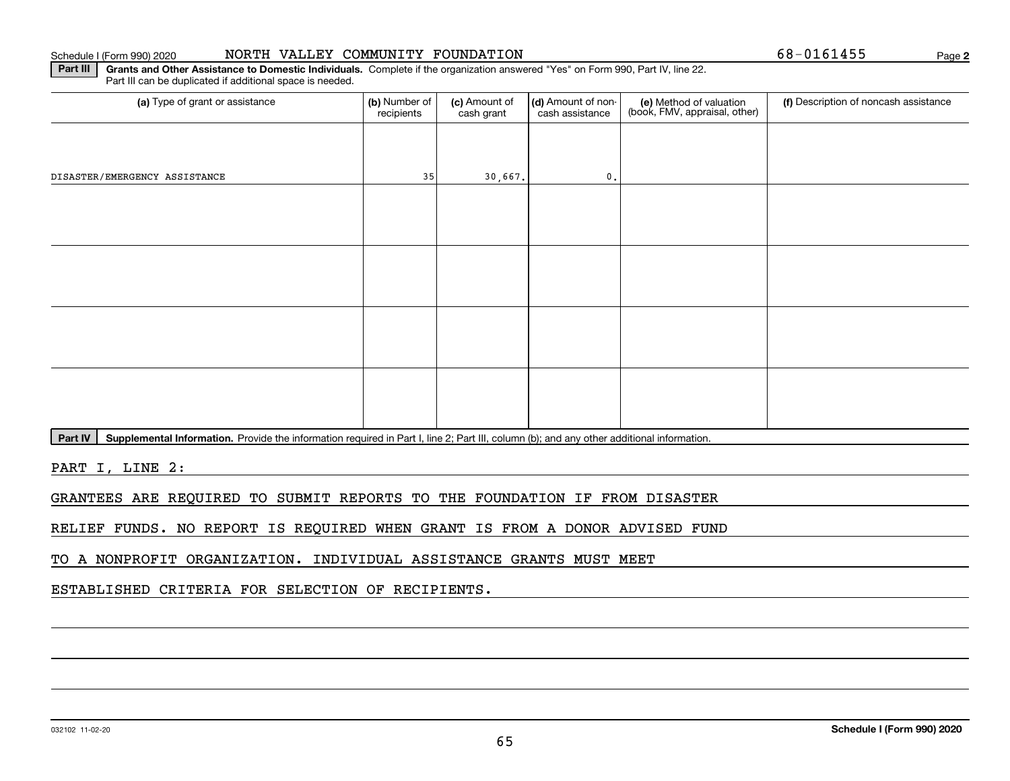## Schedule I (Form 990) 2020 NORTH VALLEY COMMUNITY FOUNDATION 6 8-0161455 Page

**2**

**Part III | Grants and Other Assistance to Domestic Individuals. Complete if the organization answered "Yes" on Form 990, Part IV, line 22.** Part III can be duplicated if additional space is needed.

| (a) Type of grant or assistance | (b) Number of<br>recipients | (c) Amount of<br>cash grant | (d) Amount of non-<br>cash assistance | (e) Method of valuation<br>(book, FMV, appraisal, other) | (f) Description of noncash assistance |
|---------------------------------|-----------------------------|-----------------------------|---------------------------------------|----------------------------------------------------------|---------------------------------------|
|                                 |                             |                             |                                       |                                                          |                                       |
| DISASTER/EMERGENCY ASSISTANCE   | 35                          | 30,667.                     | $\mathbf{0}$ .                        |                                                          |                                       |
|                                 |                             |                             |                                       |                                                          |                                       |
|                                 |                             |                             |                                       |                                                          |                                       |
|                                 |                             |                             |                                       |                                                          |                                       |
|                                 |                             |                             |                                       |                                                          |                                       |
|                                 |                             |                             |                                       |                                                          |                                       |
|                                 |                             |                             |                                       |                                                          |                                       |
|                                 |                             |                             |                                       |                                                          |                                       |
|                                 |                             |                             |                                       |                                                          |                                       |

Part IV | Supplemental Information. Provide the information required in Part I, line 2; Part III, column (b); and any other additional information.

PART I, LINE 2:

GRANTEES ARE REQUIRED TO SUBMIT REPORTS TO THE FOUNDATION IF FROM DISASTER

RELIEF FUNDS. NO REPORT IS REQUIRED WHEN GRANT IS FROM A DONOR ADVISED FUND

TO A NONPROFIT ORGANIZATION. INDIVIDUAL ASSISTANCE GRANTS MUST MEET

ESTABLISHED CRITERIA FOR SELECTION OF RECIPIENTS.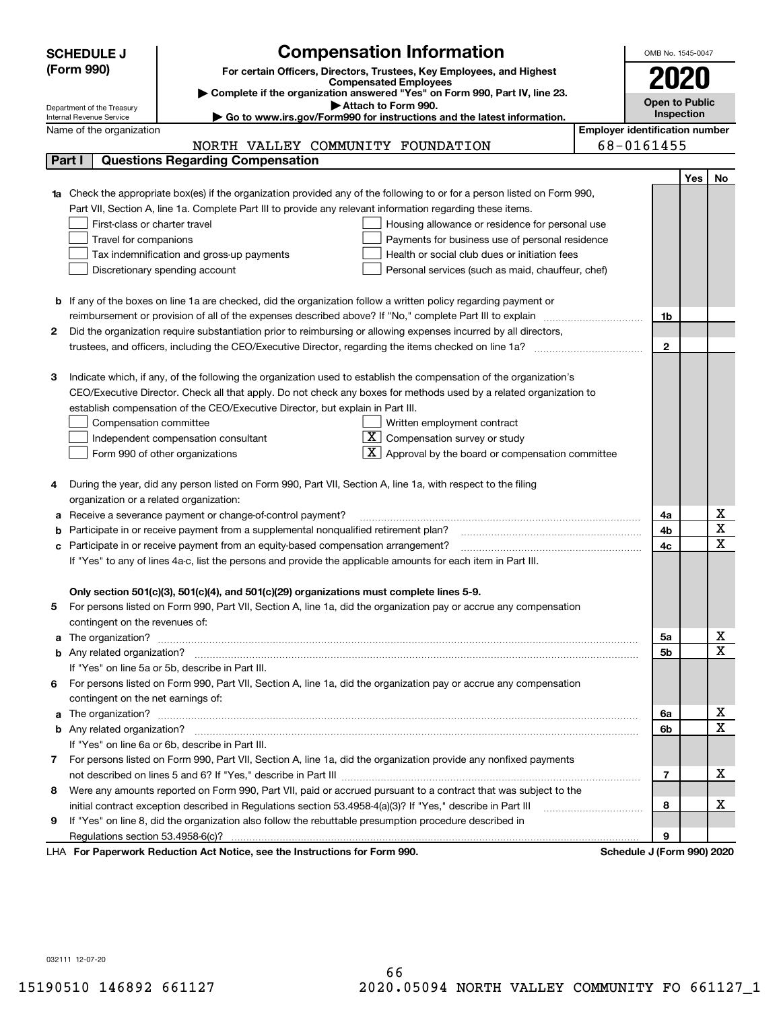|        | <b>Compensation Information</b><br><b>SCHEDULE J</b>                                                                             | OMB No. 1545-0047     |            |                              |  |  |  |
|--------|----------------------------------------------------------------------------------------------------------------------------------|-----------------------|------------|------------------------------|--|--|--|
|        | (Form 990)<br>For certain Officers, Directors, Trustees, Key Employees, and Highest                                              |                       |            |                              |  |  |  |
|        | <b>Compensated Employees</b>                                                                                                     | 2020                  |            |                              |  |  |  |
|        | Complete if the organization answered "Yes" on Form 990, Part IV, line 23.<br>Attach to Form 990.                                | <b>Open to Public</b> |            |                              |  |  |  |
|        | Department of the Treasury<br>Go to www.irs.gov/Form990 for instructions and the latest information.<br>Internal Revenue Service | Inspection            |            |                              |  |  |  |
|        | <b>Employer identification number</b><br>Name of the organization                                                                |                       |            |                              |  |  |  |
|        | NORTH VALLEY COMMUNITY FOUNDATION                                                                                                | 68-0161455            |            |                              |  |  |  |
| Part I | <b>Questions Regarding Compensation</b>                                                                                          |                       |            |                              |  |  |  |
|        |                                                                                                                                  |                       | <b>Yes</b> | No                           |  |  |  |
|        | <b>1a</b> Check the appropriate box(es) if the organization provided any of the following to or for a person listed on Form 990, |                       |            |                              |  |  |  |
|        | Part VII, Section A, line 1a. Complete Part III to provide any relevant information regarding these items.                       |                       |            |                              |  |  |  |
|        | First-class or charter travel<br>Housing allowance or residence for personal use                                                 |                       |            |                              |  |  |  |
|        | Travel for companions<br>Payments for business use of personal residence                                                         |                       |            |                              |  |  |  |
|        | Tax indemnification and gross-up payments<br>Health or social club dues or initiation fees                                       |                       |            |                              |  |  |  |
|        | Discretionary spending account<br>Personal services (such as maid, chauffeur, chef)                                              |                       |            |                              |  |  |  |
|        |                                                                                                                                  |                       |            |                              |  |  |  |
|        | <b>b</b> If any of the boxes on line 1a are checked, did the organization follow a written policy regarding payment or           |                       |            |                              |  |  |  |
|        | reimbursement or provision of all of the expenses described above? If "No," complete Part III to explain                         | 1b                    |            |                              |  |  |  |
| 2      | Did the organization require substantiation prior to reimbursing or allowing expenses incurred by all directors,                 |                       |            |                              |  |  |  |
|        |                                                                                                                                  | $\mathbf{2}$          |            |                              |  |  |  |
|        |                                                                                                                                  |                       |            |                              |  |  |  |
| з      | Indicate which, if any, of the following the organization used to establish the compensation of the organization's               |                       |            |                              |  |  |  |
|        | CEO/Executive Director. Check all that apply. Do not check any boxes for methods used by a related organization to               |                       |            |                              |  |  |  |
|        | establish compensation of the CEO/Executive Director, but explain in Part III.                                                   |                       |            |                              |  |  |  |
|        | Compensation committee<br>Written employment contract                                                                            |                       |            |                              |  |  |  |
|        | $X$ Compensation survey or study<br>Independent compensation consultant                                                          |                       |            |                              |  |  |  |
|        | $\lfloor x \rfloor$ Approval by the board or compensation committee<br>Form 990 of other organizations                           |                       |            |                              |  |  |  |
|        |                                                                                                                                  |                       |            |                              |  |  |  |
|        | During the year, did any person listed on Form 990, Part VII, Section A, line 1a, with respect to the filing                     |                       |            |                              |  |  |  |
|        | organization or a related organization:                                                                                          |                       |            |                              |  |  |  |
| а      | Receive a severance payment or change-of-control payment?                                                                        | 4a                    |            | х                            |  |  |  |
| b      | Participate in or receive payment from a supplemental nonqualified retirement plan?                                              | 4b                    |            | $\overline{\mathbf{x}}$      |  |  |  |
| с      | Participate in or receive payment from an equity-based compensation arrangement?                                                 | 4c                    |            | $\overline{\mathbf{x}}$      |  |  |  |
|        | If "Yes" to any of lines 4a-c, list the persons and provide the applicable amounts for each item in Part III.                    |                       |            |                              |  |  |  |
|        |                                                                                                                                  |                       |            |                              |  |  |  |
|        | Only section 501(c)(3), 501(c)(4), and 501(c)(29) organizations must complete lines 5-9.                                         |                       |            |                              |  |  |  |
|        | For persons listed on Form 990, Part VII, Section A, line 1a, did the organization pay or accrue any compensation                |                       |            |                              |  |  |  |
|        | contingent on the revenues of:                                                                                                   |                       |            |                              |  |  |  |
| a      |                                                                                                                                  | 5a                    |            | х<br>$\overline{\mathbf{x}}$ |  |  |  |
|        |                                                                                                                                  | 5b                    |            |                              |  |  |  |
|        | If "Yes" on line 5a or 5b, describe in Part III.                                                                                 |                       |            |                              |  |  |  |
| 6.     | For persons listed on Form 990, Part VII, Section A, line 1a, did the organization pay or accrue any compensation                |                       |            |                              |  |  |  |
|        | contingent on the net earnings of:                                                                                               |                       |            |                              |  |  |  |
| a      |                                                                                                                                  | 6a                    |            | х<br>$\overline{\mathbf{x}}$ |  |  |  |
|        |                                                                                                                                  | 6b                    |            |                              |  |  |  |
|        | If "Yes" on line 6a or 6b, describe in Part III.                                                                                 |                       |            |                              |  |  |  |
|        | 7 For persons listed on Form 990, Part VII, Section A, line 1a, did the organization provide any nonfixed payments               |                       |            |                              |  |  |  |
|        |                                                                                                                                  | 7                     |            | х                            |  |  |  |
| 8      | Were any amounts reported on Form 990, Part VII, paid or accrued pursuant to a contract that was subject to the                  |                       |            |                              |  |  |  |
|        | initial contract exception described in Regulations section 53.4958-4(a)(3)? If "Yes," describe in Part III                      | 8                     |            | х                            |  |  |  |
| 9      | If "Yes" on line 8, did the organization also follow the rebuttable presumption procedure described in                           |                       |            |                              |  |  |  |
|        | successive Deptation of the Netting and the Instructions for Form 000.<br>Calcadola 1/Ca                                         | 9                     |            |                              |  |  |  |

LHA For Paperwork Reduction Act Notice, see the Instructions for Form 990. Schedule J (Form 990) 2020

032111 12-07-20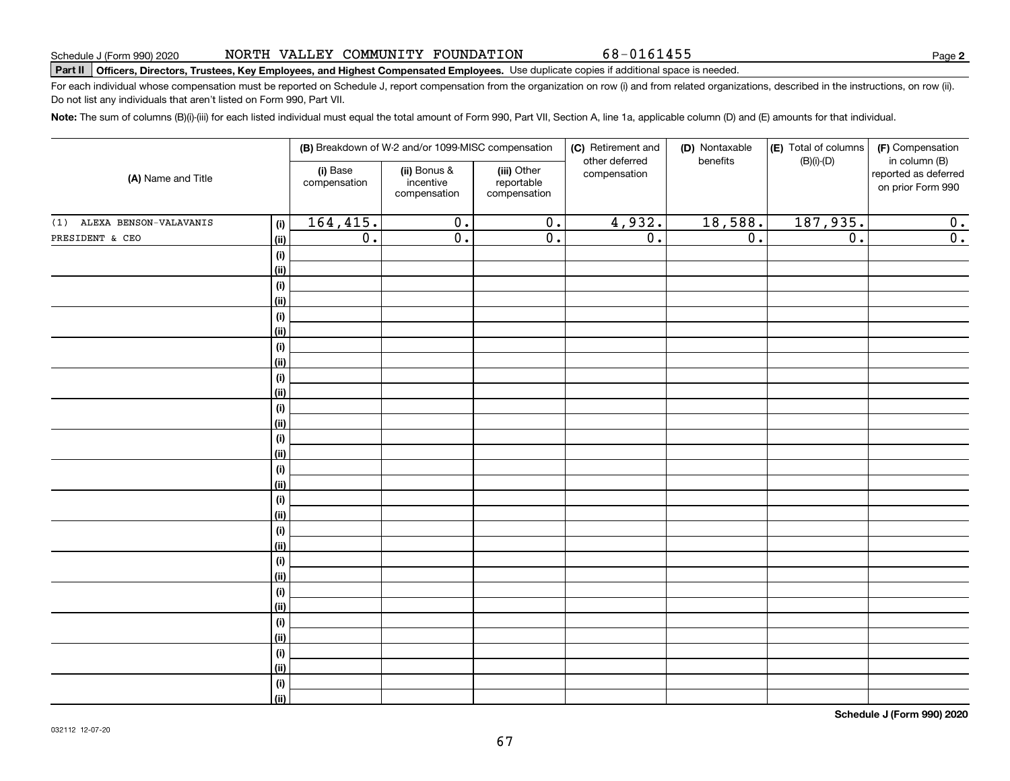# **Part II Officers, Directors, Trustees, Key Employees, and Highest Compensated Employees.**  Schedule J (Form 990) 2020 Page Use duplicate copies if additional space is needed.

For each individual whose compensation must be reported on Schedule J, report compensation from the organization on row (i) and from related organizations, described in the instructions, on row (ii). Do not list any individuals that aren't listed on Form 990, Part VII.

**Note:**  The sum of columns (B)(i)-(iii) for each listed individual must equal the total amount of Form 990, Part VII, Section A, line 1a, applicable column (D) and (E) amounts for that individual.

|                               |                              |                          | (B) Breakdown of W-2 and/or 1099-MISC compensation |                                           | (C) Retirement and<br>other deferred | (D) Nontaxable<br>benefits | $ E $ Total of columns<br>$(B)(i)-(D)$ | (F) Compensation<br>in column (B)         |
|-------------------------------|------------------------------|--------------------------|----------------------------------------------------|-------------------------------------------|--------------------------------------|----------------------------|----------------------------------------|-------------------------------------------|
| (A) Name and Title            |                              | (i) Base<br>compensation | (ii) Bonus &<br>incentive<br>compensation          | (iii) Other<br>reportable<br>compensation | compensation                         |                            |                                        | reported as deferred<br>on prior Form 990 |
| ALEXA BENSON-VALAVANIS<br>(1) | (i)                          | 164, 415.                | $\overline{0}$ .                                   | $\overline{0}$ .                          | 4,932.                               | 18,588.                    | 187,935.                               | 0.                                        |
| PRESIDENT & CEO               | (ii)                         | $\overline{0}$ .         | $\overline{\mathfrak{0}}$ .                        | $\overline{\mathfrak{o}}$ .               | $\overline{0}$ .                     | $\overline{0}$ .           | $\overline{0}$ .                       | $\overline{0}$ .                          |
|                               | (i)                          |                          |                                                    |                                           |                                      |                            |                                        |                                           |
|                               | (ii)                         |                          |                                                    |                                           |                                      |                            |                                        |                                           |
|                               | (i)                          |                          |                                                    |                                           |                                      |                            |                                        |                                           |
|                               | (ii)                         |                          |                                                    |                                           |                                      |                            |                                        |                                           |
|                               | (i)                          |                          |                                                    |                                           |                                      |                            |                                        |                                           |
|                               | (ii)                         |                          |                                                    |                                           |                                      |                            |                                        |                                           |
|                               | (i)                          |                          |                                                    |                                           |                                      |                            |                                        |                                           |
|                               | (ii)                         |                          |                                                    |                                           |                                      |                            |                                        |                                           |
|                               | $\qquad \qquad \textbf{(i)}$ |                          |                                                    |                                           |                                      |                            |                                        |                                           |
|                               | (ii)                         |                          |                                                    |                                           |                                      |                            |                                        |                                           |
|                               | (i)                          |                          |                                                    |                                           |                                      |                            |                                        |                                           |
|                               | (ii)                         |                          |                                                    |                                           |                                      |                            |                                        |                                           |
|                               | (i)                          |                          |                                                    |                                           |                                      |                            |                                        |                                           |
|                               | (ii)<br>(i)                  |                          |                                                    |                                           |                                      |                            |                                        |                                           |
|                               | (ii)                         |                          |                                                    |                                           |                                      |                            |                                        |                                           |
|                               | (i)                          |                          |                                                    |                                           |                                      |                            |                                        |                                           |
|                               | (ii)                         |                          |                                                    |                                           |                                      |                            |                                        |                                           |
|                               | (i)                          |                          |                                                    |                                           |                                      |                            |                                        |                                           |
|                               | (ii)                         |                          |                                                    |                                           |                                      |                            |                                        |                                           |
|                               | (i)                          |                          |                                                    |                                           |                                      |                            |                                        |                                           |
|                               | (ii)                         |                          |                                                    |                                           |                                      |                            |                                        |                                           |
|                               | (i)                          |                          |                                                    |                                           |                                      |                            |                                        |                                           |
|                               | (ii)                         |                          |                                                    |                                           |                                      |                            |                                        |                                           |
|                               | (i)                          |                          |                                                    |                                           |                                      |                            |                                        |                                           |
|                               | (ii)                         |                          |                                                    |                                           |                                      |                            |                                        |                                           |
|                               | (i)                          |                          |                                                    |                                           |                                      |                            |                                        |                                           |
|                               | (ii)                         |                          |                                                    |                                           |                                      |                            |                                        |                                           |
|                               | (i)                          |                          |                                                    |                                           |                                      |                            |                                        |                                           |
|                               | (ii)                         |                          |                                                    |                                           |                                      |                            |                                        |                                           |

**Schedule J (Form 990) 2020**

**2**

68-0161455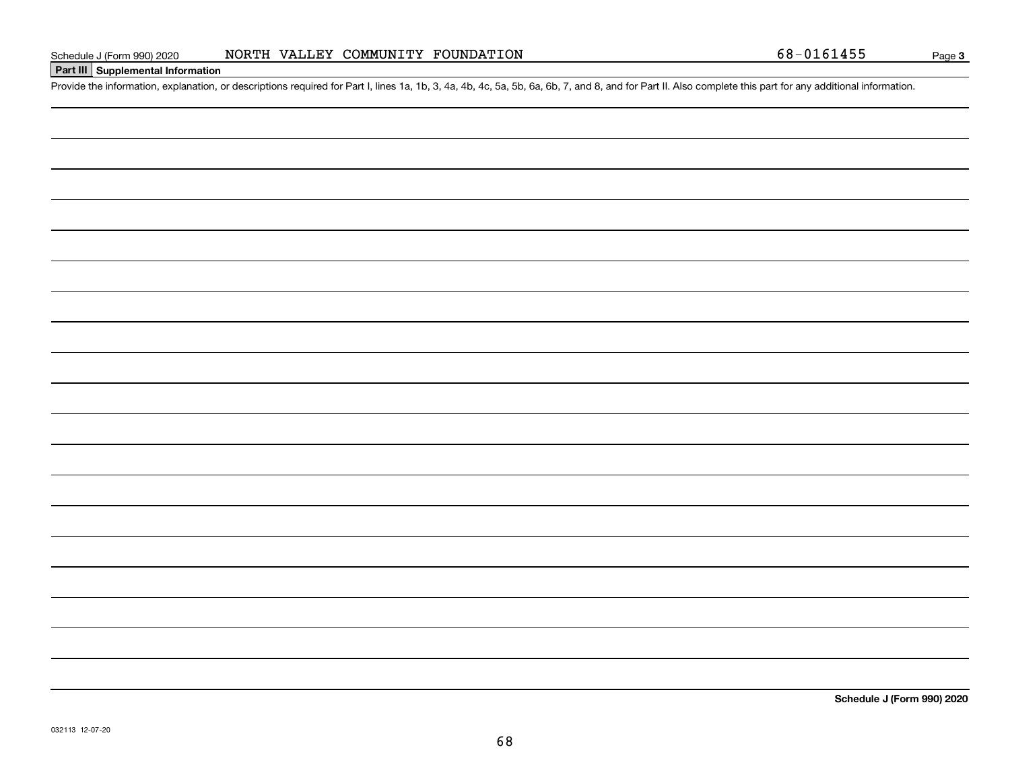## **Part III Supplemental Information**

Schedule J (Form 990) 2020 NORTH VALLEY COMMUNITY FOUNDATION 68-0161455<br>Part III Supplemental Information<br>Provide the information, explanation, or descriptions required for Part I, lines 1a, 1b, 3, 4a, 4b, 4c, 5a, 5b, 6a,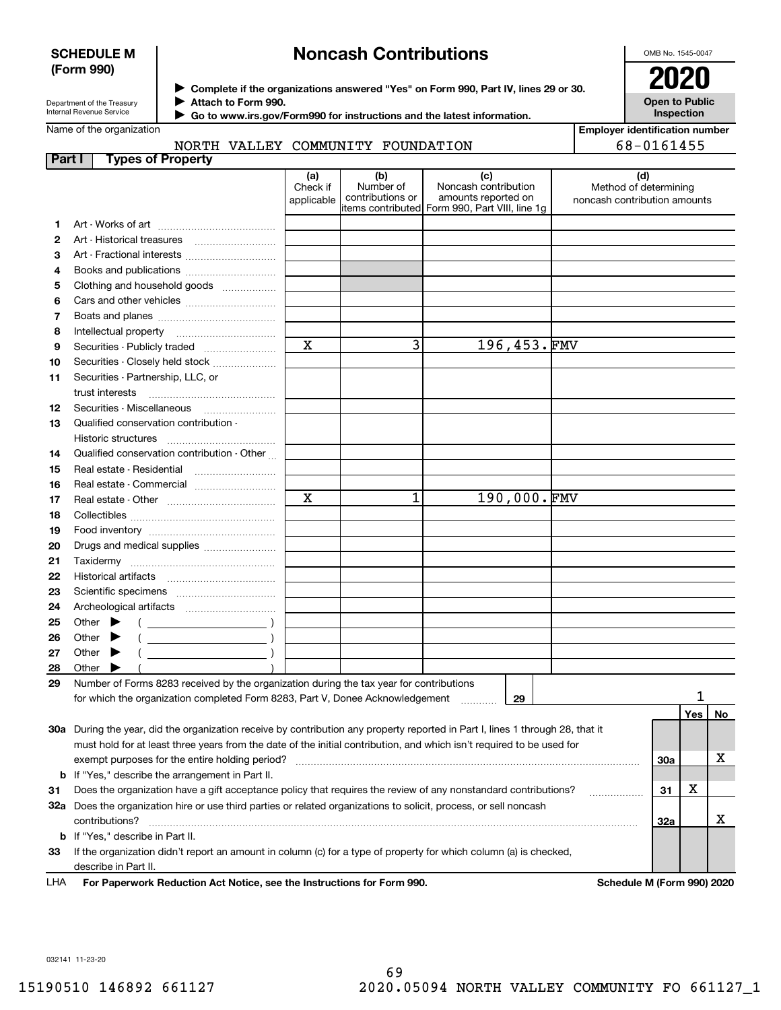## **SCHEDULE M (Form 990)**

# **Noncash Contributions**

OMB No. 1545-0047

**Open to Public Inspection**

Department of the Treasury Internal Revenue Service

**Complete if the organizations answered "Yes" on Form 990, Part IV, lines 29 or 30.** <sup>J</sup>**2020**

**Attach to Form 990.** J

 **Go to www.irs.gov/Form990 for instructions and the latest information.** J

Name of the organization

NORTH VALLEY COMMUNITY FOUNDATION

**Employer identification number** 68-0161455

| Part I | <b>Types of Property</b>                                                                                                                                                                                                                                                                                                                                                                                                     |                               |                                      |                                                                                                       |                                                              |            |     |    |
|--------|------------------------------------------------------------------------------------------------------------------------------------------------------------------------------------------------------------------------------------------------------------------------------------------------------------------------------------------------------------------------------------------------------------------------------|-------------------------------|--------------------------------------|-------------------------------------------------------------------------------------------------------|--------------------------------------------------------------|------------|-----|----|
|        |                                                                                                                                                                                                                                                                                                                                                                                                                              | (a)<br>Check if<br>applicable | (b)<br>Number of<br>contributions or | (c)<br>Noncash contribution<br>amounts reported on<br>litems contributed Form 990, Part VIII, line 1g | (d)<br>Method of determining<br>noncash contribution amounts |            |     |    |
| 1      |                                                                                                                                                                                                                                                                                                                                                                                                                              |                               |                                      |                                                                                                       |                                                              |            |     |    |
| 2      |                                                                                                                                                                                                                                                                                                                                                                                                                              |                               |                                      |                                                                                                       |                                                              |            |     |    |
| З      |                                                                                                                                                                                                                                                                                                                                                                                                                              |                               |                                      |                                                                                                       |                                                              |            |     |    |
| 4      |                                                                                                                                                                                                                                                                                                                                                                                                                              |                               |                                      |                                                                                                       |                                                              |            |     |    |
| 5      | Clothing and household goods                                                                                                                                                                                                                                                                                                                                                                                                 |                               |                                      |                                                                                                       |                                                              |            |     |    |
| 6      |                                                                                                                                                                                                                                                                                                                                                                                                                              |                               |                                      |                                                                                                       |                                                              |            |     |    |
| 7      |                                                                                                                                                                                                                                                                                                                                                                                                                              |                               |                                      |                                                                                                       |                                                              |            |     |    |
| 8      | Intellectual property                                                                                                                                                                                                                                                                                                                                                                                                        |                               |                                      |                                                                                                       |                                                              |            |     |    |
| 9      | Securities - Publicly traded                                                                                                                                                                                                                                                                                                                                                                                                 | $\mathbf x$                   | $\overline{3}$                       | 196,453.FMV                                                                                           |                                                              |            |     |    |
| 10     | Securities - Closely held stock                                                                                                                                                                                                                                                                                                                                                                                              |                               |                                      |                                                                                                       |                                                              |            |     |    |
| 11     | Securities - Partnership, LLC, or                                                                                                                                                                                                                                                                                                                                                                                            |                               |                                      |                                                                                                       |                                                              |            |     |    |
|        | trust interests                                                                                                                                                                                                                                                                                                                                                                                                              |                               |                                      |                                                                                                       |                                                              |            |     |    |
| 12     | Securities - Miscellaneous                                                                                                                                                                                                                                                                                                                                                                                                   |                               |                                      |                                                                                                       |                                                              |            |     |    |
| 13     | Qualified conservation contribution -                                                                                                                                                                                                                                                                                                                                                                                        |                               |                                      |                                                                                                       |                                                              |            |     |    |
|        | Historic structures                                                                                                                                                                                                                                                                                                                                                                                                          |                               |                                      |                                                                                                       |                                                              |            |     |    |
| 14     | Qualified conservation contribution - Other                                                                                                                                                                                                                                                                                                                                                                                  |                               |                                      |                                                                                                       |                                                              |            |     |    |
| 15     | Real estate - Residential                                                                                                                                                                                                                                                                                                                                                                                                    |                               |                                      |                                                                                                       |                                                              |            |     |    |
| 16     | Real estate - Commercial                                                                                                                                                                                                                                                                                                                                                                                                     |                               |                                      |                                                                                                       |                                                              |            |     |    |
| 17     |                                                                                                                                                                                                                                                                                                                                                                                                                              | $\mathbf x$                   | 1                                    | 190,000.FMV                                                                                           |                                                              |            |     |    |
| 18     |                                                                                                                                                                                                                                                                                                                                                                                                                              |                               |                                      |                                                                                                       |                                                              |            |     |    |
| 19     |                                                                                                                                                                                                                                                                                                                                                                                                                              |                               |                                      |                                                                                                       |                                                              |            |     |    |
| 20     | Drugs and medical supplies                                                                                                                                                                                                                                                                                                                                                                                                   |                               |                                      |                                                                                                       |                                                              |            |     |    |
| 21     |                                                                                                                                                                                                                                                                                                                                                                                                                              |                               |                                      |                                                                                                       |                                                              |            |     |    |
| 22     |                                                                                                                                                                                                                                                                                                                                                                                                                              |                               |                                      |                                                                                                       |                                                              |            |     |    |
|        |                                                                                                                                                                                                                                                                                                                                                                                                                              |                               |                                      |                                                                                                       |                                                              |            |     |    |
| 23     |                                                                                                                                                                                                                                                                                                                                                                                                                              |                               |                                      |                                                                                                       |                                                              |            |     |    |
| 24     |                                                                                                                                                                                                                                                                                                                                                                                                                              |                               |                                      |                                                                                                       |                                                              |            |     |    |
| 25     | Other                                                                                                                                                                                                                                                                                                                                                                                                                        |                               |                                      |                                                                                                       |                                                              |            |     |    |
| 26     | $\overline{\phantom{a}}$ and $\overline{\phantom{a}}$ and $\overline{\phantom{a}}$ and $\overline{\phantom{a}}$ and $\overline{\phantom{a}}$ and $\overline{\phantom{a}}$ and $\overline{\phantom{a}}$ and $\overline{\phantom{a}}$ and $\overline{\phantom{a}}$ and $\overline{\phantom{a}}$ and $\overline{\phantom{a}}$ and $\overline{\phantom{a}}$ and $\overline{\phantom{a}}$ and $\overline{\phantom{a}}$ a<br>Other |                               |                                      |                                                                                                       |                                                              |            |     |    |
| 27     | Other                                                                                                                                                                                                                                                                                                                                                                                                                        |                               |                                      |                                                                                                       |                                                              |            |     |    |
| 28     | Other                                                                                                                                                                                                                                                                                                                                                                                                                        |                               |                                      |                                                                                                       |                                                              |            |     |    |
| 29     | Number of Forms 8283 received by the organization during the tax year for contributions                                                                                                                                                                                                                                                                                                                                      |                               |                                      |                                                                                                       |                                                              |            | 1   |    |
|        | for which the organization completed Form 8283, Part V, Donee Acknowledgement                                                                                                                                                                                                                                                                                                                                                |                               |                                      | 29                                                                                                    |                                                              |            |     |    |
|        |                                                                                                                                                                                                                                                                                                                                                                                                                              |                               |                                      |                                                                                                       |                                                              |            | Yes | No |
|        | 30a During the year, did the organization receive by contribution any property reported in Part I, lines 1 through 28, that it                                                                                                                                                                                                                                                                                               |                               |                                      |                                                                                                       |                                                              |            |     |    |
|        | must hold for at least three years from the date of the initial contribution, and which isn't required to be used for                                                                                                                                                                                                                                                                                                        |                               |                                      |                                                                                                       |                                                              |            |     |    |
|        | exempt purposes for the entire holding period?                                                                                                                                                                                                                                                                                                                                                                               |                               |                                      |                                                                                                       |                                                              | <b>30a</b> |     | х  |
|        | <b>b</b> If "Yes," describe the arrangement in Part II.                                                                                                                                                                                                                                                                                                                                                                      |                               |                                      |                                                                                                       |                                                              |            |     |    |
| 31     | Does the organization have a gift acceptance policy that requires the review of any nonstandard contributions?                                                                                                                                                                                                                                                                                                               |                               |                                      |                                                                                                       |                                                              | 31         | х   |    |
|        | 32a Does the organization hire or use third parties or related organizations to solicit, process, or sell noncash                                                                                                                                                                                                                                                                                                            |                               |                                      |                                                                                                       |                                                              |            |     |    |
|        | contributions?                                                                                                                                                                                                                                                                                                                                                                                                               |                               |                                      |                                                                                                       |                                                              | 32a        |     | X  |
|        | <b>b</b> If "Yes," describe in Part II.                                                                                                                                                                                                                                                                                                                                                                                      |                               |                                      |                                                                                                       |                                                              |            |     |    |
| 33     | If the organization didn't report an amount in column (c) for a type of property for which column (a) is checked,                                                                                                                                                                                                                                                                                                            |                               |                                      |                                                                                                       |                                                              |            |     |    |
|        | describe in Part II.                                                                                                                                                                                                                                                                                                                                                                                                         |                               |                                      |                                                                                                       |                                                              |            |     |    |

**For Paperwork Reduction Act Notice, see the Instructions for Form 990. Schedule M (Form 990) 2020** LHA

032141 11-23-20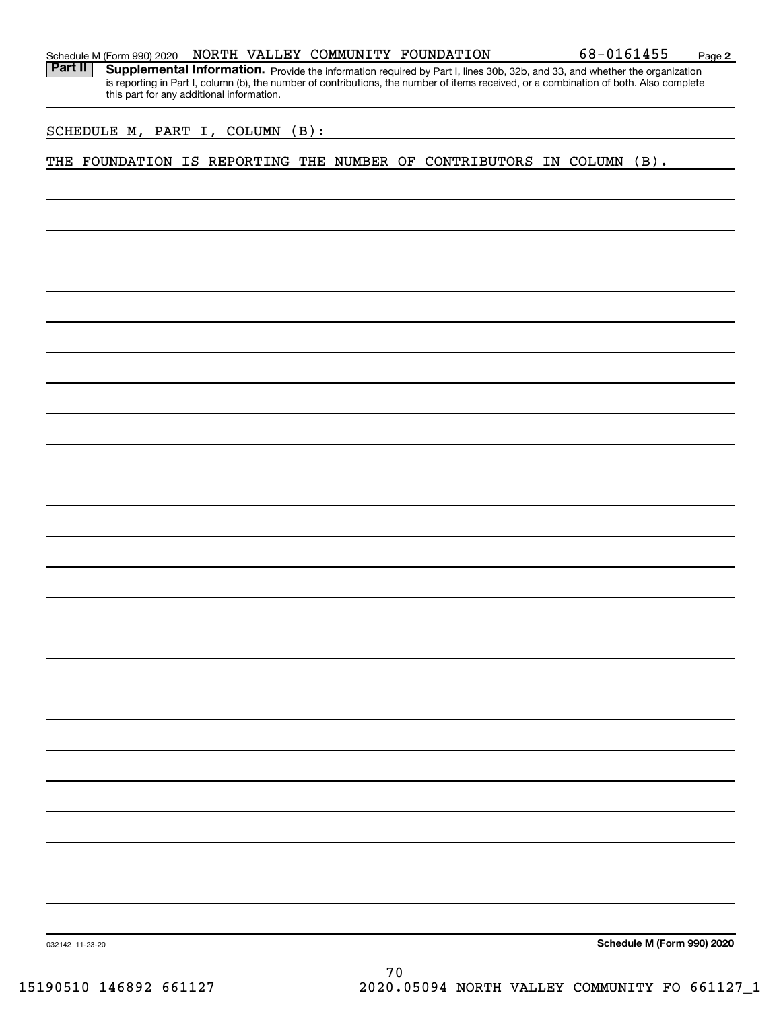|  | Schedule M (Form 990) 2020 |  |  |  | NORTH VALLEY COMMUNITY FOUNDATION | 68-0161455 | Page |  |
|--|----------------------------|--|--|--|-----------------------------------|------------|------|--|
|--|----------------------------|--|--|--|-----------------------------------|------------|------|--|

Part II | Supplemental Information. Provide the information required by Part I, lines 30b, 32b, and 33, and whether the organization is reporting in Part I, column (b), the number of contributions, the number of items received, or a combination of both. Also complete this part for any additional information.

SCHEDULE M, PART I, COLUMN (B):

THE FOUNDATION IS REPORTING THE NUMBER OF CONTRIBUTORS IN COLUMN (B).

**Schedule M (Form 990) 2020**

**2**

032142 11-23-20

70 15190510 146892 661127 2020.05094 NORTH VALLEY COMMUNITY FO 661127\_1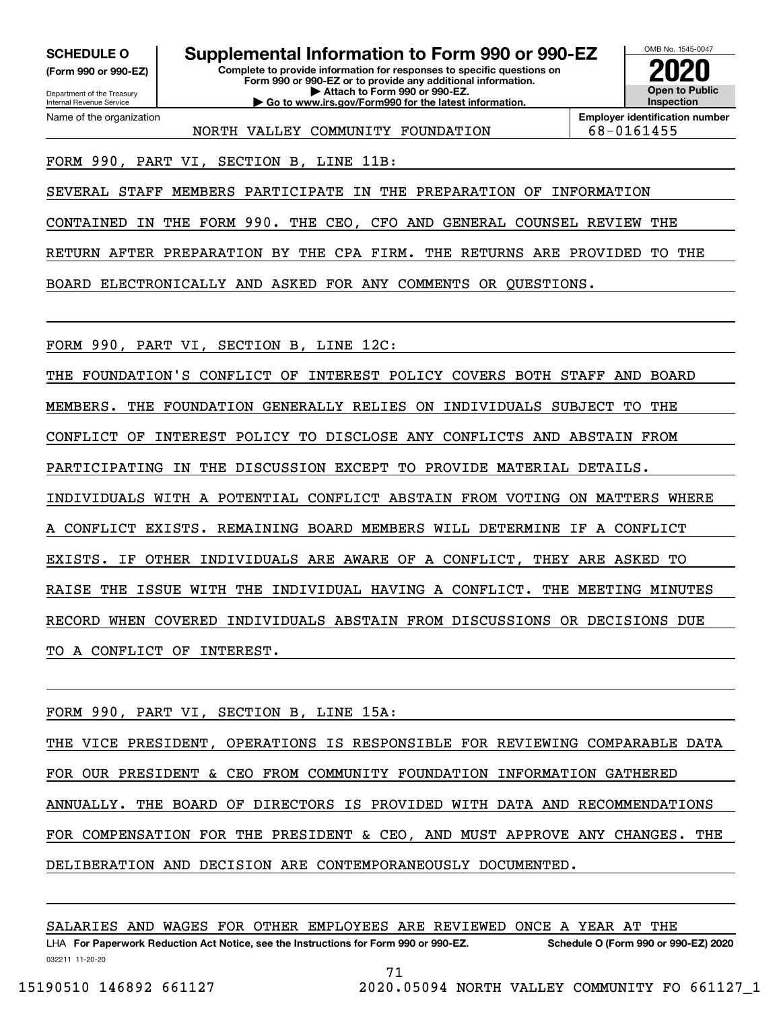**(Form 990 or 990-EZ)**

Department of the Treasury Internal Revenue Service Name of the organization

**Complete to provide information for responses to specific questions on SCHEDULE O Supplemental Information to Form 990 or 990-EZ**

**Form 990 or 990-EZ or to provide any additional information. | Attach to Form 990 or 990-EZ. | Go to www.irs.gov/Form990 for the latest information.**



**Employer identification number** NORTH VALLEY COMMUNITY FOUNDATION | 68-0161455

FORM 990, PART VI, SECTION B, LINE 11B:

SEVERAL STAFF MEMBERS PARTICIPATE IN THE PREPARATION OF INFORMATION

CONTAINED IN THE FORM 990. THE CEO, CFO AND GENERAL COUNSEL REVIEW THE

RETURN AFTER PREPARATION BY THE CPA FIRM. THE RETURNS ARE PROVIDED TO THE

BOARD ELECTRONICALLY AND ASKED FOR ANY COMMENTS OR QUESTIONS.

FORM 990, PART VI, SECTION B, LINE 12C:

THE FOUNDATION'S CONFLICT OF INTEREST POLICY COVERS BOTH STAFF AND BOARD MEMBERS. THE FOUNDATION GENERALLY RELIES ON INDIVIDUALS SUBJECT TO THE CONFLICT OF INTEREST POLICY TO DISCLOSE ANY CONFLICTS AND ABSTAIN FROM PARTICIPATING IN THE DISCUSSION EXCEPT TO PROVIDE MATERIAL DETAILS. INDIVIDUALS WITH A POTENTIAL CONFLICT ABSTAIN FROM VOTING ON MATTERS WHERE CONFLICT EXISTS. REMAINING BOARD MEMBERS WILL DETERMINE IF A CONFLICT EXISTS. IF OTHER INDIVIDUALS ARE AWARE OF A CONFLICT, THEY ARE ASKED TO RAISE THE ISSUE WITH THE INDIVIDUAL HAVING A CONFLICT. THE MEETING MINUTES RECORD WHEN COVERED INDIVIDUALS ABSTAIN FROM DISCUSSIONS OR DECISIONS DUE TO A CONFLICT OF INTEREST.

FORM 990, PART VI, SECTION B, LINE 15A:

THE VICE PRESIDENT, OPERATIONS IS RESPONSIBLE FOR REVIEWING COMPARABLE DATA FOR OUR PRESIDENT & CEO FROM COMMUNITY FOUNDATION INFORMATION GATHERED ANNUALLY. THE BOARD OF DIRECTORS IS PROVIDED WITH DATA AND RECOMMENDATIONS FOR COMPENSATION FOR THE PRESIDENT & CEO, AND MUST APPROVE ANY CHANGES. THE DELIBERATION AND DECISION ARE CONTEMPORANEOUSLY DOCUMENTED.

032211 11-20-20 LHA For Paperwork Reduction Act Notice, see the Instructions for Form 990 or 990-EZ. Schedule O (Form 990 or 990-EZ) 2020 SALARIES AND WAGES FOR OTHER EMPLOYEES ARE REVIEWED ONCE A YEAR AT THE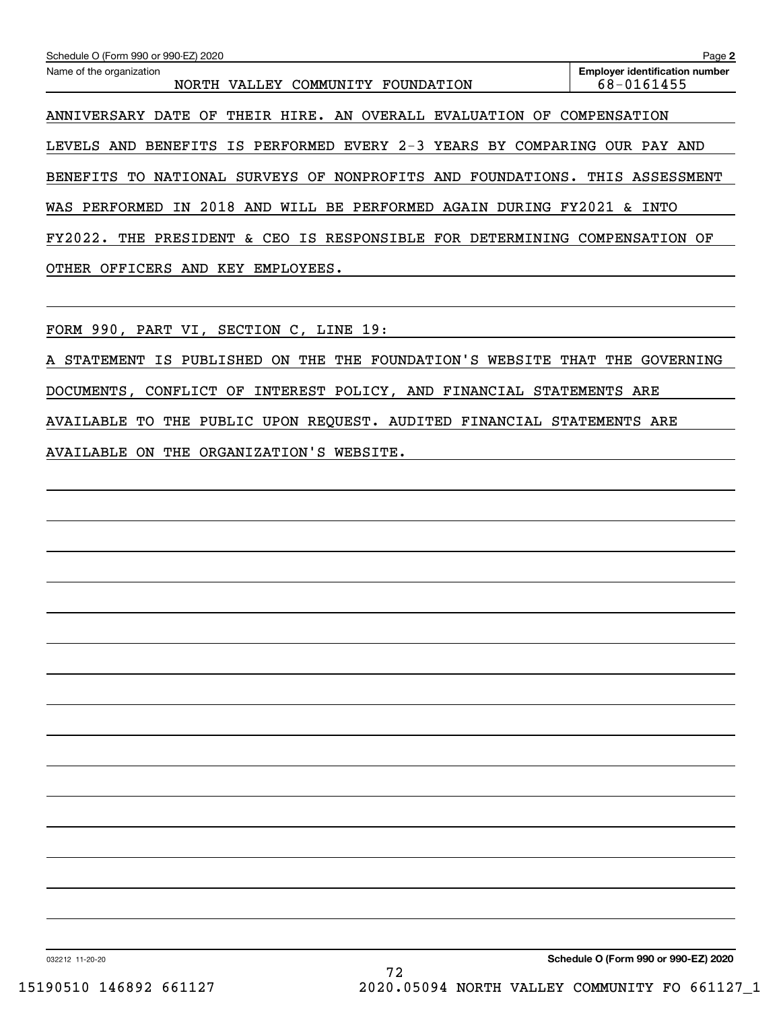| Schedule O (Form 990 or 990-EZ) 2020                                                 | Page 2                                              |
|--------------------------------------------------------------------------------------|-----------------------------------------------------|
| Name of the organization<br>COMMUNITY FOUNDATION<br>VALLEY<br>NORTH                  | <b>Employer identification number</b><br>68-0161455 |
| THEIR HIRE. AN OVERALL EVALUATION<br>ANNIVERSARY DATE<br>OF<br>OF.                   | COMPENSATION                                        |
| PERFORMED EVERY 2-3 YEARS BY COMPARING<br><b>BENEFITS</b><br>IS<br>AND<br>LEVELS     | OUR PAY AND                                         |
| NONPROFITS<br>NATIONAL<br>SURVEYS OF<br>AND<br>FOUNDATIONS.<br><b>BENEFITS</b><br>TО | THIS ASSESSMENT                                     |
| 2018<br>AND WILL BE PERFORMED<br>WAS PERFORMED<br>AGAIN<br>DURING<br>ΙN              | FY2021<br>INTO<br>$\mathcal{E}$                     |
| IS RESPONSIBLE FOR DETERMINING<br>FY2022.<br>THE<br>PRESIDENT<br>&.<br>CEO           | COMPENSATION<br>OF                                  |
| OTHER<br>OFFICERS<br>AND<br>KEY<br>EMPLOYEES.                                        |                                                     |
|                                                                                      |                                                     |

FORM 990, PART VI, SECTION C, LINE 19:

A STATEMENT IS PUBLISHED ON THE THE FOUNDATION'S WEBSITE THAT THE GOVERNING DOCUMENTS, CONFLICT OF INTEREST POLICY, AND FINANCIAL STATEMENTS ARE AVAILABLE TO THE PUBLIC UPON REQUEST. AUDITED FINANCIAL STATEMENTS ARE AVAILABLE ON THE ORGANIZATION'S WEBSITE.

032212 11-20-20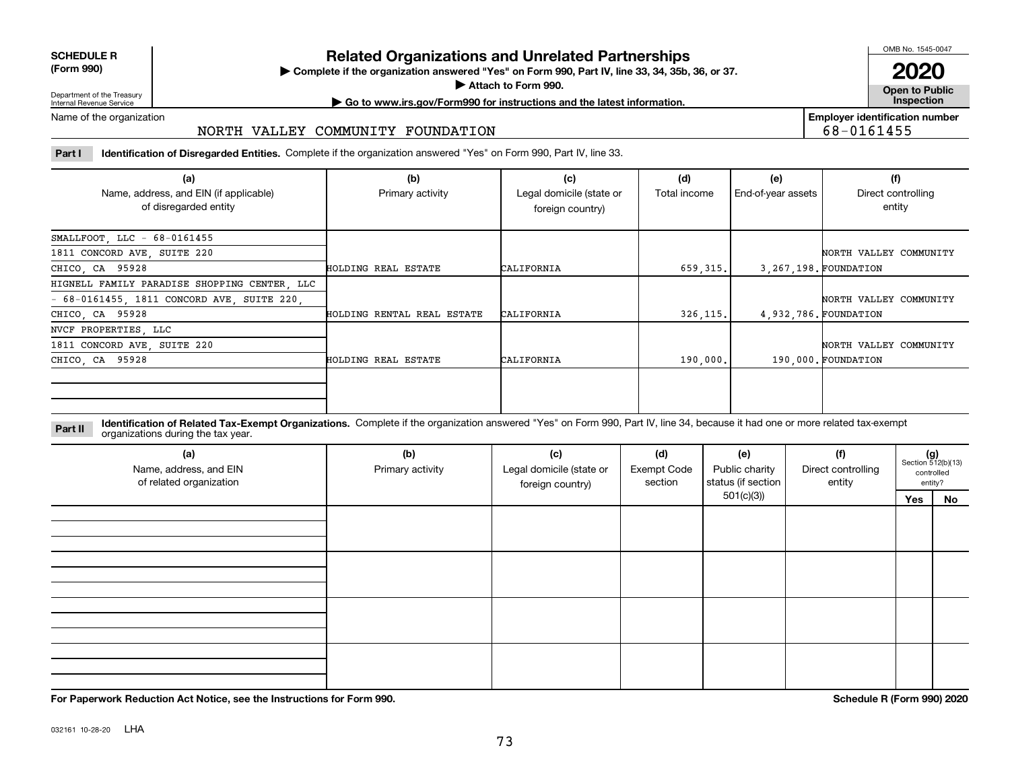| <b>SCHEDULE R</b>         |  |
|---------------------------|--|
| $\sim$ 0.00<br>$\sqrt{2}$ |  |

**(Form 990)**

## **Related Organizations and Unrelated Partnerships**

**Complete if the organization answered "Yes" on Form 990, Part IV, line 33, 34, 35b, 36, or 37.** |

**Attach to Form 990.**  |

OMB No. 1545-0047

**Open to Public 2020**

**Employer identification number**

68-0161455

Department of the Treasury Internal Revenue Service

# **| Go to www.irs.gov/Form990 for instructions and the latest information. Inspection**

Name of the organization

## NORTH VALLEY COMMUNITY FOUNDATION

**Part I Identification of Disregarded Entities.**  Complete if the organization answered "Yes" on Form 990, Part IV, line 33.

| (a)<br>Name, address, and EIN (if applicable)<br>of disregarded entity | (b)<br>Primary activity    | (c)<br>Legal domicile (state or<br>foreign country) | (d)<br>Total income | (e)<br>End-of-year assets | (f)<br>Direct controlling<br>entity |
|------------------------------------------------------------------------|----------------------------|-----------------------------------------------------|---------------------|---------------------------|-------------------------------------|
| SMALLFOOT, LLC - 68-0161455                                            |                            |                                                     |                     |                           |                                     |
| 1811 CONCORD AVE, SUITE 220                                            |                            |                                                     |                     |                           | NORTH VALLEY COMMUNITY              |
| CHICO, CA 95928                                                        | HOLDING REAL ESTATE        | CALIFORNIA                                          | 659, 315,           |                           | 3.267.198. FOUNDATION               |
| HIGNELL FAMILY PARADISE SHOPPING CENTER, LLC                           |                            |                                                     |                     |                           |                                     |
| $-68-0161455$ , 1811 CONCORD AVE, SUITE 220,                           |                            |                                                     |                     |                           | NORTH VALLEY COMMUNITY              |
| CHICO, CA 95928                                                        | HOLDING RENTAL REAL ESTATE | CALIFORNIA                                          | 326, 115.           |                           | 4,932,786. FOUNDATION               |
| NVCF PROPERTIES, LLC                                                   |                            |                                                     |                     |                           |                                     |
| 1811 CONCORD AVE, SUITE 220                                            |                            |                                                     |                     |                           | NORTH VALLEY COMMUNITY              |
| CHICO, CA 95928                                                        | HOLDING REAL ESTATE        | CALIFORNIA                                          | 190,000.            |                           | 190,000. FOUNDATION                 |
|                                                                        |                            |                                                     |                     |                           |                                     |

**Identification of Related Tax-Exempt Organizations.** Complete if the organization answered "Yes" on Form 990, Part IV, line 34, because it had one or more related tax-exempt **Part II** organizations during the tax year.

| (a)<br>Name, address, and EIN<br>of related organization | (b)<br>Primary activity | (c)<br>Legal domicile (state or<br>foreign country) | (d)<br><b>Exempt Code</b><br>section | (e)<br>Public charity<br>status (if section | (f)<br>Direct controlling<br>entity | $(g)$<br>Section 512(b)(13)<br>controlled<br>entity? |    |
|----------------------------------------------------------|-------------------------|-----------------------------------------------------|--------------------------------------|---------------------------------------------|-------------------------------------|------------------------------------------------------|----|
|                                                          |                         |                                                     |                                      | 501(c)(3)                                   |                                     | Yes                                                  | No |
|                                                          |                         |                                                     |                                      |                                             |                                     |                                                      |    |
|                                                          |                         |                                                     |                                      |                                             |                                     |                                                      |    |
|                                                          |                         |                                                     |                                      |                                             |                                     |                                                      |    |
|                                                          |                         |                                                     |                                      |                                             |                                     |                                                      |    |

**For Paperwork Reduction Act Notice, see the Instructions for Form 990. Schedule R (Form 990) 2020**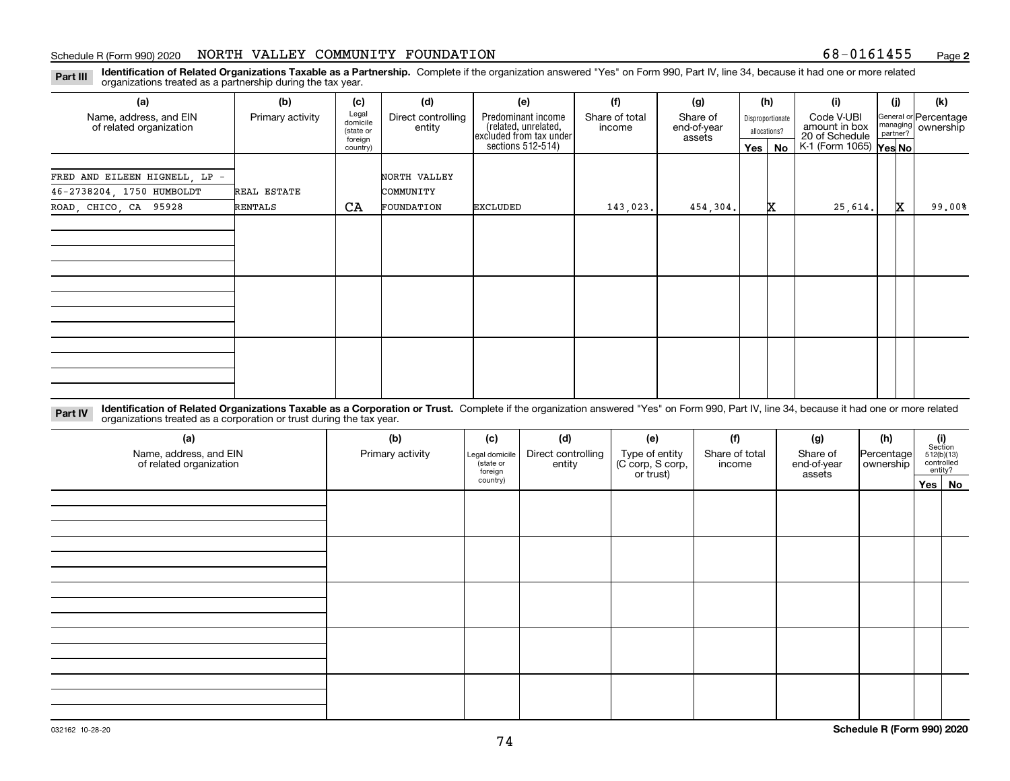#### Schedule R (Form 990) 2020 NORTH VALLEY COMMUNITY FOUNDATION 68-0161455 <sub>Page</sub>

**2**

**Identification of Related Organizations Taxable as a Partnership.** Complete if the organization answered "Yes" on Form 990, Part IV, line 34, because it had one or more related **Part III** organizations treated as a partnership during the tax year.

| (a)                                                                                                                                                                                  | (b)              | (c)                                       | (d)                          | (e)                                                                   | (f)                      | (g)                               |         | (h)                              | (i)                                           | (i)                  | (k)                                |
|--------------------------------------------------------------------------------------------------------------------------------------------------------------------------------------|------------------|-------------------------------------------|------------------------------|-----------------------------------------------------------------------|--------------------------|-----------------------------------|---------|----------------------------------|-----------------------------------------------|----------------------|------------------------------------|
| Name, address, and EIN<br>of related organization                                                                                                                                    | Primary activity | Legal<br>domicile<br>(state or<br>foreign | Direct controlling<br>entity | Predominant income<br>(related, unrelated,<br>excluded from tax under | Share of total<br>income | Share of<br>end-of-year<br>assets |         | Disproportionate<br>allocations? | Code V-UBI<br>amount in box<br>20 of Schedule | managing<br>partner? | General or Percentage<br>ownership |
|                                                                                                                                                                                      |                  | country)                                  |                              | sections 512-514)                                                     |                          |                                   | Yes $ $ | No                               | K-1 (Form 1065) Yes No                        |                      |                                    |
| FRED AND EILEEN HIGNELL, LP<br>46-2738204, 1750 HUMBOLDT                                                                                                                             | REAL ESTATE      |                                           | NORTH VALLEY<br>COMMUNITY    |                                                                       |                          |                                   |         |                                  |                                               |                      |                                    |
| ROAD, CHICO, CA 95928                                                                                                                                                                | RENTALS          | CA                                        | FOUNDATION                   | <b>EXCLUDED</b>                                                       | 143,023.                 | 454,304.                          |         | x                                | 25,614.                                       | X.                   | 99,00%                             |
|                                                                                                                                                                                      |                  |                                           |                              |                                                                       |                          |                                   |         |                                  |                                               |                      |                                    |
| ldentification of Related Organizations Tavable as a Corporation or Trust Complete if the organization answered "Yes" on Form 990 Part IV line 34 hecause it had one or more related |                  |                                           |                              |                                                                       |                          |                                   |         |                                  |                                               |                      |                                    |

**Identification of Related Organizations Taxable as a Corporation or Trust.** Complete if the organization answered "Yes" on Form 990, Part IV, line 34, because it had one or more related **Part IV** organizations treated as a corporation or trust during the tax year.

| (a)<br>Name, address, and EIN<br>of related organization | (b)<br>Primary activity | (c)<br>Legal domicile<br>(state or<br>foreign | (d)<br>Direct controlling<br>entity | (e)<br>Type of entity<br>(C corp, S corp,<br>or trust) | (f)<br>Share of total<br>income | (g)<br>Share of<br>end-of-year<br>assets | (h)<br>Percentage<br>ownership | $\begin{array}{c} \textbf{(i)}\\ \text{Section}\\ 512 \text{(b)} \text{(13)}\\ \text{controlled}\\ \text{entity?} \end{array}$ |
|----------------------------------------------------------|-------------------------|-----------------------------------------------|-------------------------------------|--------------------------------------------------------|---------------------------------|------------------------------------------|--------------------------------|--------------------------------------------------------------------------------------------------------------------------------|
|                                                          |                         | country)                                      |                                     |                                                        |                                 |                                          |                                | Yes No                                                                                                                         |
|                                                          |                         |                                               |                                     |                                                        |                                 |                                          |                                |                                                                                                                                |
|                                                          |                         |                                               |                                     |                                                        |                                 |                                          |                                |                                                                                                                                |
|                                                          |                         |                                               |                                     |                                                        |                                 |                                          |                                |                                                                                                                                |
|                                                          |                         |                                               |                                     |                                                        |                                 |                                          |                                |                                                                                                                                |
|                                                          |                         |                                               |                                     |                                                        |                                 |                                          |                                |                                                                                                                                |
|                                                          |                         |                                               |                                     |                                                        |                                 |                                          |                                |                                                                                                                                |
|                                                          |                         |                                               |                                     |                                                        |                                 |                                          |                                |                                                                                                                                |
|                                                          |                         |                                               |                                     |                                                        |                                 |                                          |                                |                                                                                                                                |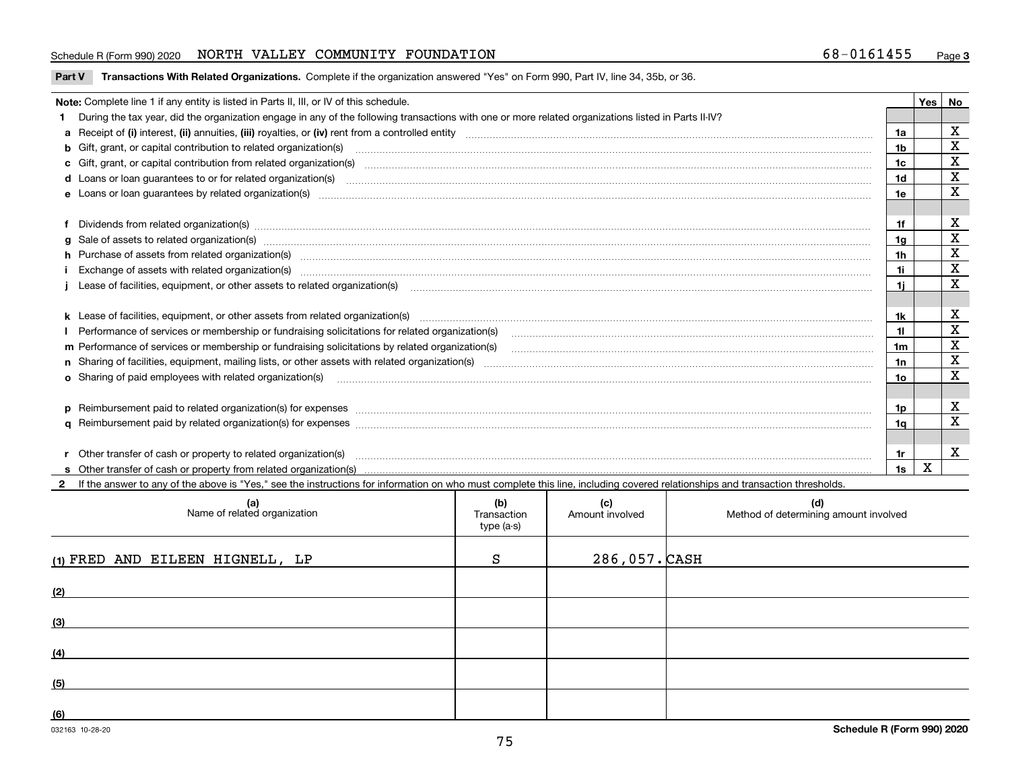#### Schedule R (Form 990) 2020 NORTH VALLEY COMMUNITY FOUNDATION 68-0161455 <sub>Page</sub>

**Part V** T**ransactions With Related Organizations.** Complete if the organization answered "Yes" on Form 990, Part IV, line 34, 35b, or 36.

| Note: Complete line 1 if any entity is listed in Parts II, III, or IV of this schedule.                                                                                                                                        |     | <b>Yes</b> | No          |
|--------------------------------------------------------------------------------------------------------------------------------------------------------------------------------------------------------------------------------|-----|------------|-------------|
| 1 During the tax year, did the organization engage in any of the following transactions with one or more related organizations listed in Parts II-IV?                                                                          |     |            |             |
|                                                                                                                                                                                                                                | 1a  |            | $\mathbf X$ |
| <b>b</b> Gift, grant, or capital contribution to related organization(s)                                                                                                                                                       | 1b  |            | X           |
| c Gift, grant, or capital contribution from related organization(s)                                                                                                                                                            | 1c  |            | $\mathbf X$ |
| <b>d</b> Loans or loan quarantees to or for related organization(s)                                                                                                                                                            | 1d  |            | $\mathbf X$ |
| <b>e</b> Loans or loan quarantees by related organization(s)                                                                                                                                                                   | 1e  |            | X           |
|                                                                                                                                                                                                                                |     |            |             |
| f Dividends from related organization(s) www.communicallycommunicallycommunicallycommunicallycommunicallycommunicallycommunicallycommunicallycommunicallycommunicallycommunicallycommunicallycommunicallycommunicallycommunica | 1f  |            | х           |
| g Sale of assets to related organization(s) www.assettion.com/www.assettion.com/www.assettion.com/www.assettion.com/www.assettion.com/www.assettion.com/www.assettion.com/www.assettion.com/www.assettion.com/www.assettion.co | 1a  |            | $\mathbf X$ |
| h Purchase of assets from related organization(s) manufactured and content to the content of the content of the content of the content of the content of the content of the content of the content of the content of the conte | 1h  |            | X           |
|                                                                                                                                                                                                                                | 1i. |            | $\mathbf X$ |
|                                                                                                                                                                                                                                | 1i. |            | X           |
|                                                                                                                                                                                                                                |     |            |             |
|                                                                                                                                                                                                                                | 1k  |            | х           |
| Performance of services or membership or fundraising solicitations for related organization(s)                                                                                                                                 | 11. |            | X           |
| m Performance of services or membership or fundraising solicitations by related organization(s)                                                                                                                                | 1m  |            | X           |
|                                                                                                                                                                                                                                | 1n  |            | X           |
| <b>o</b> Sharing of paid employees with related organization(s)                                                                                                                                                                | 10  |            | X           |
|                                                                                                                                                                                                                                |     |            |             |
| p Reimbursement paid to related organization(s) for expenses [111] and the material content of the set of the set of the set of the set of the set of the set of the set of the set of the set of the set of the set of the se | 1p. |            | х           |
|                                                                                                                                                                                                                                | 1a  |            | X           |
|                                                                                                                                                                                                                                |     |            |             |
|                                                                                                                                                                                                                                | 1r. |            | X           |
|                                                                                                                                                                                                                                | 1s  | X          |             |
|                                                                                                                                                                                                                                |     |            |             |

032163 10-28-20 **2**If the answer to any of the above is "Yes," see the instructions for information on who must complete this line, including covered relationships and transaction thresholds. **(a) (b) (c) (d) (1)**FRED AND EILEEN HIGNELL, LP S 286,057. **(2) (3) (4) (5) (6)Schedule R (Form 990) 2020** Name of related organization  $\vert$  Transaction type (a-s) Amount involved late and Method of determining amount involved  $286,057.$  $CASH$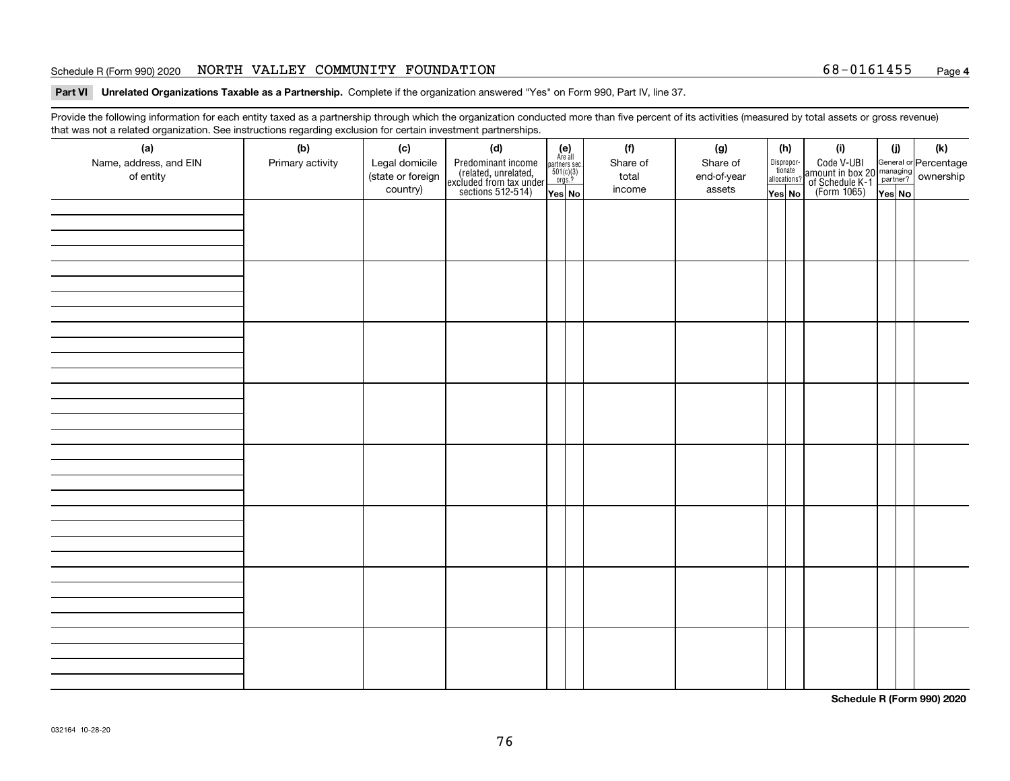#### Schedule R (Form 990) 2020 **NORTH VALLEY COMMUNITY FOUNDATION** 68-0161455 <sub>Page</sub>

# **Part VI Unrelated Organizations Taxable as a Partnership.**  Complete if the organization answered "Yes" on Form 990, Part IV, line 37.

Provide the following information for each entity taxed as a partnership through which the organization conducted more than five percent of its activities (measured by total assets or gross revenue) that was not a related organization. See instructions regarding exclusion for certain investment partnerships.

| (a)<br>Name, address, and EIN<br>of entity | $\tilde{}$<br>(b)<br>Primary activity | (c)<br>Legal domicile<br>(state or foreign<br>country) | (d)<br>Predominant income<br>(related, unrelated,<br>excluded from tax under<br>sections 512-514) | $(e)$<br>Are all<br>$\begin{array}{c}\n\text{partners} \sec.\n\\ \n501(c)(3)\n\\ \n0rgs.?\n\end{array}$<br>Yes No | (f)<br>Share of<br>total<br>income | (g)<br>Share of<br>end-of-year<br>assets | (h)<br>Dispropor-<br>tionate<br>allocations?<br>Yes No | (i)<br>Code V-UBI<br>amount in box 20 managing<br>of Schedule K-1<br>(Form 1065)<br>$\overline{Yes}$ No | (i)<br>Yes No | (k) |
|--------------------------------------------|---------------------------------------|--------------------------------------------------------|---------------------------------------------------------------------------------------------------|-------------------------------------------------------------------------------------------------------------------|------------------------------------|------------------------------------------|--------------------------------------------------------|---------------------------------------------------------------------------------------------------------|---------------|-----|
|                                            |                                       |                                                        |                                                                                                   |                                                                                                                   |                                    |                                          |                                                        |                                                                                                         |               |     |
|                                            |                                       |                                                        |                                                                                                   |                                                                                                                   |                                    |                                          |                                                        |                                                                                                         |               |     |
|                                            |                                       |                                                        |                                                                                                   |                                                                                                                   |                                    |                                          |                                                        |                                                                                                         |               |     |
|                                            |                                       |                                                        |                                                                                                   |                                                                                                                   |                                    |                                          |                                                        |                                                                                                         |               |     |
|                                            |                                       |                                                        |                                                                                                   |                                                                                                                   |                                    |                                          |                                                        |                                                                                                         |               |     |
|                                            |                                       |                                                        |                                                                                                   |                                                                                                                   |                                    |                                          |                                                        |                                                                                                         |               |     |
|                                            |                                       |                                                        |                                                                                                   |                                                                                                                   |                                    |                                          |                                                        |                                                                                                         |               |     |
|                                            |                                       |                                                        |                                                                                                   |                                                                                                                   |                                    |                                          |                                                        |                                                                                                         |               |     |

**Schedule R (Form 990) 2020**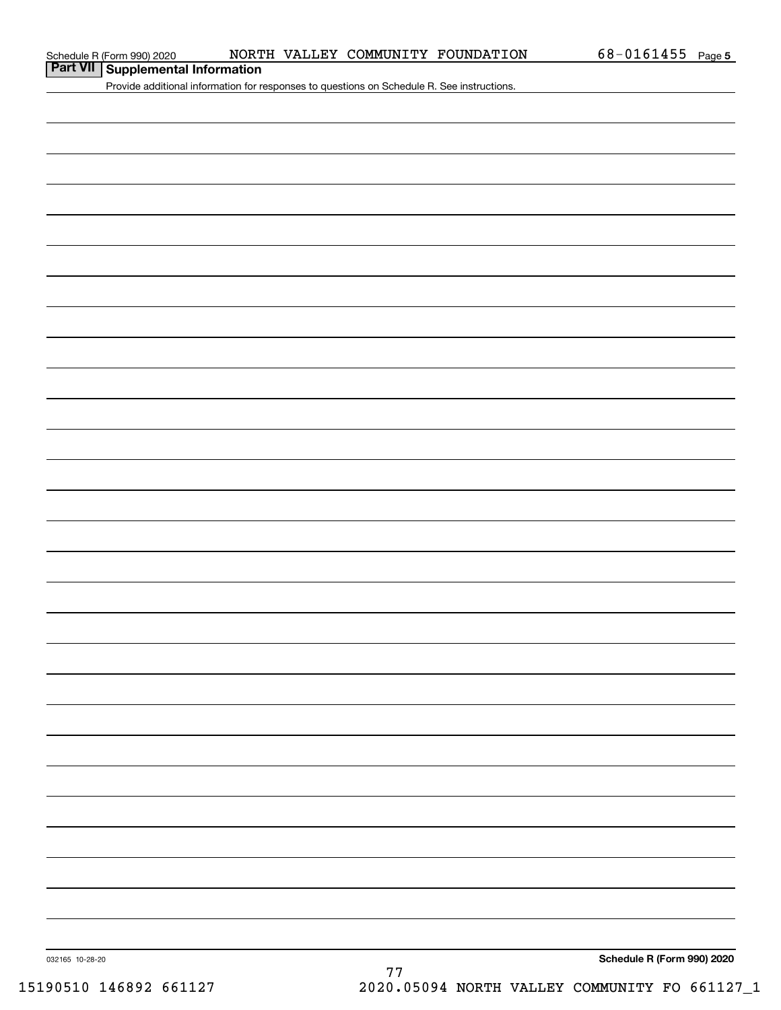**Part VII Supplemental Information**

Provide additional information for responses to questions on Schedule R. See instructions.

032165 10-28-20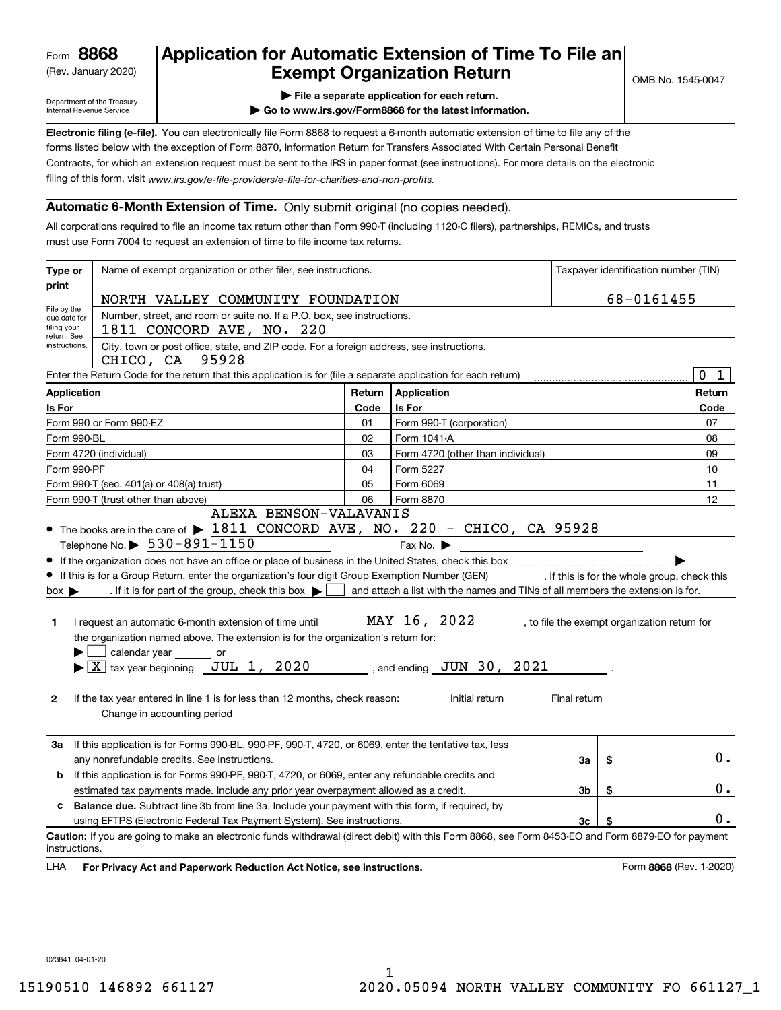(Rev. January 2020)

# **Application for Automatic Extension of Time To File an Exempt Organization Return**

Department of the Treasury Internal Revenue Service

**| File a separate application for each return.**

**| Go to www.irs.gov/Form8868 for the latest information.**

**Electronic filing (e-file).**  You can electronically file Form 8868 to request a 6-month automatic extension of time to file any of the filing of this form, visit www.irs.gov/e-file-providers/e-file-for-charities-and-non-profits. forms listed below with the exception of Form 8870, Information Return for Transfers Associated With Certain Personal Benefit Contracts, for which an extension request must be sent to the IRS in paper format (see instructions). For more details on the electronic

### **Automatic 6-Month Extension of Time.** Only submit original (no copies needed).

All corporations required to file an income tax return other than Form 990-T (including 1120-C filers), partnerships, REMICs, and trusts must use Form 7004 to request an extension of time to file income tax returns.

| Type or                                                                                                                                                                                                    | Name of exempt organization or other filer, see instructions.                                                                                                                                                                                                                                                                                                                                                                                                                                                                                                                                                                           |      |                                                                                                                                                           |              | Taxpayer identification number (TIN)         |
|------------------------------------------------------------------------------------------------------------------------------------------------------------------------------------------------------------|-----------------------------------------------------------------------------------------------------------------------------------------------------------------------------------------------------------------------------------------------------------------------------------------------------------------------------------------------------------------------------------------------------------------------------------------------------------------------------------------------------------------------------------------------------------------------------------------------------------------------------------------|------|-----------------------------------------------------------------------------------------------------------------------------------------------------------|--------------|----------------------------------------------|
| print                                                                                                                                                                                                      | NORTH VALLEY COMMUNITY FOUNDATION                                                                                                                                                                                                                                                                                                                                                                                                                                                                                                                                                                                                       |      |                                                                                                                                                           |              | 68-0161455                                   |
| File by the<br>due date for<br>filing your<br>return. See<br>instructions.                                                                                                                                 | Number, street, and room or suite no. If a P.O. box, see instructions.<br>1811 CONCORD AVE, NO. 220<br>City, town or post office, state, and ZIP code. For a foreign address, see instructions.                                                                                                                                                                                                                                                                                                                                                                                                                                         |      |                                                                                                                                                           |              |                                              |
|                                                                                                                                                                                                            | CHICO, CA 95928<br>Enter the Return Code for the return that this application is for (file a separate application for each return)                                                                                                                                                                                                                                                                                                                                                                                                                                                                                                      |      |                                                                                                                                                           |              | $\mathbf 0$<br>$\mathbf 1$                   |
| <b>Application</b>                                                                                                                                                                                         |                                                                                                                                                                                                                                                                                                                                                                                                                                                                                                                                                                                                                                         |      | Return Application                                                                                                                                        |              | Return                                       |
| Is For                                                                                                                                                                                                     |                                                                                                                                                                                                                                                                                                                                                                                                                                                                                                                                                                                                                                         | Code | <b>Is For</b>                                                                                                                                             |              | Code                                         |
|                                                                                                                                                                                                            | Form 990 or Form 990-EZ                                                                                                                                                                                                                                                                                                                                                                                                                                                                                                                                                                                                                 | 01   | Form 990-T (corporation)                                                                                                                                  |              | 07                                           |
| Form 990-BL                                                                                                                                                                                                |                                                                                                                                                                                                                                                                                                                                                                                                                                                                                                                                                                                                                                         | 02   | Form 1041-A                                                                                                                                               |              | 08                                           |
|                                                                                                                                                                                                            | Form 4720 (individual)                                                                                                                                                                                                                                                                                                                                                                                                                                                                                                                                                                                                                  | 03   | Form 4720 (other than individual)                                                                                                                         |              | 09                                           |
| Form 990-PF                                                                                                                                                                                                |                                                                                                                                                                                                                                                                                                                                                                                                                                                                                                                                                                                                                                         | 04   | Form 5227                                                                                                                                                 |              | 10                                           |
|                                                                                                                                                                                                            | Form 990-T (sec. 401(a) or 408(a) trust)                                                                                                                                                                                                                                                                                                                                                                                                                                                                                                                                                                                                | 05   | Form 6069                                                                                                                                                 |              | 11                                           |
|                                                                                                                                                                                                            | Form 990-T (trust other than above)                                                                                                                                                                                                                                                                                                                                                                                                                                                                                                                                                                                                     | 06   | Form 8870                                                                                                                                                 |              | 12                                           |
| $box \blacktriangleright$<br>1<br>2                                                                                                                                                                        | • If this is for a Group Return, enter the organization's four digit Group Exemption Number (GEN) _________. If this is for the whole group, check this<br>. If it is for part of the group, check this box $\blacktriangleright$<br>I request an automatic 6-month extension of time until $\texttt{MAX}$ 16, 2022<br>the organization named above. The extension is for the organization's return for:<br>calendar year or<br>$\blacktriangleright$ $\boxed{\text{X}}$ tax year beginning $\boxed{\text{JUL 1}}$ , 2020<br>If the tax year entered in line 1 is for less than 12 months, check reason:<br>Change in accounting period |      | and attach a list with the names and TINs of all members the extension is for.<br>$\frac{1}{2}$ , and ending $\frac{JUN}{JUN}$ 30, 2021<br>Initial return | Final return | , to file the exempt organization return for |
| За                                                                                                                                                                                                         | If this application is for Forms 990-BL, 990-PF, 990-T, 4720, or 6069, enter the tentative tax, less<br>any nonrefundable credits. See instructions.                                                                                                                                                                                                                                                                                                                                                                                                                                                                                    |      |                                                                                                                                                           | За           | \$<br>0.                                     |
| b                                                                                                                                                                                                          | If this application is for Forms 990-PF, 990-T, 4720, or 6069, enter any refundable credits and                                                                                                                                                                                                                                                                                                                                                                                                                                                                                                                                         |      |                                                                                                                                                           |              | \$<br>0.                                     |
| 3b<br>estimated tax payments made. Include any prior year overpayment allowed as a credit.<br><b>Balance due.</b> Subtract line 3b from line 3a. Include your payment with this form, if required, by<br>c |                                                                                                                                                                                                                                                                                                                                                                                                                                                                                                                                                                                                                                         |      |                                                                                                                                                           |              |                                              |
|                                                                                                                                                                                                            | using EFTPS (Electronic Federal Tax Payment System). See instructions.                                                                                                                                                                                                                                                                                                                                                                                                                                                                                                                                                                  |      |                                                                                                                                                           | 3c           | \$<br>0.                                     |
| instructions.<br><b>LHA</b>                                                                                                                                                                                | Caution: If you are going to make an electronic funds withdrawal (direct debit) with this Form 8868, see Form 8453-EO and Form 8879-EO for payment<br>For Privacy Act and Paperwork Reduction Act Notice, see instructions.                                                                                                                                                                                                                                                                                                                                                                                                             |      |                                                                                                                                                           |              | Form 8868 (Rev. 1-2020)                      |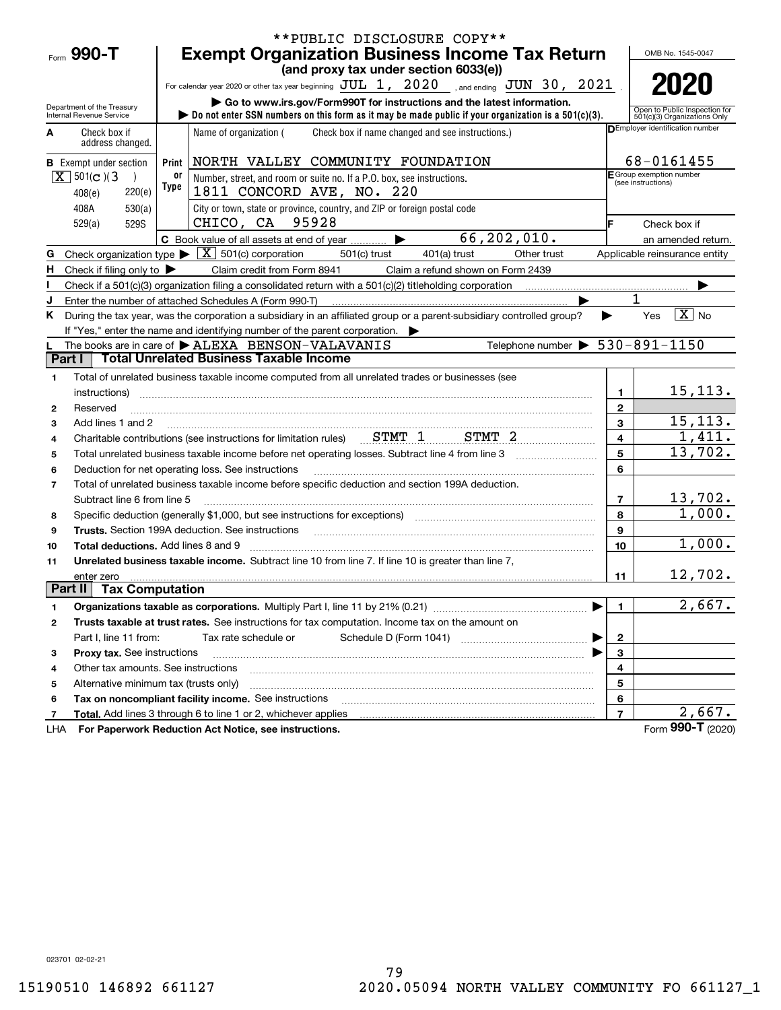|                                                    |                             |       | **PUBLIC DISCLOSURE COPY**                                                                                                                                                                                                     |                |                                                               |
|----------------------------------------------------|-----------------------------|-------|--------------------------------------------------------------------------------------------------------------------------------------------------------------------------------------------------------------------------------|----------------|---------------------------------------------------------------|
| Form $990 - T$                                     |                             |       | <b>Exempt Organization Business Income Tax Return</b>                                                                                                                                                                          |                | OMB No. 1545-0047                                             |
|                                                    |                             |       | (and proxy tax under section 6033(e))                                                                                                                                                                                          |                |                                                               |
|                                                    |                             |       | For calendar year 2020 or other tax year beginning $JUL$ 1, $2020$ , and ending $JUN$ 30, $2021$                                                                                                                               |                | 2020                                                          |
| Department of the Treasury                         |                             |       | Go to www.irs.gov/Form990T for instructions and the latest information.                                                                                                                                                        |                |                                                               |
| Internal Revenue Service                           |                             |       | Do not enter SSN numbers on this form as it may be made public if your organization is a $501(c)(3)$ .                                                                                                                         |                | Open to Public Inspection for<br>501(c)(3) Organizations Only |
| Check box if<br>A                                  | address changed.            |       | Name of organization (<br>Check box if name changed and see instructions.)                                                                                                                                                     |                | DEmployer identification number                               |
| <b>B</b> Exempt under section                      |                             | Print | NORTH VALLEY COMMUNITY FOUNDATION                                                                                                                                                                                              |                | 68-0161455                                                    |
| $X \mid 501(c)$ (3)                                | $\lambda$                   | 0ľ    | Number, street, and room or suite no. If a P.O. box, see instructions.                                                                                                                                                         |                | E Group exemption number<br>(see instructions)                |
| 408(e)                                             | 220(e)                      | Type  | 1811 CONCORD AVE, NO. 220                                                                                                                                                                                                      |                |                                                               |
| 408A                                               | 530(a)                      |       | City or town, state or province, country, and ZIP or foreign postal code                                                                                                                                                       |                |                                                               |
| 529(a)                                             | 529S                        |       | CHICO, CA 95928                                                                                                                                                                                                                |                | Check box if                                                  |
|                                                    |                             |       | 66, 202, 010.<br>C Book value of all assets at end of year                                                                                                                                                                     |                | an amended return.                                            |
| G                                                  |                             |       | Check organization type $\blacktriangleright \boxed{X}$ 501(c) corporation<br>$501(c)$ trust<br>$401(a)$ trust<br>Other trust                                                                                                  |                | Applicable reinsurance entity                                 |
| Check if filing only to $\blacktriangleright$<br>н |                             |       | Claim credit from Form 8941<br>Claim a refund shown on Form 2439                                                                                                                                                               |                |                                                               |
|                                                    |                             |       | Check if a 501(c)(3) organization filing a consolidated return with a 501(c)(2) titleholding corporation                                                                                                                       |                |                                                               |
| J                                                  |                             |       | Enter the number of attached Schedules A (Form 990-T)                                                                                                                                                                          |                | 1                                                             |
| Κ                                                  |                             |       | During the tax year, was the corporation a subsidiary in an affiliated group or a parent-subsidiary controlled group?                                                                                                          | ▶              | $\boxed{\text{X}}$ No<br>Yes                                  |
|                                                    |                             |       | If "Yes," enter the name and identifying number of the parent corporation.                                                                                                                                                     |                |                                                               |
|                                                    |                             |       | Telephone number $\triangleright$ 530-891-1150<br>The books are in care of $\blacktriangleright$ ALEXA BENSON-VALAVANIS                                                                                                        |                |                                                               |
| Part I                                             |                             |       | <b>Total Unrelated Business Taxable Income</b>                                                                                                                                                                                 |                |                                                               |
| 1                                                  |                             |       | Total of unrelated business taxable income computed from all unrelated trades or businesses (see                                                                                                                               |                |                                                               |
| instructions)                                      |                             |       |                                                                                                                                                                                                                                | 1              | 15, 113.                                                      |
| Reserved<br>$\mathbf{2}$                           |                             |       |                                                                                                                                                                                                                                | $\mathbf{2}$   |                                                               |
| 3                                                  | Add lines 1 and 2           |       |                                                                                                                                                                                                                                | $\overline{3}$ | 15, 113.                                                      |
| 4                                                  |                             |       | Charitable contributions (see instructions for limitation rules) Charitable Contributions (see instructions for limitation rules) CHMT 1                                                                                       | $\overline{4}$ | 1,411.                                                        |
| 5                                                  |                             |       | Total unrelated business taxable income before net operating losses. Subtract line 4 from line 3                                                                                                                               | 5              | 13,702.                                                       |
| 6                                                  |                             |       | Deduction for net operating loss. See instructions                                                                                                                                                                             | 6              |                                                               |
| $\overline{7}$                                     |                             |       | Total of unrelated business taxable income before specific deduction and section 199A deduction.                                                                                                                               |                |                                                               |
|                                                    | Subtract line 6 from line 5 |       |                                                                                                                                                                                                                                | $\overline{7}$ | 13,702.                                                       |
| 8                                                  |                             |       | Specific deduction (generally \$1,000, but see instructions for exceptions) manufactured controller and the set                                                                                                                | 8              | 1,000.                                                        |
| 9                                                  |                             |       | Trusts. Section 199A deduction. See instructions [11] material material material material material material material material material material material material material material material material material material materi | 9              |                                                               |
| 10                                                 |                             |       | <b>Total deductions.</b> Add lines 8 and 9                                                                                                                                                                                     | 10             | 1,000.                                                        |
| 11                                                 |                             |       | Unrelated business taxable income. Subtract line 10 from line 7. If line 10 is greater than line 7,                                                                                                                            |                |                                                               |
| enter zero<br><b>Part II</b> Tax Computation       |                             |       |                                                                                                                                                                                                                                | 11             | 12,702.                                                       |
|                                                    |                             |       |                                                                                                                                                                                                                                |                |                                                               |
| 1                                                  |                             |       |                                                                                                                                                                                                                                | $\mathbf{1}$   | 2,667.                                                        |
| 2                                                  |                             |       | Trusts taxable at trust rates. See instructions for tax computation. Income tax on the amount on                                                                                                                               |                |                                                               |
|                                                    | Part I, line 11 from:       |       | Tax rate schedule or                                                                                                                                                                                                           | 2              |                                                               |
| з                                                  | Proxy tax. See instructions |       |                                                                                                                                                                                                                                | 3              |                                                               |
| 4                                                  |                             |       | Other tax amounts. See instructions                                                                                                                                                                                            | 4              |                                                               |
| 5                                                  |                             |       | Alternative minimum tax (trusts only)                                                                                                                                                                                          | 5              |                                                               |
| 6                                                  |                             |       | Tax on noncompliant facility income. See instructions                                                                                                                                                                          | 6              | 2,667.                                                        |
| 7                                                  |                             |       | Total. Add lines 3 through 6 to line 1 or 2, whichever applies                                                                                                                                                                 | $\overline{7}$ | Form 990-T (2020)                                             |
| LHA                                                |                             |       | For Paperwork Reduction Act Notice, see instructions.                                                                                                                                                                          |                |                                                               |

023701 02-02-21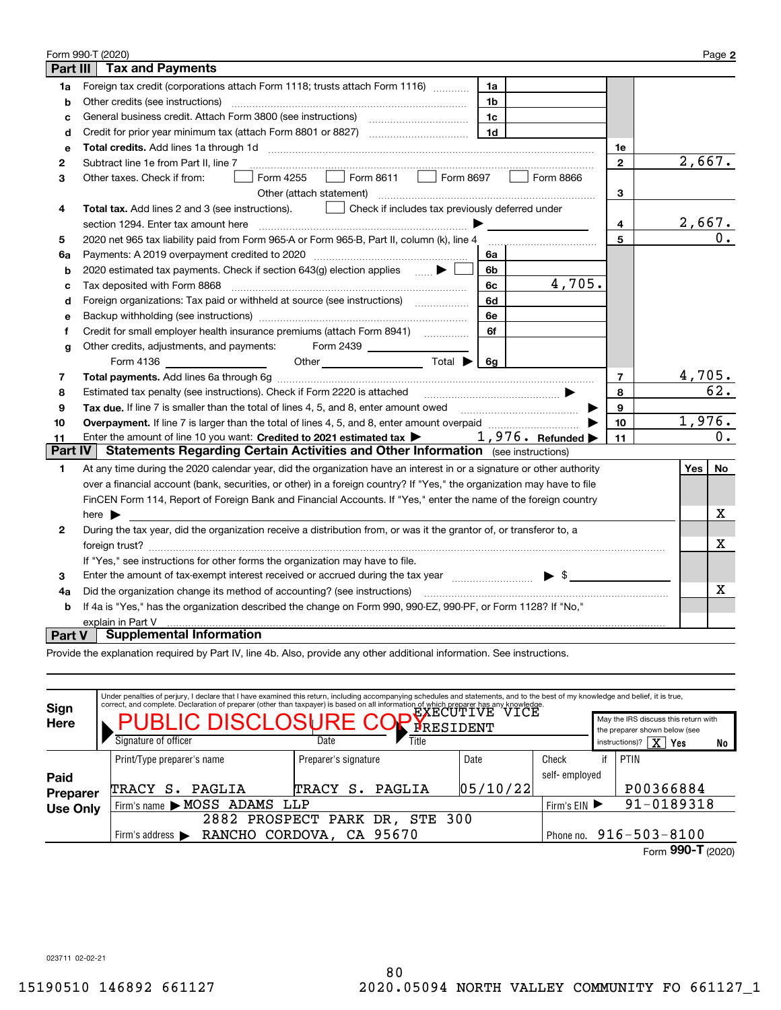|                | Form 990-T (2020)                                                                                                                                                                                                             |                | Page 2        |  |
|----------------|-------------------------------------------------------------------------------------------------------------------------------------------------------------------------------------------------------------------------------|----------------|---------------|--|
| Part III       | <b>Tax and Payments</b>                                                                                                                                                                                                       |                |               |  |
| 1a             | Foreign tax credit (corporations attach Form 1118; trusts attach Form 1116)<br>1a                                                                                                                                             |                |               |  |
| b              | Other credits (see instructions)<br>1b                                                                                                                                                                                        |                |               |  |
| с              | 1c                                                                                                                                                                                                                            |                |               |  |
| d              | Credit for prior year minimum tax (attach Form 8801 or 8827)<br>1d                                                                                                                                                            |                |               |  |
| е              | Total credits. Add lines 1a through 1d                                                                                                                                                                                        | 1е             |               |  |
| 2              | Subtract line 1e from Part II, line 7                                                                                                                                                                                         | $\mathbf{2}$   | 2,667.        |  |
| 3              | Form 8611   Form 8697<br>Form 8866<br>Form 4255<br>Other taxes. Check if from:                                                                                                                                                |                |               |  |
|                | Other (attach statement)                                                                                                                                                                                                      | 3              |               |  |
| 4              | Total tax. Add lines 2 and 3 (see instructions).<br>Check if includes tax previously deferred under<br><b>Contract Contract</b>                                                                                               |                |               |  |
|                | section 1294. Enter tax amount here                                                                                                                                                                                           | 4              | <u>2,667.</u> |  |
| 5              | 2020 net 965 tax liability paid from Form 965-A or Form 965-B, Part II, column (k), line 4                                                                                                                                    | 5              | 0.            |  |
| 6a             | 6a                                                                                                                                                                                                                            |                |               |  |
| b              | 2020 estimated tax payments. Check if section 643(g) election applies<br>6b                                                                                                                                                   |                |               |  |
| c              | 4,705.<br>6с<br>Tax deposited with Form 8868                                                                                                                                                                                  |                |               |  |
| d              | Foreign organizations: Tax paid or withheld at source (see instructions) [<br>6d                                                                                                                                              |                |               |  |
| е              | 6e                                                                                                                                                                                                                            |                |               |  |
| f              | 6f                                                                                                                                                                                                                            |                |               |  |
| g              | Other credits, adjustments, and payments:                                                                                                                                                                                     |                |               |  |
|                | Other $\overline{\phantom{a}}$ Total $\blacktriangleright \begin{bmatrix} \overline{6g} \end{bmatrix}$<br><u> 1990 - Johann Barbara, mart</u><br>Form 4136                                                                    |                |               |  |
| 7              |                                                                                                                                                                                                                               | $\overline{7}$ | 4,705.        |  |
| 8              | Estimated tax penalty (see instructions). Check if Form 2220 is attached manufactured and the set of the set of the set of the set of the set of the set of the set of the set of the set of the set of the set of the set of | 8              | 62.           |  |
| 9              | Tax due. If line 7 is smaller than the total of lines 4, 5, and 8, enter amount owed <b>Face and Conservers</b> in the                                                                                                        | 9              |               |  |
| 10             |                                                                                                                                                                                                                               | 10             | 1,976.        |  |
| 11             | $1,976$ $\cdot$ Refunded $\blacktriangleright$<br>Enter the amount of line 10 you want: Credited to 2021 estimated tax >                                                                                                      | 11             | 0.            |  |
| <b>Part IV</b> | <b>Statements Regarding Certain Activities and Other Information</b> (see instructions)                                                                                                                                       |                |               |  |
| 1.             | At any time during the 2020 calendar year, did the organization have an interest in or a signature or other authority                                                                                                         |                | No<br>Yes∣    |  |
|                | over a financial account (bank, securities, or other) in a foreign country? If "Yes," the organization may have to file                                                                                                       |                |               |  |
|                | FinCEN Form 114, Report of Foreign Bank and Financial Accounts. If "Yes," enter the name of the foreign country                                                                                                               |                |               |  |
|                | here $\blacktriangleright$                                                                                                                                                                                                    |                | х             |  |
| 2              | During the tax year, did the organization receive a distribution from, or was it the grantor of, or transferor to, a                                                                                                          |                |               |  |
|                |                                                                                                                                                                                                                               |                | х             |  |
|                | If "Yes," see instructions for other forms the organization may have to file.                                                                                                                                                 |                |               |  |
| 3              | Enter the amount of tax-exempt interest received or accrued during the tax year manufacturer $\ddot{\bullet}$                                                                                                                 |                |               |  |
| 4a             | Did the organization change its method of accounting? (see instructions)                                                                                                                                                      |                | х             |  |
| b              | If 4a is "Yes," has the organization described the change on Form 990, 990-EZ, 990-PF, or Form 1128? If "No,"                                                                                                                 |                |               |  |
|                | explain in Part V                                                                                                                                                                                                             |                |               |  |
| Part V         | <b>Supplemental Information</b>                                                                                                                                                                                               |                |               |  |

Provide the explanation required by Part IV, line 4b. Also, provide any other additional information. See instructions.

| Sign<br><b>Here</b>     | Under penalties of perjury, I declare that I have examined this return, including accompanying schedules and statements, and to the best of my knowledge and belief, it is true,<br>correct, and complete. Declaration of preparer (other than taxpayer) is based on all information of which preparer has any knowledge.<br>PUBLIC DISCLOSURE COPYRESIDENT<br>Signature of officer |                                                                  | May the IRS discuss this return with<br>the preparer shown below (see<br>$\overline{X}$<br>instructions)?<br>Yes<br>No |                         |    |                     |
|-------------------------|-------------------------------------------------------------------------------------------------------------------------------------------------------------------------------------------------------------------------------------------------------------------------------------------------------------------------------------------------------------------------------------|------------------------------------------------------------------|------------------------------------------------------------------------------------------------------------------------|-------------------------|----|---------------------|
| Paid<br><b>Preparer</b> | Print/Type preparer's name<br>PAGLIA<br>TRACY<br>s.                                                                                                                                                                                                                                                                                                                                 | Preparer's signature<br>PAGLIA<br><b>TRACY</b><br>$\mathbf{s}$ . | Date<br> 05/10/22                                                                                                      | Check<br>self- emploved | if | PTIN<br>P00366884   |
| <b>Use Only</b>         | Firm's name MOSS ADAMS LLP                                                                                                                                                                                                                                                                                                                                                          |                                                                  |                                                                                                                        | Firm's $EIN$            |    | 91-0189318          |
|                         |                                                                                                                                                                                                                                                                                                                                                                                     | 2882 PROSPECT PARK DR, STE 300                                   |                                                                                                                        |                         |    |                     |
|                         | RANCHO CORDOVA, CA 95670<br>Firm's address $\blacktriangleright$                                                                                                                                                                                                                                                                                                                    | $916 - 503 - 8100$<br>Phone no.                                  |                                                                                                                        |                         |    |                     |
|                         |                                                                                                                                                                                                                                                                                                                                                                                     |                                                                  |                                                                                                                        |                         |    | Form 990-T $(2020)$ |

023711 02-02-21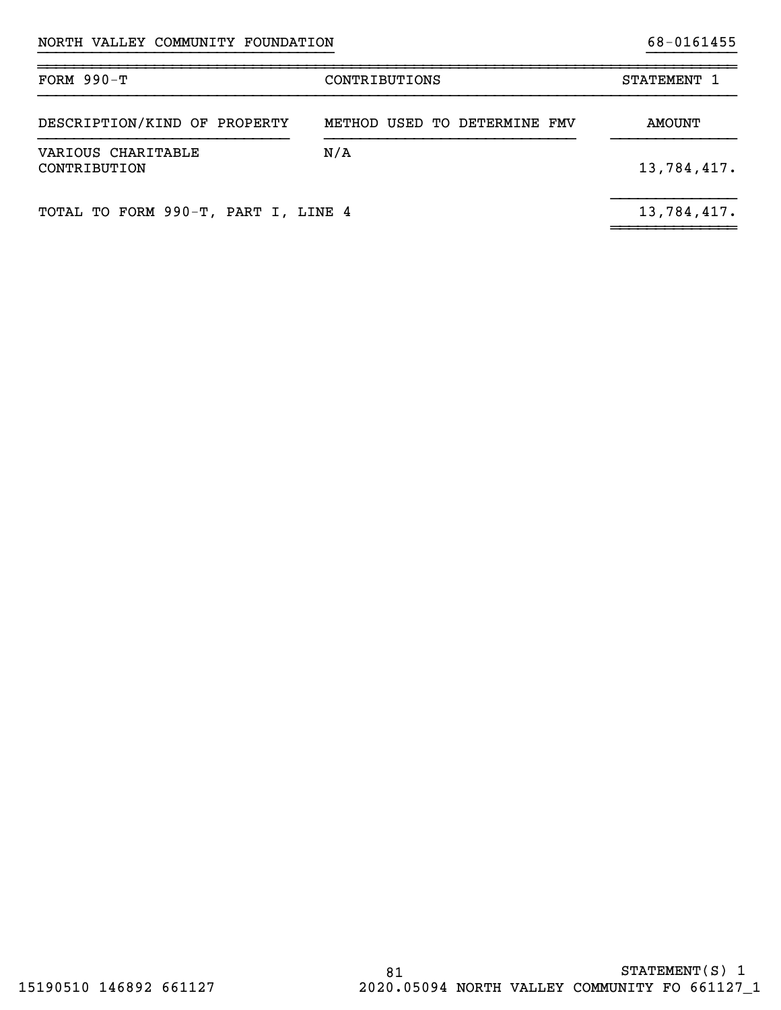| FORM $990-T$                        | CONTRIBUTIONS                | STATEMENT 1 |
|-------------------------------------|------------------------------|-------------|
| DESCRIPTION/KIND OF PROPERTY        | METHOD USED TO DETERMINE FMV | AMOUNT      |
| VARIOUS CHARITABLE<br>CONTRIBUTION  | N/A                          | 13,784,417. |
| TOTAL TO FORM 990-T, PART I, LINE 4 |                              | 13,784,417. |

~~~~~~~~~~~~~~

}}}}}}}}}}}}}}}}}}}}}}}}}}}}}}}}} }}}}}}}}}}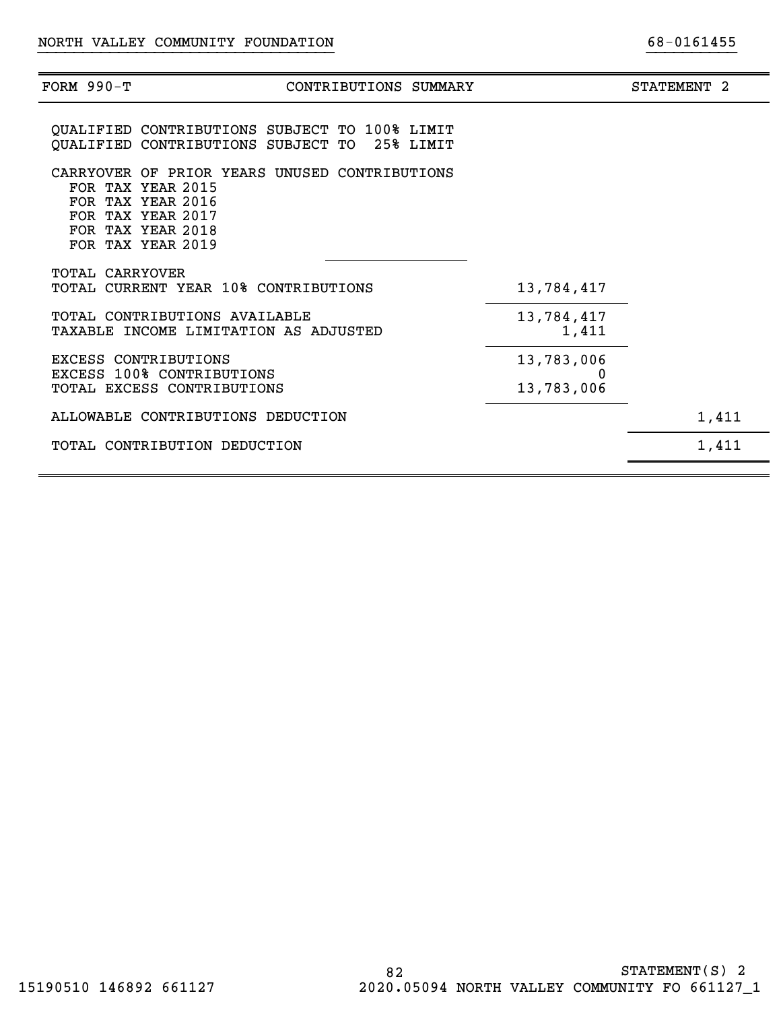| FORM $990-T$           | CONTRIBUTIONS SUMMARY                                                                                                                                  |                          | STATEMENT <sub>2</sub> |
|------------------------|--------------------------------------------------------------------------------------------------------------------------------------------------------|--------------------------|------------------------|
|                        | QUALIFIED CONTRIBUTIONS SUBJECT TO 100% LIMIT<br>QUALIFIED CONTRIBUTIONS SUBJECT TO 25% LIMIT                                                          |                          |                        |
|                        | CARRYOVER OF PRIOR YEARS UNUSED CONTRIBUTIONS<br>FOR TAX YEAR 2015<br>FOR TAX YEAR 2016<br>FOR TAX YEAR 2017<br>FOR TAX YEAR 2018<br>FOR TAX YEAR 2019 |                          |                        |
| <b>TOTAL CARRYOVER</b> | TOTAL CURRENT YEAR 10% CONTRIBUTIONS                                                                                                                   | 13,784,417               |                        |
|                        | TOTAL CONTRIBUTIONS AVAILABLE<br>TAXABLE INCOME LIMITATION AS ADJUSTED                                                                                 | 13,784,417<br>1,411      |                        |
| EXCESS CONTRIBUTIONS   | <b>EXCESS 100% CONTRIBUTIONS</b><br>TOTAL EXCESS CONTRIBUTIONS                                                                                         | 13,783,006<br>13,783,006 |                        |
|                        | ALLOWABLE CONTRIBUTIONS DEDUCTION                                                                                                                      |                          | 1,411                  |
|                        | TOTAL CONTRIBUTION DEDUCTION                                                                                                                           |                          | 1,411                  |
|                        |                                                                                                                                                        |                          |                        |

}}}}}}}}}}}}}}}}}}}}}}}}}}}}}}}}} }}}}}}}}}}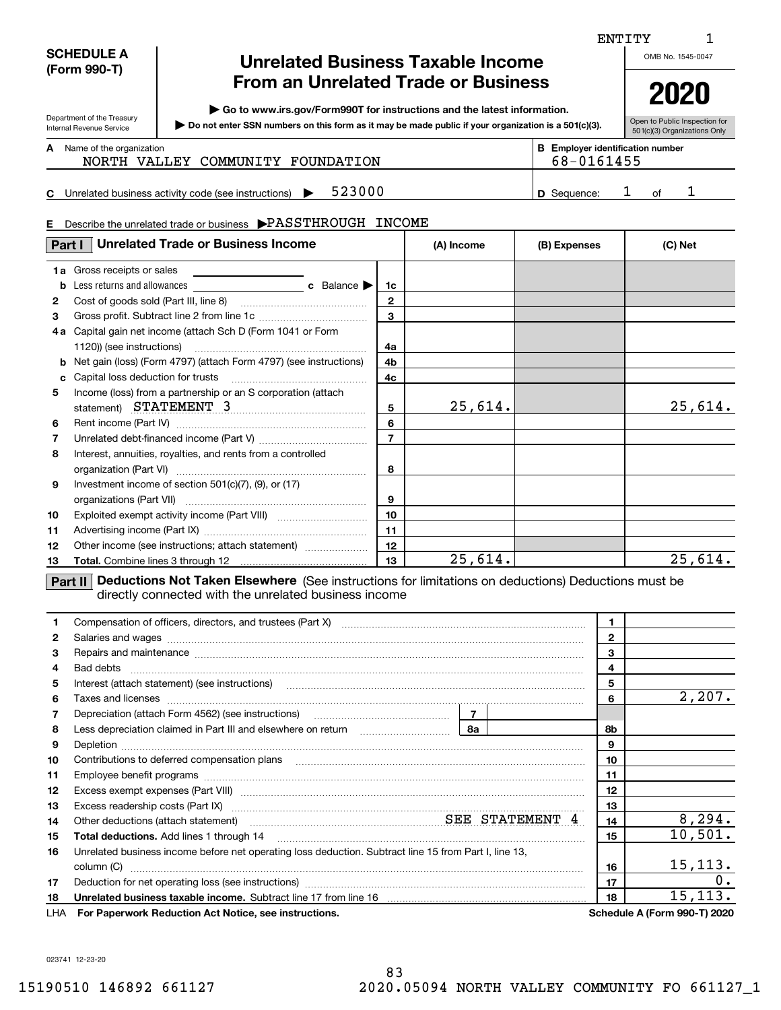# **SCHEDULE A (Form 990-T)**

Department of the Treasury Internal Revenue Service

# **Unrelated Business Taxable Income From an Unrelated Trade or Business**

**| Go to www.irs.gov/Form990T for instructions and the latest information.**

**Do not enter SSN numbers on this form as it may be made public if your organization is a 501(c)(3). |** 

Open to Public Inspection for 501(c)(3) Organizations Only

68-0161455

#### Name of the organization **mumber and the organization number contracts the organization number BEEnployer identification number A**

|  | NORTH VALLEY COMMUNITY FOUNDATION |  |
|--|-----------------------------------|--|
|  |                                   |  |

**C**Unrelated business activity code (see instructions)  $\rightarrow$  523000 <br> D Sequence: 1 of

# **5**23000 1 **1 D** Sequence: 1 of 1

|    | <b>Unrelated Trade or Business Income</b><br>Part I                                    |                | (A) Income | (B) Expenses | (C) Net |
|----|----------------------------------------------------------------------------------------|----------------|------------|--------------|---------|
|    | <b>1a</b> Gross receipts or sales                                                      |                |            |              |         |
| b  |                                                                                        | 1 <sub>c</sub> |            |              |         |
| 2  |                                                                                        | $\mathbf{2}$   |            |              |         |
| 3  |                                                                                        | 3              |            |              |         |
|    | 4a Capital gain net income (attach Sch D (Form 1041 or Form                            |                |            |              |         |
|    | 1120)) (see instructions)                                                              | 4a             |            |              |         |
|    | Net gain (loss) (Form 4797) (attach Form 4797) (see instructions)                      | 4b             |            |              |         |
| c  |                                                                                        | 4c             |            |              |         |
| 5  | Income (loss) from a partnership or an S corporation (attach<br>statement) STATEMENT 3 | 5              | 25,614.    |              | 25,614. |
| 6  |                                                                                        | 6              |            |              |         |
| 7  |                                                                                        | $\overline{7}$ |            |              |         |
| 8  | Interest, annuities, royalties, and rents from a controlled                            | 8              |            |              |         |
| 9  | Investment income of section 501(c)(7), (9), or (17)                                   | 9              |            |              |         |
| 10 |                                                                                        | 10             |            |              |         |
| 11 |                                                                                        | 11             |            |              |         |
| 12 | Other income (see instructions; attach statement)                                      | 12             |            |              |         |
| 13 |                                                                                        | 13             | 25,614.    |              | 25,614. |

directly connected with the unrelated business income

|     |                                                                                                                                                                                                                                                                                                                                                                                                                                                                                               | $\mathbf 1$    |                              |
|-----|-----------------------------------------------------------------------------------------------------------------------------------------------------------------------------------------------------------------------------------------------------------------------------------------------------------------------------------------------------------------------------------------------------------------------------------------------------------------------------------------------|----------------|------------------------------|
| 2   | Salaries and wages with the continuum contract of the contract of the contract of the contract of the contract of the contract of the contract of the contract of the contract of the contract of the contract of the contract                                                                                                                                                                                                                                                                | $\overline{2}$ |                              |
| 3   | Repairs and maintenance measurements are all the contract of the contract of the contract of the contract of the contract of the contract of the contract of the contract of the contract of the contract of the contract of t                                                                                                                                                                                                                                                                | 3              |                              |
| 4   |                                                                                                                                                                                                                                                                                                                                                                                                                                                                                               | 4              |                              |
| 5   | Interest (attach statement) (see instructions)<br>$\begin{minipage}{0.5\textwidth} \begin{tabular}{ l l l } \hline \multicolumn{1}{ l l l } \hline \multicolumn{1}{ l l } \multicolumn{1}{ l } \multicolumn{1}{ l } \multicolumn{1}{ l } \multicolumn{1}{ l } \multicolumn{1}{ l } \multicolumn{1}{ l } \multicolumn{1}{ l } \multicolumn{1}{ l } \multicolumn{1}{ l } \multicolumn{1}{ l } \multicolumn{1}{ l } \multicolumn{1}{ l } \multicolumn{1}{ l } \multicolumn{1}{ l } \multicolumn$ | 5              |                              |
| 6   |                                                                                                                                                                                                                                                                                                                                                                                                                                                                                               | 6              | 2,207.                       |
|     |                                                                                                                                                                                                                                                                                                                                                                                                                                                                                               |                |                              |
| 8   | Depreciation (attach Form 4562) (see instructions)<br>Less depreciation claimed in Part III and elsewhere on return<br><b>8a</b>                                                                                                                                                                                                                                                                                                                                                              | 8b             |                              |
| 9   |                                                                                                                                                                                                                                                                                                                                                                                                                                                                                               | 9              |                              |
| 10  | Contributions to deferred compensation plans                                                                                                                                                                                                                                                                                                                                                                                                                                                  | 10             |                              |
| 11  |                                                                                                                                                                                                                                                                                                                                                                                                                                                                                               | 11             |                              |
| 12  |                                                                                                                                                                                                                                                                                                                                                                                                                                                                                               | 12             |                              |
| 13  | Excess readership costs (Part IX) www.communication.communications.communications.communications.com                                                                                                                                                                                                                                                                                                                                                                                          | 13             |                              |
| 14  | Other deductions (attach statement) manufactured manufactured SEE STATEMENT 4                                                                                                                                                                                                                                                                                                                                                                                                                 | 14             | 8, 294.                      |
| 15  | <b>Total deductions.</b> Add lines 1 through 14                                                                                                                                                                                                                                                                                                                                                                                                                                               | 15             | 10,501.                      |
| 16  | Unrelated business income before net operating loss deduction. Subtract line 15 from Part I, line 13,                                                                                                                                                                                                                                                                                                                                                                                         |                |                              |
|     | column (C)                                                                                                                                                                                                                                                                                                                                                                                                                                                                                    | 16             | 15, 113.                     |
| 17  |                                                                                                                                                                                                                                                                                                                                                                                                                                                                                               | 17             | 0.                           |
| 18  | Unrelated business taxable income. Subtract line 17 from line 16 [11] [11] Unrelated business taxable income.                                                                                                                                                                                                                                                                                                                                                                                 | 18             | 15, 113.                     |
| LHA | For Paperwork Reduction Act Notice, see instructions.                                                                                                                                                                                                                                                                                                                                                                                                                                         |                | Schedule A (Form 990-T) 2020 |

023741 12-23-20

ENTITY

OMB No. 1545-0047

# **2020**

1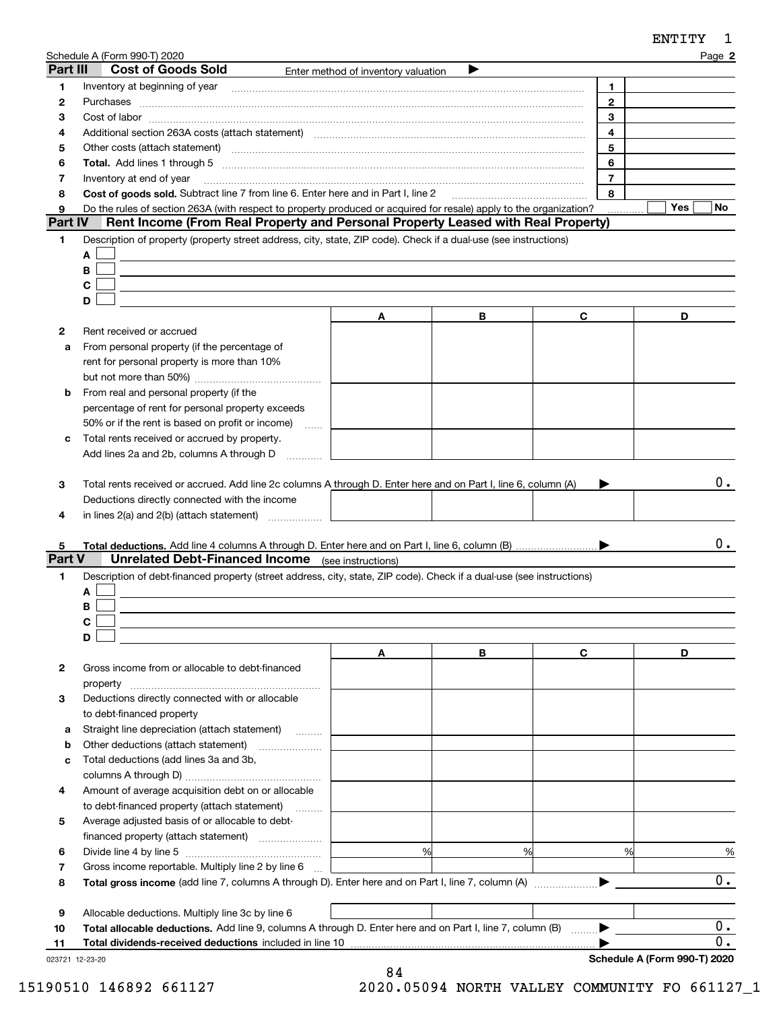|             | Schedule A (Form 990-T) 2020                                                                                                                                                                                                   |                                     |   |                | Page 2           |
|-------------|--------------------------------------------------------------------------------------------------------------------------------------------------------------------------------------------------------------------------------|-------------------------------------|---|----------------|------------------|
| Part III    | <b>Cost of Goods Sold</b>                                                                                                                                                                                                      | Enter method of inventory valuation |   |                |                  |
| 1           | Inventory at beginning of year [11,2001] [2003] [2003] [2003] [3003] [3003] [3003] [3003] [3003] [3003] [3003] [3003] [3003] [3003] [3003] [3003] [3003] [3003] [3003] [3003] [3003] [3003] [3003] [3003] [3003] [3003] [3003] |                                     |   | 1.             |                  |
| 2           | Purchases                                                                                                                                                                                                                      |                                     |   | $\overline{2}$ |                  |
| з           |                                                                                                                                                                                                                                |                                     |   | 3              |                  |
| 4           | Additional section 263A costs (attach statement) material contents and according to the Additional section 263A                                                                                                                |                                     |   | $\overline{4}$ |                  |
| 5           | Other costs (attach statement) manufactured and contract and contract and contract and contract and contract and contract and contract and contract and contract and contract and contract and contract and contract and contr |                                     |   | 5              |                  |
| 6           |                                                                                                                                                                                                                                |                                     |   | 6              |                  |
| 7           | Inventory at end of year                                                                                                                                                                                                       |                                     |   | $\overline{7}$ |                  |
| 8           | Cost of goods sold. Subtract line 7 from line 6. Enter here and in Part I, line 2                                                                                                                                              |                                     |   | 8              |                  |
| 9           | Do the rules of section 263A (with respect to property produced or acquired for resale) apply to the organization?                                                                                                             |                                     |   |                | Yes<br>No        |
| Part IV     | Rent Income (From Real Property and Personal Property Leased with Real Property)                                                                                                                                               |                                     |   |                |                  |
| 1           | Description of property (property street address, city, state, ZIP code). Check if a dual-use (see instructions)                                                                                                               |                                     |   |                |                  |
|             | A                                                                                                                                                                                                                              |                                     |   |                |                  |
|             | B                                                                                                                                                                                                                              |                                     |   |                |                  |
|             | C                                                                                                                                                                                                                              |                                     |   |                |                  |
|             | D                                                                                                                                                                                                                              |                                     |   |                |                  |
|             |                                                                                                                                                                                                                                | Α                                   | В | C              | D                |
| 2           | Rent received or accrued                                                                                                                                                                                                       |                                     |   |                |                  |
| a           | From personal property (if the percentage of                                                                                                                                                                                   |                                     |   |                |                  |
|             | rent for personal property is more than 10%                                                                                                                                                                                    |                                     |   |                |                  |
|             |                                                                                                                                                                                                                                |                                     |   |                |                  |
| b           | From real and personal property (if the                                                                                                                                                                                        |                                     |   |                |                  |
|             | percentage of rent for personal property exceeds                                                                                                                                                                               |                                     |   |                |                  |
|             | 50% or if the rent is based on profit or income)<br>$\sim$                                                                                                                                                                     |                                     |   |                |                  |
| c           | Total rents received or accrued by property.                                                                                                                                                                                   |                                     |   |                |                  |
|             | Add lines 2a and 2b, columns A through D                                                                                                                                                                                       |                                     |   |                |                  |
|             |                                                                                                                                                                                                                                |                                     |   |                |                  |
| 3           | Total rents received or accrued. Add line 2c columns A through D. Enter here and on Part I, line 6, column (A)                                                                                                                 |                                     |   |                | $0$ .            |
|             | Deductions directly connected with the income                                                                                                                                                                                  |                                     |   |                |                  |
| 4           | in lines $2(a)$ and $2(b)$ (attach statement) $\ldots$                                                                                                                                                                         |                                     |   |                |                  |
|             |                                                                                                                                                                                                                                |                                     |   |                | 0.               |
| 5<br>Part V | <b>Unrelated Debt-Financed Income</b> (see instructions)                                                                                                                                                                       |                                     |   |                |                  |
| 1           | Description of debt-financed property (street address, city, state, ZIP code). Check if a dual-use (see instructions)                                                                                                          |                                     |   |                |                  |
|             | A                                                                                                                                                                                                                              |                                     |   |                |                  |
|             | В                                                                                                                                                                                                                              |                                     |   |                |                  |
|             |                                                                                                                                                                                                                                |                                     |   |                |                  |
|             | D                                                                                                                                                                                                                              |                                     |   |                |                  |
|             |                                                                                                                                                                                                                                | Α                                   | В | C              | D                |
| 2           | Gross income from or allocable to debt-financed                                                                                                                                                                                |                                     |   |                |                  |
|             | property                                                                                                                                                                                                                       |                                     |   |                |                  |
| 3           | Deductions directly connected with or allocable                                                                                                                                                                                |                                     |   |                |                  |
|             | to debt-financed property                                                                                                                                                                                                      |                                     |   |                |                  |
| а           | Straight line depreciation (attach statement)                                                                                                                                                                                  |                                     |   |                |                  |
| b           | Other deductions (attach statement)                                                                                                                                                                                            |                                     |   |                |                  |
| c           | Total deductions (add lines 3a and 3b,                                                                                                                                                                                         |                                     |   |                |                  |
|             |                                                                                                                                                                                                                                |                                     |   |                |                  |
| 4           | Amount of average acquisition debt on or allocable                                                                                                                                                                             |                                     |   |                |                  |
|             | to debt-financed property (attach statement)                                                                                                                                                                                   |                                     |   |                |                  |
| 5           | Average adjusted basis of or allocable to debt-                                                                                                                                                                                |                                     |   |                |                  |
|             |                                                                                                                                                                                                                                |                                     |   |                |                  |
| 6           |                                                                                                                                                                                                                                | %                                   | % | %              | %                |
| 7           | Gross income reportable. Multiply line 2 by line 6                                                                                                                                                                             |                                     |   |                |                  |
| 8           |                                                                                                                                                                                                                                |                                     |   |                | 0.               |
|             |                                                                                                                                                                                                                                |                                     |   |                |                  |
| 9           | Allocable deductions. Multiply line 3c by line 6                                                                                                                                                                               |                                     |   |                |                  |
| 10          | Total allocable deductions. Add line 9, columns A through D. Enter here and on Part I, line 7, column (B)                                                                                                                      |                                     |   |                | $\overline{0}$ . |

#### 023721 12-23-20 **11 Total dividends-received deductions** included in line 10

**Schedule A (Form 990-T) 2020**

0.

ENTITY 1

 $\blacktriangleright$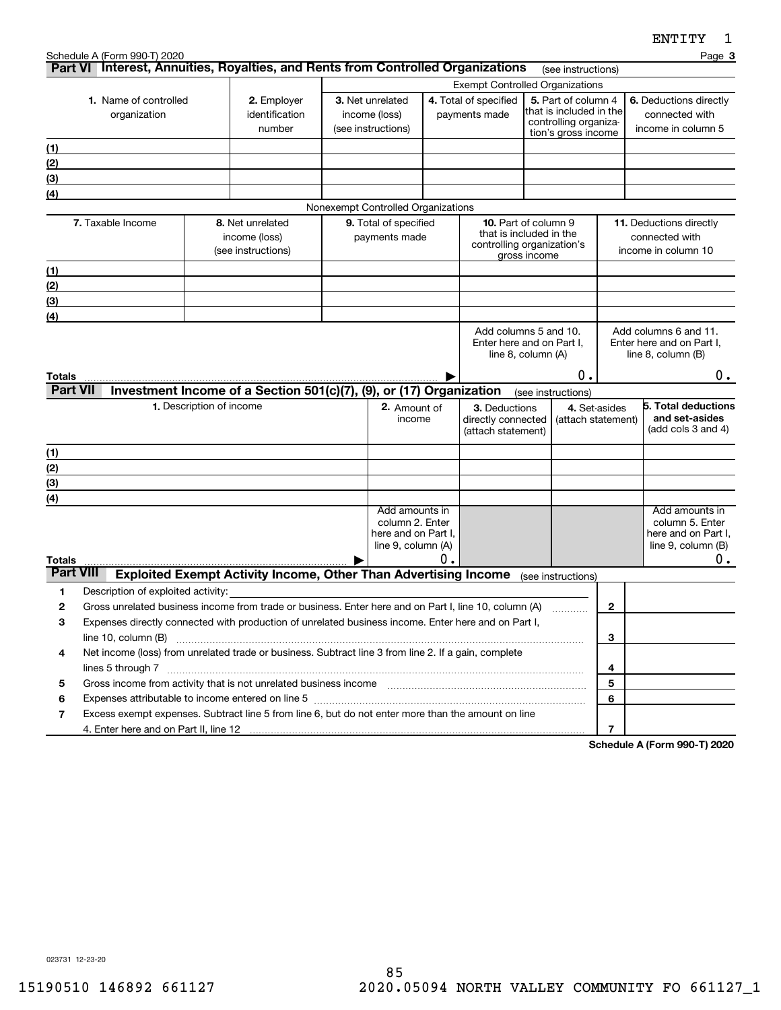**3**

|                                                                                                                       | <b>Exempt Controlled Organizations</b> |                                                                                           |  |                                    |    |                                                    |              |                                                  |                |                                                                   |
|-----------------------------------------------------------------------------------------------------------------------|----------------------------------------|-------------------------------------------------------------------------------------------|--|------------------------------------|----|----------------------------------------------------|--------------|--------------------------------------------------|----------------|-------------------------------------------------------------------|
| 1. Name of controlled                                                                                                 |                                        | 2. Employer                                                                               |  | 3. Net unrelated                   |    | 4. Total of specified                              |              | 5. Part of column 4                              |                | 6. Deductions directly                                            |
| organization                                                                                                          |                                        | identification                                                                            |  | income (loss)                      |    | payments made                                      |              | that is included in the<br>controlling organiza- |                | connected with                                                    |
|                                                                                                                       | number                                 |                                                                                           |  | (see instructions)                 |    |                                                    |              | tion's gross income                              |                | income in column 5                                                |
| (1)                                                                                                                   |                                        |                                                                                           |  |                                    |    |                                                    |              |                                                  |                |                                                                   |
| (2)                                                                                                                   |                                        |                                                                                           |  |                                    |    |                                                    |              |                                                  |                |                                                                   |
| (3)                                                                                                                   |                                        |                                                                                           |  |                                    |    |                                                    |              |                                                  |                |                                                                   |
| (4)                                                                                                                   |                                        |                                                                                           |  |                                    |    |                                                    |              |                                                  |                |                                                                   |
|                                                                                                                       |                                        |                                                                                           |  | Nonexempt Controlled Organizations |    |                                                    |              |                                                  |                |                                                                   |
| 7. Taxable Income                                                                                                     |                                        | 8. Net unrelated                                                                          |  | 9. Total of specified              |    | 10. Part of column 9<br>that is included in the    |              |                                                  |                | 11. Deductions directly                                           |
|                                                                                                                       |                                        | income (loss)                                                                             |  | payments made                      |    | controlling organization's                         |              |                                                  |                | connected with                                                    |
|                                                                                                                       |                                        | (see instructions)                                                                        |  |                                    |    |                                                    | gross income |                                                  |                | income in column 10                                               |
| (1)                                                                                                                   |                                        |                                                                                           |  |                                    |    |                                                    |              |                                                  |                |                                                                   |
| (2)                                                                                                                   |                                        |                                                                                           |  |                                    |    |                                                    |              |                                                  |                |                                                                   |
| (3)                                                                                                                   |                                        |                                                                                           |  |                                    |    |                                                    |              |                                                  |                |                                                                   |
| (4)                                                                                                                   |                                        |                                                                                           |  |                                    |    |                                                    |              |                                                  |                |                                                                   |
|                                                                                                                       |                                        |                                                                                           |  |                                    |    | Add columns 5 and 10.<br>Enter here and on Part I, |              |                                                  |                | Add columns 6 and 11.<br>Enter here and on Part I,                |
|                                                                                                                       |                                        |                                                                                           |  |                                    |    | line 8, column (A)                                 |              |                                                  |                | line 8, column (B)                                                |
| <b>Totals</b>                                                                                                         |                                        |                                                                                           |  |                                    |    |                                                    |              | 0.                                               |                | 0.                                                                |
| <b>Part VII</b>                                                                                                       |                                        | Investment Income of a Section 501(c)(7), (9), or (17) Organization                       |  |                                    |    |                                                    |              | (see instructions)                               |                |                                                                   |
|                                                                                                                       | 1. Description of income               |                                                                                           |  | 2. Amount of                       |    | 3. Deductions                                      |              | 4. Set-asides                                    |                | 5. Total deductions                                               |
|                                                                                                                       |                                        |                                                                                           |  | income                             |    | directly connected                                 |              | (attach statement)                               |                | and set-asides                                                    |
|                                                                                                                       |                                        |                                                                                           |  |                                    |    | (attach statement)                                 |              |                                                  |                | (add cols $3$ and $4$ )                                           |
| (1)                                                                                                                   |                                        |                                                                                           |  |                                    |    |                                                    |              |                                                  |                |                                                                   |
| (2)                                                                                                                   |                                        |                                                                                           |  |                                    |    |                                                    |              |                                                  |                |                                                                   |
| (3)                                                                                                                   |                                        |                                                                                           |  |                                    |    |                                                    |              |                                                  |                |                                                                   |
| (4)                                                                                                                   |                                        |                                                                                           |  |                                    |    |                                                    |              |                                                  |                |                                                                   |
|                                                                                                                       |                                        |                                                                                           |  | Add amounts in<br>column 2. Enter  |    |                                                    |              |                                                  |                | Add amounts in<br>column 5. Enter                                 |
|                                                                                                                       |                                        |                                                                                           |  | here and on Part I,                |    |                                                    |              |                                                  |                | here and on Part I,                                               |
|                                                                                                                       |                                        |                                                                                           |  | line 9, column (A)                 |    |                                                    |              |                                                  |                | line 9, column (B)                                                |
| <b>Totals</b>                                                                                                         |                                        |                                                                                           |  |                                    | О. |                                                    |              |                                                  |                | о.                                                                |
| <b>Part VIII</b>                                                                                                      |                                        | <b>Exploited Exempt Activity Income, Other Than Advertising Income</b> (see instructions) |  |                                    |    |                                                    |              |                                                  |                |                                                                   |
| 1<br>Description of exploited activity:                                                                               |                                        |                                                                                           |  |                                    |    |                                                    |              |                                                  |                |                                                                   |
| $\mathbf{2}$<br>Gross unrelated business income from trade or business. Enter here and on Part I, line 10, column (A) |                                        |                                                                                           |  |                                    |    |                                                    |              |                                                  | $\mathbf{2}$   |                                                                   |
| Expenses directly connected with production of unrelated business income. Enter here and on Part I,<br>з              |                                        |                                                                                           |  |                                    |    |                                                    |              |                                                  |                |                                                                   |
|                                                                                                                       |                                        |                                                                                           |  |                                    |    |                                                    |              |                                                  | 3              |                                                                   |
| Net income (loss) from unrelated trade or business. Subtract line 3 from line 2. If a gain, complete<br>4             |                                        |                                                                                           |  |                                    |    |                                                    |              |                                                  | 4              |                                                                   |
| Gross income from activity that is not unrelated business income [11] manument in the subsequent from activity<br>5   |                                        |                                                                                           |  |                                    |    |                                                    |              |                                                  | 5              |                                                                   |
| 6                                                                                                                     |                                        |                                                                                           |  |                                    |    |                                                    |              |                                                  | 6              |                                                                   |
| 7<br>Excess exempt expenses. Subtract line 5 from line 6, but do not enter more than the amount on line               |                                        |                                                                                           |  |                                    |    |                                                    |              |                                                  |                |                                                                   |
| 4. Enter here and on Part II, line 12                                                                                 |                                        |                                                                                           |  |                                    |    |                                                    |              |                                                  | $\overline{7}$ |                                                                   |
|                                                                                                                       |                                        |                                                                                           |  |                                    |    |                                                    |              |                                                  |                | $\mathbf{A}$ and $\mathbf{A}$ and $\mathbf{A}$<br>$0.00 \pm 0.00$ |

**Part VI** Interest, Annuities, Royalties, and Rents from Controlled Organizations rese instructions)

**Schedule A (Form 990-T) 2020**

023731 12-23-20

Schedule A (Form 990-T) 2020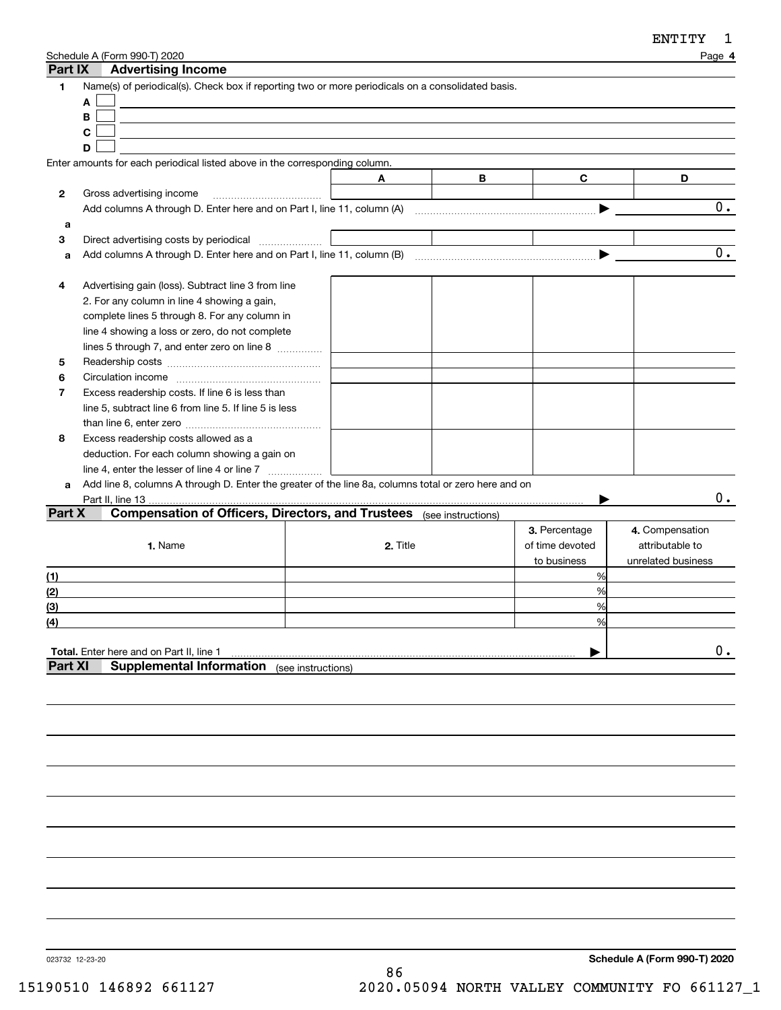| Part IX        | Schedule A (Form 990-T) 2020<br><b>Advertising Income</b>                                                   |          |   |                 | Page 4             |
|----------------|-------------------------------------------------------------------------------------------------------------|----------|---|-----------------|--------------------|
| 1              | Name(s) of periodical(s). Check box if reporting two or more periodicals on a consolidated basis.<br>A<br>B |          |   |                 |                    |
|                | C                                                                                                           |          |   |                 |                    |
|                | D                                                                                                           |          |   |                 |                    |
|                | Enter amounts for each periodical listed above in the corresponding column.                                 |          |   |                 |                    |
|                |                                                                                                             | A        | в | C               | D                  |
| 2              | Gross advertising income                                                                                    |          |   |                 |                    |
|                |                                                                                                             |          |   |                 | 0.                 |
| a              |                                                                                                             |          |   |                 |                    |
| 3              | Direct advertising costs by periodical                                                                      |          |   |                 |                    |
| a              |                                                                                                             |          |   |                 | 0.                 |
|                |                                                                                                             |          |   |                 |                    |
| 4              | Advertising gain (loss). Subtract line 3 from line                                                          |          |   |                 |                    |
|                | 2. For any column in line 4 showing a gain,                                                                 |          |   |                 |                    |
|                | complete lines 5 through 8. For any column in                                                               |          |   |                 |                    |
|                | line 4 showing a loss or zero, do not complete                                                              |          |   |                 |                    |
|                | lines 5 through 7, and enter zero on line 8                                                                 |          |   |                 |                    |
| 5              |                                                                                                             |          |   |                 |                    |
| 6              |                                                                                                             |          |   |                 |                    |
| $\overline{7}$ | Excess readership costs. If line 6 is less than                                                             |          |   |                 |                    |
|                | line 5, subtract line 6 from line 5. If line 5 is less                                                      |          |   |                 |                    |
|                |                                                                                                             |          |   |                 |                    |
| 8              | Excess readership costs allowed as a                                                                        |          |   |                 |                    |
|                | deduction. For each column showing a gain on                                                                |          |   |                 |                    |
|                |                                                                                                             |          |   |                 |                    |
| a              | Add line 8, columns A through D. Enter the greater of the line 8a, columns total or zero here and on        |          |   |                 |                    |
|                | Part II, line 13                                                                                            |          |   |                 | 0.                 |
| Part X         | <b>Compensation of Officers, Directors, and Trustees</b> (see instructions)                                 |          |   |                 |                    |
|                |                                                                                                             |          |   | 3. Percentage   | 4. Compensation    |
|                | 1. Name                                                                                                     | 2. Title |   | of time devoted | attributable to    |
|                |                                                                                                             |          |   | to business     | unrelated business |
| (1)            |                                                                                                             |          |   | %               |                    |
| (2)            |                                                                                                             |          |   | %               |                    |
| (3)            |                                                                                                             |          |   | %               |                    |
| (4)            |                                                                                                             |          |   | %               |                    |
|                |                                                                                                             |          |   |                 |                    |
|                | Total. Enter here and on Part II, line 1                                                                    |          |   |                 | О.                 |
| <b>Part XI</b> | <b>Supplemental Information</b> (see instructions)                                                          |          |   |                 |                    |
|                |                                                                                                             |          |   |                 |                    |
|                |                                                                                                             |          |   |                 |                    |
|                |                                                                                                             |          |   |                 |                    |

023732 12-23-20

**Schedule A (Form 990-T) 2020**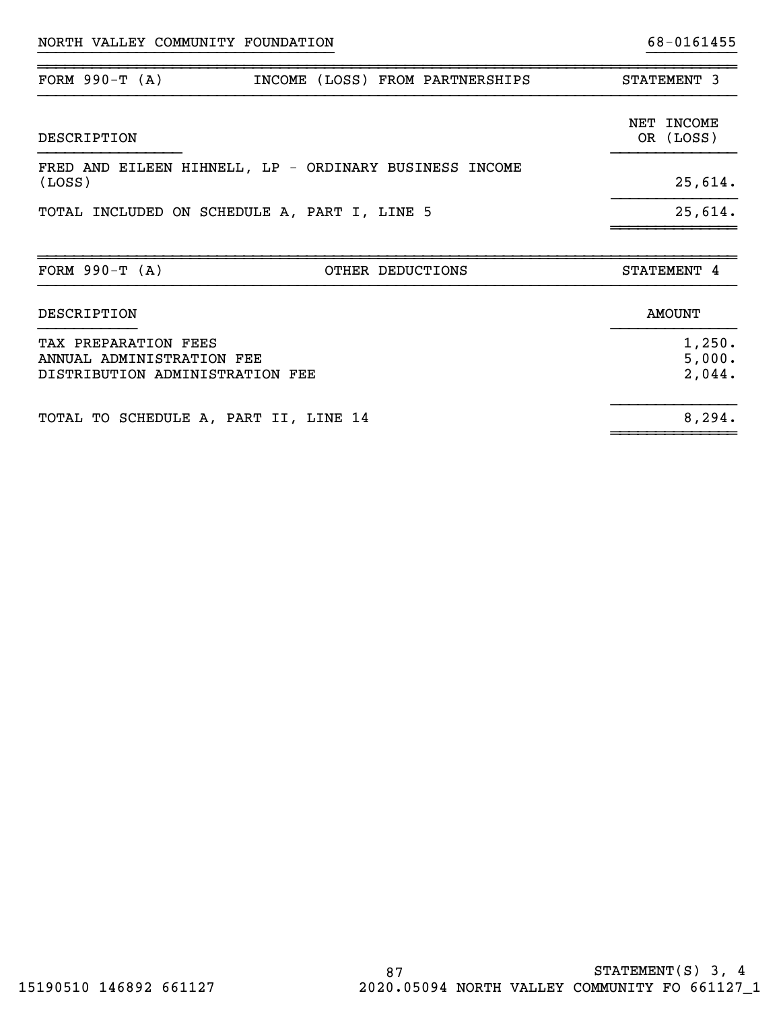| FORM $990-T (A)$                                                                     | INCOME (LOSS) FROM PARTNERSHIPS                        | STATEMENT 3                |
|--------------------------------------------------------------------------------------|--------------------------------------------------------|----------------------------|
| DESCRIPTION                                                                          |                                                        | NET INCOME<br>OR (LOSS)    |
| (LOSS)                                                                               | FRED AND EILEEN HIHNELL, LP - ORDINARY BUSINESS INCOME | 25,614.                    |
|                                                                                      | TOTAL INCLUDED ON SCHEDULE A, PART I, LINE 5           | 25,614.                    |
| FORM $990-T (A)$                                                                     | OTHER DEDUCTIONS                                       | STATEMENT 4                |
| DESCRIPTION                                                                          |                                                        | <b>AMOUNT</b>              |
| TAX PREPARATION FEES<br>ANNUAL ADMINISTRATION FEE<br>DISTRIBUTION ADMINISTRATION FEE |                                                        | 1,250.<br>5,000.<br>2,044. |

}}}}}}}}}}}}}}}}}}}}}}}}}}}}}}}}} }}}}}}}}}}

|  | TOTAL TO SCHEDULE A, PART II, LINE 14 |  |  | 8,294. |
|--|---------------------------------------|--|--|--------|
|  |                                       |  |  |        |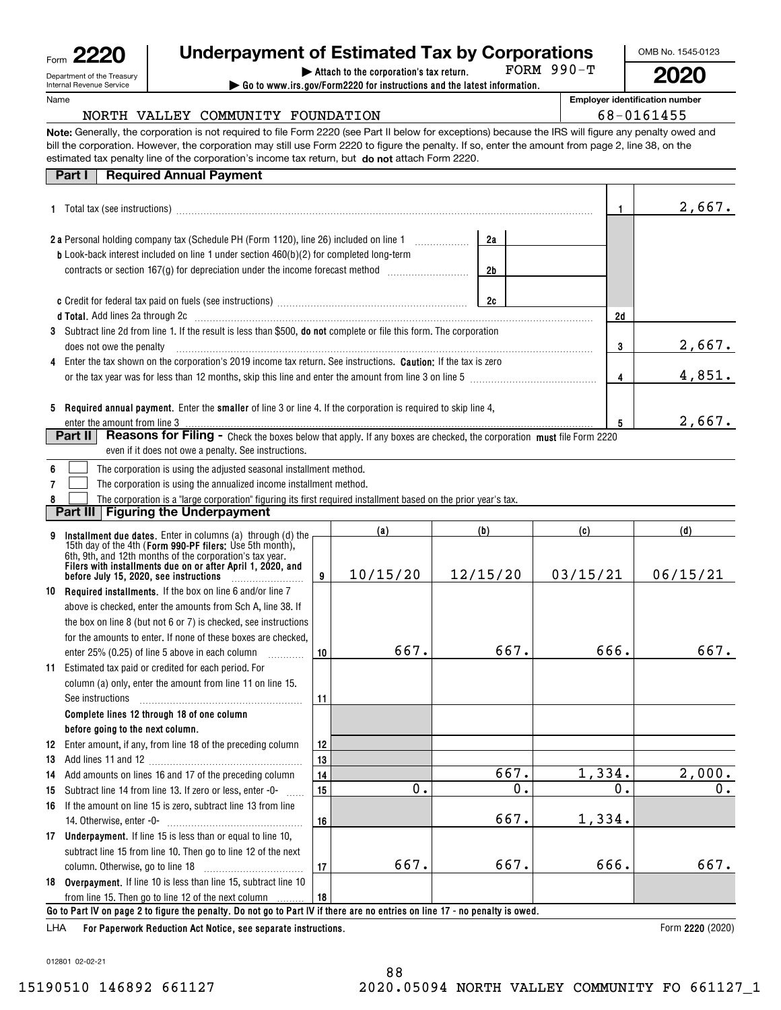| Form | c                                                      |
|------|--------------------------------------------------------|
|      | Department of the Treasury<br>Internal Revenue Service |

# **| Attach to the corporation's tax return. Underpayment of Estimated Tax by Corporations**

**| Go to www.irs.gov/Form2220 for instructions and the latest information.** FORM 990-T OMB No. 1545-0123

**2020**

**Employer identification number**

 $68 - 0161455$ 

Name

|  | NORTH VALLEY COMMUNITY FOUNDATION |  |
|--|-----------------------------------|--|
|  |                                   |  |

**Note:** Generally, the corporation is not required to file Form 2220 (see Part II below for exceptions) because the IRS will figure any penalty owed and estimated tax penalty line of the corporation's income tax return, but **do not** attach Form 2220. bill the corporation. However, the corporation may still use Form 2220 to figure the penalty. If so, enter the amount from page 2, line 38, on the

| <b>Required Annual Payment</b><br>Part I                                                                                                                                                                                                           |          |                 |                 |     |        |
|----------------------------------------------------------------------------------------------------------------------------------------------------------------------------------------------------------------------------------------------------|----------|-----------------|-----------------|-----|--------|
|                                                                                                                                                                                                                                                    | 1        | 2,667.          |                 |     |        |
| 2 a Personal holding company tax (Schedule PH (Form 1120), line 26) included on line 1                                                                                                                                                             |          |                 |                 |     |        |
| <b>b</b> Look-back interest included on line 1 under section 460(b)(2) for completed long-term                                                                                                                                                     |          |                 |                 |     |        |
| contracts or section 167(g) for depreciation under the income forecast method <i>mummummmm</i>                                                                                                                                                     |          |                 | 2 <sub>b</sub>  |     |        |
|                                                                                                                                                                                                                                                    |          |                 | 2c              |     |        |
| d Total. Add lines 2a through 2c [11] matter contract the contract of the contract of the contract of the contract of the contract of the contract of the contract of the contract of the contract of the contract of the cont                     |          |                 |                 | 2d  |        |
| 3 Subtract line 2d from line 1. If the result is less than \$500, do not complete or file this form. The corporation<br>does not owe the penalty                                                                                                   |          |                 |                 | 3   | 2,667. |
| Enter the tax shown on the corporation's 2019 income tax return. See instructions. Caution: If the tax is zero<br>4                                                                                                                                |          |                 |                 |     |        |
| or the tax year was for less than 12 months, skip this line and enter the amount from line 3 on line 5                                                                                                                                             |          |                 |                 | 4   | 4,851. |
| 5 Required annual payment. Enter the smaller of line 3 or line 4. If the corporation is required to skip line 4,<br>enter the amount from line 3 <b>manual contract the contract of the contract of the amount from line 3</b>                     |          |                 |                 | 5   | 2,667. |
| Reasons for Filing - Check the boxes below that apply. If any boxes are checked, the corporation must file Form 2220<br>Part II<br>even if it does not owe a penalty. See instructions.                                                            |          |                 |                 |     |        |
| The corporation is using the adjusted seasonal installment method.                                                                                                                                                                                 |          |                 |                 |     |        |
| The corporation is using the annualized income installment method.                                                                                                                                                                                 |          |                 |                 |     |        |
| The corporation is a "large corporation" figuring its first required installment based on the prior year's tax.                                                                                                                                    |          |                 |                 |     |        |
| Part III<br><b>Figuring the Underpayment</b>                                                                                                                                                                                                       |          |                 |                 |     |        |
| Installment due dates. Enter in columns (a) through (d) the<br>15th day of the 4th (Form 990-PF filers: Use 5th month),<br>6th, 9th, and 12th months of the corporation's tax year.<br>Filers with installments due on or after April 1, 2020, and | 9        | (a)<br>10/15/20 | (b)<br>12/15/20 | (c) | (d)    |
|                                                                                                                                                                                                                                                    | 03/15/21 | 06/15/21        |                 |     |        |

|    | Defore July 15, 2020, see instructions $\ldots$                                                                              |    | 10/13/20 | 14/10/20 | 03/13/21 | 00/10/21 |  |  |  |  |
|----|------------------------------------------------------------------------------------------------------------------------------|----|----------|----------|----------|----------|--|--|--|--|
| 10 | <b>Required installments.</b> If the box on line 6 and/or line 7                                                             |    |          |          |          |          |  |  |  |  |
|    | above is checked, enter the amounts from Sch A, line 38. If                                                                  |    |          |          |          |          |  |  |  |  |
|    | the box on line 8 (but not 6 or 7) is checked, see instructions                                                              |    |          |          |          |          |  |  |  |  |
|    | for the amounts to enter. If none of these boxes are checked,                                                                |    |          |          |          |          |  |  |  |  |
|    | enter 25% (0.25) of line 5 above in each column                                                                              | 10 | 667.     | 667.     | 666.     | 667.     |  |  |  |  |
| 11 | Estimated tax paid or credited for each period. For                                                                          |    |          |          |          |          |  |  |  |  |
|    | column (a) only, enter the amount from line 11 on line 15.                                                                   |    |          |          |          |          |  |  |  |  |
|    | See instructions                                                                                                             | 11 |          |          |          |          |  |  |  |  |
|    | Complete lines 12 through 18 of one column                                                                                   |    |          |          |          |          |  |  |  |  |
|    | before going to the next column.                                                                                             |    |          |          |          |          |  |  |  |  |
| 12 | Enter amount, if any, from line 18 of the preceding column                                                                   | 12 |          |          |          |          |  |  |  |  |
| 13 |                                                                                                                              | 13 |          |          |          |          |  |  |  |  |
| 14 | Add amounts on lines 16 and 17 of the preceding column                                                                       | 14 |          | 667.     | 1,334.   | 2,000.   |  |  |  |  |
| 15 | Subtract line 14 from line 13. If zero or less, enter -0-                                                                    | 15 | 0.       | 0.       | 0.       | 0.       |  |  |  |  |
| 16 | If the amount on line 15 is zero, subtract line 13 from line                                                                 |    |          |          |          |          |  |  |  |  |
|    | 14. Otherwise, enter -0-                                                                                                     | 16 |          | 667.     | 1,334.   |          |  |  |  |  |
| 17 | <b>Underpayment.</b> If line 15 is less than or equal to line 10,                                                            |    |          |          |          |          |  |  |  |  |
|    | subtract line 15 from line 10. Then go to line 12 of the next                                                                |    |          |          |          |          |  |  |  |  |
|    | column. Otherwise, go to line 18                                                                                             | 17 | 667.     | 667.     | 666.     | 667.     |  |  |  |  |
| 18 | <b>Overpayment.</b> If line 10 is less than line 15, subtract line 10                                                        |    |          |          |          |          |  |  |  |  |
|    | from line 15. Then go to line 12 of the next column                                                                          | 18 |          |          |          |          |  |  |  |  |
|    | Go to Part IV on page 2 to figure the penalty. Do not go to Part IV if there are no entries on line 17 - no penalty is owed. |    |          |          |          |          |  |  |  |  |

**For Paperwork Reduction Act Notice, see separate instructions.** LHA

Form 2220 (2020)

012801 02-02-21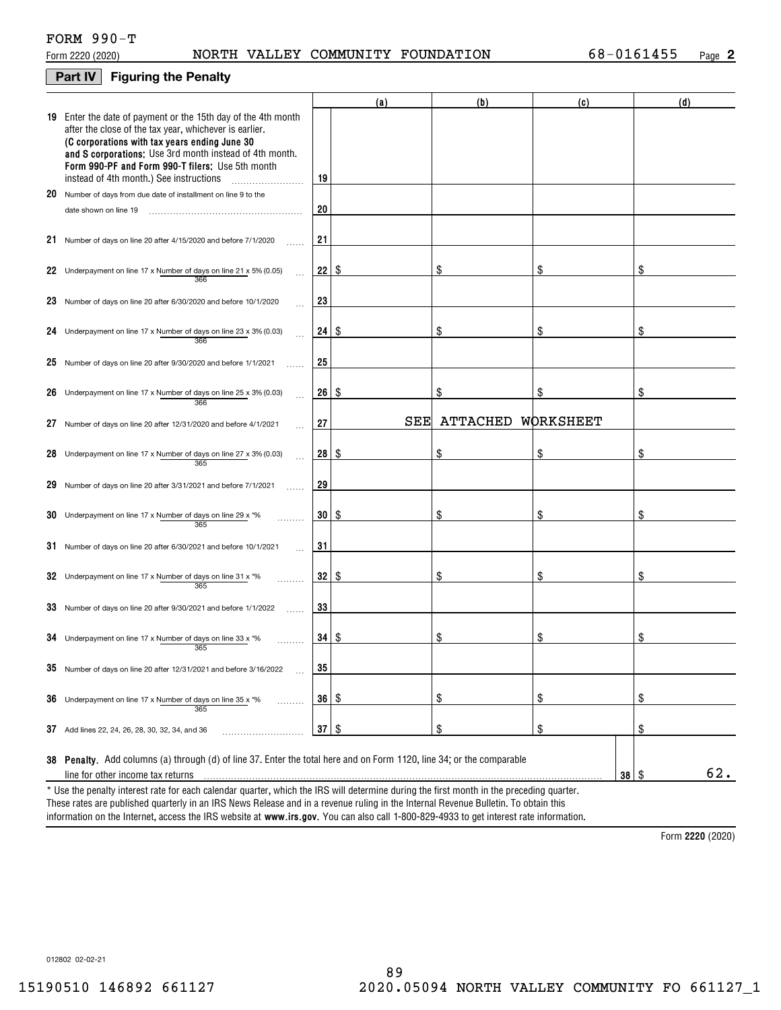# **Part IV Figuring the Penalty**

|    |                                                                                                                                                                                                                                                                                                                                    |    | (a) | (b)             | (c)       | (d)                      |
|----|------------------------------------------------------------------------------------------------------------------------------------------------------------------------------------------------------------------------------------------------------------------------------------------------------------------------------------|----|-----|-----------------|-----------|--------------------------|
|    | 19 Enter the date of payment or the 15th day of the 4th month<br>after the close of the tax year, whichever is earlier.<br>(C corporations with tax years ending June 30<br>and S corporations: Use 3rd month instead of 4th month.<br>Form 990-PF and Form 990-T filers: Use 5th month<br>instead of 4th month.) See instructions | 19 |     |                 |           |                          |
|    | 20 Number of days from due date of installment on line 9 to the                                                                                                                                                                                                                                                                    |    |     |                 |           |                          |
|    | date shown on line 19                                                                                                                                                                                                                                                                                                              | 20 |     |                 |           |                          |
|    | 21 Number of days on line 20 after 4/15/2020 and before 7/1/2020                                                                                                                                                                                                                                                                   | 21 |     |                 |           |                          |
|    | 22 Underpayment on line 17 x Number of days on line 21 x 5% (0.05)<br>366                                                                                                                                                                                                                                                          | 22 | \$  | \$              | \$        | S                        |
|    | 23 Number of days on line 20 after 6/30/2020 and before 10/1/2020                                                                                                                                                                                                                                                                  | 23 |     |                 |           |                          |
|    | 24 Underpayment on line 17 x Number of days on line 23 x 3% (0.03)<br>366                                                                                                                                                                                                                                                          | 24 | \$  | \$              | \$        | \$                       |
|    | 25 Number of days on line 20 after 9/30/2020 and before 1/1/2021                                                                                                                                                                                                                                                                   | 25 |     |                 |           |                          |
|    | 26 Underpayment on line 17 x Number of days on line 25 x 3% (0.03)<br>366                                                                                                                                                                                                                                                          | 26 | \$  | \$              | \$        | \$                       |
| 27 | Number of days on line 20 after 12/31/2020 and before 4/1/2021                                                                                                                                                                                                                                                                     | 27 | SEE | <b>ATTACHED</b> | WORKSHEET |                          |
|    | 28 Underpayment on line 17 x Number of days on line 27 x 3% (0.03)<br>365                                                                                                                                                                                                                                                          | 28 | S.  |                 | \$        | \$                       |
| 29 | Number of days on line 20 after 3/31/2021 and before 7/1/2021                                                                                                                                                                                                                                                                      | 29 |     |                 |           |                          |
|    | 30 Underpayment on line 17 x Number of days on line 29 x $*$ %<br>365                                                                                                                                                                                                                                                              | 30 | \$  | \$              | \$        | \$                       |
|    | 31 Number of days on line 20 after 6/30/2021 and before 10/1/2021                                                                                                                                                                                                                                                                  | 31 |     |                 |           |                          |
|    | 32 Underpayment on line 17 x Number of days on line 31 x $*$ %<br>365                                                                                                                                                                                                                                                              | 32 | \$  | \$              | \$        | \$                       |
|    | 33 Number of days on line 20 after 9/30/2021 and before 1/1/2022                                                                                                                                                                                                                                                                   | 33 |     |                 |           |                          |
|    | 34 Underpayment on line 17 x Number of days on line 33 x $*$ %<br>365                                                                                                                                                                                                                                                              | 34 | 8   | \$              | \$        | \$                       |
|    | $35$ Number of days on line 20 after 12/31/2021 and before 3/16/2022                                                                                                                                                                                                                                                               | 35 |     |                 |           |                          |
|    | <b>36</b> Underpayment on line 17 x Number of days on line 35 x $*$ %<br>.<br>365                                                                                                                                                                                                                                                  | 36 | \$  | \$              | \$        | \$                       |
|    | 37 Add lines 22, 24, 26, 28, 30, 32, 34, and 36                                                                                                                                                                                                                                                                                    | 37 | \$  | \$              | \$        | \$                       |
|    | 38 Penalty. Add columns (a) through (d) of line 37. Enter the total here and on Form 1120, line 34; or the comparable                                                                                                                                                                                                              |    |     |                 |           |                          |
|    | line for other income tax returns                                                                                                                                                                                                                                                                                                  |    |     |                 |           | 62.<br>$38$ \ $\sqrt{3}$ |
|    | * Use the penalty interest rate for each calendar quarter, which the IRS will determine during the first month in the preceding quarter.                                                                                                                                                                                           |    |     |                 |           |                          |

information on the Internet, access the IRS website at **www.irs.gov**. You can also call 1-800-829-4933 to get interest rate information. These rates are published quarterly in an IRS News Release and in a revenue ruling in the Internal Revenue Bulletin. To obtain this

**2220**  Form (2020)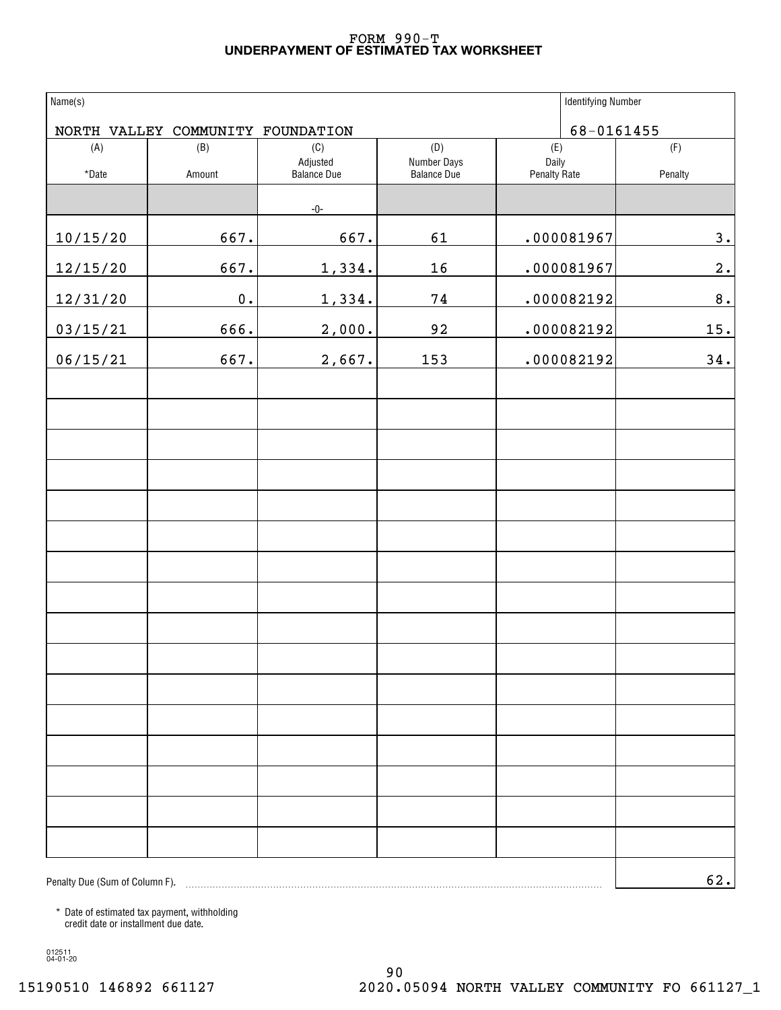# **UNDERPAYMENT OF ESTIMATED TAX WORKSHEET** FORM 990-T

| Name(s)                        |                                   |                                |                            | <b>Identifying Number</b> |         |
|--------------------------------|-----------------------------------|--------------------------------|----------------------------|---------------------------|---------|
|                                | NORTH VALLEY COMMUNITY FOUNDATION |                                |                            | 68-0161455                |         |
| (A)                            | (B)                               | (C)                            | (D)                        | (E)                       | (F)     |
| *Date                          | Amount                            | Adjusted<br><b>Balance Due</b> | Number Days<br>Balance Due | Daily<br>Penalty Rate     | Penalty |
|                                |                                   | $-0-$                          |                            |                           |         |
| 10/15/20                       | 667.                              | 667.                           | 61                         | .000081967                | 3.      |
| 12/15/20                       | 667.                              | 1,334.                         | 16                         | .000081967                | 2.      |
| 12/31/20                       | $\mathbf 0$ .                     | 1,334.                         | $7\,4$                     | .000082192                | 8.      |
| 03/15/21                       | 666.                              | 2,000.                         | 92                         | .000082192                | 15.     |
| 06/15/21                       | 667.                              | 2,667.                         | 153                        | .000082192                | 34.     |
|                                |                                   |                                |                            |                           |         |
|                                |                                   |                                |                            |                           |         |
|                                |                                   |                                |                            |                           |         |
|                                |                                   |                                |                            |                           |         |
|                                |                                   |                                |                            |                           |         |
|                                |                                   |                                |                            |                           |         |
|                                |                                   |                                |                            |                           |         |
|                                |                                   |                                |                            |                           |         |
|                                |                                   |                                |                            |                           |         |
|                                |                                   |                                |                            |                           |         |
|                                |                                   |                                |                            |                           |         |
|                                |                                   |                                |                            |                           |         |
|                                |                                   |                                |                            |                           |         |
|                                |                                   |                                |                            |                           |         |
|                                |                                   |                                |                            |                           |         |
|                                |                                   |                                |                            |                           |         |
| Penalty Due (Sum of Column F). |                                   |                                |                            |                           | 62.     |

\* Date of estimated tax payment, withholding credit date or installment due date.

012511 04-01-20